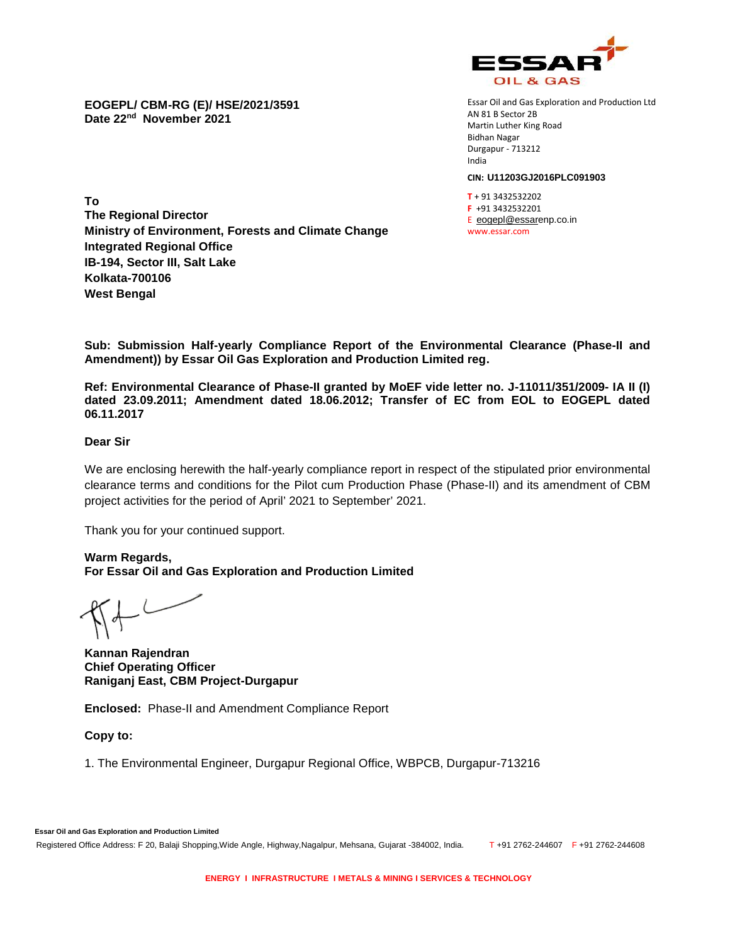

**EOGEPL/ CBM-RG (E)/ HSE/2021/3591 Date 22nd November 2021**

Essar Oil and Gas Exploration and Production Ltd AN 81 B Sector 2B Martin Luther King Road Bidhan Nagar Durgapur - 713212 India

#### **CIN: U11203GJ2016PLC091903**

**T** + 91 3432532202 **F** +91 3432532201 E eogepl@essarenp.co.in www.essar.com

**To The Regional Director Ministry of Environment, Forests and Climate Change Integrated Regional Office IB-194, Sector III, Salt Lake Kolkata-700106 West Bengal**

**Sub: Submission Half-yearly Compliance Report of the Environmental Clearance (Phase-II and Amendment)) by Essar Oil Gas Exploration and Production Limited reg.**

**Ref: Environmental Clearance of Phase-II granted by MoEF vide letter no. J-11011/351/2009- IA II (I) dated 23.09.2011; Amendment dated 18.06.2012; Transfer of EC from EOL to EOGEPL dated 06.11.2017**

#### **Dear Sir**

We are enclosing herewith the half-yearly compliance report in respect of the stipulated prior environmental clearance terms and conditions for the Pilot cum Production Phase (Phase-II) and its amendment of CBM project activities for the period of April' 2021 to September' 2021.

Thank you for your continued support.

**Warm Regards, For Essar Oil and Gas Exploration and Production Limited**

**Kannan Rajendran Chief Operating Officer Raniganj East, CBM Project-Durgapur**

**Enclosed:** Phase-II and Amendment Compliance Report

**Copy to:**

1. The Environmental Engineer, Durgapur Regional Office, WBPCB, Durgapur-713216

**Essar Oil and Gas Exploration and Production Limited** Registered Office Address: F 20, Balaji Shopping, Wide Angle, Highway, Nagalpur, Mehsana, Gujarat -384002, India. T +91 2762-244607 F +91 2762-244608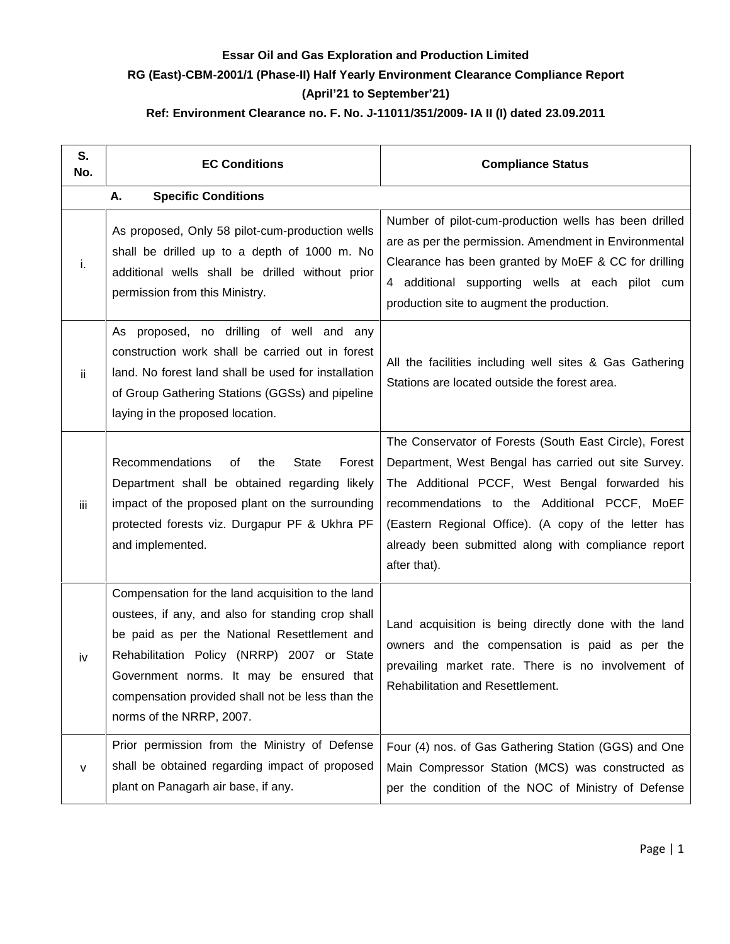### **Essar Oil and Gas Exploration and Production Limited RG (East)-CBM-2001/1 (Phase-II) Half Yearly Environment Clearance Compliance Report (April'21 to September'21) Ref: Environment Clearance no. F. No. J-11011/351/2009- IA II (I) dated 23.09.2011**

| S.<br>No. | <b>EC Conditions</b>                                                                                                                                                                                                                                                                                                             | <b>Compliance Status</b>                                                                                                                                                                                                                                                                                                                        |
|-----------|----------------------------------------------------------------------------------------------------------------------------------------------------------------------------------------------------------------------------------------------------------------------------------------------------------------------------------|-------------------------------------------------------------------------------------------------------------------------------------------------------------------------------------------------------------------------------------------------------------------------------------------------------------------------------------------------|
|           | <b>Specific Conditions</b><br>А.                                                                                                                                                                                                                                                                                                 |                                                                                                                                                                                                                                                                                                                                                 |
| i.        | As proposed, Only 58 pilot-cum-production wells<br>shall be drilled up to a depth of 1000 m. No<br>additional wells shall be drilled without prior<br>permission from this Ministry.                                                                                                                                             | Number of pilot-cum-production wells has been drilled<br>are as per the permission. Amendment in Environmental<br>Clearance has been granted by MoEF & CC for drilling<br>4 additional supporting wells at each pilot cum<br>production site to augment the production.                                                                         |
| ij.       | As proposed, no drilling of well and any<br>construction work shall be carried out in forest<br>land. No forest land shall be used for installation<br>of Group Gathering Stations (GGSs) and pipeline<br>laying in the proposed location.                                                                                       | All the facilities including well sites & Gas Gathering<br>Stations are located outside the forest area.                                                                                                                                                                                                                                        |
| iii       | Recommendations<br><b>State</b><br>Forest<br>of<br>the<br>Department shall be obtained regarding likely<br>impact of the proposed plant on the surrounding<br>protected forests viz. Durgapur PF & Ukhra PF<br>and implemented.                                                                                                  | The Conservator of Forests (South East Circle), Forest<br>Department, West Bengal has carried out site Survey.<br>The Additional PCCF, West Bengal forwarded his<br>recommendations to the Additional PCCF, MoEF<br>(Eastern Regional Office). (A copy of the letter has<br>already been submitted along with compliance report<br>after that). |
| iv        | Compensation for the land acquisition to the land<br>oustees, if any, and also for standing crop shall<br>be paid as per the National Resettlement and<br>Rehabilitation Policy (NRRP) 2007 or State<br>Government norms. It may be ensured that<br>compensation provided shall not be less than the<br>norms of the NRRP, 2007. | Land acquisition is being directly done with the land<br>owners and the compensation is paid as per the<br>prevailing market rate. There is no involvement of<br>Rehabilitation and Resettlement.                                                                                                                                               |
| v         | Prior permission from the Ministry of Defense<br>shall be obtained regarding impact of proposed<br>plant on Panagarh air base, if any.                                                                                                                                                                                           | Four (4) nos. of Gas Gathering Station (GGS) and One<br>Main Compressor Station (MCS) was constructed as<br>per the condition of the NOC of Ministry of Defense                                                                                                                                                                                 |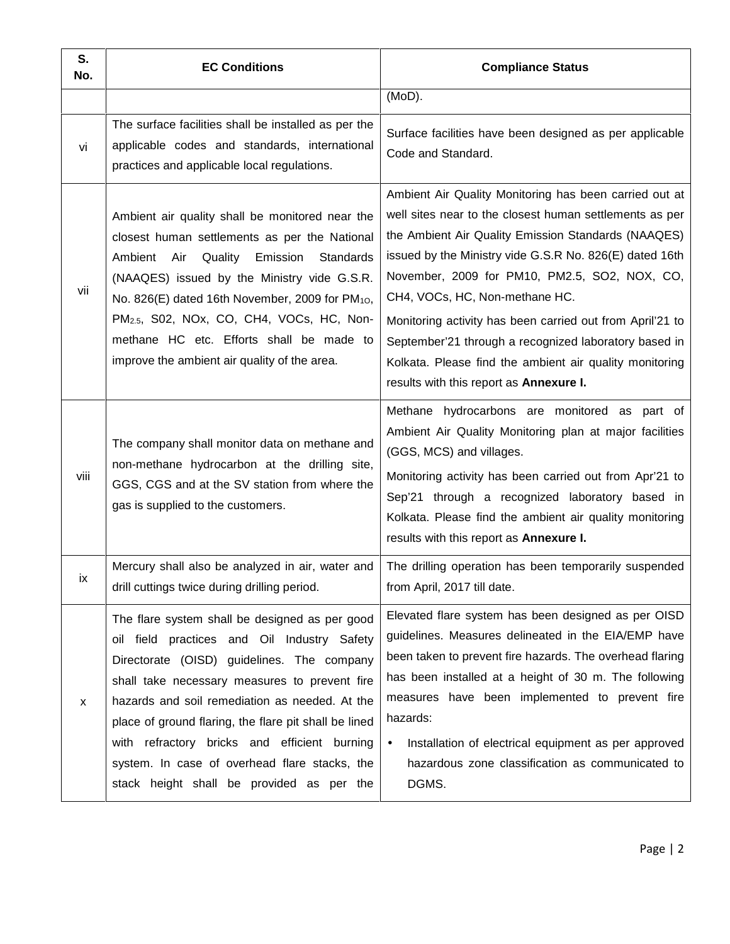| S.<br>No. | <b>EC Conditions</b>                                                                                                                                                                                                                                                                                                                                                                                                                                  | <b>Compliance Status</b>                                                                                                                                                                                                                                                                                                                                                                                                                                                                                                                           |
|-----------|-------------------------------------------------------------------------------------------------------------------------------------------------------------------------------------------------------------------------------------------------------------------------------------------------------------------------------------------------------------------------------------------------------------------------------------------------------|----------------------------------------------------------------------------------------------------------------------------------------------------------------------------------------------------------------------------------------------------------------------------------------------------------------------------------------------------------------------------------------------------------------------------------------------------------------------------------------------------------------------------------------------------|
|           |                                                                                                                                                                                                                                                                                                                                                                                                                                                       | (MoD).                                                                                                                                                                                                                                                                                                                                                                                                                                                                                                                                             |
| vi        | The surface facilities shall be installed as per the<br>applicable codes and standards, international<br>practices and applicable local regulations.                                                                                                                                                                                                                                                                                                  | Surface facilities have been designed as per applicable<br>Code and Standard.                                                                                                                                                                                                                                                                                                                                                                                                                                                                      |
| vii       | Ambient air quality shall be monitored near the<br>closest human settlements as per the National<br>Ambient Air<br>Quality<br>Emission<br>Standards<br>(NAAQES) issued by the Ministry vide G.S.R.<br>No. 826(E) dated 16th November, 2009 for PM <sub>10</sub> ,<br>PM <sub>2.5</sub> , S02, NOx, CO, CH4, VOCs, HC, Non-<br>methane HC etc. Efforts shall be made to<br>improve the ambient air quality of the area.                                | Ambient Air Quality Monitoring has been carried out at<br>well sites near to the closest human settlements as per<br>the Ambient Air Quality Emission Standards (NAAQES)<br>issued by the Ministry vide G.S.R No. 826(E) dated 16th<br>November, 2009 for PM10, PM2.5, SO2, NOX, CO,<br>CH4, VOCs, HC, Non-methane HC.<br>Monitoring activity has been carried out from April'21 to<br>September'21 through a recognized laboratory based in<br>Kolkata. Please find the ambient air quality monitoring<br>results with this report as Annexure I. |
| viii      | The company shall monitor data on methane and<br>non-methane hydrocarbon at the drilling site,<br>GGS, CGS and at the SV station from where the<br>gas is supplied to the customers.                                                                                                                                                                                                                                                                  | Methane hydrocarbons are monitored as part of<br>Ambient Air Quality Monitoring plan at major facilities<br>(GGS, MCS) and villages.<br>Monitoring activity has been carried out from Apr'21 to<br>Sep'21 through a recognized laboratory based in<br>Kolkata. Please find the ambient air quality monitoring<br>results with this report as Annexure I.                                                                                                                                                                                           |
| İХ        | Mercury shall also be analyzed in air, water and<br>drill cuttings twice during drilling period.                                                                                                                                                                                                                                                                                                                                                      | The drilling operation has been temporarily suspended<br>from April, 2017 till date.                                                                                                                                                                                                                                                                                                                                                                                                                                                               |
| X         | The flare system shall be designed as per good<br>oil field practices and Oil Industry Safety<br>Directorate (OISD) guidelines. The company<br>shall take necessary measures to prevent fire<br>hazards and soil remediation as needed. At the<br>place of ground flaring, the flare pit shall be lined<br>with refractory bricks and efficient burning<br>system. In case of overhead flare stacks, the<br>stack height shall be provided as per the | Elevated flare system has been designed as per OISD<br>guidelines. Measures delineated in the EIA/EMP have<br>been taken to prevent fire hazards. The overhead flaring<br>has been installed at a height of 30 m. The following<br>measures have been implemented to prevent fire<br>hazards:<br>Installation of electrical equipment as per approved<br>$\bullet$<br>hazardous zone classification as communicated to<br>DGMS.                                                                                                                    |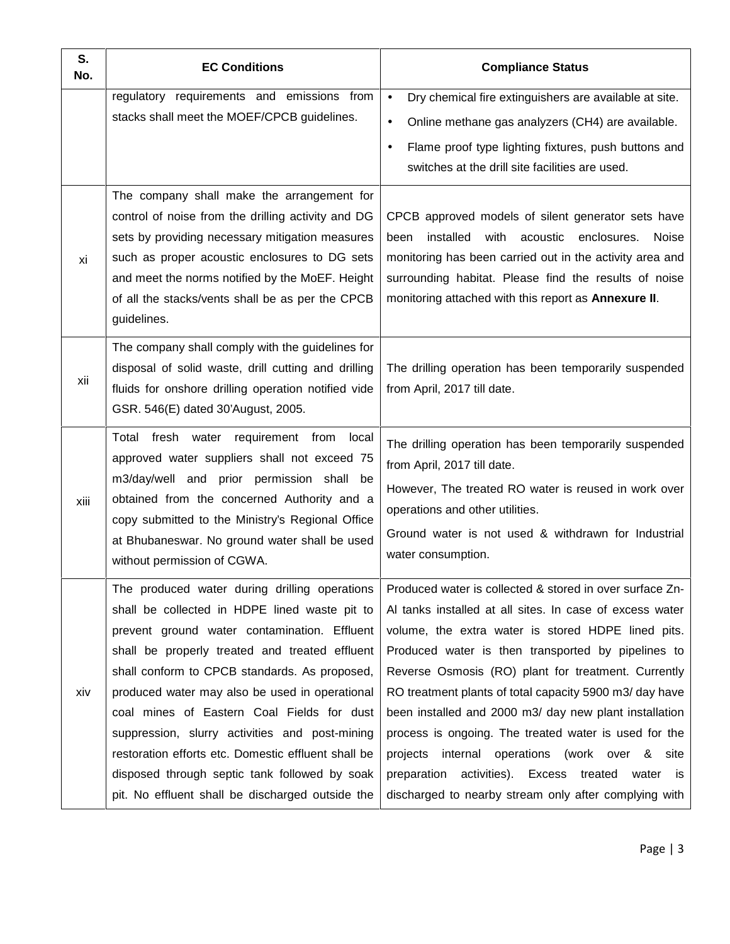| S.<br>No. | <b>EC Conditions</b>                                                                                                                                                                                                                                                                                                                                                                                                                                                                                                                                            | <b>Compliance Status</b>                                                                                                                                                                                                                                                                                                                                                                                                                                                                                                                                                                                                                  |
|-----------|-----------------------------------------------------------------------------------------------------------------------------------------------------------------------------------------------------------------------------------------------------------------------------------------------------------------------------------------------------------------------------------------------------------------------------------------------------------------------------------------------------------------------------------------------------------------|-------------------------------------------------------------------------------------------------------------------------------------------------------------------------------------------------------------------------------------------------------------------------------------------------------------------------------------------------------------------------------------------------------------------------------------------------------------------------------------------------------------------------------------------------------------------------------------------------------------------------------------------|
|           | regulatory requirements and emissions from<br>stacks shall meet the MOEF/CPCB guidelines.                                                                                                                                                                                                                                                                                                                                                                                                                                                                       | Dry chemical fire extinguishers are available at site.<br>$\bullet$<br>Online methane gas analyzers (CH4) are available.<br>$\bullet$<br>Flame proof type lighting fixtures, push buttons and<br>$\bullet$<br>switches at the drill site facilities are used.                                                                                                                                                                                                                                                                                                                                                                             |
| хi        | The company shall make the arrangement for<br>control of noise from the drilling activity and DG<br>sets by providing necessary mitigation measures<br>such as proper acoustic enclosures to DG sets<br>and meet the norms notified by the MoEF. Height<br>of all the stacks/vents shall be as per the CPCB<br>guidelines.                                                                                                                                                                                                                                      | CPCB approved models of silent generator sets have<br>installed with acoustic enclosures.<br>been<br>Noise<br>monitoring has been carried out in the activity area and<br>surrounding habitat. Please find the results of noise<br>monitoring attached with this report as <b>Annexure II</b> .                                                                                                                                                                                                                                                                                                                                           |
| xii       | The company shall comply with the guidelines for<br>disposal of solid waste, drill cutting and drilling<br>fluids for onshore drilling operation notified vide<br>GSR. 546(E) dated 30'August, 2005.                                                                                                                                                                                                                                                                                                                                                            | The drilling operation has been temporarily suspended<br>from April, 2017 till date.                                                                                                                                                                                                                                                                                                                                                                                                                                                                                                                                                      |
| xiii      | Total fresh water requirement from local<br>approved water suppliers shall not exceed 75<br>m3/day/well and prior permission shall<br>be<br>obtained from the concerned Authority and a<br>copy submitted to the Ministry's Regional Office<br>at Bhubaneswar. No ground water shall be used<br>without permission of CGWA.                                                                                                                                                                                                                                     | The drilling operation has been temporarily suspended<br>from April, 2017 till date.<br>However, The treated RO water is reused in work over<br>operations and other utilities.<br>Ground water is not used & withdrawn for Industrial<br>water consumption.                                                                                                                                                                                                                                                                                                                                                                              |
| xiv       | The produced water during drilling operations<br>shall be collected in HDPE lined waste pit to<br>prevent ground water contamination. Effluent<br>shall be properly treated and treated effluent<br>shall conform to CPCB standards. As proposed,<br>produced water may also be used in operational<br>coal mines of Eastern Coal Fields for dust<br>suppression, slurry activities and post-mining<br>restoration efforts etc. Domestic effluent shall be<br>disposed through septic tank followed by soak<br>pit. No effluent shall be discharged outside the | Produced water is collected & stored in over surface Zn-<br>Al tanks installed at all sites. In case of excess water<br>volume, the extra water is stored HDPE lined pits.<br>Produced water is then transported by pipelines to<br>Reverse Osmosis (RO) plant for treatment. Currently<br>RO treatment plants of total capacity 5900 m3/day have<br>been installed and 2000 m3/ day new plant installation<br>process is ongoing. The treated water is used for the<br>projects internal operations (work over & site<br>activities). Excess treated<br>preparation<br>water is<br>discharged to nearby stream only after complying with |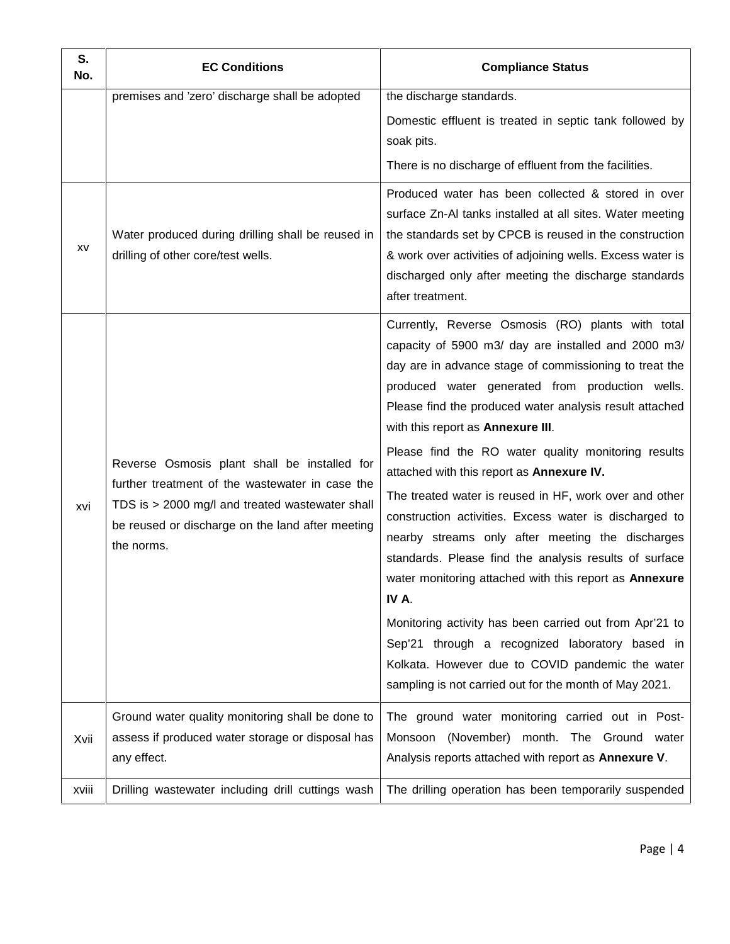| S.<br>No. | <b>EC Conditions</b>                                                                                                                                                                                                 | <b>Compliance Status</b>                                                                                                                                                                                                                                                                                                                                                                                                                                                                                                                                                                                                                                                                                                                                                                                                                                                                         |
|-----------|----------------------------------------------------------------------------------------------------------------------------------------------------------------------------------------------------------------------|--------------------------------------------------------------------------------------------------------------------------------------------------------------------------------------------------------------------------------------------------------------------------------------------------------------------------------------------------------------------------------------------------------------------------------------------------------------------------------------------------------------------------------------------------------------------------------------------------------------------------------------------------------------------------------------------------------------------------------------------------------------------------------------------------------------------------------------------------------------------------------------------------|
|           | premises and 'zero' discharge shall be adopted                                                                                                                                                                       | the discharge standards.<br>Domestic effluent is treated in septic tank followed by<br>soak pits.<br>There is no discharge of effluent from the facilities.                                                                                                                                                                                                                                                                                                                                                                                                                                                                                                                                                                                                                                                                                                                                      |
| XV        | Water produced during drilling shall be reused in<br>drilling of other core/test wells.                                                                                                                              | Produced water has been collected & stored in over<br>surface Zn-AI tanks installed at all sites. Water meeting<br>the standards set by CPCB is reused in the construction<br>& work over activities of adjoining wells. Excess water is<br>discharged only after meeting the discharge standards<br>after treatment.                                                                                                                                                                                                                                                                                                                                                                                                                                                                                                                                                                            |
| xvi       | Reverse Osmosis plant shall be installed for<br>further treatment of the wastewater in case the<br>TDS is > 2000 mg/l and treated wastewater shall<br>be reused or discharge on the land after meeting<br>the norms. | Currently, Reverse Osmosis (RO) plants with total<br>capacity of 5900 m3/ day are installed and 2000 m3/<br>day are in advance stage of commissioning to treat the<br>produced water generated from production wells.<br>Please find the produced water analysis result attached<br>with this report as Annexure III.<br>Please find the RO water quality monitoring results<br>attached with this report as Annexure IV.<br>The treated water is reused in HF, work over and other<br>construction activities. Excess water is discharged to<br>nearby streams only after meeting the discharges<br>standards. Please find the analysis results of surface<br>water monitoring attached with this report as Annexure<br>IV A.<br>Monitoring activity has been carried out from Apr'21 to<br>Sep'21 through a recognized laboratory based in<br>Kolkata. However due to COVID pandemic the water |
| Xvii      | Ground water quality monitoring shall be done to<br>assess if produced water storage or disposal has                                                                                                                 | sampling is not carried out for the month of May 2021.<br>The ground water monitoring carried out in Post-<br>Monsoon (November) month. The Ground water                                                                                                                                                                                                                                                                                                                                                                                                                                                                                                                                                                                                                                                                                                                                         |
| xviii     | any effect.<br>Drilling wastewater including drill cuttings wash                                                                                                                                                     | Analysis reports attached with report as Annexure V.<br>The drilling operation has been temporarily suspended                                                                                                                                                                                                                                                                                                                                                                                                                                                                                                                                                                                                                                                                                                                                                                                    |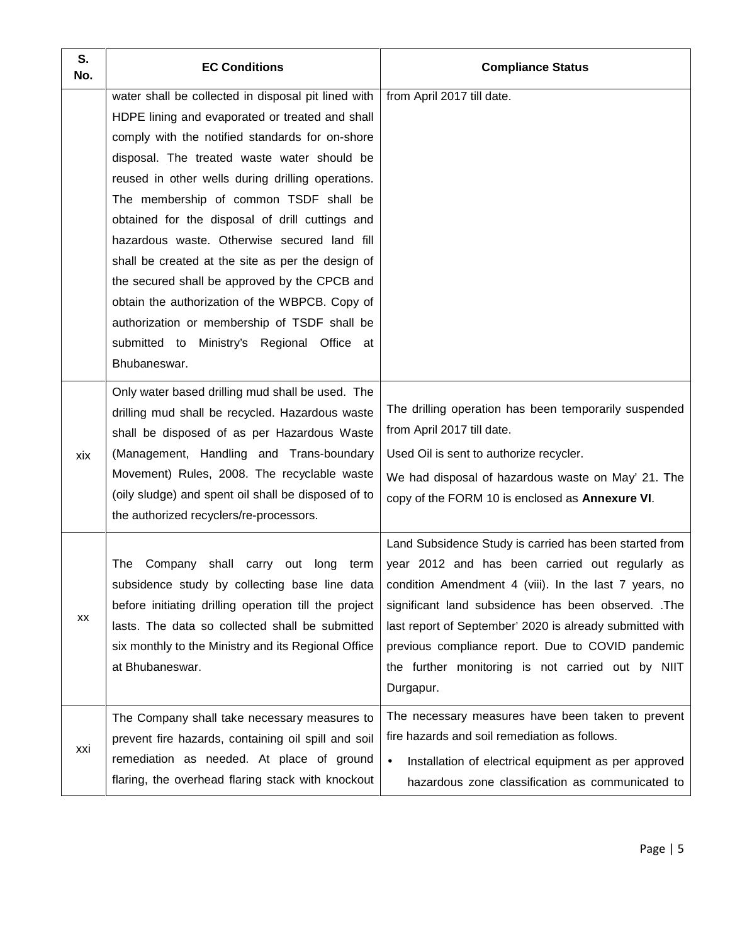| S.<br>No. | <b>EC Conditions</b>                                                                                                                                                                                                                                                                                                                                                                                                                                                                                                                                                                                                                                                             | <b>Compliance Status</b>                                                                                                                                                                                                                                                                                                                                                                                     |
|-----------|----------------------------------------------------------------------------------------------------------------------------------------------------------------------------------------------------------------------------------------------------------------------------------------------------------------------------------------------------------------------------------------------------------------------------------------------------------------------------------------------------------------------------------------------------------------------------------------------------------------------------------------------------------------------------------|--------------------------------------------------------------------------------------------------------------------------------------------------------------------------------------------------------------------------------------------------------------------------------------------------------------------------------------------------------------------------------------------------------------|
|           | water shall be collected in disposal pit lined with<br>HDPE lining and evaporated or treated and shall<br>comply with the notified standards for on-shore<br>disposal. The treated waste water should be<br>reused in other wells during drilling operations.<br>The membership of common TSDF shall be<br>obtained for the disposal of drill cuttings and<br>hazardous waste. Otherwise secured land fill<br>shall be created at the site as per the design of<br>the secured shall be approved by the CPCB and<br>obtain the authorization of the WBPCB. Copy of<br>authorization or membership of TSDF shall be<br>submitted to Ministry's Regional Office at<br>Bhubaneswar. | from April 2017 till date.                                                                                                                                                                                                                                                                                                                                                                                   |
| xix       | Only water based drilling mud shall be used. The<br>drilling mud shall be recycled. Hazardous waste<br>shall be disposed of as per Hazardous Waste<br>(Management, Handling and Trans-boundary<br>Movement) Rules, 2008. The recyclable waste<br>(oily sludge) and spent oil shall be disposed of to<br>the authorized recyclers/re-processors.                                                                                                                                                                                                                                                                                                                                  | The drilling operation has been temporarily suspended<br>from April 2017 till date.<br>Used Oil is sent to authorize recycler.<br>We had disposal of hazardous waste on May' 21. The<br>copy of the FORM 10 is enclosed as Annexure VI.                                                                                                                                                                      |
| XX        | Company shall carry out long term<br>The<br>subsidence study by collecting base line data<br>before initiating drilling operation till the project<br>lasts. The data so collected shall be submitted<br>six monthly to the Ministry and its Regional Office<br>at Bhubaneswar.                                                                                                                                                                                                                                                                                                                                                                                                  | Land Subsidence Study is carried has been started from<br>year 2012 and has been carried out regularly as<br>condition Amendment 4 (viii). In the last 7 years, no<br>significant land subsidence has been observed. .The<br>last report of September' 2020 is already submitted with<br>previous compliance report. Due to COVID pandemic<br>the further monitoring is not carried out by NIIT<br>Durgapur. |
| xxi       | The Company shall take necessary measures to<br>prevent fire hazards, containing oil spill and soil<br>remediation as needed. At place of ground<br>flaring, the overhead flaring stack with knockout                                                                                                                                                                                                                                                                                                                                                                                                                                                                            | The necessary measures have been taken to prevent<br>fire hazards and soil remediation as follows.<br>Installation of electrical equipment as per approved<br>$\bullet$<br>hazardous zone classification as communicated to                                                                                                                                                                                  |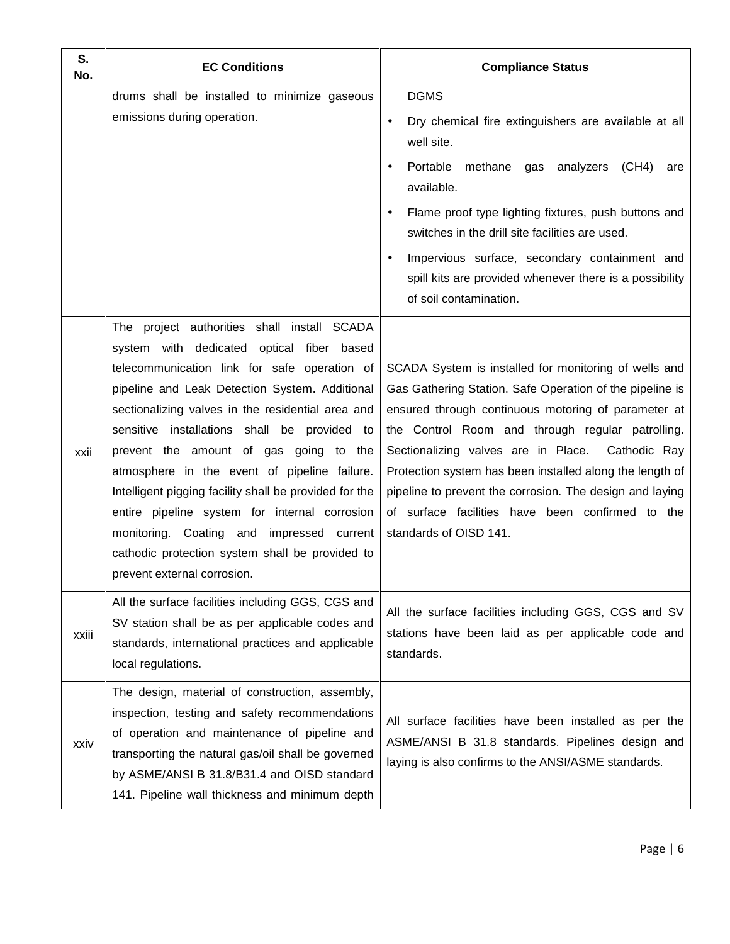| S.<br>No. | <b>EC Conditions</b>                                                                                                                                                                                                                                                                                                                                                                                                                                                                                                                                                                                                                | <b>Compliance Status</b>                                                                                                                                                                                                                                                                                                                                                                                                                                                                  |
|-----------|-------------------------------------------------------------------------------------------------------------------------------------------------------------------------------------------------------------------------------------------------------------------------------------------------------------------------------------------------------------------------------------------------------------------------------------------------------------------------------------------------------------------------------------------------------------------------------------------------------------------------------------|-------------------------------------------------------------------------------------------------------------------------------------------------------------------------------------------------------------------------------------------------------------------------------------------------------------------------------------------------------------------------------------------------------------------------------------------------------------------------------------------|
|           | drums shall be installed to minimize gaseous<br>emissions during operation.                                                                                                                                                                                                                                                                                                                                                                                                                                                                                                                                                         | <b>DGMS</b><br>Dry chemical fire extinguishers are available at all<br>well site.<br>Portable methane gas analyzers (CH4)<br>are<br>$\bullet$<br>available.<br>Flame proof type lighting fixtures, push buttons and<br>switches in the drill site facilities are used.<br>Impervious surface, secondary containment and<br>$\bullet$<br>spill kits are provided whenever there is a possibility<br>of soil contamination.                                                                 |
| xxii      | The project authorities shall install SCADA<br>system with dedicated optical fiber based<br>telecommunication link for safe operation of<br>pipeline and Leak Detection System. Additional<br>sectionalizing valves in the residential area and<br>sensitive installations shall be provided to<br>prevent the amount of gas going to the<br>atmosphere in the event of pipeline failure.<br>Intelligent pigging facility shall be provided for the<br>entire pipeline system for internal corrosion<br>monitoring. Coating and impressed current<br>cathodic protection system shall be provided to<br>prevent external corrosion. | SCADA System is installed for monitoring of wells and<br>Gas Gathering Station. Safe Operation of the pipeline is<br>ensured through continuous motoring of parameter at<br>the Control Room and through regular patrolling.<br>Sectionalizing valves are in Place.<br>Cathodic Ray<br>Protection system has been installed along the length of<br>pipeline to prevent the corrosion. The design and laying<br>of surface facilities have been confirmed to the<br>standards of OISD 141. |
| xxiii     | All the surface facilities including GGS, CGS and<br>SV station shall be as per applicable codes and<br>standards, international practices and applicable<br>local regulations.                                                                                                                                                                                                                                                                                                                                                                                                                                                     | All the surface facilities including GGS, CGS and SV<br>stations have been laid as per applicable code and<br>standards.                                                                                                                                                                                                                                                                                                                                                                  |
| xxiv      | The design, material of construction, assembly,<br>inspection, testing and safety recommendations<br>of operation and maintenance of pipeline and<br>transporting the natural gas/oil shall be governed<br>by ASME/ANSI B 31.8/B31.4 and OISD standard<br>141. Pipeline wall thickness and minimum depth                                                                                                                                                                                                                                                                                                                            | All surface facilities have been installed as per the<br>ASME/ANSI B 31.8 standards. Pipelines design and<br>laying is also confirms to the ANSI/ASME standards.                                                                                                                                                                                                                                                                                                                          |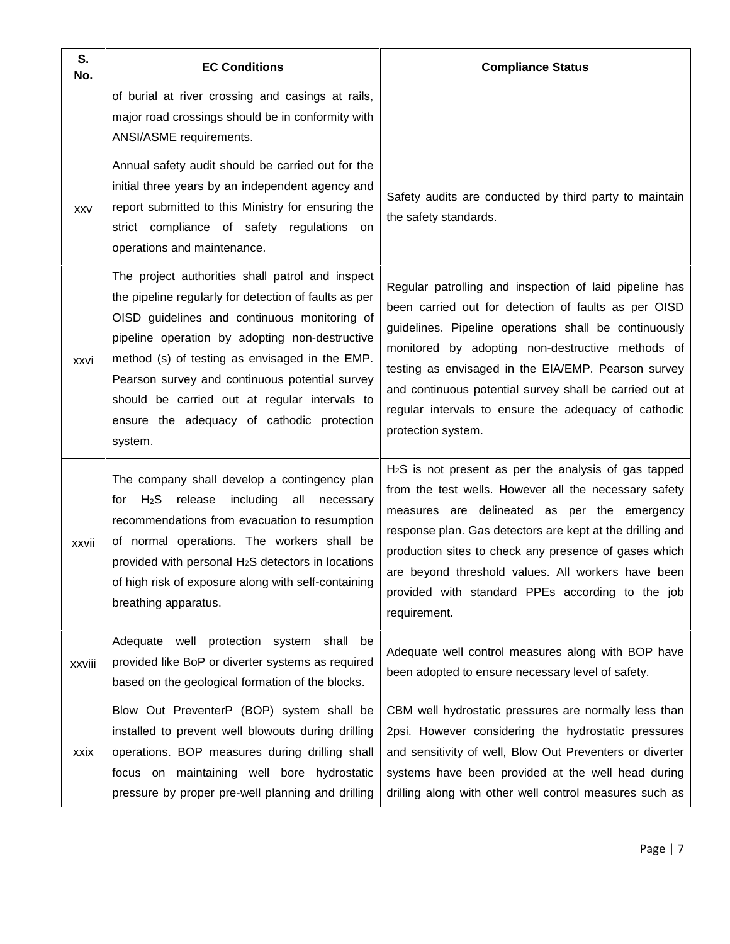| S.<br>No.  | <b>EC Conditions</b>                                                                                                                                                                                                                                                                                                                                                                                                      | <b>Compliance Status</b>                                                                                                                                                                                                                                                                                                                                                                                                    |
|------------|---------------------------------------------------------------------------------------------------------------------------------------------------------------------------------------------------------------------------------------------------------------------------------------------------------------------------------------------------------------------------------------------------------------------------|-----------------------------------------------------------------------------------------------------------------------------------------------------------------------------------------------------------------------------------------------------------------------------------------------------------------------------------------------------------------------------------------------------------------------------|
|            | of burial at river crossing and casings at rails,<br>major road crossings should be in conformity with<br>ANSI/ASME requirements.                                                                                                                                                                                                                                                                                         |                                                                                                                                                                                                                                                                                                                                                                                                                             |
| <b>XXV</b> | Annual safety audit should be carried out for the<br>initial three years by an independent agency and<br>report submitted to this Ministry for ensuring the<br>strict compliance of safety regulations on<br>operations and maintenance.                                                                                                                                                                                  | Safety audits are conducted by third party to maintain<br>the safety standards.                                                                                                                                                                                                                                                                                                                                             |
| xxvi       | The project authorities shall patrol and inspect<br>the pipeline regularly for detection of faults as per<br>OISD guidelines and continuous monitoring of<br>pipeline operation by adopting non-destructive<br>method (s) of testing as envisaged in the EMP.<br>Pearson survey and continuous potential survey<br>should be carried out at regular intervals to<br>ensure the adequacy of cathodic protection<br>system. | Regular patrolling and inspection of laid pipeline has<br>been carried out for detection of faults as per OISD<br>guidelines. Pipeline operations shall be continuously<br>monitored by adopting non-destructive methods of<br>testing as envisaged in the EIA/EMP. Pearson survey<br>and continuous potential survey shall be carried out at<br>regular intervals to ensure the adequacy of cathodic<br>protection system. |
| xxvii      | The company shall develop a contingency plan<br>$H_2S$<br>release<br>including all necessary<br>tor<br>recommendations from evacuation to resumption<br>of normal operations. The workers shall be<br>provided with personal H <sub>2</sub> S detectors in locations<br>of high risk of exposure along with self-containing<br>breathing apparatus.                                                                       | $H2S$ is not present as per the analysis of gas tapped<br>from the test wells. However all the necessary safety<br>measures are delineated as per the emergency<br>response plan. Gas detectors are kept at the drilling and<br>production sites to check any presence of gases which<br>are beyond threshold values. All workers have been<br>provided with standard PPEs according to the job<br>requirement.             |
| xxviii     | Adequate well protection system shall be<br>provided like BoP or diverter systems as required<br>based on the geological formation of the blocks.                                                                                                                                                                                                                                                                         | Adequate well control measures along with BOP have<br>been adopted to ensure necessary level of safety.                                                                                                                                                                                                                                                                                                                     |
| xxix       | Blow Out PreventerP (BOP) system shall be<br>installed to prevent well blowouts during drilling<br>operations. BOP measures during drilling shall<br>focus on maintaining well bore hydrostatic<br>pressure by proper pre-well planning and drilling                                                                                                                                                                      | CBM well hydrostatic pressures are normally less than<br>2psi. However considering the hydrostatic pressures<br>and sensitivity of well, Blow Out Preventers or diverter<br>systems have been provided at the well head during<br>drilling along with other well control measures such as                                                                                                                                   |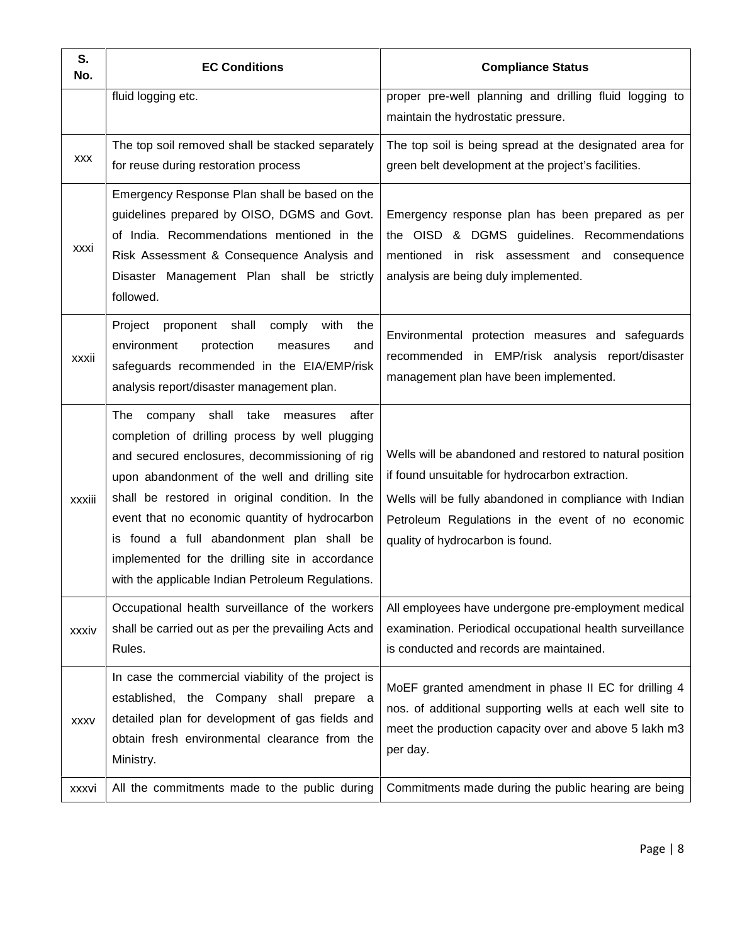| S.<br>No.   | <b>EC Conditions</b>                                                                                                                                                                                                                                                                                                                                                                                                                                      | <b>Compliance Status</b>                                                                                                                                                                                                                                        |
|-------------|-----------------------------------------------------------------------------------------------------------------------------------------------------------------------------------------------------------------------------------------------------------------------------------------------------------------------------------------------------------------------------------------------------------------------------------------------------------|-----------------------------------------------------------------------------------------------------------------------------------------------------------------------------------------------------------------------------------------------------------------|
|             | fluid logging etc.                                                                                                                                                                                                                                                                                                                                                                                                                                        | proper pre-well planning and drilling fluid logging to<br>maintain the hydrostatic pressure.                                                                                                                                                                    |
| <b>XXX</b>  | The top soil removed shall be stacked separately<br>for reuse during restoration process                                                                                                                                                                                                                                                                                                                                                                  | The top soil is being spread at the designated area for<br>green belt development at the project's facilities.                                                                                                                                                  |
| <b>XXXI</b> | Emergency Response Plan shall be based on the<br>guidelines prepared by OISO, DGMS and Govt.<br>of India. Recommendations mentioned in the<br>Risk Assessment & Consequence Analysis and<br>Disaster Management Plan shall be strictly<br>followed.                                                                                                                                                                                                       | Emergency response plan has been prepared as per<br>the OISD & DGMS guidelines. Recommendations<br>mentioned in risk assessment and consequence<br>analysis are being duly implemented.                                                                         |
| xxxii       | Project<br>proponent shall<br>comply<br>with<br>the<br>environment<br>protection<br>measures<br>and<br>safeguards recommended in the EIA/EMP/risk<br>analysis report/disaster management plan.                                                                                                                                                                                                                                                            | Environmental protection measures and safeguards<br>recommended in EMP/risk analysis report/disaster<br>management plan have been implemented.                                                                                                                  |
| xxxiii      | The company shall take measures<br>after<br>completion of drilling process by well plugging<br>and secured enclosures, decommissioning of rig<br>upon abandonment of the well and drilling site<br>shall be restored in original condition. In the<br>event that no economic quantity of hydrocarbon<br>is found a full abandonment plan shall be<br>implemented for the drilling site in accordance<br>with the applicable Indian Petroleum Regulations. | Wells will be abandoned and restored to natural position<br>if found unsuitable for hydrocarbon extraction.<br>Wells will be fully abandoned in compliance with Indian<br>Petroleum Regulations in the event of no economic<br>quality of hydrocarbon is found. |
| xxxiv       | Occupational health surveillance of the workers<br>shall be carried out as per the prevailing Acts and<br>Rules.                                                                                                                                                                                                                                                                                                                                          | All employees have undergone pre-employment medical<br>examination. Periodical occupational health surveillance<br>is conducted and records are maintained.                                                                                                     |
| <b>XXXV</b> | In case the commercial viability of the project is<br>established, the Company shall prepare a<br>detailed plan for development of gas fields and<br>obtain fresh environmental clearance from the<br>Ministry.                                                                                                                                                                                                                                           | MoEF granted amendment in phase II EC for drilling 4<br>nos. of additional supporting wells at each well site to<br>meet the production capacity over and above 5 lakh m3<br>per day.                                                                           |
| xxxvi       | All the commitments made to the public during                                                                                                                                                                                                                                                                                                                                                                                                             | Commitments made during the public hearing are being                                                                                                                                                                                                            |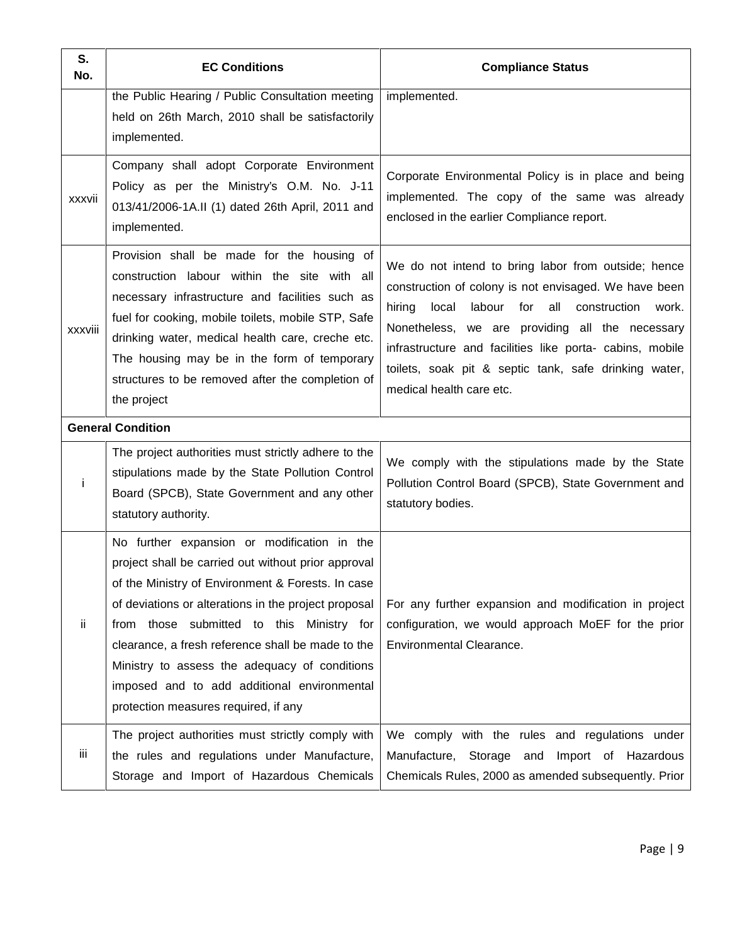| S.<br>No.     | <b>EC Conditions</b>                                                                                                                                                                                                                                                                                                                                                                                                                                      | <b>Compliance Status</b>                                                                                                                                                                                                                                                                                                                                                             |
|---------------|-----------------------------------------------------------------------------------------------------------------------------------------------------------------------------------------------------------------------------------------------------------------------------------------------------------------------------------------------------------------------------------------------------------------------------------------------------------|--------------------------------------------------------------------------------------------------------------------------------------------------------------------------------------------------------------------------------------------------------------------------------------------------------------------------------------------------------------------------------------|
|               | the Public Hearing / Public Consultation meeting<br>held on 26th March, 2010 shall be satisfactorily<br>implemented.                                                                                                                                                                                                                                                                                                                                      | implemented.                                                                                                                                                                                                                                                                                                                                                                         |
| <b>XXXVII</b> | Company shall adopt Corporate Environment<br>Policy as per the Ministry's O.M. No. J-11<br>013/41/2006-1A.II (1) dated 26th April, 2011 and<br>implemented.                                                                                                                                                                                                                                                                                               | Corporate Environmental Policy is in place and being<br>implemented. The copy of the same was already<br>enclosed in the earlier Compliance report.                                                                                                                                                                                                                                  |
| xxxviii       | Provision shall be made for the housing of<br>construction labour within the site with all<br>necessary infrastructure and facilities such as<br>fuel for cooking, mobile toilets, mobile STP, Safe<br>drinking water, medical health care, creche etc.<br>The housing may be in the form of temporary<br>structures to be removed after the completion of<br>the project                                                                                 | We do not intend to bring labor from outside; hence<br>construction of colony is not envisaged. We have been<br>hiring<br>labour<br>for<br>all<br>local<br>construction<br>work.<br>Nonetheless, we are providing all the necessary<br>infrastructure and facilities like porta- cabins, mobile<br>toilets, soak pit & septic tank, safe drinking water,<br>medical health care etc. |
|               | <b>General Condition</b>                                                                                                                                                                                                                                                                                                                                                                                                                                  |                                                                                                                                                                                                                                                                                                                                                                                      |
| Ť             | The project authorities must strictly adhere to the<br>stipulations made by the State Pollution Control<br>Board (SPCB), State Government and any other<br>statutory authority.                                                                                                                                                                                                                                                                           | We comply with the stipulations made by the State<br>Pollution Control Board (SPCB), State Government and<br>statutory bodies.                                                                                                                                                                                                                                                       |
| ij.           | No further expansion or modification in the<br>project shall be carried out without prior approval<br>of the Ministry of Environment & Forests. In case<br>of deviations or alterations in the project proposal<br>from those submitted to this Ministry for<br>clearance, a fresh reference shall be made to the<br>Ministry to assess the adequacy of conditions<br>imposed and to add additional environmental<br>protection measures required, if any | For any further expansion and modification in project<br>configuration, we would approach MoEF for the prior<br>Environmental Clearance.                                                                                                                                                                                                                                             |
| iii           | The project authorities must strictly comply with<br>the rules and regulations under Manufacture,<br>Storage and Import of Hazardous Chemicals                                                                                                                                                                                                                                                                                                            | We comply with the rules and regulations under<br>Manufacture, Storage and Import of Hazardous<br>Chemicals Rules, 2000 as amended subsequently. Prior                                                                                                                                                                                                                               |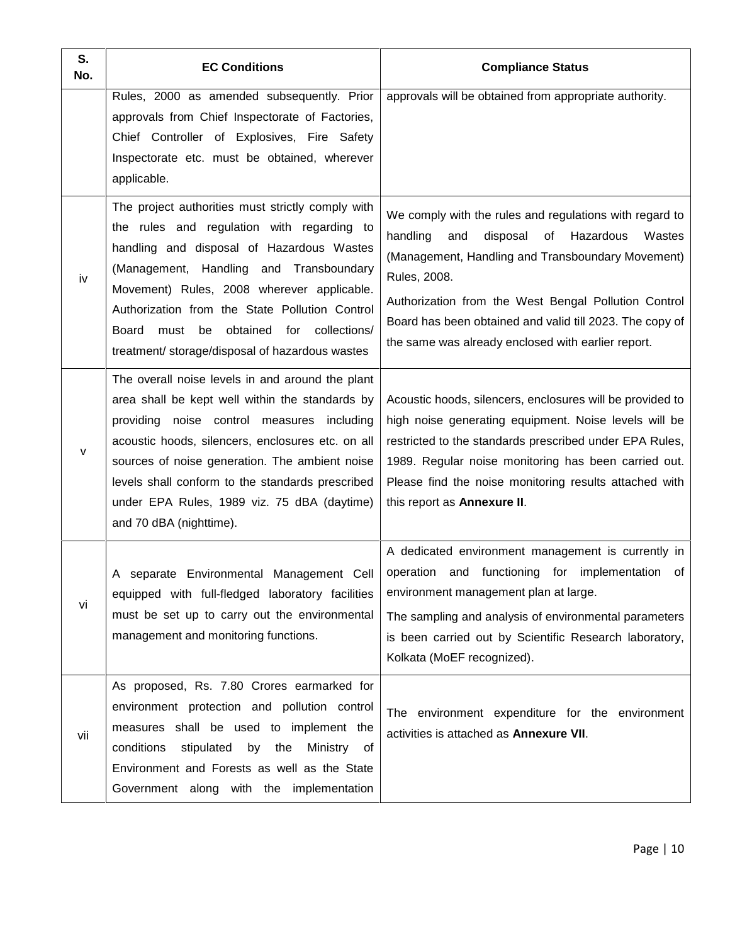| S.<br>No. | <b>EC Conditions</b>                                                                                                                                                                                                                                                                                                                                                                                     | <b>Compliance Status</b>                                                                                                                                                                                                                                                                                                                                           |
|-----------|----------------------------------------------------------------------------------------------------------------------------------------------------------------------------------------------------------------------------------------------------------------------------------------------------------------------------------------------------------------------------------------------------------|--------------------------------------------------------------------------------------------------------------------------------------------------------------------------------------------------------------------------------------------------------------------------------------------------------------------------------------------------------------------|
|           | Rules, 2000 as amended subsequently. Prior<br>approvals from Chief Inspectorate of Factories,<br>Chief Controller of Explosives, Fire Safety<br>Inspectorate etc. must be obtained, wherever<br>applicable.                                                                                                                                                                                              | approvals will be obtained from appropriate authority.                                                                                                                                                                                                                                                                                                             |
| iv        | The project authorities must strictly comply with<br>the rules and regulation with regarding to<br>handling and disposal of Hazardous Wastes<br>(Management, Handling and Transboundary<br>Movement) Rules, 2008 wherever applicable.<br>Authorization from the State Pollution Control<br>obtained<br>for collections/<br><b>Board</b><br>must<br>be<br>treatment/ storage/disposal of hazardous wastes | We comply with the rules and regulations with regard to<br>handling<br>disposal<br>Hazardous<br>and<br>of<br>Wastes<br>(Management, Handling and Transboundary Movement)<br>Rules, 2008.<br>Authorization from the West Bengal Pollution Control<br>Board has been obtained and valid till 2023. The copy of<br>the same was already enclosed with earlier report. |
| v         | The overall noise levels in and around the plant<br>area shall be kept well within the standards by<br>providing noise control measures including<br>acoustic hoods, silencers, enclosures etc. on all<br>sources of noise generation. The ambient noise<br>levels shall conform to the standards prescribed<br>under EPA Rules, 1989 viz. 75 dBA (daytime)<br>and 70 dBA (nighttime).                   | Acoustic hoods, silencers, enclosures will be provided to<br>high noise generating equipment. Noise levels will be<br>restricted to the standards prescribed under EPA Rules,<br>1989. Regular noise monitoring has been carried out.<br>Please find the noise monitoring results attached with<br>this report as Annexure II.                                     |
| vi        | A separate Environmental Management Cell<br>equipped with full-fledged laboratory facilities<br>must be set up to carry out the environmental<br>management and monitoring functions.                                                                                                                                                                                                                    | A dedicated environment management is currently in<br>operation and functioning for implementation<br>of<br>environment management plan at large.<br>The sampling and analysis of environmental parameters<br>is been carried out by Scientific Research laboratory,<br>Kolkata (MoEF recognized).                                                                 |
| vii       | As proposed, Rs. 7.80 Crores earmarked for<br>environment protection and pollution control<br>measures shall be used to implement the<br>conditions<br>stipulated<br>by the<br>Ministry<br>of<br>Environment and Forests as well as the State<br>Government along with the implementation                                                                                                                | The environment expenditure for the environment<br>activities is attached as Annexure VII.                                                                                                                                                                                                                                                                         |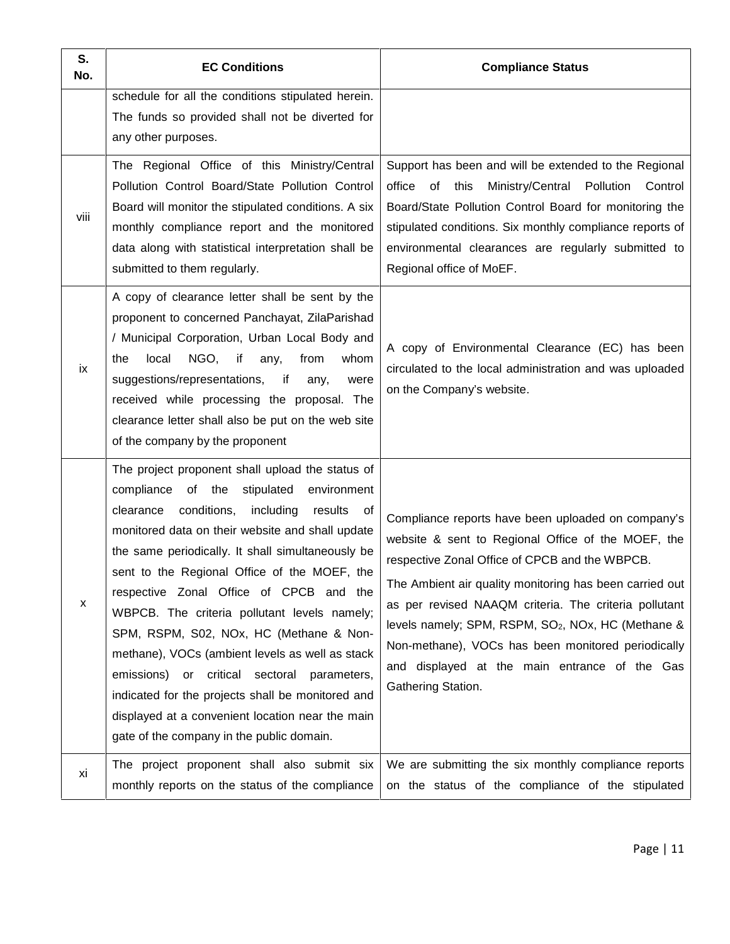| S.<br>No. | <b>EC Conditions</b>                                                                                                                                                                                                                                                                                                                                                                                                                                                                                                                                                                                                                                                                                                   | <b>Compliance Status</b>                                                                                                                                                                                                                                                                                                                                                                                                                                                                   |
|-----------|------------------------------------------------------------------------------------------------------------------------------------------------------------------------------------------------------------------------------------------------------------------------------------------------------------------------------------------------------------------------------------------------------------------------------------------------------------------------------------------------------------------------------------------------------------------------------------------------------------------------------------------------------------------------------------------------------------------------|--------------------------------------------------------------------------------------------------------------------------------------------------------------------------------------------------------------------------------------------------------------------------------------------------------------------------------------------------------------------------------------------------------------------------------------------------------------------------------------------|
| viii      | schedule for all the conditions stipulated herein.<br>The funds so provided shall not be diverted for<br>any other purposes.<br>The Regional Office of this Ministry/Central<br>Pollution Control Board/State Pollution Control<br>Board will monitor the stipulated conditions. A six<br>monthly compliance report and the monitored<br>data along with statistical interpretation shall be<br>submitted to them regularly.                                                                                                                                                                                                                                                                                           | Support has been and will be extended to the Regional<br>office<br>of this<br>Ministry/Central<br>Pollution<br>Control<br>Board/State Pollution Control Board for monitoring the<br>stipulated conditions. Six monthly compliance reports of<br>environmental clearances are regularly submitted to<br>Regional office of MoEF.                                                                                                                                                            |
| ix        | A copy of clearance letter shall be sent by the<br>proponent to concerned Panchayat, ZilaParishad<br>/ Municipal Corporation, Urban Local Body and<br>local<br>NGO,<br>if<br>from<br>whom<br>the<br>any,<br>suggestions/representations, if<br>any,<br>were<br>received while processing the proposal. The<br>clearance letter shall also be put on the web site<br>of the company by the proponent                                                                                                                                                                                                                                                                                                                    | A copy of Environmental Clearance (EC) has been<br>circulated to the local administration and was uploaded<br>on the Company's website.                                                                                                                                                                                                                                                                                                                                                    |
| x         | The project proponent shall upload the status of<br>compliance of the<br>stipulated<br>environment<br>conditions,<br>including<br>clearance<br>results<br>0f<br>monitored data on their website and shall update<br>the same periodically. It shall simultaneously be<br>sent to the Regional Office of the MOEF, the<br>respective Zonal Office of CPCB and the<br>WBPCB. The criteria pollutant levels namely;<br>SPM, RSPM, S02, NOx, HC (Methane & Non-<br>methane), VOCs (ambient levels as well as stack<br>or critical sectoral parameters,<br>emissions)<br>indicated for the projects shall be monitored and<br>displayed at a convenient location near the main<br>gate of the company in the public domain. | Compliance reports have been uploaded on company's<br>website & sent to Regional Office of the MOEF, the<br>respective Zonal Office of CPCB and the WBPCB.<br>The Ambient air quality monitoring has been carried out<br>as per revised NAAQM criteria. The criteria pollutant<br>levels namely; SPM, RSPM, SO <sub>2</sub> , NO <sub>x</sub> , HC (Methane &<br>Non-methane), VOCs has been monitored periodically<br>and displayed at the main entrance of the Gas<br>Gathering Station. |
| xi        | The project proponent shall also submit six<br>monthly reports on the status of the compliance                                                                                                                                                                                                                                                                                                                                                                                                                                                                                                                                                                                                                         | We are submitting the six monthly compliance reports<br>on the status of the compliance of the stipulated                                                                                                                                                                                                                                                                                                                                                                                  |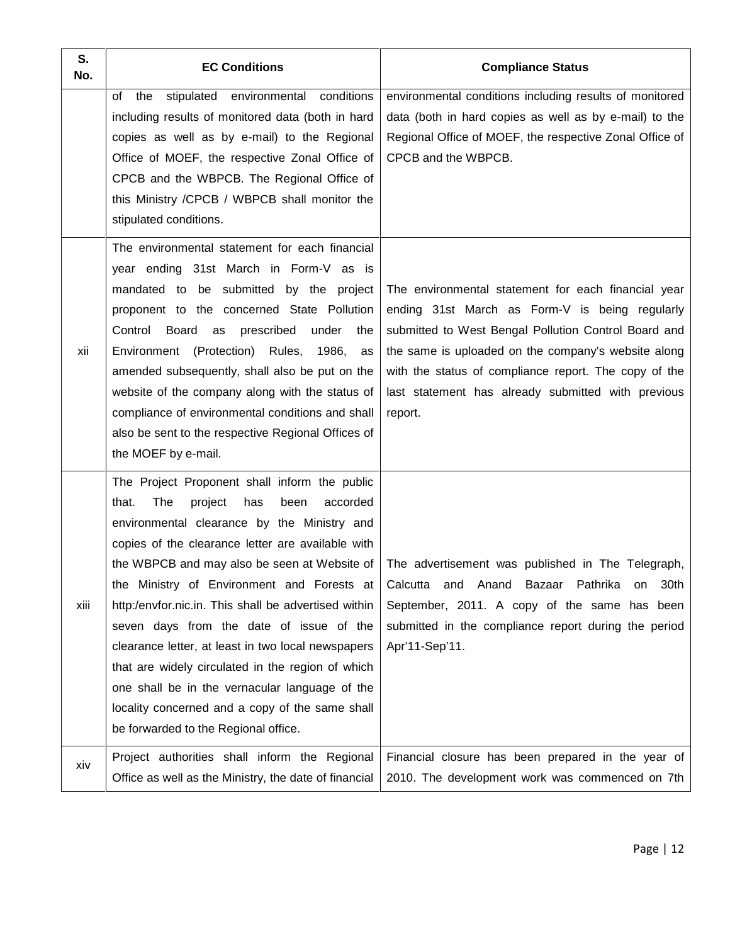| S.<br>No. | <b>EC Conditions</b>                                                                                                                                                                                                                                                                                                                                                                                                                                                                                                                                                                                                | <b>Compliance Status</b>                                                                                                                                                                                                                                                                                                                       |
|-----------|---------------------------------------------------------------------------------------------------------------------------------------------------------------------------------------------------------------------------------------------------------------------------------------------------------------------------------------------------------------------------------------------------------------------------------------------------------------------------------------------------------------------------------------------------------------------------------------------------------------------|------------------------------------------------------------------------------------------------------------------------------------------------------------------------------------------------------------------------------------------------------------------------------------------------------------------------------------------------|
|           | stipulated<br>environmental<br>conditions<br>the<br>of<br>including results of monitored data (both in hard<br>copies as well as by e-mail) to the Regional<br>Office of MOEF, the respective Zonal Office of<br>CPCB and the WBPCB. The Regional Office of<br>this Ministry /CPCB / WBPCB shall monitor the<br>stipulated conditions.                                                                                                                                                                                                                                                                              | environmental conditions including results of monitored<br>data (both in hard copies as well as by e-mail) to the<br>Regional Office of MOEF, the respective Zonal Office of<br>CPCB and the WBPCB.                                                                                                                                            |
| xii       | The environmental statement for each financial<br>year ending 31st March in Form-V as is<br>mandated to be submitted by the project<br>proponent to the concerned State Pollution<br>Board as<br>Control<br>prescribed<br>under<br>the<br>Environment (Protection) Rules, 1986,<br>as<br>amended subsequently, shall also be put on the<br>website of the company along with the status of<br>compliance of environmental conditions and shall<br>also be sent to the respective Regional Offices of<br>the MOEF by e-mail.                                                                                         | The environmental statement for each financial year<br>ending 31st March as Form-V is being regularly<br>submitted to West Bengal Pollution Control Board and<br>the same is uploaded on the company's website along<br>with the status of compliance report. The copy of the<br>last statement has already submitted with previous<br>report. |
| xiii      | The Project Proponent shall inform the public<br>The<br>project<br>has<br>been<br>accorded<br>that.<br>environmental clearance by the Ministry and<br>copies of the clearance letter are available with<br>the WBPCB and may also be seen at Website of<br>http:/envfor.nic.in. This shall be advertised within<br>seven days from the date of issue of the<br>clearance letter, at least in two local newspapers<br>that are widely circulated in the region of which<br>one shall be in the vernacular language of the<br>locality concerned and a copy of the same shall<br>be forwarded to the Regional office. | The advertisement was published in The Telegraph,<br>the Ministry of Environment and Forests at Calcutta and Anand Bazaar Pathrika on 30th<br>September, 2011. A copy of the same has been<br>submitted in the compliance report during the period<br>Apr'11-Sep'11.                                                                           |
| xiv       | Project authorities shall inform the Regional<br>Office as well as the Ministry, the date of financial                                                                                                                                                                                                                                                                                                                                                                                                                                                                                                              | Financial closure has been prepared in the year of<br>2010. The development work was commenced on 7th                                                                                                                                                                                                                                          |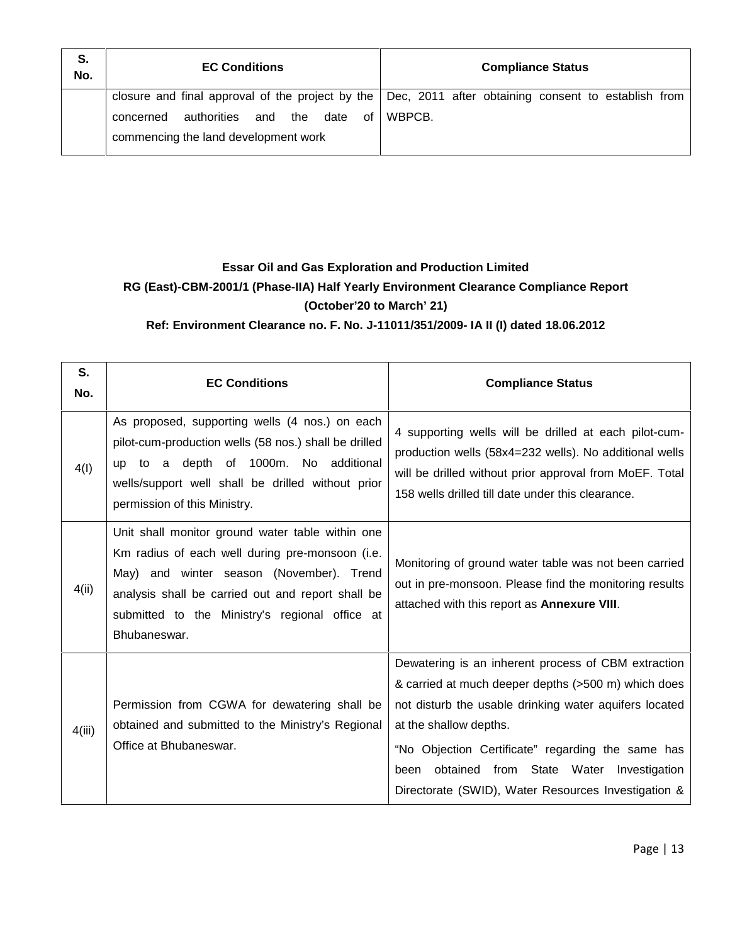| S.<br>No. | <b>EC Conditions</b>                                                                         | <b>Compliance Status</b>                                                                                           |
|-----------|----------------------------------------------------------------------------------------------|--------------------------------------------------------------------------------------------------------------------|
|           | authorities<br>and<br>date<br>the<br>of<br>concerned<br>commencing the land development work | closure and final approval of the project by the $ $ Dec, 2011 after obtaining consent to establish from<br>WBPCB. |

### **Essar Oil and Gas Exploration and Production Limited RG (East)-CBM-2001/1 (Phase-IIA) Half Yearly Environment Clearance Compliance Report (October'20 to March' 21)**

**Ref: Environment Clearance no. F. No. J-11011/351/2009- IA II (I) dated 18.06.2012**

| S.<br>No. | <b>EC Conditions</b>                                                                                                                                                                                                                                                   | <b>Compliance Status</b>                                                                                                                                                                                                                                                                                                                                         |
|-----------|------------------------------------------------------------------------------------------------------------------------------------------------------------------------------------------------------------------------------------------------------------------------|------------------------------------------------------------------------------------------------------------------------------------------------------------------------------------------------------------------------------------------------------------------------------------------------------------------------------------------------------------------|
| 4(1)      | As proposed, supporting wells (4 nos.) on each<br>pilot-cum-production wells (58 nos.) shall be drilled<br>to a depth of 1000m. No additional<br><b>up</b><br>wells/support well shall be drilled without prior<br>permission of this Ministry.                        | 4 supporting wells will be drilled at each pilot-cum-<br>production wells (58x4=232 wells). No additional wells<br>will be drilled without prior approval from MoEF. Total<br>158 wells drilled till date under this clearance.                                                                                                                                  |
| 4(ii)     | Unit shall monitor ground water table within one<br>Km radius of each well during pre-monsoon (i.e.<br>May) and winter season (November). Trend<br>analysis shall be carried out and report shall be<br>submitted to the Ministry's regional office at<br>Bhubaneswar. | Monitoring of ground water table was not been carried<br>out in pre-monsoon. Please find the monitoring results<br>attached with this report as Annexure VIII.                                                                                                                                                                                                   |
| 4(iii)    | Permission from CGWA for dewatering shall be<br>obtained and submitted to the Ministry's Regional<br>Office at Bhubaneswar.                                                                                                                                            | Dewatering is an inherent process of CBM extraction<br>& carried at much deeper depths (>500 m) which does<br>not disturb the usable drinking water aquifers located<br>at the shallow depths.<br>"No Objection Certificate" regarding the same has<br>obtained from State Water<br>Investigation<br>been<br>Directorate (SWID), Water Resources Investigation & |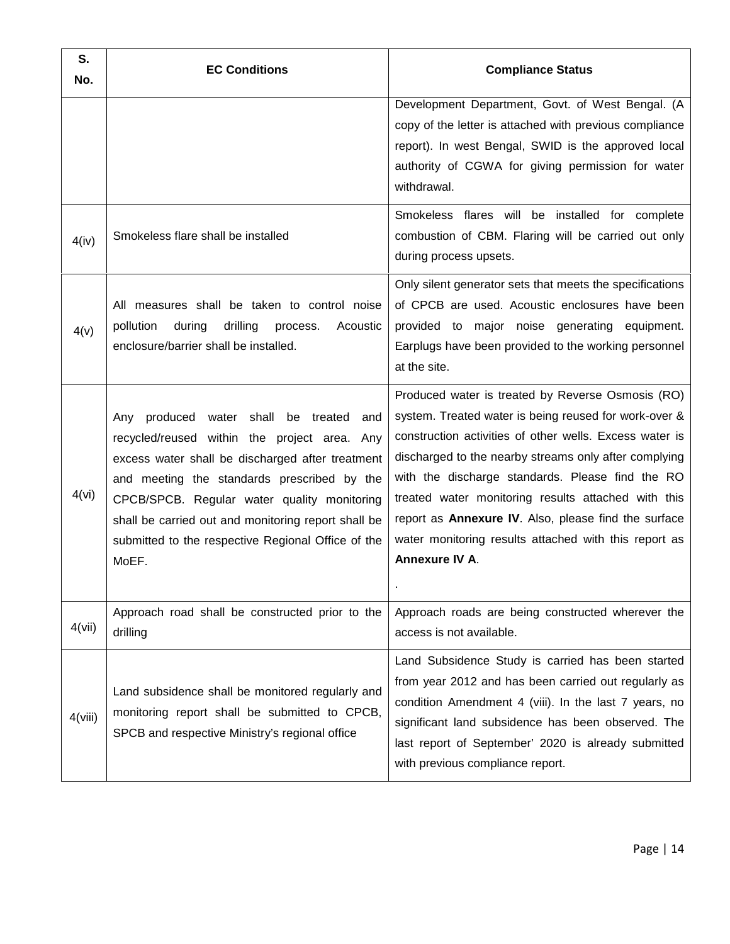| S.<br>No. | <b>EC Conditions</b>                                                                                                                                                                                                                                                                                                                                               | <b>Compliance Status</b>                                                                                                                                                                                                                                                                                                                                                                                                                                                     |
|-----------|--------------------------------------------------------------------------------------------------------------------------------------------------------------------------------------------------------------------------------------------------------------------------------------------------------------------------------------------------------------------|------------------------------------------------------------------------------------------------------------------------------------------------------------------------------------------------------------------------------------------------------------------------------------------------------------------------------------------------------------------------------------------------------------------------------------------------------------------------------|
|           |                                                                                                                                                                                                                                                                                                                                                                    | Development Department, Govt. of West Bengal. (A<br>copy of the letter is attached with previous compliance<br>report). In west Bengal, SWID is the approved local<br>authority of CGWA for giving permission for water<br>withdrawal.                                                                                                                                                                                                                                       |
| 4(iv)     | Smokeless flare shall be installed                                                                                                                                                                                                                                                                                                                                 | Smokeless flares will be installed for complete<br>combustion of CBM. Flaring will be carried out only<br>during process upsets.                                                                                                                                                                                                                                                                                                                                             |
| 4(v)      | All measures shall be taken to control noise<br>pollution<br>drilling<br>during<br>Acoustic<br>process.<br>enclosure/barrier shall be installed.                                                                                                                                                                                                                   | Only silent generator sets that meets the specifications<br>of CPCB are used. Acoustic enclosures have been<br>provided to major noise generating equipment.<br>Earplugs have been provided to the working personnel<br>at the site.                                                                                                                                                                                                                                         |
| 4(vi)     | Any produced water shall be treated<br>and<br>recycled/reused within the project area. Any<br>excess water shall be discharged after treatment<br>and meeting the standards prescribed by the<br>CPCB/SPCB. Regular water quality monitoring<br>shall be carried out and monitoring report shall be<br>submitted to the respective Regional Office of the<br>MoEF. | Produced water is treated by Reverse Osmosis (RO)<br>system. Treated water is being reused for work-over &<br>construction activities of other wells. Excess water is<br>discharged to the nearby streams only after complying<br>with the discharge standards. Please find the RO<br>treated water monitoring results attached with this<br>report as Annexure IV. Also, please find the surface<br>water monitoring results attached with this report as<br>Annexure IV A. |
| 4(vii)    | Approach road shall be constructed prior to the<br>drilling                                                                                                                                                                                                                                                                                                        | Approach roads are being constructed wherever the<br>access is not available.                                                                                                                                                                                                                                                                                                                                                                                                |
| 4(viii)   | Land subsidence shall be monitored regularly and<br>monitoring report shall be submitted to CPCB,<br>SPCB and respective Ministry's regional office                                                                                                                                                                                                                | Land Subsidence Study is carried has been started<br>from year 2012 and has been carried out regularly as<br>condition Amendment 4 (viii). In the last 7 years, no<br>significant land subsidence has been observed. The<br>last report of September' 2020 is already submitted<br>with previous compliance report.                                                                                                                                                          |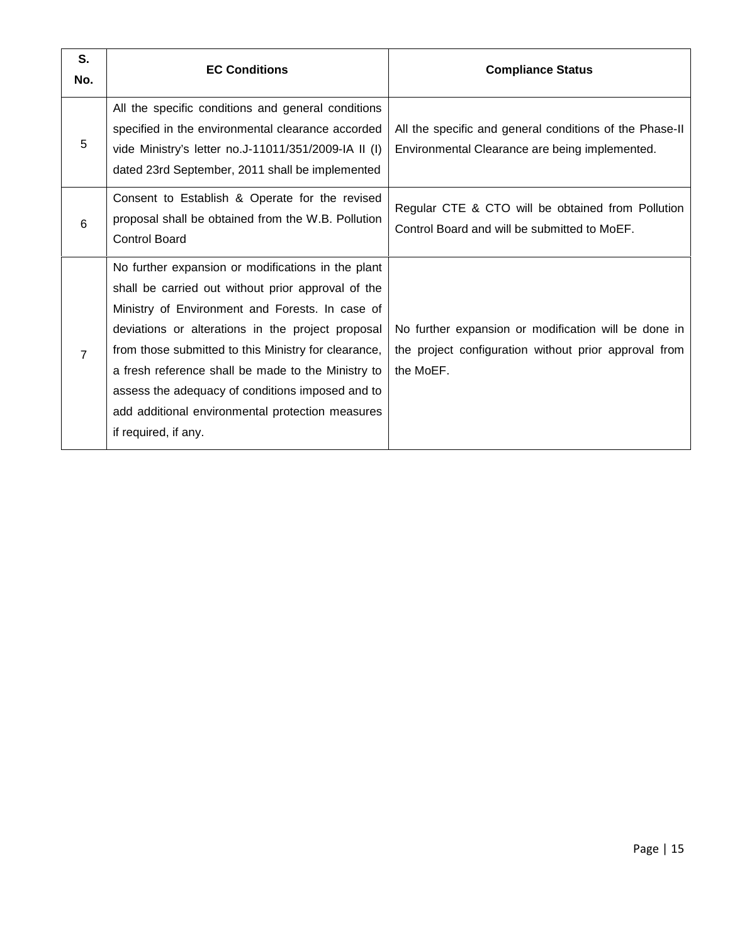| S.<br>No.      | <b>EC Conditions</b>                                                                                                                                                                                                                                                                                                                                                                                                                                           | <b>Compliance Status</b>                                                                                                   |
|----------------|----------------------------------------------------------------------------------------------------------------------------------------------------------------------------------------------------------------------------------------------------------------------------------------------------------------------------------------------------------------------------------------------------------------------------------------------------------------|----------------------------------------------------------------------------------------------------------------------------|
| 5              | All the specific conditions and general conditions<br>specified in the environmental clearance accorded<br>vide Ministry's letter no.J-11011/351/2009-IA II (I)<br>dated 23rd September, 2011 shall be implemented                                                                                                                                                                                                                                             | All the specific and general conditions of the Phase-II<br>Environmental Clearance are being implemented.                  |
| 6              | Consent to Establish & Operate for the revised<br>proposal shall be obtained from the W.B. Pollution<br><b>Control Board</b>                                                                                                                                                                                                                                                                                                                                   | Regular CTE & CTO will be obtained from Pollution<br>Control Board and will be submitted to MoEF.                          |
| $\overline{7}$ | No further expansion or modifications in the plant<br>shall be carried out without prior approval of the<br>Ministry of Environment and Forests. In case of<br>deviations or alterations in the project proposal<br>from those submitted to this Ministry for clearance,<br>a fresh reference shall be made to the Ministry to<br>assess the adequacy of conditions imposed and to<br>add additional environmental protection measures<br>if required, if any. | No further expansion or modification will be done in<br>the project configuration without prior approval from<br>the MoEF. |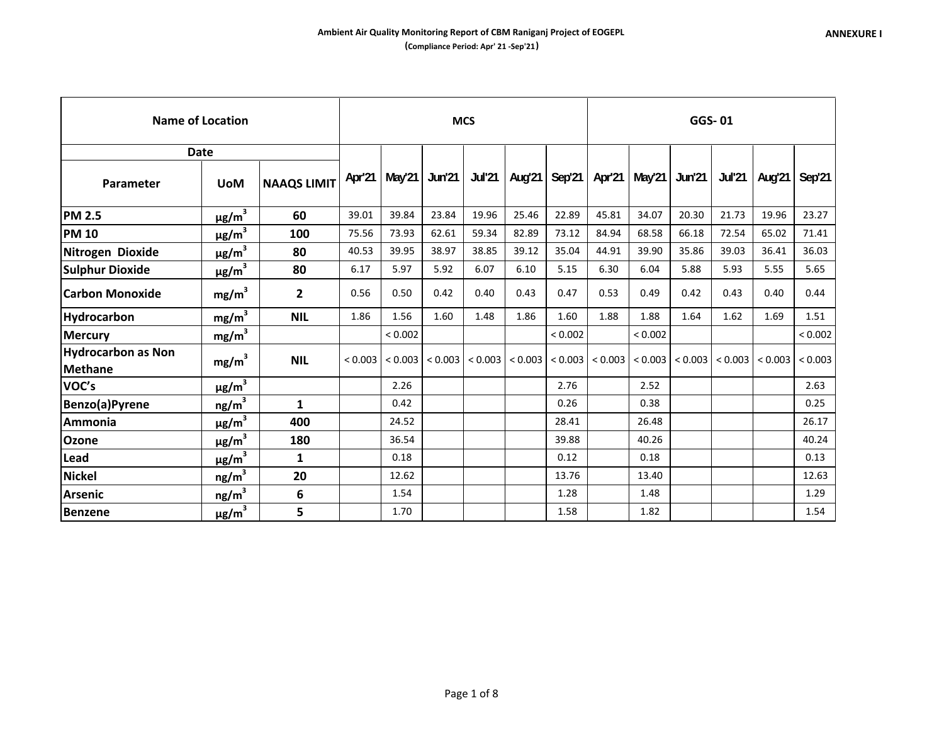|                                             | <b>Name of Location</b> |                    |         |                 |         | <b>MCS</b> |         |                          |         |         | GGS-01        |               |         |         |
|---------------------------------------------|-------------------------|--------------------|---------|-----------------|---------|------------|---------|--------------------------|---------|---------|---------------|---------------|---------|---------|
|                                             | <b>Date</b>             |                    |         |                 |         |            |         |                          |         |         |               |               |         |         |
| <b>Parameter</b>                            | <b>UoM</b>              | <b>NAAQS LIMIT</b> |         | Apr'21   May'21 | Jun'21  |            |         | Jul'21   Aug'21   Sep'21 | Apr'21  | May'21  | <b>Jun'21</b> | <b>Jul'21</b> | Aug'21  | Sep'21  |
| <b>PM 2.5</b>                               | $\mu$ g/m <sup>3</sup>  | 60                 | 39.01   | 39.84           | 23.84   | 19.96      | 25.46   | 22.89                    | 45.81   | 34.07   | 20.30         | 21.73         | 19.96   | 23.27   |
| <b>PM 10</b>                                | $\mu$ g/m <sup>3</sup>  | 100                | 75.56   | 73.93           | 62.61   | 59.34      | 82.89   | 73.12                    | 84.94   | 68.58   | 66.18         | 72.54         | 65.02   | 71.41   |
| Nitrogen Dioxide                            | $\mu$ g/m <sup>3</sup>  | 80                 | 40.53   | 39.95           | 38.97   | 38.85      | 39.12   | 35.04                    | 44.91   | 39.90   | 35.86         | 39.03         | 36.41   | 36.03   |
| <b>Sulphur Dioxide</b>                      | $\mu$ g/m <sup>3</sup>  | 80                 | 6.17    | 5.97            | 5.92    | 6.07       | 6.10    | 5.15                     | 6.30    | 6.04    | 5.88          | 5.93          | 5.55    | 5.65    |
| <b>Carbon Monoxide</b>                      | mg/m <sup>3</sup>       | 2                  | 0.56    | 0.50            | 0.42    | 0.40       | 0.43    | 0.47                     | 0.53    | 0.49    | 0.42          | 0.43          | 0.40    | 0.44    |
| <b>Hydrocarbon</b>                          | $mg/m^3$                | <b>NIL</b>         | 1.86    | 1.56            | 1.60    | 1.48       | 1.86    | 1.60                     | 1.88    | 1.88    | 1.64          | 1.62          | 1.69    | 1.51    |
| <b>Mercury</b>                              | mg/m <sup>3</sup>       |                    |         | < 0.002         |         |            |         | < 0.002                  |         | < 0.002 |               |               |         | < 0.002 |
| <b>Hydrocarbon as Non</b><br><b>Methane</b> | mg/m <sup>3</sup>       | <b>NIL</b>         | < 0.003 | < 0.003         | < 0.003 | < 0.003    | < 0.003 | < 0.003                  | < 0.003 | < 0.003 | < 0.003       | < 0.003       | < 0.003 | < 0.003 |
| VOC's                                       | $\mu$ g/m $^3$          |                    |         | 2.26            |         |            |         | 2.76                     |         | 2.52    |               |               |         | 2.63    |
| Benzo(a)Pyrene                              | $n$ g/m <sup>3</sup>    | $\mathbf{1}$       |         | 0.42            |         |            |         | 0.26                     |         | 0.38    |               |               |         | 0.25    |
| Ammonia                                     | $\mu$ g/m <sup>3</sup>  | 400                |         | 24.52           |         |            |         | 28.41                    |         | 26.48   |               |               |         | 26.17   |
| <b>Ozone</b>                                | $\mu$ g/m <sup>3</sup>  | 180                |         | 36.54           |         |            |         | 39.88                    |         | 40.26   |               |               |         | 40.24   |
| Lead                                        | $\mu$ g/m $^3$          | 1                  |         | 0.18            |         |            |         | 0.12                     |         | 0.18    |               |               |         | 0.13    |
| <b>Nickel</b>                               | ng/m <sup>3</sup>       | 20                 |         | 12.62           |         |            |         | 13.76                    |         | 13.40   |               |               |         | 12.63   |
| <b>Arsenic</b>                              | ng/m <sup>3</sup>       | 6                  |         | 1.54            |         |            |         | 1.28                     |         | 1.48    |               |               |         | 1.29    |
| Benzene                                     | $\mu$ g/m $^3$          | 5                  |         | 1.70            |         |            |         | 1.58                     |         | 1.82    |               |               |         | 1.54    |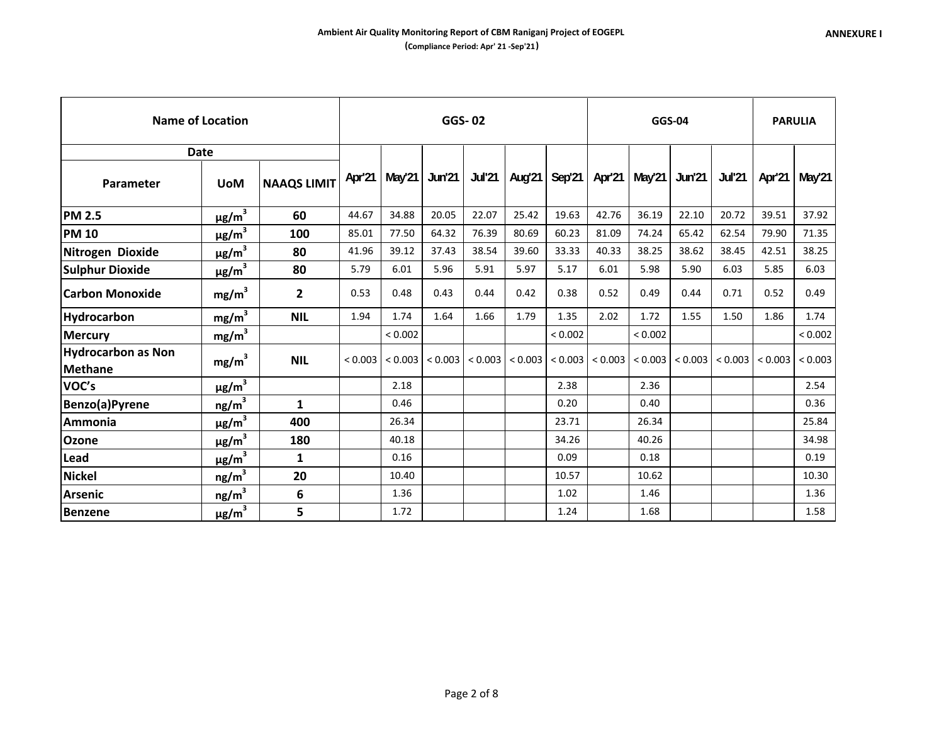|                                             | <b>Name of Location</b> |                    |         |         | <b>GGS-02</b> |       |                        |               |         | <b>GGS-04</b> |                           |               |                       | <b>PARULIA</b>  |
|---------------------------------------------|-------------------------|--------------------|---------|---------|---------------|-------|------------------------|---------------|---------|---------------|---------------------------|---------------|-----------------------|-----------------|
|                                             | <b>Date</b>             |                    |         |         |               |       |                        |               |         |               |                           |               |                       |                 |
| Parameter                                   | <b>UoM</b>              | <b>NAAQS LIMIT</b> | Apr'21  | May 21  | Jun'21        |       | <b>Jul'21   Aug'21</b> | <b>Sep'21</b> | Apr'21  | May'21        | <b>Jun'21</b>             | <b>Jul'21</b> |                       | Apr'21   May'21 |
| <b>PM 2.5</b>                               | $\mu$ g/m <sup>3</sup>  | 60                 | 44.67   | 34.88   | 20.05         | 22.07 | 25.42                  | 19.63         | 42.76   | 36.19         | 22.10                     | 20.72         | 39.51                 | 37.92           |
| <b>PM 10</b>                                | $\mu$ g/m $^3$          | 100                | 85.01   | 77.50   | 64.32         | 76.39 | 80.69                  | 60.23         | 81.09   | 74.24         | 65.42                     | 62.54         | 79.90                 | 71.35           |
| Nitrogen Dioxide                            | $\mu$ g/m $^3$          | 80                 | 41.96   | 39.12   | 37.43         | 38.54 | 39.60                  | 33.33         | 40.33   | 38.25         | 38.62                     | 38.45         | 42.51                 | 38.25           |
| <b>Sulphur Dioxide</b>                      | $\mu$ g/m <sup>3</sup>  | 80                 | 5.79    | 6.01    | 5.96          | 5.91  | 5.97                   | 5.17          | 6.01    | 5.98          | 5.90                      | 6.03          | 5.85                  | 6.03            |
| <b>Carbon Monoxide</b>                      | mg/m <sup>3</sup>       | 2                  | 0.53    | 0.48    | 0.43          | 0.44  | 0.42                   | 0.38          | 0.52    | 0.49          | 0.44                      | 0.71          | 0.52                  | 0.49            |
| Hydrocarbon                                 | mg/m <sup>3</sup>       | <b>NIL</b>         | 1.94    | 1.74    | 1.64          | 1.66  | 1.79                   | 1.35          | 2.02    | 1.72          | 1.55                      | 1.50          | 1.86                  | 1.74            |
| <b>Mercury</b>                              | mg/m <sup>3</sup>       |                    |         | < 0.002 |               |       |                        | < 0.002       |         | < 0.002       |                           |               |                       | < 0.002         |
| <b>Hydrocarbon as Non</b><br><b>Methane</b> | mg/m <sup>3</sup>       | <b>NIL</b>         | < 0.003 | < 0.003 | < 0.003       |       | $< 0.003$   $< 0.003$  | < 0.003       | < 0.003 | < 0.003       | $< 0.003$ $  < 0.003$ $ $ |               | $< 0.003$   $< 0.003$ |                 |
| VOC's                                       | $\mu$ g/m <sup>3</sup>  |                    |         | 2.18    |               |       |                        | 2.38          |         | 2.36          |                           |               |                       | 2.54            |
| Benzo(a)Pyrene                              | ng/m <sup>3</sup>       | 1                  |         | 0.46    |               |       |                        | 0.20          |         | 0.40          |                           |               |                       | 0.36            |
| Ammonia                                     | $\mu$ g/m <sup>3</sup>  | 400                |         | 26.34   |               |       |                        | 23.71         |         | 26.34         |                           |               |                       | 25.84           |
| Ozone                                       | $\mu$ g/m <sup>3</sup>  | 180                |         | 40.18   |               |       |                        | 34.26         |         | 40.26         |                           |               |                       | 34.98           |
| Lead                                        | $\mu$ g/m $^3$          | 1                  |         | 0.16    |               |       |                        | 0.09          |         | 0.18          |                           |               |                       | 0.19            |
| <b>Nickel</b>                               | $n$ g/m $^3$            | 20                 |         | 10.40   |               |       |                        | 10.57         |         | 10.62         |                           |               |                       | 10.30           |
| <b>Arsenic</b>                              | ng/m <sup>3</sup>       | 6                  |         | 1.36    |               |       |                        | 1.02          |         | 1.46          |                           |               |                       | 1.36            |
| <b>Benzene</b>                              | $\mu$ g/m <sup>3</sup>  | 5                  |         | 1.72    |               |       |                        | 1.24          |         | 1.68          |                           |               |                       | 1.58            |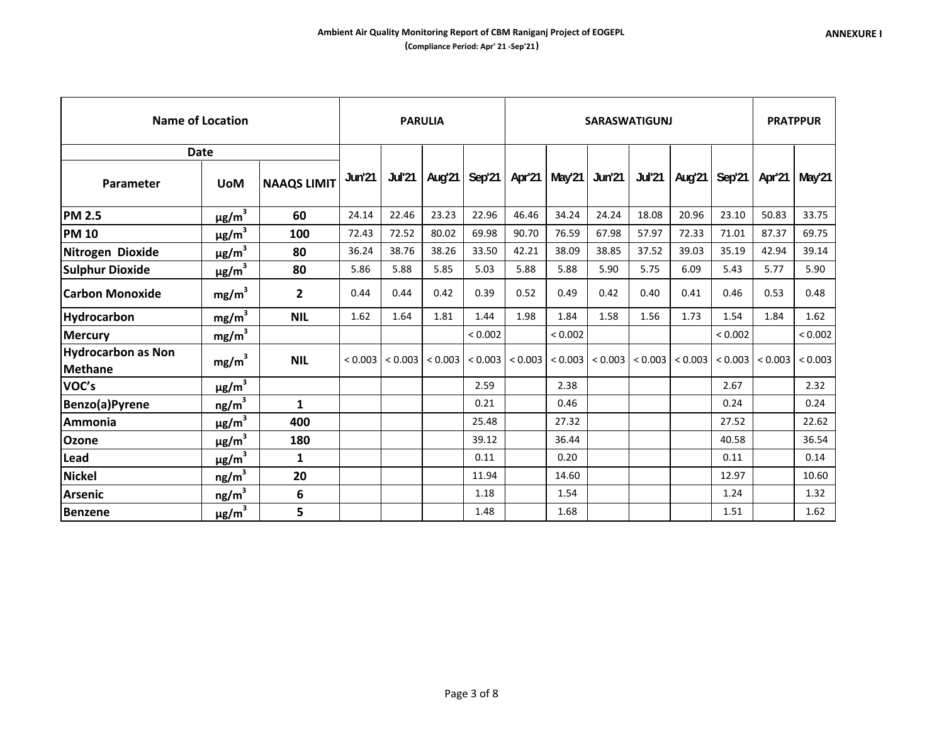|                                      | <b>Name of Location</b> |                    |               | <b>PARULIA</b> |         |               |                 |                          | <b>SARASWATIGUNJ</b>  |               |         |               |         | <b>PRATPPUR</b> |
|--------------------------------------|-------------------------|--------------------|---------------|----------------|---------|---------------|-----------------|--------------------------|-----------------------|---------------|---------|---------------|---------|-----------------|
|                                      | <b>Date</b>             |                    |               |                |         |               |                 |                          |                       |               |         |               |         |                 |
| Parameter                            | <b>UoM</b>              | <b>NAAQS LIMIT</b> | <b>Jun'21</b> | <b>Jul'21</b>  | Aug'21  | <b>Sep'21</b> |                 | Apr'21   May'21   Jun'21 |                       | <b>Jul'21</b> | Aug'21  | <b>Sep'21</b> | Apr'21  | May'21          |
| <b>PM 2.5</b>                        | $\mu$ g/m <sup>3</sup>  | 60                 | 24.14         | 22.46          | 23.23   | 22.96         | 46.46           | 34.24                    | 24.24                 | 18.08         | 20.96   | 23.10         | 50.83   | 33.75           |
| <b>PM 10</b>                         | $\mu$ g/m <sup>3</sup>  | 100                | 72.43         | 72.52          | 80.02   | 69.98         | 90.70           | 76.59                    | 67.98                 | 57.97         | 72.33   | 71.01         | 87.37   | 69.75           |
| Nitrogen Dioxide                     | $\mu$ g/m <sup>3</sup>  | 80                 | 36.24         | 38.76          | 38.26   | 33.50         | 42.21           | 38.09                    | 38.85                 | 37.52         | 39.03   | 35.19         | 42.94   | 39.14           |
| <b>Sulphur Dioxide</b>               | $\mu$ g/m <sup>3</sup>  | 80                 | 5.86          | 5.88           | 5.85    | 5.03          | 5.88            | 5.88                     | 5.90                  | 5.75          | 6.09    | 5.43          | 5.77    | 5.90            |
| <b>Carbon Monoxide</b>               | mg/m <sup>3</sup>       | 2                  | 0.44          | 0.44           | 0.42    | 0.39          | 0.52            | 0.49                     | 0.42                  | 0.40          | 0.41    | 0.46          | 0.53    | 0.48            |
| Hydrocarbon                          | mg/m <sup>3</sup>       | <b>NIL</b>         | 1.62          | 1.64           | 1.81    | 1.44          | 1.98            | 1.84                     | 1.58                  | 1.56          | 1.73    | 1.54          | 1.84    | 1.62            |
| <b>Mercury</b>                       | $mg/m^3$                |                    |               |                |         | < 0.002       |                 | < 0.002                  |                       |               |         | ${}_{0.002}$  |         | < 0.002         |
| <b>Hydrocarbon as Non</b><br>Methane | mg/m <sup>3</sup>       | <b>NIL</b>         | < 0.003       | < 0.003        | < 0.003 |               | < 0.003 < 0.003 |                          | $< 0.003$ $  < 0.003$ | < 0.003       | < 0.003 | < 0.003       | < 0.003 | < 0.003         |
| VOC's                                | $\mu$ g/m <sup>3</sup>  |                    |               |                |         | 2.59          |                 | 2.38                     |                       |               |         | 2.67          |         | 2.32            |
| Benzo(a)Pyrene                       | ng/m <sup>3</sup>       | $\mathbf{1}$       |               |                |         | 0.21          |                 | 0.46                     |                       |               |         | 0.24          |         | 0.24            |
| Ammonia                              | $\mu$ g/m <sup>3</sup>  | 400                |               |                |         | 25.48         |                 | 27.32                    |                       |               |         | 27.52         |         | 22.62           |
| <b>Ozone</b>                         | $\mu$ g/m <sup>3</sup>  | 180                |               |                |         | 39.12         |                 | 36.44                    |                       |               |         | 40.58         |         | 36.54           |
| Lead                                 | $\mu$ g/m <sup>3</sup>  | 1                  |               |                |         | 0.11          |                 | 0.20                     |                       |               |         | 0.11          |         | 0.14            |
| Nickel                               | ng/m <sup>3</sup>       | 20                 |               |                |         | 11.94         |                 | 14.60                    |                       |               |         | 12.97         |         | 10.60           |
| Arsenic                              | ng/m <sup>3</sup>       | 6                  |               |                |         | 1.18          |                 | 1.54                     |                       |               |         | 1.24          |         | 1.32            |
| Benzene                              | $\mu$ g/m <sup>3</sup>  | 5                  |               |                |         | 1.48          |                 | 1.68                     |                       |               |         | 1.51          |         | 1.62            |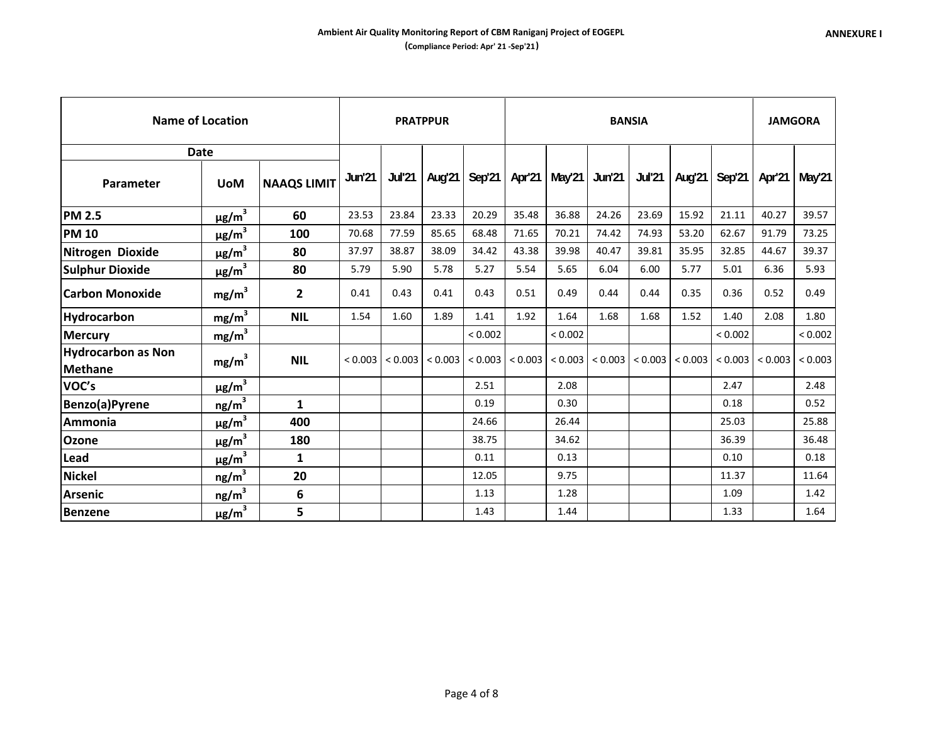|                                             | <b>Name of Location</b> |                    |               |               | <b>PRATPPUR</b> |               |                       |               | <b>BANSIA</b> |               |        |                       |         | <b>JAMGORA</b> |
|---------------------------------------------|-------------------------|--------------------|---------------|---------------|-----------------|---------------|-----------------------|---------------|---------------|---------------|--------|-----------------------|---------|----------------|
|                                             | <b>Date</b>             |                    |               |               |                 |               |                       |               |               |               |        |                       |         |                |
| Parameter                                   | <b>UoM</b>              | <b>NAAQS LIMIT</b> | <b>Jun'21</b> | <b>Jul'21</b> | Aug'21          | <b>Sep'21</b> | Apr'21                | <b>May'21</b> | Jun'21        | <b>Jul'21</b> | Aug'21 | Sep'21                | Apr'21  | May'21         |
| <b>PM 2.5</b>                               | $\mu$ g/m <sup>3</sup>  | 60                 | 23.53         | 23.84         | 23.33           | 20.29         | 35.48                 | 36.88         | 24.26         | 23.69         | 15.92  | 21.11                 | 40.27   | 39.57          |
| <b>PM 10</b>                                | $\mu$ g/m $^3$          | 100                | 70.68         | 77.59         | 85.65           | 68.48         | 71.65                 | 70.21         | 74.42         | 74.93         | 53.20  | 62.67                 | 91.79   | 73.25          |
| Nitrogen Dioxide                            | $\mu$ g/m <sup>3</sup>  | 80                 | 37.97         | 38.87         | 38.09           | 34.42         | 43.38                 | 39.98         | 40.47         | 39.81         | 35.95  | 32.85                 | 44.67   | 39.37          |
| <b>Sulphur Dioxide</b>                      | $\mu$ g/m <sup>3</sup>  | 80                 | 5.79          | 5.90          | 5.78            | 5.27          | 5.54                  | 5.65          | 6.04          | 6.00          | 5.77   | 5.01                  | 6.36    | 5.93           |
| <b>Carbon Monoxide</b>                      | mg/m <sup>3</sup>       | 2                  | 0.41          | 0.43          | 0.41            | 0.43          | 0.51                  | 0.49          | 0.44          | 0.44          | 0.35   | 0.36                  | 0.52    | 0.49           |
| <b>Hydrocarbon</b>                          | mg/m <sup>3</sup>       | <b>NIL</b>         | 1.54          | 1.60          | 1.89            | 1.41          | 1.92                  | 1.64          | 1.68          | 1.68          | 1.52   | 1.40                  | 2.08    | 1.80           |
| <b>Mercury</b>                              | mg/m <sup>3</sup>       |                    |               |               |                 | < 0.002       |                       | < 0.002       |               |               |        | < 0.002               |         | < 0.002        |
| <b>Hydrocarbon as Non</b><br><b>Methane</b> | mg/m <sup>3</sup>       | <b>NIL</b>         | < 0.003       | < 0.003       | < 0.003         |               | $< 0.003$ $  < 0.003$ | < 0.003       | < 0.003       | < 0.003       |        | $< 0.003$   $< 0.003$ | < 0.003 | ${}_{0.003}$   |
| VOC's                                       | $\mu$ g/m $^3$          |                    |               |               |                 | 2.51          |                       | 2.08          |               |               |        | 2.47                  |         | 2.48           |
| Benzo(a)Pyrene                              | ng/m <sup>3</sup>       | 1                  |               |               |                 | 0.19          |                       | 0.30          |               |               |        | 0.18                  |         | 0.52           |
| Ammonia                                     | $\mu$ g/m <sup>3</sup>  | 400                |               |               |                 | 24.66         |                       | 26.44         |               |               |        | 25.03                 |         | 25.88          |
| Ozone                                       | $\mu$ g/m <sup>3</sup>  | 180                |               |               |                 | 38.75         |                       | 34.62         |               |               |        | 36.39                 |         | 36.48          |
| Lead                                        | $\mu$ g/m <sup>3</sup>  | 1                  |               |               |                 | 0.11          |                       | 0.13          |               |               |        | 0.10                  |         | 0.18           |
| <b>Nickel</b>                               | ng/m <sup>3</sup>       | 20                 |               |               |                 | 12.05         |                       | 9.75          |               |               |        | 11.37                 |         | 11.64          |
| <b>Arsenic</b>                              | ng/m <sup>3</sup>       | 6                  |               |               |                 | 1.13          |                       | 1.28          |               |               |        | 1.09                  |         | 1.42           |
| <b>Benzene</b>                              | $\mu$ g/m <sup>3</sup>  | 5                  |               |               |                 | 1.43          |                       | 1.44          |               |               |        | 1.33                  |         | 1.64           |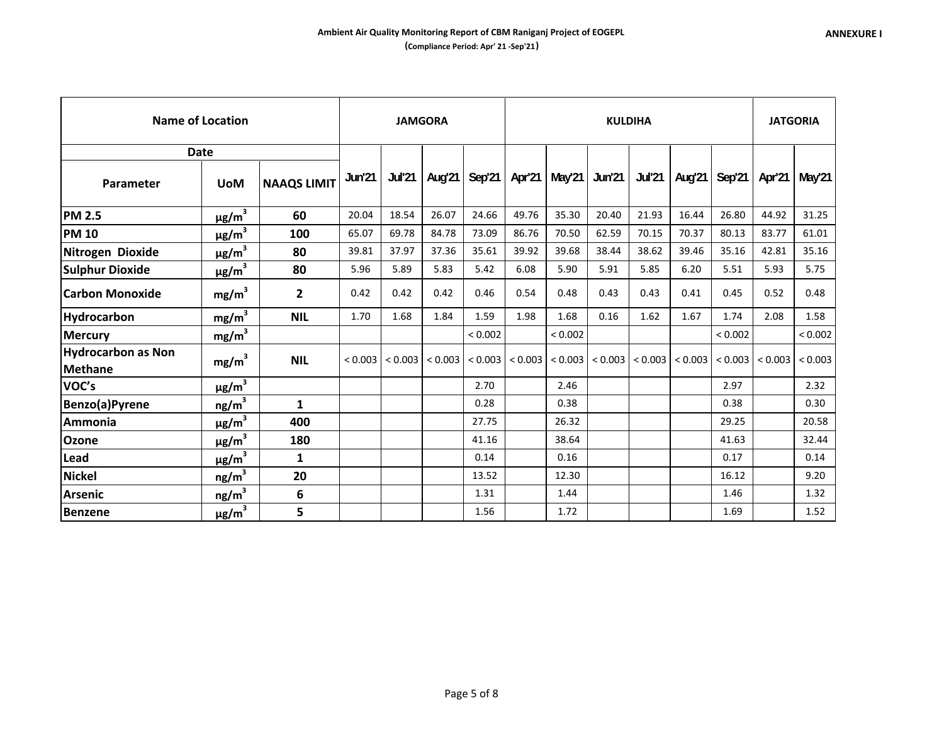|                                             | <b>Name of Location</b> |                    |         |               | <b>JAMGORA</b> |                           |        |                       | <b>KULDIHA</b> |                         |        |                     |                     | <b>JATGORIA</b> |
|---------------------------------------------|-------------------------|--------------------|---------|---------------|----------------|---------------------------|--------|-----------------------|----------------|-------------------------|--------|---------------------|---------------------|-----------------|
|                                             | <b>Date</b>             |                    |         |               |                |                           |        |                       |                |                         |        |                     |                     |                 |
| Parameter                                   | <b>UoM</b>              | <b>NAAQS LIMIT</b> | Jun'21  | <b>Jul'21</b> | Aug'21         | Sep'21                    | Apr'21 | May'21                | <b>Jun'21</b>  | <b>Jul'21</b>           | Aug'21 | Sep <sup>'</sup> 21 | Apr'21              | May'21          |
| <b>PM 2.5</b>                               | $\mu$ g/m <sup>3</sup>  | 60                 | 20.04   | 18.54         | 26.07          | 24.66                     | 49.76  | 35.30                 | 20.40          | 21.93                   | 16.44  | 26.80               | 44.92               | 31.25           |
| <b>PM 10</b>                                | $\mu$ g/m <sup>3</sup>  | 100                | 65.07   | 69.78         | 84.78          | 73.09                     | 86.76  | 70.50                 | 62.59          | 70.15                   | 70.37  | 80.13               | 83.77               | 61.01           |
| Nitrogen Dioxide                            | $\mu$ g/m <sup>3</sup>  | 80                 | 39.81   | 37.97         | 37.36          | 35.61                     | 39.92  | 39.68                 | 38.44          | 38.62                   | 39.46  | 35.16               | 42.81               | 35.16           |
| <b>Sulphur Dioxide</b>                      | $\mu$ g/m $^3$          | 80                 | 5.96    | 5.89          | 5.83           | 5.42                      | 6.08   | 5.90                  | 5.91           | 5.85                    | 6.20   | 5.51                | 5.93                | 5.75            |
| <b>Carbon Monoxide</b>                      | mg/m <sup>3</sup>       | 2                  | 0.42    | 0.42          | 0.42           | 0.46                      | 0.54   | 0.48                  | 0.43           | 0.43                    | 0.41   | 0.45                | 0.52                | 0.48            |
| Hydrocarbon                                 | $mg/m^3$                | <b>NIL</b>         | 1.70    | 1.68          | 1.84           | 1.59                      | 1.98   | 1.68                  | 0.16           | 1.62                    | 1.67   | 1.74                | 2.08                | 1.58            |
| <b>Mercury</b>                              | mg/m <sup>3</sup>       |                    |         |               |                | < 0.002                   |        | < 0.002               |                |                         |        | ${}_{0.002}$        |                     | < 0.002         |
| <b>Hydrocarbon as Non</b><br><b>Methane</b> | mg/m <sup>3</sup>       | <b>NIL</b>         | < 0.003 | < 0.003       |                | $< 0.003$ $  < 0.003$ $ $ |        | $< 0.003$   $< 0.003$ | < 0.003        | $ $ < 0.003 $ $ < 0.003 |        |                     | $< 0.003$ $< 0.003$ | < 0.003         |
| VOC's                                       | $\mu$ g/m $^3$          |                    |         |               |                | 2.70                      |        | 2.46                  |                |                         |        | 2.97                |                     | 2.32            |
| Benzo(a)Pyrene                              | ng/m <sup>3</sup>       | 1                  |         |               |                | 0.28                      |        | 0.38                  |                |                         |        | 0.38                |                     | 0.30            |
| Ammonia                                     | $\mu$ g/m <sup>3</sup>  | 400                |         |               |                | 27.75                     |        | 26.32                 |                |                         |        | 29.25               |                     | 20.58           |
| Ozone                                       | $\mu$ g/m <sup>3</sup>  | 180                |         |               |                | 41.16                     |        | 38.64                 |                |                         |        | 41.63               |                     | 32.44           |
| Lead                                        | $\mu$ g/m <sup>3</sup>  | 1                  |         |               |                | 0.14                      |        | 0.16                  |                |                         |        | 0.17                |                     | 0.14            |
| <b>Nickel</b>                               | ng/m <sup>3</sup>       | 20                 |         |               |                | 13.52                     |        | 12.30                 |                |                         |        | 16.12               |                     | 9.20            |
| <b>Arsenic</b>                              | ng/m <sup>3</sup>       | 6                  |         |               |                | 1.31                      |        | 1.44                  |                |                         |        | 1.46                |                     | 1.32            |
| <b>Benzene</b>                              | $\mu$ g/m <sup>3</sup>  | 5                  |         |               |                | 1.56                      |        | 1.72                  |                |                         |        | 1.69                |                     | 1.52            |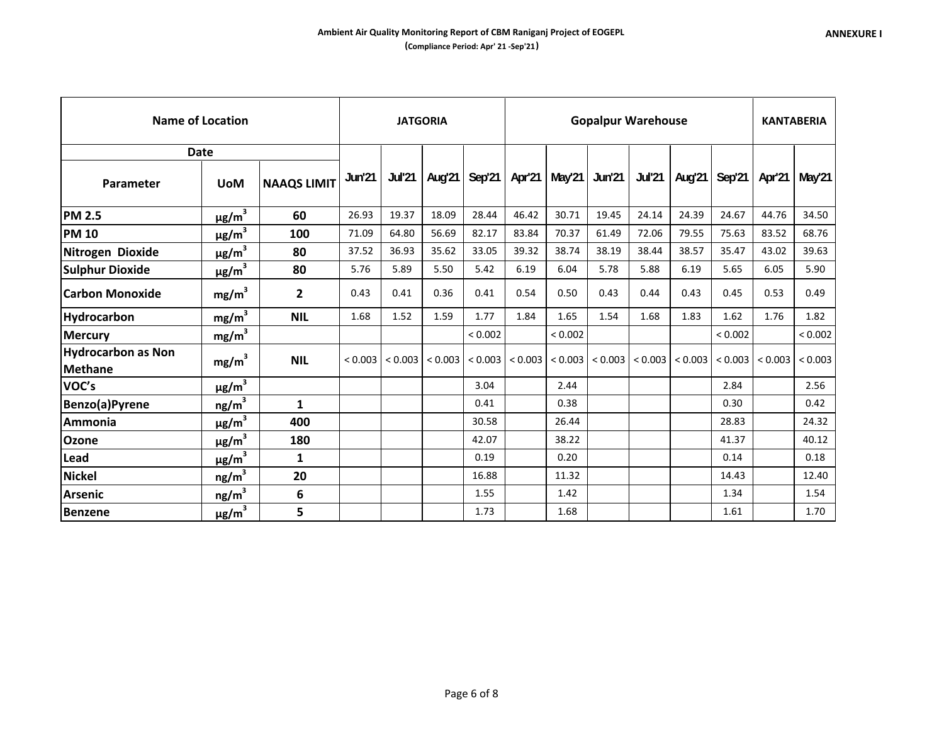|                                      | Name of Location       |                    |               |               | <b>JATGORIA</b> |               | <b>Gopalpur Warehouse</b> |               |         |       |       |                                   | <b>KANTABERIA</b> |               |
|--------------------------------------|------------------------|--------------------|---------------|---------------|-----------------|---------------|---------------------------|---------------|---------|-------|-------|-----------------------------------|-------------------|---------------|
|                                      | <b>Date</b>            |                    |               |               |                 |               |                           |               |         |       |       |                                   |                   |               |
| Parameter                            | <b>UoM</b>             | <b>NAAQS LIMIT</b> | <b>Jun'21</b> | <b>Jul'21</b> | Aug'21          | <b>Sep'21</b> | Apr'21                    | <b>May'21</b> | Jun'21  |       |       | Jul'21   Aug'21   Sep'21          |                   | Apr'21 May'21 |
| <b>PM 2.5</b>                        | $\mu$ g/m $^3$         | 60                 | 26.93         | 19.37         | 18.09           | 28.44         | 46.42                     | 30.71         | 19.45   | 24.14 | 24.39 | 24.67                             | 44.76             | 34.50         |
| <b>PM 10</b>                         | $\mu$ g/m $^3$         | 100                | 71.09         | 64.80         | 56.69           | 82.17         | 83.84                     | 70.37         | 61.49   | 72.06 | 79.55 | 75.63                             | 83.52             | 68.76         |
| Nitrogen Dioxide                     | $\mu$ g/m $^3$         | 80                 | 37.52         | 36.93         | 35.62           | 33.05         | 39.32                     | 38.74         | 38.19   | 38.44 | 38.57 | 35.47                             | 43.02             | 39.63         |
| <b>Sulphur Dioxide</b>               | $\mu$ g/m $^3$         | 80                 | 5.76          | 5.89          | 5.50            | 5.42          | 6.19                      | 6.04          | 5.78    | 5.88  | 6.19  | 5.65                              | 6.05              | 5.90          |
| <b>Carbon Monoxide</b>               | mg/m <sup>3</sup>      | $\mathbf{2}$       | 0.43          | 0.41          | 0.36            | 0.41          | 0.54                      | 0.50          | 0.43    | 0.44  | 0.43  | 0.45                              | 0.53              | 0.49          |
| Hydrocarbon                          | mg/m <sup>3</sup>      | <b>NIL</b>         | 1.68          | 1.52          | 1.59            | 1.77          | 1.84                      | 1.65          | 1.54    | 1.68  | 1.83  | 1.62                              | 1.76              | 1.82          |
| Mercury                              | $mg/m^3$               |                    |               |               |                 | < 0.002       |                           | < 0.002       |         |       |       | < 0.002                           |                   | < 0.002       |
| <b>Hydrocarbon as Non</b><br>Methane | mg/m <sup>3</sup>      | <b>NIL</b>         | < 0.003       | < 0.003       | < 0.003         | < 0.003       | < 0.003                   | < 0.003       | < 0.003 |       |       | $< 0.003$   $< 0.003$   $< 0.003$ | < 0.003           | < 0.003       |
| VOC's                                | $\mu$ g/m $^3$         |                    |               |               |                 | 3.04          |                           | 2.44          |         |       |       | 2.84                              |                   | 2.56          |
| Benzo(a)Pyrene                       | ng/m <sup>3</sup>      | $\mathbf{1}$       |               |               |                 | 0.41          |                           | 0.38          |         |       |       | 0.30                              |                   | 0.42          |
| Ammonia                              | $\mu$ g/m <sup>3</sup> | 400                |               |               |                 | 30.58         |                           | 26.44         |         |       |       | 28.83                             |                   | 24.32         |
| Ozone                                | $\mu$ g/m $^3$         | 180                |               |               |                 | 42.07         |                           | 38.22         |         |       |       | 41.37                             |                   | 40.12         |
| Lead                                 | $\mu$ g/m $^3$         | 1                  |               |               |                 | 0.19          |                           | 0.20          |         |       |       | 0.14                              |                   | 0.18          |
| Nickel                               | ng/m <sup>3</sup>      | 20                 |               |               |                 | 16.88         |                           | 11.32         |         |       |       | 14.43                             |                   | 12.40         |
| Arsenic                              | ng/m <sup>3</sup>      | 6                  |               |               |                 | 1.55          |                           | 1.42          |         |       |       | 1.34                              |                   | 1.54          |
| <b>Benzene</b>                       | $\mu$ g/m $^3$         | 5                  |               |               |                 | 1.73          |                           | 1.68          |         |       |       | 1.61                              |                   | 1.70          |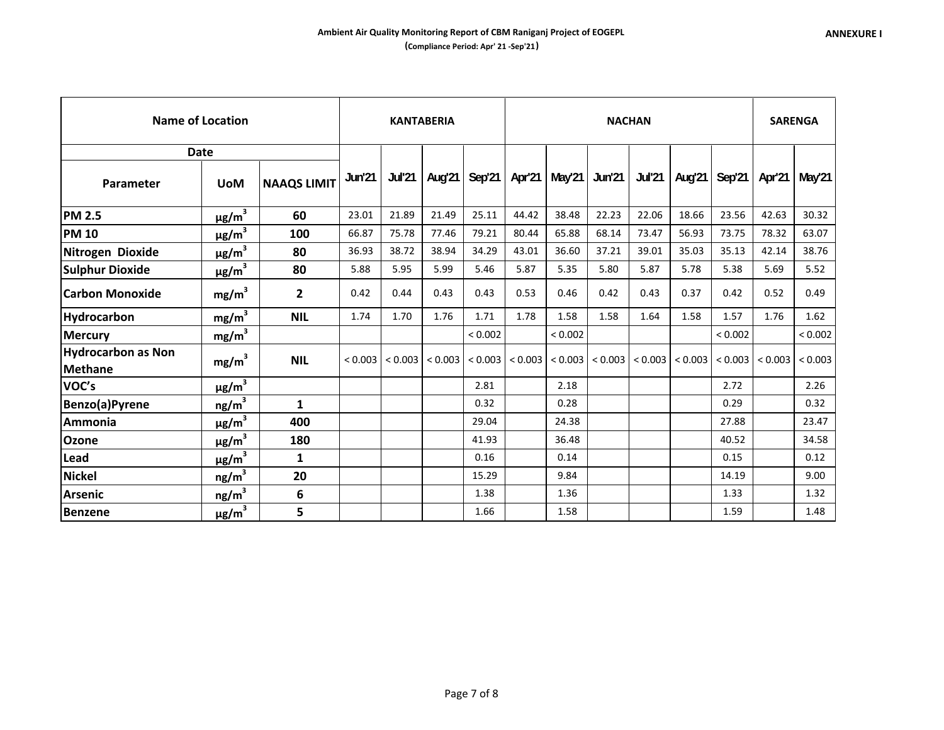|                                             | <b>Name of Location</b> |                    |         |               | <b>KANTABERIA</b> |         |         |                | <b>NACHAN</b> |               |                       |             |         | <b>SARENGA</b> |
|---------------------------------------------|-------------------------|--------------------|---------|---------------|-------------------|---------|---------|----------------|---------------|---------------|-----------------------|-------------|---------|----------------|
|                                             | <b>Date</b>             |                    |         |               |                   |         |         |                |               |               |                       |             |         |                |
| Parameter                                   | <b>UoM</b>              | <b>NAAQS LIMIT</b> | Jun'21  | <b>Jul'21</b> | Aug'21            | Sep'21  | Apr'21  | May'21         | <b>Jun'21</b> | <b>Jul'21</b> | Aug'21                | Sep'21      | Apr'21  | May'21         |
| <b>PM 2.5</b>                               | $\mu$ g/m $^3$          | 60                 | 23.01   | 21.89         | 21.49             | 25.11   | 44.42   | 38.48          | 22.23         | 22.06         | 18.66                 | 23.56       | 42.63   | 30.32          |
| <b>PM 10</b>                                | $\mu$ g/m $^3$          | 100                | 66.87   | 75.78         | 77.46             | 79.21   | 80.44   | 65.88          | 68.14         | 73.47         | 56.93                 | 73.75       | 78.32   | 63.07          |
| Nitrogen Dioxide                            | $\mu$ g/m <sup>3</sup>  | 80                 | 36.93   | 38.72         | 38.94             | 34.29   | 43.01   | 36.60          | 37.21         | 39.01         | 35.03                 | 35.13       | 42.14   | 38.76          |
| <b>Sulphur Dioxide</b>                      | $\mu$ g/m <sup>3</sup>  | 80                 | 5.88    | 5.95          | 5.99              | 5.46    | 5.87    | 5.35           | 5.80          | 5.87          | 5.78                  | 5.38        | 5.69    | 5.52           |
| <b>Carbon Monoxide</b>                      | mg/m <sup>3</sup>       | $\mathbf{2}$       | 0.42    | 0.44          | 0.43              | 0.43    | 0.53    | 0.46           | 0.42          | 0.43          | 0.37                  | 0.42        | 0.52    | 0.49           |
| <b>Hydrocarbon</b>                          | mg/m <sup>3</sup>       | <b>NIL</b>         | 1.74    | 1.70          | 1.76              | 1.71    | 1.78    | 1.58           | 1.58          | 1.64          | 1.58                  | 1.57        | 1.76    | 1.62           |
| <b>Mercury</b>                              | mg/m <sup>3</sup>       |                    |         |               |                   | < 0.002 |         | ${}_{< 0.002}$ |               |               |                       | ${}< 0.002$ |         | < 0.002        |
| <b>Hydrocarbon as Non</b><br><b>Methane</b> | mg/m <sup>3</sup>       | <b>NIL</b>         | < 0.003 | < 0.003       | < 0.003           | < 0.003 | < 0.003 | < 0.003        | < 0.003       |               | $< 0.003$ $  < 0.003$ | < 0.003     | < 0.003 | < 0.003        |
| VOC's                                       | $\mu$ g/m $^3$          |                    |         |               |                   | 2.81    |         | 2.18           |               |               |                       | 2.72        |         | 2.26           |
| Benzo(a)Pyrene                              | ng/m <sup>3</sup>       | 1                  |         |               |                   | 0.32    |         | 0.28           |               |               |                       | 0.29        |         | 0.32           |
| Ammonia                                     | $\mu$ g/m <sup>3</sup>  | 400                |         |               |                   | 29.04   |         | 24.38          |               |               |                       | 27.88       |         | 23.47          |
| Ozone                                       | $\mu$ g/m <sup>3</sup>  | 180                |         |               |                   | 41.93   |         | 36.48          |               |               |                       | 40.52       |         | 34.58          |
| Lead                                        | $\mu$ g/m <sup>3</sup>  | $\mathbf{1}$       |         |               |                   | 0.16    |         | 0.14           |               |               |                       | 0.15        |         | 0.12           |
| <b>Nickel</b>                               | ng/m <sup>3</sup>       | 20                 |         |               |                   | 15.29   |         | 9.84           |               |               |                       | 14.19       |         | 9.00           |
| <b>Arsenic</b>                              | ng/m <sup>3</sup>       | 6                  |         |               |                   | 1.38    |         | 1.36           |               |               |                       | 1.33        |         | 1.32           |
| <b>Benzene</b>                              | $\mu$ g/m <sup>3</sup>  | 5                  |         |               |                   | 1.66    |         | 1.58           |               |               |                       | 1.59        |         | 1.48           |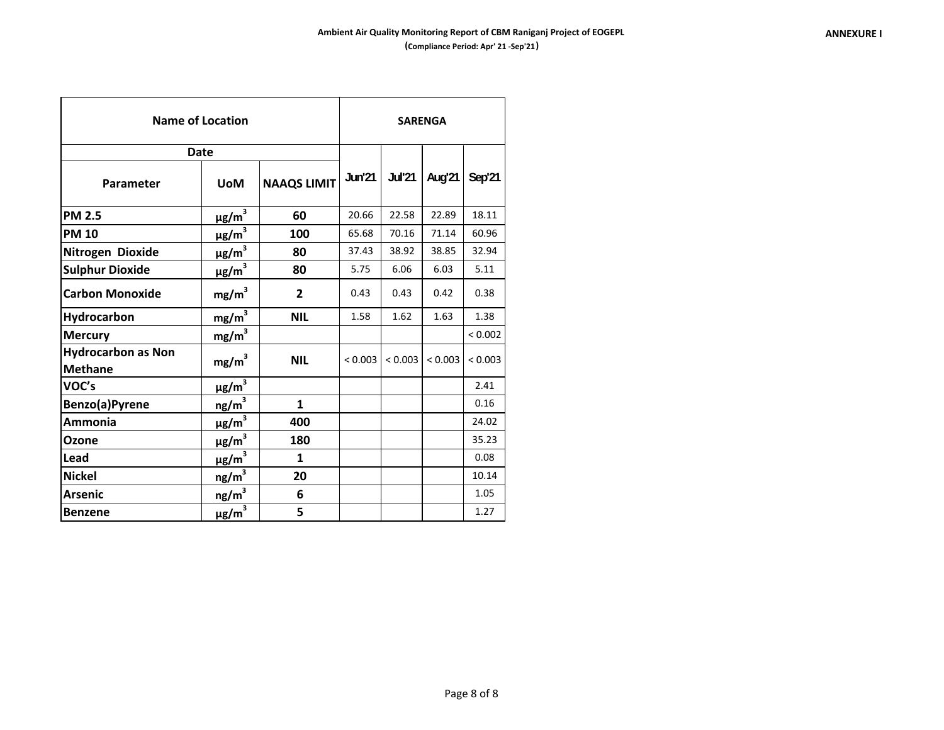| <b>Name of Location</b>              | <b>SARENGA</b>         |                    |               |               |         |         |  |
|--------------------------------------|------------------------|--------------------|---------------|---------------|---------|---------|--|
|                                      | <b>Date</b>            |                    |               |               |         |         |  |
| Parameter                            | <b>UoM</b>             | <b>NAAQS LIMIT</b> | <b>Jun'21</b> | <b>Jul'21</b> | Aug'21  | Sep'21  |  |
| <b>PM 2.5</b>                        | $\mu$ g/m <sup>3</sup> | 60                 | 20.66         | 22.58         | 22.89   | 18.11   |  |
| <b>PM 10</b>                         | $\mu$ g/m <sup>3</sup> | 100                | 65.68         | 70.16         | 71.14   | 60.96   |  |
| Nitrogen Dioxide                     | $\mu$ g/m <sup>3</sup> | 80                 | 37.43         | 38.92         | 38.85   | 32.94   |  |
| <b>Sulphur Dioxide</b>               | $\mu$ g/m <sup>3</sup> | 80                 | 5.75          | 6.06          | 6.03    | 5.11    |  |
| <b>Carbon Monoxide</b>               | mg/m <sup>3</sup>      | $\mathbf{2}$       | 0.43          | 0.43          | 0.42    | 0.38    |  |
| Hydrocarbon                          | mg/m <sup>3</sup>      | <b>NIL</b>         | 1.58          | 1.62          | 1.63    | 1.38    |  |
| Mercury                              | $mg/m^3$               |                    |               |               |         | < 0.002 |  |
| <b>Hydrocarbon as Non</b><br>Methane | mg/m <sup>3</sup>      | <b>NIL</b>         | < 0.003       | < 0.003       | < 0.003 | < 0.003 |  |
| VOC's                                | $\mu$ g/m <sup>3</sup> |                    |               |               |         | 2.41    |  |
| Benzo(a)Pyrene                       | ng/m <sup>3</sup>      | $\mathbf{1}$       |               |               |         | 0.16    |  |
| Ammonia                              | $\frac{\mu g/m^3}{2}$  | 400                |               |               |         | 24.02   |  |
| <b>Ozone</b>                         | $\mu$ g/m <sup>3</sup> | 180                |               |               |         | 35.23   |  |
| <b>Lead</b>                          | $\mu$ g/m <sup>3</sup> | 1                  |               |               |         | 0.08    |  |
| <b>Nickel</b>                        | ng/m <sup>3</sup>      | 20                 |               |               |         | 10.14   |  |
| <b>Arsenic</b>                       | $ng/m^3$               | 6                  |               |               |         | 1.05    |  |
| <b>Benzene</b>                       | $\mu$ g/m <sup>3</sup> | 5                  |               |               |         | 1.27    |  |

F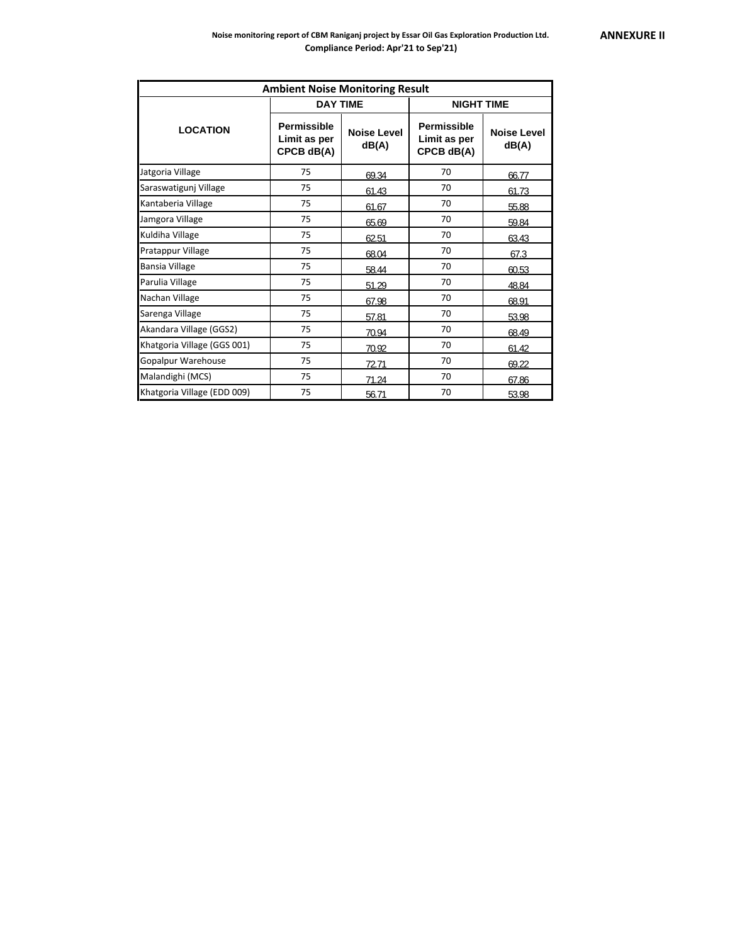|                             | <b>Ambient Noise Monitoring Result</b>    |                             |                                                  |                             |
|-----------------------------|-------------------------------------------|-----------------------------|--------------------------------------------------|-----------------------------|
|                             | <b>DAY TIME</b>                           |                             | <b>NIGHT TIME</b>                                |                             |
| <b>LOCATION</b>             | Permissible<br>Limit as per<br>CPCB dB(A) | <b>Noise Level</b><br>dB(A) | <b>Permissible</b><br>Limit as per<br>CPCB dB(A) | <b>Noise Level</b><br>dB(A) |
| Jatgoria Village            | 75                                        | 69.34                       | 70                                               | 66.77                       |
| Saraswatigunj Village       | 75                                        | 61.43                       | 70                                               | 61.73                       |
| Kantaberia Village          | 75                                        | 61.67                       | 70                                               | 55.88                       |
| Jamgora Village             | 75                                        | 65.69                       | 70                                               | 59.84                       |
| Kuldiha Village             | 75                                        | 62.51                       | 70                                               | 63.43                       |
| Pratappur Village           | 75                                        | 68.04                       | 70                                               | 67.3                        |
| <b>Bansia Village</b>       | 75                                        | 58.44                       | 70                                               | 60.53                       |
| Parulia Village             | 75                                        | 51.29                       | 70                                               | 48.84                       |
| Nachan Village              | 75                                        | 67.98                       | 70                                               | 68.91                       |
| Sarenga Village             | 75                                        | 57.81                       | 70                                               | 53.98                       |
| Akandara Village (GGS2)     | 75                                        | 70.94                       | 70                                               | 68.49                       |
| Khatgoria Village (GGS 001) | 75                                        | 70.92                       | 70                                               | 61.42                       |
| Gopalpur Warehouse          | 75                                        | 72.71                       | 70                                               | 69.22                       |
| Malandighi (MCS)            | 75                                        | 71.24                       | 70                                               | 67.86                       |
| Khatgoria Village (EDD 009) | 75                                        | 56.71                       | 70                                               | 53.98                       |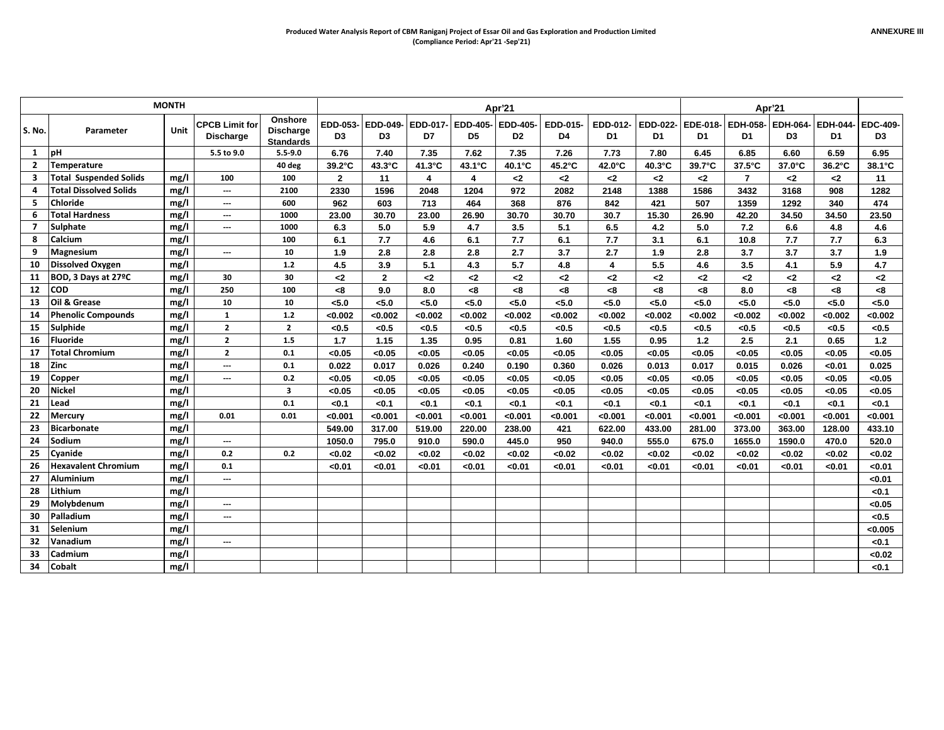|                |                               | <b>MONTH</b> |                                           |                                                 |                |                         |         |                         | Apr'21                     |                |                |                         |               |                  | Apr'21         |                |                       |
|----------------|-------------------------------|--------------|-------------------------------------------|-------------------------------------------------|----------------|-------------------------|---------|-------------------------|----------------------------|----------------|----------------|-------------------------|---------------|------------------|----------------|----------------|-----------------------|
| S. No.         | Parameter                     | Unit         | <b>CPCB Limit for</b><br><b>Discharge</b> | Onshore<br><b>Discharge</b><br><b>Standards</b> | D <sub>3</sub> | EDD-053- EDD-049-<br>D3 | D7      | EDD-017- EDD-405-<br>D5 | EDD-405-<br>D <sub>2</sub> | EDD-015-<br>D4 | EDD-012-<br>D1 | EDD-022- EDE-018-<br>D1 | D1            | EDH-058-<br>D1   | EDH-064-<br>D3 | EDH-044-<br>D1 | <b>EDC-409-</b><br>D3 |
| 1              | <b>IpH</b>                    |              | 5.5 to 9.0                                | $5.5 - 9.0$                                     | 6.76           | 7.40                    | 7.35    | 7.62                    | 7.35                       | 7.26           | 7.73           | 7.80                    | 6.45          | 6.85             | 6.60           | 6.59           | 6.95                  |
| $\overline{2}$ | Temperature                   |              |                                           | 40 deg                                          | 39.2°C         | 43.3°C                  | 41.3°C  | $43.1^{\circ}$ C        | 40.1°C                     | 45.2°C         | 42.0°C         | 40.3°C                  | 39.7°C        | $37.5^{\circ}$ C | 37.0°C         | 36.2°C         | 38.1°C                |
| 3              | <b>Total Suspended Solids</b> | mg/l         | 100                                       | 100                                             | $\overline{2}$ | 11                      | 4       | 4                       | -2                         | $2$            | -2             | $2$                     | $2$           | $\overline{7}$   | $2$            | $2$            | 11                    |
| Δ              | <b>Total Dissolved Solids</b> | mg/l         | ---                                       | 2100                                            | 2330           | 1596                    | 2048    | 1204                    | 972                        | 2082           | 2148           | 1388                    | 1586          | 3432             | 3168           | 908            | 1282                  |
| 5              | <b>Chloride</b>               | mg/l         | $\overline{\phantom{a}}$                  | 600                                             | 962            | 603                     | 713     | 464                     | 368                        | 876            | 842            | 421                     | 507           | 1359             | 1292           | 340            | 474                   |
| 6              | Total Hardness                | mg/l         | $\overline{\phantom{a}}$                  | 1000                                            | 23.00          | 30.70                   | 23.00   | 26.90                   | 30.70                      | 30.70          | 30.7           | 15.30                   | 26.90         | 42.20            | 34.50          | 34.50          | 23.50                 |
| $\overline{7}$ | Sulphate                      | mg/l         | $\overline{\phantom{a}}$                  | 1000                                            | 6.3            | 5.0                     | 5.9     | 4.7                     | 3.5                        | 5.1            | 6.5            | 4.2                     | 5.0           | 7.2              | 6.6            | 4.8            | 4.6                   |
| 8              | <b>Calcium</b>                | mg/l         |                                           | 100                                             | 6.1            | 7.7                     | 4.6     | 6.1                     | 7.7                        | 6.1            | 7.7            | 3.1                     | 6.1           | 10.8             | 7.7            | 7.7            | 6.3                   |
| 9              | <b>Magnesium</b>              | mg/l         | $\hspace{0.05cm} \ldots$                  | 10                                              | 1.9            | 2.8                     | 2.8     | 2.8                     | 2.7                        | 3.7            | 2.7            | 1.9                     | 2.8           | 3.7              | 3.7            | 3.7            | 1.9                   |
| 10             | <b>Dissolved Oxygen</b>       | mg/l         |                                           | $1.2$                                           | 4.5            | 3.9                     | 5.1     | 4.3                     | 5.7                        | 4.8            | $\overline{4}$ | 5.5                     | 4.6           | 3.5              | 4.1            | 5.9            | 4.7                   |
| 11             | BOD, 3 Days at 27°C           | mg/l         | 30                                        | 30                                              | $2$            | $\overline{2}$          | $2$     | $2$                     | $\mathbf{<}2$              | $2$            | $2$            | $\mathbf{<}2$           | $\mathbf{<}2$ | $2$              | $2$            | $2$            | $2$                   |
|                | $12$ $ COD$                   | mg/l         | 250                                       | 100                                             | -8             | 9.0                     | 8.0     | < 8                     | -8                         | < 8            | < 8            | < 8                     | < 8           | 8.0              | < 8            | -8             | < 8                   |
| 13             | Oil & Grease                  | mg/l         | 10                                        | 10                                              | < 5.0          | < 5.0                   | < 5.0   | < 5.0                   | < 5.0                      | < 5.0          | < 5.0          | < 5.0                   | < 5.0         | 5.0              | < 5.0          | < 5.0          | < 5.0                 |
| 14             | <b>Phenolic Compounds</b>     | mg/l         | <b>1</b>                                  | 1.2                                             | < 0.002        | < 0.002                 | <0.002  | <0.002                  | < 0.002                    | <0.002         | < 0.002        | <0.002                  | <0.002        | < 0.002          | <0.002         | < 0.002        | <0.002                |
|                | 15 Sulphide                   | mg/l         | $\overline{2}$                            | $\overline{2}$                                  | < 0.5          | < 0.5                   | < 0.5   | < 0.5                   | < 0.5                      | < 0.5          | < 0.5          | < 0.5                   | < 0.5         | < 0.5            | < 0.5          | < 0.5          | < 0.5                 |
| 16             | Fluoride                      | mg/l         | $\overline{2}$                            | 1.5                                             | $1.7$          | 1.15                    | 1.35    | 0.95                    | 0.81                       | 1.60           | 1.55           | 0.95                    | $1.2$         | 2.5              | 2.1            | 0.65           | $1.2$                 |
| 17             | <b>Total Chromium</b>         | mg/l         | $\overline{2}$                            | 0.1                                             | < 0.05         | < 0.05                  | < 0.05  | < 0.05                  | < 0.05                     | < 0.05         | < 0.05         | < 0.05                  | < 0.05        | < 0.05           | < 0.05         | < 0.05         | < 0.05                |
| 18             | <b>Zinc</b>                   | mg/l         | $\hspace{0.05cm} \ldots$                  | 0.1                                             | 0.022          | 0.017                   | 0.026   | 0.240                   | 0.190                      | 0.360          | 0.026          | 0.013                   | 0.017         | 0.015            | 0.026          | < 0.01         | 0.025                 |
| 19             | Copper                        | mg/l         | ---                                       | 0.2                                             | < 0.05         | < 0.05                  | < 0.05  | < 0.05                  | < 0.05                     | < 0.05         | < 0.05         | < 0.05                  | < 0.05        | < 0.05           | < 0.05         | < 0.05         | < 0.05                |
| 20             | <b>Nickel</b>                 | mg/l         |                                           | $\overline{\mathbf{3}}$                         | < 0.05         | < 0.05                  | < 0.05  | < 0.05                  | < 0.05                     | < 0.05         | < 0.05         | < 0.05                  | < 0.05        | < 0.05           | < 0.05         | < 0.05         | < 0.05                |
| 21             | Lead                          | mg/l         |                                           | 0.1                                             | < 0.1          | < 0.1                   | < 0.1   | < 0.1                   | < 0.1                      | < 0.1          | < 0.1          | < 0.1                   | < 0.1         | < 0.1            | < 0.1          | < 0.1          | < 0.1                 |
| 22             | <b>Mercury</b>                | mg/l         | 0.01                                      | 0.01                                            | < 0.001        | < 0.001                 | < 0.001 | < 0.001                 | < 0.001                    | < 0.001        | < 0.001        | < 0.001                 | < 0.001       | < 0.001          | < 0.001        | < 0.001        | < 0.001               |
| 23             | <b>Bicarbonate</b>            | mg/l         |                                           |                                                 | 549.00         | 317.00                  | 519.00  | 220.00                  | 238.00                     | 421            | 622.00         | 433.00                  | 281.00        | 373.00           | 363.00         | 128.00         | 433.10                |
| 24             | Sodium                        | mg/l         | $\hspace{0.05cm} \ldots$                  |                                                 | 1050.0         | 795.0                   | 910.0   | 590.0                   | 445.0                      | 950            | 940.0          | 555.0                   | 675.0         | 1655.0           | 1590.0         | 470.0          | 520.0                 |
| 25             | Cyanide                       | mg/l         | 0.2                                       | 0.2                                             | < 0.02         | < 0.02                  | <0.02   | <0.02                   | <0.02                      | <0.02          | <0.02          | <0.02                   | <0.02         | < 0.02           | < 0.02         | < 0.02         | <0.02                 |
| 26             | <b>Hexavalent Chromium</b>    | mg/l         | 0.1                                       |                                                 | < 0.01         | < 0.01                  | < 0.01  | < 0.01                  | < 0.01                     | < 0.01         | < 0.01         | < 0.01                  | < 0.01        | < 0.01           | < 0.01         | < 0.01         | <0.01                 |
|                | 27 Aluminium                  | mg/l         | $\hspace{0.05cm} \cdots$                  |                                                 |                |                         |         |                         |                            |                |                |                         |               |                  |                |                | < 0.01                |
| 28             | Lithium                       | mg/l         |                                           |                                                 |                |                         |         |                         |                            |                |                |                         |               |                  |                |                | < 0.1                 |
| 29             | Molybdenum                    | mg/l         | $\hspace{0.05cm} \ldots$                  |                                                 |                |                         |         |                         |                            |                |                |                         |               |                  |                |                | <0.05                 |
| 30             | Palladium                     | mg/l         | ---                                       |                                                 |                |                         |         |                         |                            |                |                |                         |               |                  |                |                | < 0.5                 |
| 31             | Selenium                      | mg/l         |                                           |                                                 |                |                         |         |                         |                            |                |                |                         |               |                  |                |                | < 0.005               |
| 32             | Vanadium                      | mg/l         | $---$                                     |                                                 |                |                         |         |                         |                            |                |                |                         |               |                  |                |                | < 0.1                 |
| 33             | <b>Cadmium</b>                | mg/l         |                                           |                                                 |                |                         |         |                         |                            |                |                |                         |               |                  |                |                | <0.02                 |
| 34             | <b>Cobalt</b>                 | mg/l         |                                           |                                                 |                |                         |         |                         |                            |                |                |                         |               |                  |                |                | < 0.1                 |
|                |                               |              |                                           |                                                 |                |                         |         |                         |                            |                |                |                         |               |                  |                |                |                       |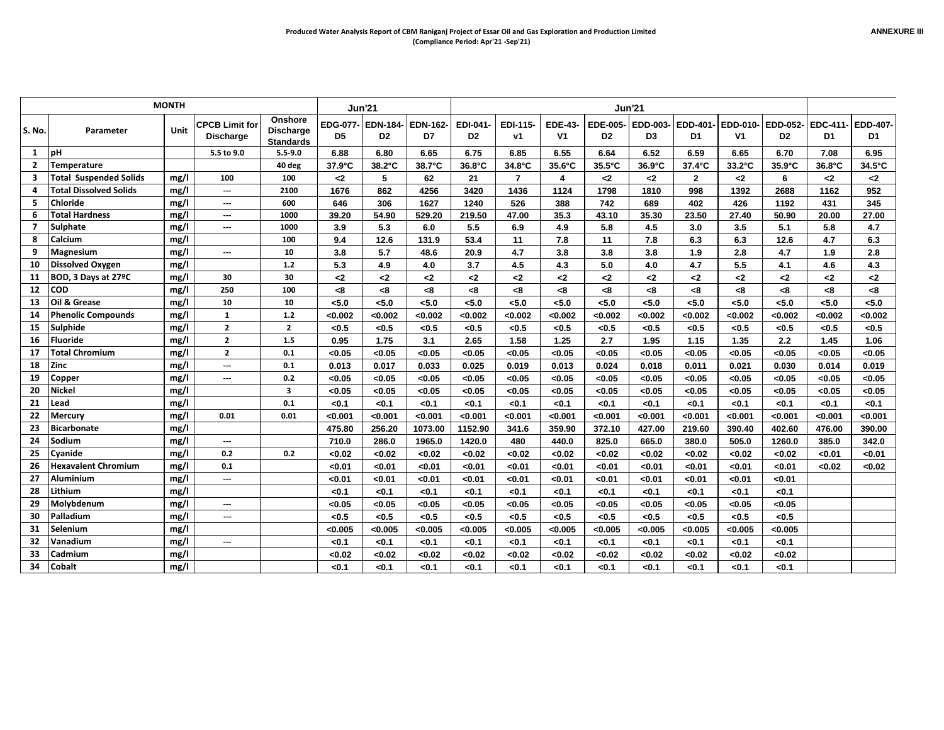|                |                               | <b>MONTH</b> |                                           |                                                        |         | <b>Jun'21</b>                       |                       |                            |                |                                  |                | <b>Jun'21</b>           |                |         |                                     |                |                |
|----------------|-------------------------------|--------------|-------------------------------------------|--------------------------------------------------------|---------|-------------------------------------|-----------------------|----------------------------|----------------|----------------------------------|----------------|-------------------------|----------------|---------|-------------------------------------|----------------|----------------|
| S. No.         | Parameter                     | Unit         | <b>CPCB Limit for</b><br><b>Discharge</b> | <b>Onshore</b><br><b>Discharge</b><br><b>Standards</b> | D5      | EDG-077- EDN-184-<br>D <sub>2</sub> | <b>EDN-162-</b><br>D7 | EDI-041-<br>D <sub>2</sub> | EDI-115-<br>ν1 | <b>EDE-43-</b><br>V <sub>1</sub> | D <sub>2</sub> | EDE-005- EDD-003-<br>D3 | EDD-401-<br>D1 | ۷1      | EDD-010- EDD-052-<br>D <sub>2</sub> | EDC-411-<br>D1 | EDD-407-<br>D1 |
| 1              | <b>pH</b>                     |              | 5.5 to 9.0                                | $5.5 - 9.0$                                            | 6.88    | 6.80                                | 6.65                  | 6.75                       | 6.85           | 6.55                             | 6.64           | 6.52                    | 6.59           | 6.65    | 6.70                                | 7.08           | 6.95           |
| $\overline{2}$ | Temperature                   |              |                                           | 40 deg                                                 | 37.9°C  | 38.2°C                              | 38.7°C                | 36.8°C                     | 34.8°C         | 35.6°C                           | 35.5°C         | 36.9°C                  | 37.4°C         | 33.2°C  | 35.9°C                              | 36.8°C         | 34.5°C         |
| 3              | <b>Total Suspended Solids</b> | mg/l         | 100                                       | 100                                                    | $2$     | 5                                   | 62                    | 21                         | $\overline{7}$ | 4                                | $2$            | $\mathbf{<}2$           | $\overline{2}$ | $2$     | 6                                   | $2$            | $\mathbf{<}2$  |
|                | <b>Total Dissolved Solids</b> | mg/l         | ---                                       | 2100                                                   | 1676    | 862                                 | 4256                  | 3420                       | 1436           | 1124                             | 1798           | 1810                    | 998            | 1392    | 2688                                | 1162           | 952            |
| 5              | <b>Chloride</b>               | mg/l         | ---                                       | 600                                                    | 646     | 306                                 | 1627                  | 1240                       | 526            | 388                              | 742            | 689                     | 402            | 426     | 1192                                | 431            | 345            |
| 6              | <b>Total Hardness</b>         | mg/l         | ---                                       | 1000                                                   | 39.20   | 54.90                               | 529.20                | 219.50                     | 47.00          | 35.3                             | 43.10          | 35.30                   | 23.50          | 27.40   | 50.90                               | 20.00          | 27.00          |
|                | <b>Sulphate</b>               | mg/l         | ---                                       | 1000                                                   | 3.9     | 5.3                                 | 6.0                   | 5.5                        | 6.9            | 4.9                              | 5.8            | 4.5                     | 3.0            | 3.5     | 5.1                                 | 5.8            | 4.7            |
| 8              | Calcium                       | mg/l         |                                           | 100                                                    | 9.4     | 12.6                                | 131.9                 | 53.4                       | 11             | 7.8                              | 11             | 7.8                     | 6.3            | 6.3     | 12.6                                | 4.7            | 6.3            |
| 9              | Magnesium                     | mg/l         | ---                                       | 10                                                     | 3.8     | 5.7                                 | 48.6                  | 20.9                       | 4.7            | 3.8                              | 3.8            | 3.8                     | 1.9            | 2.8     | 4.7                                 | 1.9            | 2.8            |
| 10             | <b>Dissolved Oxygen</b>       | mg/l         |                                           | 1.2                                                    | 5.3     | 4.9                                 | 4.0                   | 3.7                        | 4.5            | 4.3                              | 5.0            | 4.0                     | 4.7            | 5.5     | 4.1                                 | 4.6            | 4.3            |
| 11             | BOD, 3 Days at 27°C           | mg/l         | 30                                        | 30                                                     | $2$     | $2$                                 | $2$                   | $2$                        | $\mathbf{<}2$  | $2$                              | $2$            | $2$                     | $\mathbf{<2}$  | $2$     | $2$                                 | $2$            | $2$            |
| $12$ COD       |                               | mg/l         | 250                                       | 100                                                    | < 8     | < 8                                 | < 8                   | <8                         | < 8            | < 8                              | <8             | < 8                     | < 8            | < 8     | < 8                                 | -8             | <8             |
| 13             | Oil & Grease                  | mg/l         | 10                                        | 10                                                     | 5.0     | < 5.0                               | < 5.0                 | < 5.0                      | < 5.0          | < 5.0                            | < 5.0          | < 5.0                   | < 5.0          | < 5.0   | < 5.0                               | < 5.0          | < 5.0          |
| 14             | <b>Phenolic Compounds</b>     | mg/l         | $\mathbf{1}$                              | $1.2$                                                  | <0.002  | < 0.002                             | < 0.002               | <0.002                     | < 0.002        | < 0.002                          | < 0.002        | < 0.002                 | < 0.002        | <0.002  | < 0.002                             | <0.002         | < 0.002        |
|                | 15 Sulphide                   | mg/l         | $\overline{2}$                            | $\overline{2}$                                         | < 0.5   | < 0.5                               | < 0.5                 | < 0.5                      | < 0.5          | < 0.5                            | < 0.5          | < 0.5                   | < 0.5          | < 0.5   | < 0.5                               | < 0.5          | < 0.5          |
| 16             | <b>Fluoride</b>               | mg/l         | $\overline{2}$                            | 1.5                                                    | 0.95    | 1.75                                | 3.1                   | 2.65                       | 1.58           | 1.25                             | 2.7            | 1.95                    | 1.15           | 1.35    | 2.2                                 | 1.45           | 1.06           |
| 17             | <b>Total Chromium</b>         | mg/l         | $\overline{2}$                            | 0.1                                                    | < 0.05  | <0.05                               | < 0.05                | < 0.05                     | < 0.05         | < 0.05                           | < 0.05         | < 0.05                  | < 0.05         | < 0.05  | < 0.05                              | < 0.05         | < 0.05         |
| 18             | <b>Zinc</b>                   | mg/l         | ---                                       | 0.1                                                    | 0.013   | 0.017                               | 0.033                 | 0.025                      | 0.019          | 0.013                            | 0.024          | 0.018                   | 0.011          | 0.021   | 0.030                               | 0.014          | 0.019          |
| 19             | Copper                        | mg/l         | ---                                       | 0.2                                                    | < 0.05  | < 0.05                              | < 0.05                | < 0.05                     | < 0.05         | < 0.05                           | < 0.05         | < 0.05                  | < 0.05         | < 0.05  | < 0.05                              | < 0.05         | < 0.05         |
| 20             | <b>Nickel</b>                 | mg/l         |                                           | 3                                                      | < 0.05  | <0.05                               | < 0.05                | < 0.05                     | < 0.05         | < 0.05                           | < 0.05         | < 0.05                  | < 0.05         | < 0.05  | < 0.05                              | < 0.05         | < 0.05         |
| 21             | Lead                          | mg/l         |                                           | 0.1                                                    | < 0.1   | < 0.1                               | < 0.1                 | < 0.1                      | < 0.1          | < 0.1                            | < 0.1          | < 0.1                   | < 0.1          | < 0.1   | < 0.1                               | < 0.1          | < 0.1          |
| 22             | <b>Mercury</b>                | mg/l         | 0.01                                      | 0.01                                                   | < 0.001 | < 0.001                             | < 0.001               | < 0.001                    | < 0.001        | < 0.001                          | < 0.001        | < 0.001                 | < 0.001        | < 0.001 | < 0.001                             | < 0.001        | < 0.001        |
| 23             | <b>Bicarbonate</b>            | mg/l         |                                           |                                                        | 475.80  | 256.20                              | 1073.00               | 1152.90                    | 341.6          | 359.90                           | 372.10         | 427.00                  | 219.60         | 390.40  | 402.60                              | 476.00         | 390.00         |
| 24             | Sodium                        | mg/l         | ---                                       |                                                        | 710.0   | 286.0                               | 1965.0                | 1420.0                     | 480            | 440.0                            | 825.0          | 665.0                   | 380.0          | 505.0   | 1260.0                              | 385.0          | 342.0          |
| 25             | Cyanide                       | mg/l         | 0.2                                       | 0.2                                                    | <0.02   | < 0.02                              | < 0.02                | < 0.02                     | < 0.02         | < 0.02                           | <0.02          | < 0.02                  | < 0.02         | < 0.02  | <0.02                               | < 0.01         | < 0.01         |
| 26             | <b>Hexavalent Chromium</b>    | mg/l         | 0.1                                       |                                                        | < 0.01  | < 0.01                              | < 0.01                | < 0.01                     | < 0.01         | < 0.01                           | < 0.01         | < 0.01                  | < 0.01         | < 0.01  | < 0.01                              | < 0.02         | < 0.02         |
| 27             | <b>Aluminium</b>              | mg/l         | ---                                       |                                                        | < 0.01  | < 0.01                              | < 0.01                | < 0.01                     | < 0.01         | < 0.01                           | < 0.01         | < 0.01                  | < 0.01         | < 0.01  | < 0.01                              |                |                |
| 28             | Lithium                       | mg/l         |                                           |                                                        | < 0.1   | < 0.1                               | < 0.1                 | < 0.1                      | < 0.1          | < 0.1                            | < 0.1          | < 0.1                   | < 0.1          | < 0.1   | < 0.1                               |                |                |
| 29             | Molybdenum                    | mg/l         | ---                                       |                                                        | < 0.05  | < 0.05                              | < 0.05                | < 0.05                     | < 0.05         | < 0.05                           | < 0.05         | < 0.05                  | < 0.05         | < 0.05  | < 0.05                              |                |                |
| 30             | Palladium                     | mg/l         | ---                                       |                                                        | < 0.5   | < 0.5                               | < 0.5                 | < 0.5                      | < 0.5          | < 0.5                            | < 0.5          | < 0.5                   | < 0.5          | < 0.5   | < 0.5                               |                |                |
| 31             | Selenium                      | mg/l         |                                           |                                                        | < 0.005 | < 0.005                             | < 0.005               | < 0.005                    | < 0.005        | < 0.005                          | < 0.005        | < 0.005                 | < 0.005        | < 0.005 | < 0.005                             |                |                |
| 32             | Vanadium                      | mg/l         | ---                                       |                                                        | < 0.1   | < 0.1                               | < 0.1                 | < 0.1                      | < 0.1          | < 0.1                            | < 0.1          | < 0.1                   | < 0.1          | < 0.1   | < 0.1                               |                |                |
| 33             | <b>Cadmium</b>                | mg/l         |                                           |                                                        | <0.02   | < 0.02                              | < 0.02                | <0.02                      | < 0.02         | <0.02                            | < 0.02         | < 0.02                  | <0.02          | < 0.02  | <0.02                               |                |                |
| 34             | Cobalt                        | mg/l         |                                           |                                                        | < 0.1   | < 0.1                               | < 0.1                 | < 0.1                      | < 0.1          | < 0.1                            | < 0.1          | < 0.1                   | < 0.1          | < 0.1   | <0.1                                |                |                |
|                |                               |              |                                           |                                                        |         |                                     |                       |                            |                |                                  |                |                         |                |         |                                     |                |                |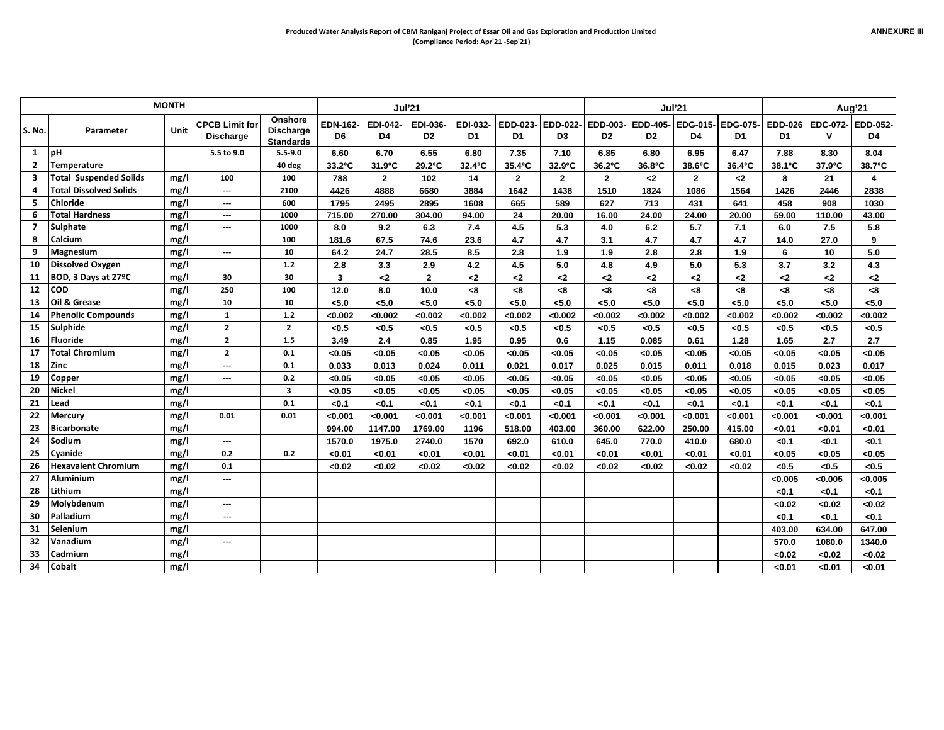|                |                               | <b>MONTH</b> |                                           |                                                 |                       | <b>Jul'21</b>         |                            |                       |                |                |                                                                         | <b>Jul'21</b>  |                |               |                      | Aug'21                 |               |  |
|----------------|-------------------------------|--------------|-------------------------------------------|-------------------------------------------------|-----------------------|-----------------------|----------------------------|-----------------------|----------------|----------------|-------------------------------------------------------------------------|----------------|----------------|---------------|----------------------|------------------------|---------------|--|
| S. No.         | Parameter                     | Unit         | <b>CPCB Limit for</b><br><b>Discharge</b> | Onshore<br><b>Discharge</b><br><b>Standards</b> | <b>EDN-162-</b><br>D6 | <b>EDI-042-</b><br>D4 | EDI-036-<br>D <sub>2</sub> | <b>EDI-032-</b><br>D1 | D1             | D <sub>3</sub> | EDD-023- EDD-022- EDD-003- EDD-405- EDG-015- EDG-075-<br>D <sub>2</sub> | D <sub>2</sub> | D4             | D1            | <b>EDD-026</b><br>D1 | EDC-072- EDD-052-<br>v | D4            |  |
| 1              | pН                            |              | 5.5 to 9.0                                | $5.5 - 9.0$                                     | 6.60                  | 6.70                  | 6.55                       | 6.80                  | 7.35           | 7.10           | 6.85                                                                    | 6.80           | 6.95           | 6.47          | 7.88                 | 8.30                   | 8.04          |  |
| $\overline{2}$ | Temperature                   |              |                                           | 40 deg                                          | $33.2^{\circ}$ C      | 31.9°C                | 29.2°C                     | $32.4^{\circ}$ C      | 35.4°C         | 32.9°C         | $36.2^{\circ}$ C                                                        | 36.8°C         | 38.6°C         | 36.4°C        | 38.1°C               | 37.9°C                 | 38.7°C        |  |
| 3              | <b>Total Suspended Solids</b> | mg/l         | 100                                       | 100                                             | 788                   | $\overline{2}$        | 102                        | 14                    | $\overline{2}$ | $\overline{2}$ | $\mathbf{2}$                                                            | $2$            | $\overline{2}$ | -2            | 8                    | 21                     | 4             |  |
| 4              | <b>Total Dissolved Solids</b> | mg/l         | ---                                       | 2100                                            | 4426                  | 4888                  | 6680                       | 3884                  | 1642           | 1438           | 1510                                                                    | 1824           | 1086           | 1564          | 1426                 | 2446                   | 2838          |  |
| 5              | <b>Chloride</b>               | mg/l         | $\hspace{0.05cm} \ldots$                  | 600                                             | 1795                  | 2495                  | 2895                       | 1608                  | 665            | 589            | 627                                                                     | 713            | 431            | 641           | 458                  | 908                    | 1030          |  |
| 6              | <b>Total Hardness</b>         | mg/l         | $---$                                     | 1000                                            | 715.00                | 270.00                | 304.00                     | 94.00                 | 24             | 20.00          | 16.00                                                                   | 24.00          | 24.00          | 20.00         | 59.00                | 110.00                 | 43.00         |  |
| 7              | <b>Sulphate</b>               | mg/l         | ---                                       | 1000                                            | 8.0                   | 9.2                   | 6.3                        | 7.4                   | 4.5            | 5.3            | 4.0                                                                     | 6.2            | 5.7            | 7.1           | 6.0                  | 7.5                    | 5.8           |  |
| 8              | Calcium                       | mg/l         |                                           | 100                                             | 181.6                 | 67.5                  | 74.6                       | 23.6                  | 4.7            | 4.7            | 3.1                                                                     | 4.7            | 4.7            | 4.7           | 14.0                 | 27.0                   | 9             |  |
| 9              | <b>Magnesium</b>              | mg/l         | $\hspace{0.05cm} \ldots$                  | 10                                              | 64.2                  | 24.7                  | 28.5                       | 8.5                   | 2.8            | 1.9            | 1.9                                                                     | 2.8            | 2.8            | 1.9           | 6                    | 10                     | 5.0           |  |
| 10             | Dissolved Oxygen              | mg/l         |                                           | $1.2$                                           | 2.8                   | 3.3                   | 2.9                        | 4.2                   | 4.5            | 5.0            | 4.8                                                                     | 4.9            | 5.0            | 5.3           | 3.7                  | 3.2                    | 4.3           |  |
| 11             | BOD, 3 Days at 27°C           | mg/l         | 30                                        | 30                                              | 3                     | $2$                   | $\overline{2}$             | $\leq$                | $\mathbf{<}2$  | $2$            | $\mathbf{<}2$                                                           | -2             | $2$            | $\mathbf{<}2$ | $2$                  | $2$                    | $\mathbf{<}2$ |  |
|                | 12 COD                        | mg/l         | 250                                       | 100                                             | 12.0                  | 8.0                   | 10.0                       | <8                    | < 8            | < 8            | < 8                                                                     | -8             | <8             | -8            | <8                   | <8                     | -8            |  |
| 13             | Oil & Grease                  | mg/l         | 10                                        | 10                                              | < 5.0                 | < 5.0                 | < 5.0                      | < 5.0                 | < 5.0          | < 5.0          | < 5.0                                                                   | 5.0            | < 5.0          | < 5.0         | < 5.0                | 5.0                    | < 5.0         |  |
| 14             | <b>Phenolic Compounds</b>     | mg/l         | $\mathbf{1}$                              | $1.2$                                           | <0.002                | < 0.002               | <0.002                     | < 0.002               | <0.002         | <0.002         | < 0.002                                                                 | <0.002         | <0.002         | < 0.002       | <0.002               | <0.002                 | < 0.002       |  |
| 15             | Sulphide                      | mg/l         | $\overline{2}$                            | $\overline{2}$                                  | < 0.5                 | < 0.5                 | < 0.5                      | < 0.5                 | < 0.5          | < 0.5          | < 0.5                                                                   | < 0.5          | < 0.5          | < 0.5         | < 0.5                | < 0.5                  | < 0.5         |  |
| 16             | Fluoride                      | mg/l         | $\overline{2}$                            | 1.5                                             | 3.49                  | 2.4                   | 0.85                       | 1.95                  | 0.95           | 0.6            | 1.15                                                                    | 0.085          | 0.61           | 1.28          | 1.65                 | 2.7                    | 2.7           |  |
| 17             | <b>Total Chromium</b>         | mg/l         | $\overline{2}$                            | 0.1                                             | < 0.05                | < 0.05                | < 0.05                     | < 0.05                | < 0.05         | < 0.05         | < 0.05                                                                  | < 0.05         | < 0.05         | < 0.05        | < 0.05               | < 0.05                 | < 0.05        |  |
| 18             | <b>Zinc</b>                   | mg/l         | $---$                                     | 0.1                                             | 0.033                 | 0.013                 | 0.024                      | 0.011                 | 0.021          | 0.017          | 0.025                                                                   | 0.015          | 0.011          | 0.018         | 0.015                | 0.023                  | 0.017         |  |
| 19             | Copper                        | mg/l         | ---                                       | 0.2                                             | < 0.05                | < 0.05                | < 0.05                     | < 0.05                | < 0.05         | < 0.05         | < 0.05                                                                  | < 0.05         | < 0.05         | < 0.05        | < 0.05               | < 0.05                 | < 0.05        |  |
| 20             | <b>Nickel</b>                 | mg/l         |                                           | 3                                               | < 0.05                | < 0.05                | < 0.05                     | < 0.05                | < 0.05         | < 0.05         | < 0.05                                                                  | < 0.05         | < 0.05         | < 0.05        | < 0.05               | < 0.05                 | < 0.05        |  |
| 21             | Lead                          | mg/l         |                                           | 0.1                                             | $0.1$                 | < 0.1                 | < 0.1                      | < 0.1                 | < 0.1          | < 0.1          | < 0.1                                                                   | < 0.1          | < 0.1          | < 0.1         | < 0.1                | < 0.1                  | < 0.1         |  |
| 22             | <b>Mercury</b>                | mg/l         | 0.01                                      | 0.01                                            | < 0.001               | < 0.001               | < 0.001                    | < 0.001               | < 0.001        | < 0.001        | < 0.001                                                                 | < 0.001        | < 0.001        | < 0.001       | < 0.001              | < 0.001                | < 0.001       |  |
| 23             | <b>Bicarbonate</b>            | mg/l         |                                           |                                                 | 994.00                | 1147.00               | 1769.00                    | 1196                  | 518.00         | 403.00         | 360.00                                                                  | 622.00         | 250.00         | 415.00        | < 0.01               | < 0.01                 | < 0.01        |  |
| 24             | Sodium                        | mg/l         | ---                                       |                                                 | 1570.0                | 1975.0                | 2740.0                     | 1570                  | 692.0          | 610.0          | 645.0                                                                   | 770.0          | 410.0          | 680.0         | < 0.1                | < 0.1                  | < 0.1         |  |
| 25             | Cyanide                       | mg/l         | 0.2                                       | 0.2                                             | < 0.01                | < 0.01                | < 0.01                     | < 0.01                | < 0.01         | < 0.01         | < 0.01                                                                  | < 0.01         | < 0.01         | < 0.01        | < 0.05               | < 0.05                 | < 0.05        |  |
| 26             | <b>Hexavalent Chromium</b>    | mg/l         | 0.1                                       |                                                 | < 0.02                | < 0.02                | <0.02                      | < 0.02                | < 0.02         | < 0.02         | <0.02                                                                   | < 0.02         | < 0.02         | < 0.02        | < 0.5                | < 0.5                  | < 0.5         |  |
| 27             | <b>Aluminium</b>              | mg/l         | $\hspace{0.05cm} \ldots$                  |                                                 |                       |                       |                            |                       |                |                |                                                                         |                |                |               | < 0.005              | < 0.005                | < 0.005       |  |
| 28             | Lithium                       | mg/l         |                                           |                                                 |                       |                       |                            |                       |                |                |                                                                         |                |                |               | < 0.1                | < 0.1                  | < 0.1         |  |
| 29             | Molybdenum                    | mg/l         | ---                                       |                                                 |                       |                       |                            |                       |                |                |                                                                         |                |                |               | <0.02                | < 0.02                 | <0.02         |  |
| 30             | Palladium                     | mg/l         | $---$                                     |                                                 |                       |                       |                            |                       |                |                |                                                                         |                |                |               | < 0.1                | < 0.1                  | <0.1          |  |
| 31             | Selenium                      | mg/l         |                                           |                                                 |                       |                       |                            |                       |                |                |                                                                         |                |                |               | 403.00               | 634.00                 | 647.00        |  |
| 32             | Vanadium                      | mg/l         | ---                                       |                                                 |                       |                       |                            |                       |                |                |                                                                         |                |                |               | 570.0                | 1080.0                 | 1340.0        |  |
| 33             | <b>Cadmium</b>                | mg/l         |                                           |                                                 |                       |                       |                            |                       |                |                |                                                                         |                |                |               | <0.02                | < 0.02                 | <0.02         |  |
| 34             | <b>Cobalt</b>                 | mg/l         |                                           |                                                 |                       |                       |                            |                       |                |                |                                                                         |                |                |               | < 0.01               | < 0.01                 | < 0.01        |  |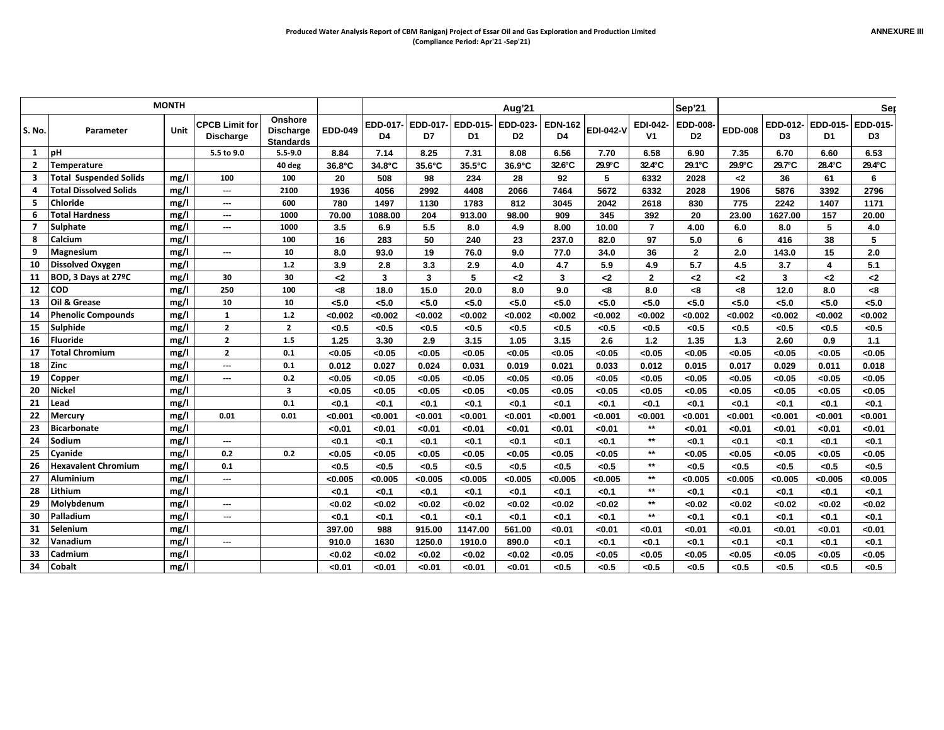|                |                               | <b>MONTH</b> |                                           |                                          |                |                         |                         |                         | Aug'21                     |                         |                  |                            | Sep'21                            |                |                         |                         | Ser            |
|----------------|-------------------------------|--------------|-------------------------------------------|------------------------------------------|----------------|-------------------------|-------------------------|-------------------------|----------------------------|-------------------------|------------------|----------------------------|-----------------------------------|----------------|-------------------------|-------------------------|----------------|
| S. No.         | Parameter                     | <b>Unit</b>  | <b>CPCB Limit for</b><br><b>Discharge</b> | Onshore<br>Discharge<br><b>Standards</b> | <b>EDD-049</b> | EDD-017-<br>D4          | D7                      | EDD-017- EDD-015-<br>D1 | EDD-023-<br>D <sub>2</sub> | <b>EDN-162</b><br>D4    | <b>EDI-042-V</b> | EDI-042-<br>V <sub>1</sub> | <b>EDD-008-</b><br>D <sub>2</sub> | <b>EDD-008</b> | D <sub>3</sub>          | EDD-012- EDD-015-<br>D1 | EDD-015-<br>D3 |
| 1              | <b>bH</b>                     |              | 5.5 to 9.0                                | $5.5 - 9.0$                              | 8.84           | 7.14                    | 8.25                    | 7.31                    | 8.08                       | 6.56                    | 7.70             | 6.58                       | 6.90                              | 7.35           | 6.70                    | 6.60                    | 6.53           |
| $\overline{2}$ | <b>Temperature</b>            |              |                                           | 40 deg                                   | 36.8°C         | 34.8°C                  | 35.6°C                  | 35.5°C                  | 36.9°C                     | 32.6°C                  | 29.9°C           | 32.4°C                     | 29.1°C                            | 29.9°C         | 29.7°C                  | 28.4°C                  | 29.4°C         |
| 3              | <b>Total Suspended Solids</b> | mg/l         | 100                                       | 100                                      | 20             | 508                     | 98                      | 234                     | 28                         | 92                      | 5                | 6332                       | 2028                              | $2$            | 36                      | 61                      | 6              |
| 4              | Total Dissolved Solids        | mg/l         | ---                                       | 2100                                     | 1936           | 4056                    | 2992                    | 4408                    | 2066                       | 7464                    | 5672             | 6332                       | 2028                              | 1906           | 5876                    | 3392                    | 2796           |
| 5              | <b>Chloride</b>               | mg/l         | ---                                       | 600                                      | 780            | 1497                    | 1130                    | 1783                    | 812                        | 3045                    | 2042             | 2618                       | 830                               | 775            | 2242                    | 1407                    | 1171           |
| 6              | <b>Total Hardness</b>         | mg/l         | ---                                       | 1000                                     | 70.00          | 1088.00                 | 204                     | 913.00                  | 98.00                      | 909                     | 345              | 392                        | 20                                | 23.00          | 1627.00                 | 157                     | 20.00          |
| $\overline{7}$ | <b>Sulphate</b>               | mg/l         | ---                                       | 1000                                     | 3.5            | 6.9                     | 5.5                     | 8.0                     | 4.9                        | 8.00                    | 10.00            | $\overline{7}$             | 4.00                              | 6.0            | 8.0                     | 5                       | 4.0            |
| 8              | Calcium                       | mg/l         |                                           | 100                                      | 16             | 283                     | 50                      | 240                     | 23                         | 237.0                   | 82.0             | 97                         | 5.0                               | 6              | 416                     | 38                      | 5              |
| 9              | <b>Magnesium</b>              | mg/l         | $\overline{a}$                            | 10                                       | 8.0            | 93.0                    | 19                      | 76.0                    | 9.0                        | 77.0                    | 34.0             | 36                         | $\mathbf{2}$                      | 2.0            | 143.0                   | 15                      | 2.0            |
| 10             | <b>Dissolved Oxygen</b>       | mg/l         |                                           | $1.2$                                    | 3.9            | 2.8                     | 3.3                     | 2.9                     | 4.0                        | 4.7                     | 5.9              | 4.9                        | 5.7                               | 4.5            | 3.7                     | 4                       | 5.1            |
| 11             | BOD, 3 Days at 27°C           | mg/l         | 30                                        | 30                                       | $2$            | $\overline{\mathbf{3}}$ | $\overline{\mathbf{3}}$ | 5                       | -2                         | $\overline{\mathbf{3}}$ | $2$              | $\overline{2}$             | $2$                               | $\mathbf{<}2$  | $\overline{\mathbf{3}}$ | $\mathbf{<}2$           | $2$            |
| 12             | <b>COD</b>                    | mg/l         | 250                                       | 100                                      | < 8            | 18.0                    | 15.0                    | 20.0                    | 8.0                        | 9.0                     | < 8              | 8.0                        | < 8                               | -8             | 12.0                    | 8.0                     | < 8            |
| 13             | Oil & Grease                  | mg/l         | 10                                        | 10                                       | < 5.0          | < 5.0                   | 5.0                     | < 5.0                   | < 5.0                      | < 5.0                   | < 5.0            | < 5.0                      | 5.0                               | < 5.0          | < 5.0                   | < 5.0                   | < 5.0          |
| 14             | <b>Phenolic Compounds</b>     | mg/l         | 1                                         | $1.2$                                    | < 0.002        | <0.002                  | < 0.002                 | < 0.002                 | <0.002                     | <0.002                  | < 0.002          | <0.002                     | < 0.002                           | <0.002         | < 0.002                 | < 0.002                 | < 0.002        |
| 15             | Sulphide                      | mg/l         | $\overline{2}$                            | $\overline{2}$                           | < 0.5          | < 0.5                   | < 0.5                   | < 0.5                   | < 0.5                      | < 0.5                   | < 0.5            | < 0.5                      | < 0.5                             | < 0.5          | < 0.5                   | < 0.5                   | < 0.5          |
| 16             | <b>Fluoride</b>               | mg/l         | $\overline{2}$                            | 1.5                                      | 1.25           | 3.30                    | 2.9                     | 3.15                    | 1.05                       | 3.15                    | 2.6              | $1.2$                      | 1.35                              | $1.3$          | 2.60                    | 0.9                     | 1.1            |
| 17             | <b>Total Chromium</b>         | mg/l         | $\overline{2}$                            | 0.1                                      | < 0.05         | < 0.05                  | < 0.05                  | <0.05                   | < 0.05                     | < 0.05                  | < 0.05           | < 0.05                     | < 0.05                            | < 0.05         | < 0.05                  | < 0.05                  | < 0.05         |
| 18             | Zinc                          | mg/l         | ---                                       | 0.1                                      | 0.012          | 0.027                   | 0.024                   | 0.031                   | 0.019                      | 0.021                   | 0.033            | 0.012                      | 0.015                             | 0.017          | 0.029                   | 0.011                   | 0.018          |
| 19             | Copper                        | mg/l         | ---                                       | 0.2                                      | < 0.05         | < 0.05                  | < 0.05                  | <0.05                   | < 0.05                     | < 0.05                  | < 0.05           | < 0.05                     | < 0.05                            | < 0.05         | < 0.05                  | < 0.05                  | < 0.05         |
| 20             | <b>Nickel</b>                 | mg/l         |                                           | 3                                        | < 0.05         | < 0.05                  | < 0.05                  | < 0.05                  | < 0.05                     | < 0.05                  | < 0.05           | < 0.05                     | < 0.05                            | < 0.05         | < 0.05                  | < 0.05                  | < 0.05         |
| 21             | Lead                          | mg/l         |                                           | 0.1                                      | < 0.1          | < 0.1                   | < 0.1                   | < 0.1                   | < 0.1                      | < 0.1                   | < 0.1            | < 0.1                      | < 0.1                             | < 0.1          | < 0.1                   | < 0.1                   | < 0.1          |
| 22             | <b>Mercury</b>                | mg/l         | 0.01                                      | 0.01                                     | < 0.001        | < 0.001                 | < 0.001                 | < 0.001                 | < 0.001                    | < 0.001                 | < 0.001          | < 0.001                    | < 0.001                           | < 0.001        | < 0.001                 | < 0.001                 | < 0.001        |
| 23             | <b>Bicarbonate</b>            | mg/l         |                                           |                                          | < 0.01         | < 0.01                  | < 0.01                  | < 0.01                  | < 0.01                     | < 0.01                  | < 0.01           | $\star\star$               | < 0.01                            | < 0.01         | < 0.01                  | < 0.01                  | < 0.01         |
| 24             | Sodium                        | mg/l         | ---                                       |                                          | $0.1$          | < 0.1                   | < 0.1                   | < 0.1                   | < 0.1                      | < 0.1                   | < 0.1            | $***$                      | < 0.1                             | < 0.1          | < 0.1                   | < 0.1                   | < 0.1          |
| 25             | Cyanide                       | mg/l         | 0.2                                       | 0.2                                      | < 0.05         | < 0.05                  | < 0.05                  | < 0.05                  | <0.05                      | < 0.05                  | < 0.05           | $\star\star$               | < 0.05                            | < 0.05         | < 0.05                  | < 0.05                  | < 0.05         |
| 26             | <b>Hexavalent Chromium</b>    | mg/l         | 0.1                                       |                                          | < 0.5          | < 0.5                   | < 0.5                   | < 0.5                   | < 0.5                      | < 0.5                   | < 0.5            | $\star\star$               | < 0.5                             | < 0.5          | < 0.5                   | < 0.5                   | < 0.5          |
| 27             | Aluminium                     | mg/l         | ---                                       |                                          | < 0.005        | < 0.005                 | < 0.005                 | < 0.005                 | < 0.005                    | < 0.005                 | < 0.005          | $\star\star$               | < 0.005                           | < 0.005        | < 0.005                 | < 0.005                 | < 0.005        |
| 28             | Lithium                       | mg/l         |                                           |                                          | < 0.1          | $0.1$                   | < 0.1                   | < 0.1                   | < 0.1                      | < 0.1                   | < 0.1            | $\star\star$               | < 0.1                             | < 0.1          | < 0.1                   | < 0.1                   | < 0.1          |
| 29             | Molybdenum                    | mg/l         | ---                                       |                                          | <0.02          | < 0.02                  | < 0.02                  | < 0.02                  | <0.02                      | <0.02                   | < 0.02           | $\star\star$               | < 0.02                            | < 0.02         | <0.02                   | < 0.02                  | < 0.02         |
| 30             | Palladium                     | mg/l         | ---                                       |                                          | < 0.1          | <0.1                    | < 0.1                   | < 0.1                   | < 0.1                      | < 0.1                   | < 0.1            | $\star\star$               | < 0.1                             | < 0.1          | < 0.1                   | < 0.1                   | <0.1           |
| 31             | Selenium                      | mg/l         |                                           |                                          | 397.00         | 988                     | 915.00                  | 1147.00                 | 561.00                     | < 0.01                  | < 0.01           | < 0.01                     | <0.01                             | <0.01          | < 0.01                  | < 0.01                  | < 0.01         |
| 32             | Vanadium                      | mg/l         | ---                                       |                                          | 910.0          | 1630                    | 1250.0                  | 1910.0                  | 890.0                      | < 0.1                   | < 0.1            | < 0.1                      | < 0.1                             | < 0.1          | < 0.1                   | < 0.1                   | < 0.1          |
| 33             | Cadmium                       | mg/l         |                                           |                                          | < 0.02         | < 0.02                  | < 0.02                  | < 0.02                  | <0.02                      | < 0.05                  | < 0.05           | < 0.05                     | < 0.05                            | < 0.05         | < 0.05                  | < 0.05                  | < 0.05         |
| 34             | Cobalt                        | mg/l         |                                           |                                          | <0.01          | < 0.01                  | < 0.01                  | < 0.01                  | < 0.01                     | < 0.5                   | < 0.5            | <0.5                       | < 0.5                             | < 0.5          | < 0.5                   | < 0.5                   | < 0.5          |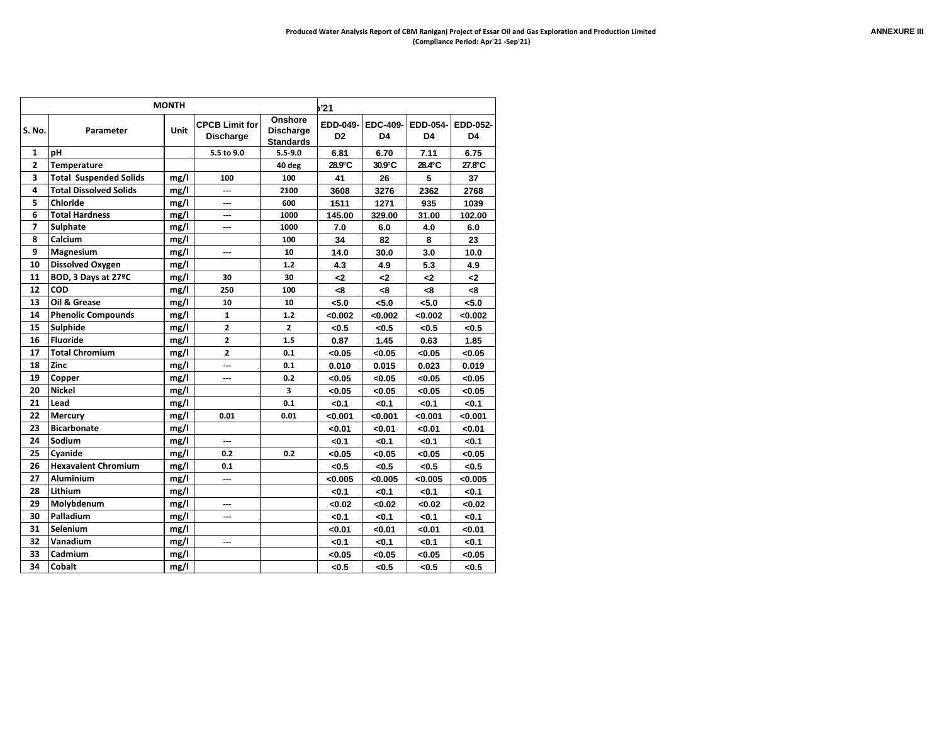|                |                               | <b>MONTH</b> |                                           |                                                 | '21                        |                       |                |                |
|----------------|-------------------------------|--------------|-------------------------------------------|-------------------------------------------------|----------------------------|-----------------------|----------------|----------------|
| S. No.         | Parameter                     | Unit         | <b>CPCB Limit for</b><br><b>Discharge</b> | Onshore<br><b>Discharge</b><br><b>Standards</b> | EDD-049-<br>D <sub>2</sub> | <b>EDC-409-</b><br>D4 | EDD-054-<br>D4 | EDD-052-<br>D4 |
| $\mathbf{1}$   | рH                            |              | 5.5 to 9.0                                | $5.5 - 9.0$                                     | 6.81                       | 6.70                  | 7.11           | 6.75           |
| $\mathbf{z}$   | <b>Temperature</b>            |              |                                           | 40 deg                                          | 28.9°C                     | 30.9°C                | 28.4°C         | 27.8°C         |
| 3              | <b>Total Suspended Solids</b> | mg/l         | 100                                       | 100                                             | 41                         | 26                    | 5              | 37             |
| 4              | <b>Total Dissolved Solids</b> | mg/l         | ---                                       | 2100                                            | 3608                       | 3276                  | 2362           | 2768           |
| 5              | Chloride                      | mg/l         | ---                                       | 600                                             | 1511                       | 1271                  | 935            | 1039           |
| 6              | <b>Total Hardness</b>         | mg/l         | ---                                       | 1000                                            | 145.00                     | 329.00                | 31.00          | 102.00         |
| $\overline{ }$ | <b>Sulphate</b>               | mg/l         | ---                                       | 1000                                            | 7.0                        | 6.0                   | 4.0            | 6.0            |
| 8              | Calcium                       | mg/l         |                                           | 100                                             | 34                         | 82                    | 8              | 23             |
| 9              | <b>Magnesium</b>              | mg/l         | ---                                       | 10                                              | 14.0                       | 30.0                  | 3.0            | 10.0           |
| 10             | <b>Dissolved Oxygen</b>       | mg/l         |                                           | 1.2                                             | 4.3                        | 4.9                   | 5.3            | 4.9            |
| 11             | BOD, 3 Days at 27°C           | mg/l         | 30                                        | 30                                              | د>                         | د>                    | د>             | -2             |
| 12             | <b>COD</b>                    | mg/l         | 250                                       | 100                                             | -8                         | -8                    | -8             | -8             |
| 13             | Oil & Grease                  | mg/l         | 10                                        | 10                                              | <5.0                       | < 5.0                 | < 5.0          | <5.0           |
| 14             | <b>Phenolic Compounds</b>     | mg/l         | 1                                         | 1.2                                             | < 0.002                    | <0.002                | < 0.002        | <0.002         |
| 15             | <b>Sulphide</b>               | mg/l         | $\overline{2}$                            | $\overline{2}$                                  | < 0.5                      | < 0.5                 | < 0.5          | <0.5           |
| 16             | <b>Fluoride</b>               | mg/l         | $\overline{2}$                            | 1.5                                             | 0.87                       | 1.45                  | 0.63           | 1.85           |
| 17             | <b>Total Chromium</b>         | mg/l         | $\overline{2}$                            | 0.1                                             | < 0.05                     | <0.05                 | < 0.05         | < 0.05         |
| 18             | Zinc                          | mg/l         | ---                                       | 0.1                                             | 0.010                      | 0.015                 | 0.023          | 0.019          |
| 19             | Copper                        | mg/l         | ---                                       | 0.2                                             | < 0.05                     | <0.05                 | < 0.05         | < 0.05         |
| 20             | <b>Nickel</b>                 | mg/l         |                                           | 3                                               | < 0.05                     | <0.05                 | < 0.05         | < 0.05         |
| 21             | Lead                          | mg/l         |                                           | 0.1                                             | <0.1                       | <0.1                  | < 0.1          | <0.1           |
| 22             | <b>Mercury</b>                | mg/l         | 0.01                                      | 0.01                                            | < 0.001                    | < 0.001               | < 0.001        | < 0.001        |
| 23             | <b>Bicarbonate</b>            | mg/l         |                                           |                                                 | < 0.01                     | <0.01                 | < 0.01         | < 0.01         |
| 24             | Sodium                        | mg/l         | ---                                       |                                                 | <0.1                       | < 0.1                 | <0.1           | <0.1           |
| 25             | Cvanide                       | mg/l         | 0.2                                       | 0.2                                             | < 0.05                     | <0.05                 | < 0.05         | < 0.05         |
| 26             | <b>Hexavalent Chromium</b>    | mg/l         | 0.1                                       |                                                 | < 0.5                      | < 0.5                 | < 0.5          | < 0.5          |
| 27             | <b>Aluminium</b>              | mg/l         | ---                                       |                                                 | < 0.005                    | < 0.005               | < 0.005        | < 0.005        |
| 28             | Lithium                       | mg/l         |                                           |                                                 | <0.1                       | < 0.1                 | <0.1           | <0.1           |
| 29             | Molybdenum                    | mg/l         | ---                                       |                                                 | <0.02                      | <0.02                 | < 0.02         | <0.02          |
| 30             | Palladium                     | mg/l         | ---                                       |                                                 | <0.1                       | < 0.1                 | <0.1           | <0.1           |
| 31             | Selenium                      | mg/l         |                                           |                                                 | < 0.01                     | <0.01                 | < 0.01         | < 0.01         |
| 32             | Vanadium                      | mg/l         | ---                                       |                                                 | <0.1                       | < 0.1                 | <0.1           | $0.1$          |
| 33             | Cadmium                       | mg/l         |                                           |                                                 | < 0.05                     | <0.05                 | <0.05          | <0.05          |
| 34             | <b>Cobalt</b>                 | mg/l         |                                           |                                                 | <0.5                       | < 0.5                 | < 0.5          | <0.5           |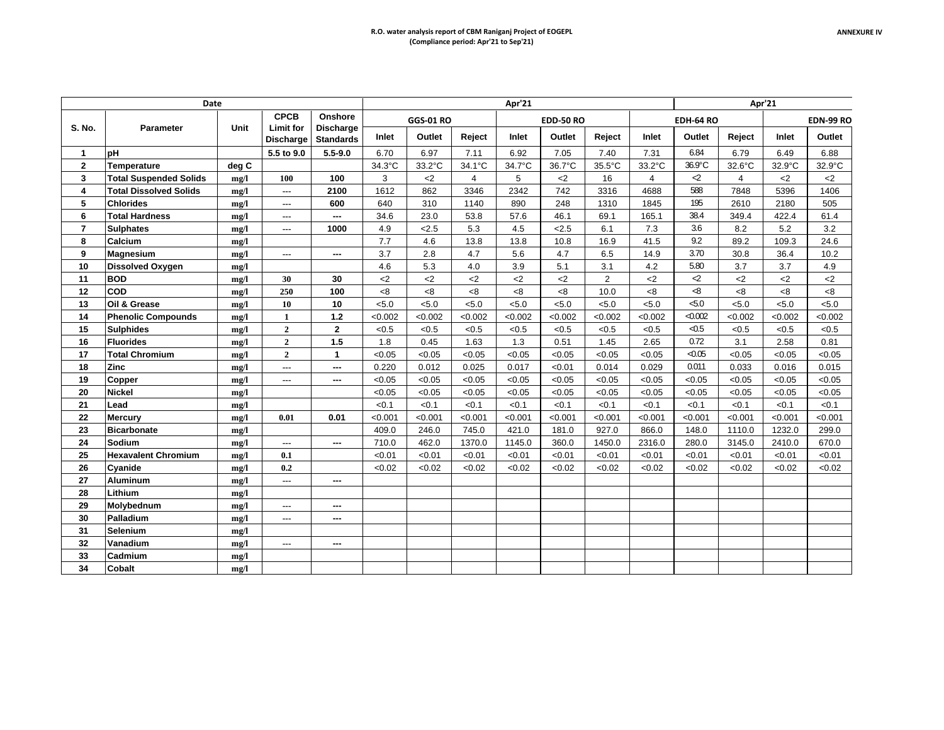|                | Date                          |       |                                      |                                      |         |                  |         | Apr'21  |                  |                |                |                     |                | Apr'21  |                  |
|----------------|-------------------------------|-------|--------------------------------------|--------------------------------------|---------|------------------|---------|---------|------------------|----------------|----------------|---------------------|----------------|---------|------------------|
|                |                               |       | <b>CPCB</b>                          | Onshore                              |         | <b>GGS-01 RO</b> |         |         | <b>EDD-50 RO</b> |                |                | <b>EDH-64 RO</b>    |                |         | <b>EDN-99 RO</b> |
| S. No.         | <b>Parameter</b>              | Unit  | <b>Limit for</b><br><b>Discharge</b> | <b>Discharge</b><br><b>Standards</b> | Inlet   | Outlet           | Reject  | Inlet   | Outlet           | Reject         | Inlet          | Outlet              | Reject         | Inlet   | Outlet           |
| 1              | pH                            |       | 5.5 to 9.0                           | $5.5 - 9.0$                          | 6.70    | 6.97             | 7.11    | 6.92    | 7.05             | 7.40           | 7.31           | 6.84                | 6.79           | 6.49    | 6.88             |
| $\overline{2}$ | Temperature                   | deg C |                                      |                                      | 34.3°C  | 33.2°C           | 34.1°C  | 34.7°C  | 36.7°C           | 35.5°C         | 33.2°C         | 36.9°C              | 32.6°C         | 32.9°C  | 32.9°C           |
| 3              | <b>Total Suspended Solids</b> | mg/l  | 100                                  | 100                                  | 3       | $2$              | 4       | 5       | $2$              | 16             | $\overline{4}$ | ⊲                   | $\overline{4}$ | $2$     | $2$              |
| 4              | <b>Total Dissolved Solids</b> | mg/l  | ---                                  | 2100                                 | 1612    | 862              | 3346    | 2342    | 742              | 3316           | 4688           | 588                 | 7848           | 5396    | 1406             |
| 5              | <b>Chlorides</b>              | mg/l  | $\overline{\phantom{a}}$             | 600                                  | 640     | 310              | 1140    | 890     | 248              | 1310           | 1845           | 195                 | 2610           | 2180    | 505              |
| 6              | <b>Total Hardness</b>         | mg/l  | ---                                  | ---                                  | 34.6    | 23.0             | 53.8    | 57.6    | 46.1             | 69.1           | 165.1          | 38.4                | 349.4          | 422.4   | 61.4             |
| $\overline{7}$ | <b>Sulphates</b>              | mg/l  | ---                                  | 1000                                 | 4.9     | 2.5              | 5.3     | 4.5     | < 2.5            | 6.1            | 7.3            | 3.6                 | 8.2            | 5.2     | 3.2              |
| 8              | Calcium                       | mg/l  |                                      |                                      | 7.7     | 4.6              | 13.8    | 13.8    | 10.8             | 16.9           | 41.5           | 9.2                 | 89.2           | 109.3   | 24.6             |
| 9              | <b>Magnesium</b>              | mg/l  | $\overline{\phantom{a}}$             | ---                                  | 3.7     | 2.8              | 4.7     | 5.6     | 4.7              | 6.5            | 14.9           | 3.70                | 30.8           | 36.4    | 10.2             |
| 10             | <b>Dissolved Oxygen</b>       | mg/l  |                                      |                                      | 4.6     | 5.3              | 4.0     | 3.9     | 5.1              | 3.1            | 4.2            | 5.80                | 3.7            | 3.7     | 4.9              |
| 11             | <b>BOD</b>                    | mg/l  | 30                                   | 30                                   | $<$ 2   | $<$ 2            | $<$ 2   | $<$ 2   | $<$ 2            | $\overline{2}$ | $<$ 2          | ⊲                   | $<$ 2          | $<$ 2   | $2$              |
| 12             | <b>COD</b>                    | mg/l  | 250                                  | 100                                  | < 8     | <8               | <8      | <8      | < 8              | 10.0           | <8             | -8                  | <8             | <8      | < 8              |
| 13             | Oil & Grease                  | mg/l  | 10                                   | 10                                   | 5.0     | < 5.0            | < 5.0   | < 5.0   | < 5.0            | < 5.0          | < 5.0          | 5.0                 | < 5.0          | < 5.0   | < 5.0            |
| 14             | <b>Phenolic Compounds</b>     | mg/l  | 1                                    | $1.2$                                | < 0.002 | < 0.002          | < 0.002 | < 0.002 | < 0.002          | < 0.002        | < 0.002        | < 0.002             | <0.002         | <0.002  | < 0.002          |
| 15             | <b>Sulphides</b>              | mg/l  | $\overline{2}$                       | $\mathbf{2}$                         | < 0.5   | < 0.5            | < 0.5   | < 0.5   | < 0.5            | < 0.5          | < 0.5          | $\triangleleft$ 0.5 | < 0.5          | < 0.5   | < 0.5            |
| 16             | <b>Fluorides</b>              | mg/l  | $\overline{2}$                       | 1.5                                  | 1.8     | 0.45             | 1.63    | 1.3     | 0.51             | 1.45           | 2.65           | 0.72                | 3.1            | 2.58    | 0.81             |
| 17             | Total Chromium                | mg/l  | $\mathbf{2}$                         | $\mathbf{1}$                         | < 0.05  | < 0.05           | < 0.05  | < 0.05  | < 0.05           | < 0.05         | < 0.05         | < 0.05              | < 0.05         | < 0.05  | < 0.05           |
| 18             | Zinc                          | mg/l  | ---                                  | ---                                  | 0.220   | 0.012            | 0.025   | 0.017   | < 0.01           | 0.014          | 0.029          | 0.011               | 0.033          | 0.016   | 0.015            |
| 19             | Copper                        | mg/l  | $\overline{a}$                       | ---                                  | < 0.05  | < 0.05           | < 0.05  | < 0.05  | < 0.05           | < 0.05         | < 0.05         | < 0.05              | < 0.05         | < 0.05  | < 0.05           |
| 20             | <b>Nickel</b>                 | mg/l  |                                      |                                      | < 0.05  | < 0.05           | < 0.05  | < 0.05  | < 0.05           | < 0.05         | < 0.05         | < 0.05              | < 0.05         | < 0.05  | < 0.05           |
| 21             | Lead                          | mg/l  |                                      |                                      | < 0.1   | < 0.1            | <0.1    | <0.1    | < 0.1            | < 0.1          | < 0.1          | < 0.1               | < 0.1          | < 0.1   | < 0.1            |
| 22             | Mercury                       | mg/l  | 0.01                                 | 0.01                                 | < 0.001 | < 0.001          | < 0.001 | < 0.001 | < 0.001          | < 0.001        | < 0.001        | < 0.001             | < 0.001        | < 0.001 | < 0.001          |
| 23             | <b>Bicarbonate</b>            | mg/l  |                                      |                                      | 409.0   | 246.0            | 745.0   | 421.0   | 181.0            | 927.0          | 866.0          | 148.0               | 1110.0         | 1232.0  | 299.0            |
| 24             | Sodium                        | mg/l  | $\overline{a}$                       | ---                                  | 710.0   | 462.0            | 1370.0  | 1145.0  | 360.0            | 1450.0         | 2316.0         | 280.0               | 3145.0         | 2410.0  | 670.0            |
| 25             | <b>Hexavalent Chromium</b>    | mg/l  | 0.1                                  |                                      | < 0.01  | < 0.01           | < 0.01  | < 0.01  | < 0.01           | < 0.01         | < 0.01         | < 0.01              | < 0.01         | < 0.01  | < 0.01           |
| 26             | Cyanide                       | mg/l  | 0.2                                  |                                      | < 0.02  | < 0.02           | < 0.02  | < 0.02  | < 0.02           | < 0.02         | < 0.02         | < 0.02              | < 0.02         | < 0.02  | < 0.02           |
| 27             | <b>Aluminum</b>               | mg/l  | ---                                  | ---                                  |         |                  |         |         |                  |                |                |                     |                |         |                  |
| 28             | Lithium                       | mg/l  |                                      |                                      |         |                  |         |         |                  |                |                |                     |                |         |                  |
| 29             | Molvbednum                    | mg/l  | ---                                  | ---                                  |         |                  |         |         |                  |                |                |                     |                |         |                  |
| 30             | Palladium                     | mg/l  | $\overline{a}$                       | ---                                  |         |                  |         |         |                  |                |                |                     |                |         |                  |
| 31             | Selenium                      | mg/l  |                                      |                                      |         |                  |         |         |                  |                |                |                     |                |         |                  |
| 32             | Vanadium                      | mg/l  | ---                                  | ---                                  |         |                  |         |         |                  |                |                |                     |                |         |                  |
| 33             | Cadmium                       | mg/l  |                                      |                                      |         |                  |         |         |                  |                |                |                     |                |         |                  |
| 34             | <b>Cobalt</b>                 | mg/l  |                                      |                                      |         |                  |         |         |                  |                |                |                     |                |         |                  |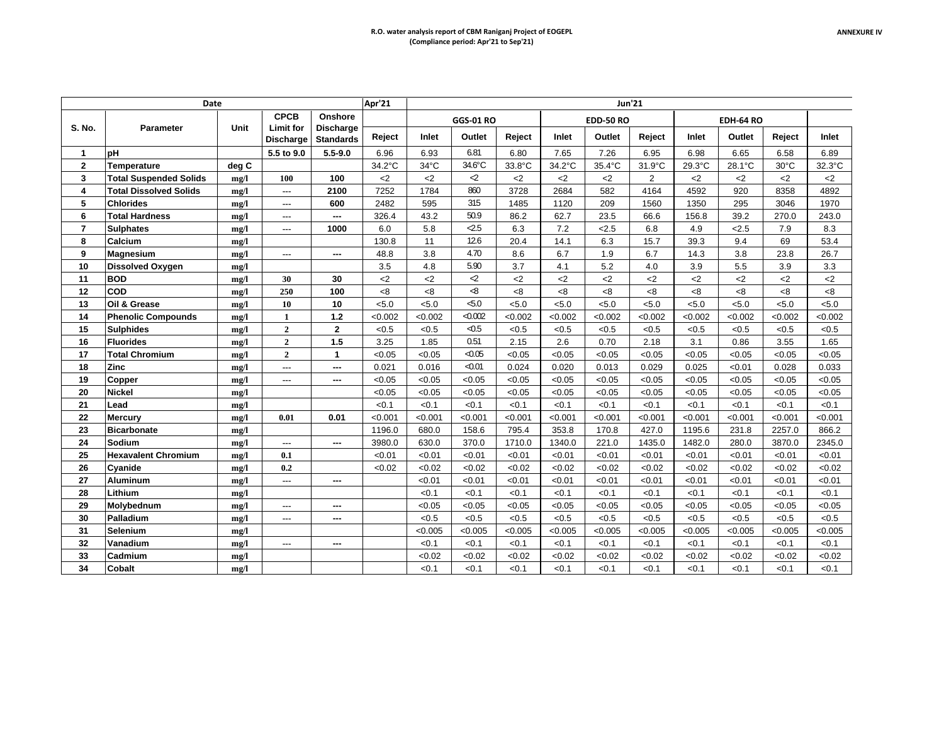|                  | Date                          |       |                               |                                      | Apr'21  |                |                  |         |         |                  | <b>Jun'21</b> |         |           |                |         |
|------------------|-------------------------------|-------|-------------------------------|--------------------------------------|---------|----------------|------------------|---------|---------|------------------|---------------|---------|-----------|----------------|---------|
|                  |                               |       | <b>CPCB</b>                   | Onshore                              |         |                | <b>GGS-01 RO</b> |         |         | <b>EDD-50 RO</b> |               |         | EDH-64 RO |                |         |
| S. No.           | <b>Parameter</b>              | Unit  | Limit for<br><b>Discharge</b> | <b>Discharge</b><br><b>Standards</b> | Reject  | Inlet          | Outlet           | Reject  | Inlet   | Outlet           | Reject        | Inlet   | Outlet    | Reject         | Inlet   |
| $\mathbf{1}$     | рH                            |       | 5.5 to 9.0                    | $5.5 - 9.0$                          | 6.96    | 6.93           | 6.81             | 6.80    | 7.65    | 7.26             | 6.95          | 6.98    | 6.65      | 6.58           | 6.89    |
| $\overline{2}$   | Temperature                   | deg C |                               |                                      | 34.2°C  | $34^{\circ}$ C | 34.6°C           | 33.8°C  | 34.2°C  | 35.4°C           | 31.9°C        | 29.3°C  | 28.1°C    | $30^{\circ}$ C | 32.3°C  |
| 3                | <b>Total Suspended Solids</b> | mg/l  | 100                           | 100                                  | $2$     | $2$            | $\mathcal{L}$    | $<$ 2   | $<$ 2   | $<$ 2            | $\mathbf{2}$  | $<$ 2   | $<$ 2     | $2$            | $<$ 2   |
| $\boldsymbol{A}$ | <b>Total Dissolved Solids</b> | mg/l  | ---                           | 2100                                 | 7252    | 1784           | 860              | 3728    | 2684    | 582              | 4164          | 4592    | 920       | 8358           | 4892    |
| 5                | <b>Chlorides</b>              | mg/l  | ---                           | 600                                  | 2482    | 595            | 315              | 1485    | 1120    | 209              | 1560          | 1350    | 295       | 3046           | 1970    |
| 6                | Total Hardness                | mg/l  |                               | ---                                  | 326.4   | 43.2           | 50.9             | 86.2    | 62.7    | 23.5             | 66.6          | 156.8   | 39.2      | 270.0          | 243.0   |
| $\overline{7}$   | <b>Sulphates</b>              | mg/l  | ---                           | 1000                                 | 6.0     | 5.8            | $-2.5$           | 6.3     | 7.2     | 2.5              | 6.8           | 4.9     | 2.5       | 7.9            | 8.3     |
| 8                | Calcium                       | mg/l  |                               |                                      | 130.8   | 11             | 12.6             | 20.4    | 14.1    | 6.3              | 15.7          | 39.3    | 9.4       | 69             | 53.4    |
| 9                | <b>Magnesium</b>              | mg/l  | ---                           | ---                                  | 48.8    | 3.8            | 4.70             | 8.6     | 6.7     | 1.9              | 6.7           | 14.3    | 3.8       | 23.8           | 26.7    |
| 10               | <b>Dissolved Oxygen</b>       | mg/l  |                               |                                      | 3.5     | 4.8            | 5.90             | 3.7     | 4.1     | 5.2              | 4.0           | 3.9     | 5.5       | 3.9            | 3.3     |
| 11               | <b>BOD</b>                    | mg/l  | 30                            | 30                                   | $2$     | $2$            | $\mathcal{L}$    | $2$     | $2$     | $2$              | $2$           | $2$     | $2$       | $2$            | $2$     |
| 12               | <b>COD</b>                    | mg/l  | 250                           | 100                                  | <8      | <8             | ⊲8               | < 8     | < 8     | <8               | <8            | <8      | $8-$      | < 8            | < 8     |
| 13               | Oil & Grease                  | mg/l  | 10                            | 10                                   | < 5.0   | < 5.0          | 5.0              | < 5.0   | < 5.0   | < 5.0            | < 5.0         | < 5.0   | < 5.0     | < 5.0          | < 5.0   |
| 14               | <b>Phenolic Compounds</b>     | mg/l  | $\mathbf{1}$                  | 1.2                                  | < 0.002 | < 0.002        | < 0.002          | < 0.002 | < 0.002 | < 0.002          | < 0.002       | < 0.002 | < 0.002   | < 0.002        | < 0.002 |
| 15               | Sulphides                     | mg/l  | $\overline{2}$                | $\overline{2}$                       | < 0.5   | < 0.5          | $\leq 0.5$       | < 0.5   | < 0.5   | < 0.5            | < 0.5         | < 0.5   | < 0.5     | < 0.5          | < 0.5   |
| 16               | <b>Fluorides</b>              | mg/l  | $\overline{2}$                | 1.5                                  | 3.25    | 1.85           | 0.51             | 2.15    | 2.6     | 0.70             | 2.18          | 3.1     | 0.86      | 3.55           | 1.65    |
| 17               | <b>Total Chromium</b>         | mg/l  | $\overline{2}$                | 1                                    | < 0.05  | < 0.05         | < 0.05           | < 0.05  | < 0.05  | < 0.05           | < 0.05        | < 0.05  | < 0.05    | < 0.05         | < 0.05  |
| 18               | Zinc                          | mg/l  | ---                           | ---                                  | 0.021   | 0.016          | < 0.01           | 0.024   | 0.020   | 0.013            | 0.029         | 0.025   | < 0.01    | 0.028          | 0.033   |
| 19               | Copper                        | mg/l  | ---                           | ---                                  | < 0.05  | < 0.05         | < 0.05           | < 0.05  | < 0.05  | < 0.05           | < 0.05        | < 0.05  | < 0.05    | < 0.05         | < 0.05  |
| 20               | <b>Nickel</b>                 | mg/l  |                               |                                      | < 0.05  | < 0.05         | < 0.05           | < 0.05  | < 0.05  | < 0.05           | < 0.05        | < 0.05  | < 0.05    | < 0.05         | < 0.05  |
| 21               | Lead                          | mg/l  |                               |                                      | < 0.1   | < 0.1          | < 0.1            | < 0.1   | < 0.1   | < 0.1            | < 0.1         | < 0.1   | < 0.1     | < 0.1          | < 0.1   |
| 22               | Mercury                       | mg/l  | 0.01                          | 0.01                                 | < 0.001 | < 0.001        | < 0.001          | < 0.001 | < 0.001 | < 0.001          | < 0.001       | < 0.001 | < 0.001   | < 0.001        | < 0.001 |
| 23               | <b>Bicarbonate</b>            | mg/l  |                               |                                      | 1196.0  | 680.0          | 158.6            | 795.4   | 353.8   | 170.8            | 427.0         | 1195.6  | 231.8     | 2257.0         | 866.2   |
| 24               | Sodium                        | mg/l  | ---                           | ---                                  | 3980.0  | 630.0          | 370.0            | 1710.0  | 1340.0  | 221.0            | 1435.0        | 1482.0  | 280.0     | 3870.0         | 2345.0  |
| 25               | <b>Hexavalent Chromium</b>    | mg/l  | 0.1                           |                                      | < 0.01  | < 0.01         | < 0.01           | < 0.01  | < 0.01  | < 0.01           | < 0.01        | < 0.01  | < 0.01    | < 0.01         | < 0.01  |
| 26               | Cyanide                       | mg/l  | 0.2                           |                                      | < 0.02  | <0.02          | < 0.02           | <0.02   | <0.02   | < 0.02           | < 0.02        | < 0.02  | <0.02     | < 0.02         | < 0.02  |
| 27               | <b>Aluminum</b>               | mg/l  | ---                           | ---                                  |         | < 0.01         | < 0.01           | < 0.01  | < 0.01  | < 0.01           | < 0.01        | < 0.01  | < 0.01    | < 0.01         | < 0.01  |
| 28               | Lithium                       | mg/l  |                               |                                      |         | < 0.1          | < 0.1            | < 0.1   | < 0.1   | < 0.1            | < 0.1         | < 0.1   | < 0.1     | < 0.1          | < 0.1   |
| 29               | Molvbednum                    | mg/l  | ---                           | ---                                  |         | < 0.05         | < 0.05           | <0.05   | < 0.05  | < 0.05           | < 0.05        | < 0.05  | < 0.05    | < 0.05         | < 0.05  |
| 30               | Palladium                     | mg/l  | ---                           | ---                                  |         | < 0.5          | <0.5             | < 0.5   | < 0.5   | < 0.5            | < 0.5         | < 0.5   | < 0.5     | < 0.5          | < 0.5   |
| 31               | Selenium                      | mg/l  |                               |                                      |         | < 0.005        | < 0.005          | < 0.005 | < 0.005 | < 0.005          | < 0.005       | < 0.005 | < 0.005   | < 0.005        | < 0.005 |
| 32               | Vanadium                      | mg/l  | ---                           | ---                                  |         | < 0.1          | < 0.1            | < 0.1   | < 0.1   | < 0.1            | < 0.1         | < 0.1   | < 0.1     | < 0.1          | < 0.1   |
| 33               | Cadmium                       | mg/l  |                               |                                      |         | < 0.02         | < 0.02           | < 0.02  | < 0.02  | < 0.02           | < 0.02        | < 0.02  | < 0.02    | <0.02          | < 0.02  |
| 34               | <b>Cobalt</b>                 | mg/l  |                               |                                      |         | < 0.1          | < 0.1            | < 0.1   | < 0.1   | < 0.1            | < 0.1         | < 0.1   | < 0.1     | < 0.1          | < 0.1   |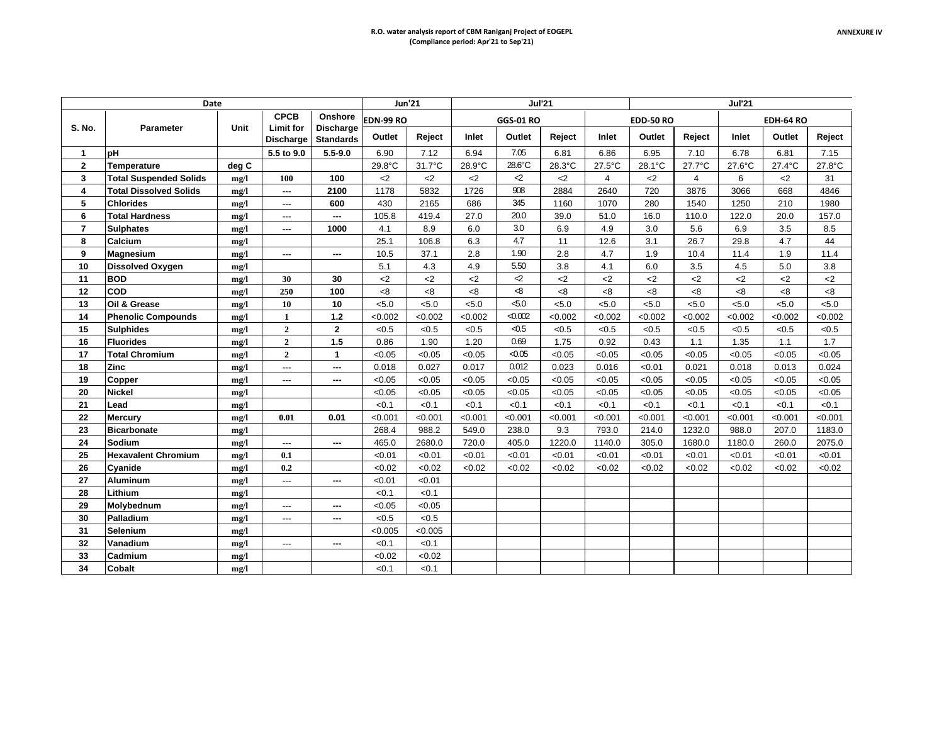|                | Date                          |       |                               |                                      |               | <b>Jun'21</b> |         |                     | <b>Jul'21</b> |                  |                  |                | <b>Jul'21</b> |                  |         |
|----------------|-------------------------------|-------|-------------------------------|--------------------------------------|---------------|---------------|---------|---------------------|---------------|------------------|------------------|----------------|---------------|------------------|---------|
|                |                               |       | <b>CPCB</b>                   | Onshore                              | EDN-99 RO     |               |         | <b>GGS-01 RO</b>    |               |                  | <b>EDD-50 RO</b> |                |               | <b>EDH-64 RO</b> |         |
| S. No.         | <b>Parameter</b>              | Unit  | Limit for<br><b>Discharge</b> | <b>Discharge</b><br><b>Standards</b> | Outlet        | Reject        | Inlet   | Outlet              | Reject        | Inlet            | Outlet           | Reject         | Inlet         | Outlet           | Reject  |
| $\mathbf 1$    | <b>pH</b>                     |       | 5.5 to 9.0                    | $5.5 - 9.0$                          | 6.90          | 7.12          | 6.94    | 7.05                | 6.81          | 6.86             | 6.95             | 7.10           | 6.78          | 6.81             | 7.15    |
| $\mathbf{2}$   | Temperature                   | deg C |                               |                                      | 29.8°C        | 31.7°C        | 28.9°C  | 28.6°C              | 28.3°C        | $27.5^{\circ}$ C | 28.1°C           | 27.7°C         | 27.6°C        | 27.4°C           | 27.8°C  |
| 3              | <b>Total Suspended Solids</b> | mg/l  | 100                           | 100                                  | $2$           | $2$           | $2$     | $\mathcal{L}$       | $2$           | $\overline{4}$   | $<$ 2            | $\overline{4}$ | 6             | $2$              | 31      |
| 4              | <b>Total Dissolved Solids</b> | mg/l  | $\overline{\phantom{a}}$      | 2100                                 | 1178          | 5832          | 1726    | 908                 | 2884          | 2640             | 720              | 3876           | 3066          | 668              | 4846    |
| 5              | <b>Chlorides</b>              | mg/l  | $---$                         | 600                                  | 430           | 2165          | 686     | 345                 | 1160          | 1070             | 280              | 1540           | 1250          | 210              | 1980    |
| 6              | <b>Total Hardness</b>         | mg/l  | $---$                         | ---                                  | 105.8         | 419.4         | 27.0    | 20.0                | 39.0          | 51.0             | 16.0             | 110.0          | 122.0         | 20.0             | 157.0   |
| $\overline{7}$ | <b>Sulphates</b>              | mg/l  | ---                           | 1000                                 | 4.1           | 8.9           | 6.0     | 3.0                 | 6.9           | 4.9              | 3.0              | 5.6            | 6.9           | 3.5              | 8.5     |
| 8              | Calcium                       | mg/l  |                               |                                      | 25.1          | 106.8         | 6.3     | 4.7                 | 11            | 12.6             | 3.1              | 26.7           | 29.8          | 4.7              | 44      |
| 9              | <b>Magnesium</b>              | mg/l  | $\overline{a}$                | ---                                  | 10.5          | 37.1          | 2.8     | 1.90                | 2.8           | 4.7              | 1.9              | 10.4           | 11.4          | 1.9              | 11.4    |
| 10             | <b>Dissolved Oxygen</b>       | mg/l  |                               |                                      | 5.1           | 4.3           | 4.9     | 5.50                | 3.8           | 4.1              | 6.0              | 3.5            | 4.5           | 5.0              | 3.8     |
| 11             | <b>BOD</b>                    | mg/l  | 30                            | 30                                   | $\mathsf{<}2$ | $2$           | $2$     | $\mathcal{L}$       | $2$           | $2$              | $2$              | $2$            | $2$           | $2$              | $2$     |
| 12             | COD                           | mg/l  | 250                           | 100                                  | <8            | <8            | <8      | ⊲8                  | <8            | <8               | <8               | <8             | < 8           | < 8              | 8<      |
| 13             | Oil & Grease                  | mg/l  | 10                            | 10                                   | < 5.0         | < 5.0         | < 5.0   | 50                  | < 5.0         | < 5.0            | < 5.0            | < 5.0          | < 5.0         | < 5.0            | < 5.0   |
| 14             | <b>Phenolic Compounds</b>     | mg/l  | $\mathbf{1}$                  | 1.2                                  | < 0.002       | < 0.002       | < 0.002 | < 0.002             | < 0.002       | < 0.002          | < 0.002          | < 0.002        | < 0.002       | < 0.002          | < 0.002 |
| 15             | <b>Sulphides</b>              | mg/l  | $\overline{2}$                | $\overline{2}$                       | < 0.5         | < 0.5         | < 0.5   | $\triangleleft$ 0.5 | < 0.5         | < 0.5            | < 0.5            | < 0.5          | < 0.5         | < 0.5            | < 0.5   |
| 16             | <b>Fluorides</b>              | mg/l  | $\overline{2}$                | 1.5                                  | 0.86          | 1.90          | 1.20    | 0.69                | 1.75          | 0.92             | 0.43             | 1.1            | 1.35          | 1.1              | 1.7     |
| 17             | <b>Total Chromium</b>         | mg/l  | $\overline{2}$                | $\mathbf{1}$                         | < 0.05        | < 0.05        | < 0.05  | < 0.05              | < 0.05        | < 0.05           | < 0.05           | < 0.05         | < 0.05        | < 0.05           | <0.05   |
| 18             | Zinc                          | mg/l  | ---                           | ---                                  | 0.018         | 0.027         | 0.017   | 0.012               | 0.023         | 0.016            | < 0.01           | 0.021          | 0.018         | 0.013            | 0.024   |
| 19             | Copper                        | mg/l  | ---                           | ---                                  | < 0.05        | < 0.05        | < 0.05  | < 0.05              | < 0.05        | < 0.05           | < 0.05           | < 0.05         | < 0.05        | < 0.05           | < 0.05  |
| 20             | <b>Nickel</b>                 | mg/l  |                               |                                      | < 0.05        | < 0.05        | < 0.05  | < 0.05              | < 0.05        | < 0.05           | < 0.05           | < 0.05         | < 0.05        | < 0.05           | < 0.05  |
| 21             | Lead                          | mg/l  |                               |                                      | < 0.1         | < 0.1         | < 0.1   | < 0.1               | < 0.1         | < 0.1            | < 0.1            | < 0.1          | < 0.1         | < 0.1            | < 0.1   |
| 22             | <b>Mercurv</b>                | mg/l  | 0.01                          | 0.01                                 | < 0.001       | < 0.001       | < 0.001 | < 0.001             | < 0.001       | < 0.001          | < 0.001          | < 0.001        | < 0.001       | < 0.001          | < 0.001 |
| 23             | <b>Bicarbonate</b>            | mg/l  |                               |                                      | 268.4         | 988.2         | 549.0   | 238.0               | 9.3           | 793.0            | 214.0            | 1232.0         | 988.0         | 207.0            | 1183.0  |
| 24             | Sodium                        | mg/l  | $---$                         | ---                                  | 465.0         | 2680.0        | 720.0   | 405.0               | 1220.0        | 1140.0           | 305.0            | 1680.0         | 1180.0        | 260.0            | 2075.0  |
| 25             | <b>Hexavalent Chromium</b>    | mg/l  | 0.1                           |                                      | < 0.01        | < 0.01        | < 0.01  | < 0.01              | < 0.01        | < 0.01           | < 0.01           | < 0.01         | < 0.01        | < 0.01           | < 0.01  |
| 26             | Cyanide                       | mg/l  | 0.2                           |                                      | < 0.02        | < 0.02        | < 0.02  | < 0.02              | < 0.02        | < 0.02           | < 0.02           | < 0.02         | < 0.02        | < 0.02           | < 0.02  |
| 27             | <b>Aluminum</b>               | mg/l  | $\overline{a}$                | $\overline{a}$                       | < 0.01        | < 0.01        |         |                     |               |                  |                  |                |               |                  |         |
| 28             | Lithium                       | mg/l  |                               |                                      | < 0.1         | < 0.1         |         |                     |               |                  |                  |                |               |                  |         |
| 29             | Molybednum                    | mg/l  | ---                           | ---                                  | < 0.05        | < 0.05        |         |                     |               |                  |                  |                |               |                  |         |
| 30             | Palladium                     | mg/l  | ---                           | $\overline{a}$                       | < 0.5         | < 0.5         |         |                     |               |                  |                  |                |               |                  |         |
| 31             | <b>Selenium</b>               | mg/l  |                               |                                      | < 0.005       | < 0.005       |         |                     |               |                  |                  |                |               |                  |         |
| 32             | Vanadium                      | mg/l  | $---$                         | ---                                  | < 0.1         | < 0.1         |         |                     |               |                  |                  |                |               |                  |         |
| 33             | Cadmium                       | mg/l  |                               |                                      | < 0.02        | < 0.02        |         |                     |               |                  |                  |                |               |                  |         |
| 34             | Cobalt                        | mg/l  |                               |                                      | < 0.1         | < 0.1         |         |                     |               |                  |                  |                |               |                  |         |
|                |                               |       |                               |                                      |               |               |         |                     |               |                  |                  |                |               |                  |         |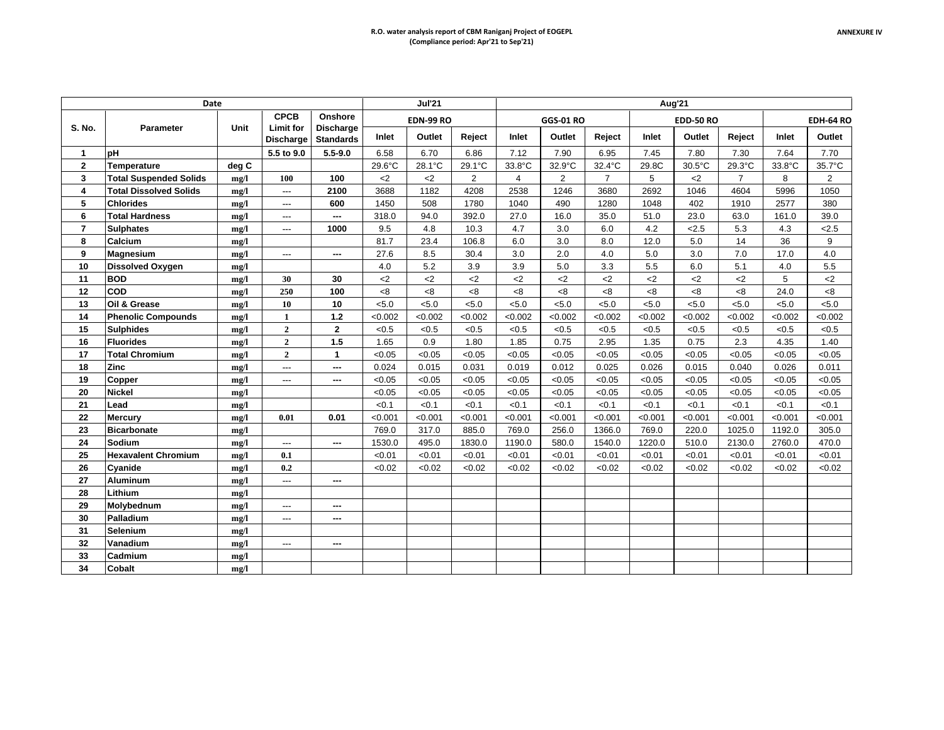|                | Date                          |           |                                      |                                      |         | <b>Jul'21</b>    |                |                |                  |                | Aug'21  |                  |                |         |                  |
|----------------|-------------------------------|-----------|--------------------------------------|--------------------------------------|---------|------------------|----------------|----------------|------------------|----------------|---------|------------------|----------------|---------|------------------|
|                |                               |           | <b>CPCB</b>                          | Onshore                              |         | <b>EDN-99 RO</b> |                |                | <b>GGS-01 RO</b> |                |         | <b>EDD-50 RO</b> |                |         | <b>EDH-64 RO</b> |
| <b>S. No.</b>  | <b>Parameter</b>              | Unit      | <b>Limit for</b><br><b>Discharge</b> | <b>Discharge</b><br><b>Standards</b> | Inlet   | Outlet           | Reject         | Inlet          | Outlet           | Reject         | Inlet   | Outlet           | Reject         | Inlet   | Outlet           |
| 1              | pH                            |           | 5.5 to 9.0                           | $5.5 - 9.0$                          | 6.58    | 6.70             | 6.86           | 7.12           | 7.90             | 6.95           | 7.45    | 7.80             | 7.30           | 7.64    | 7.70             |
| $\mathbf{2}$   | Temperature                   | deg C     |                                      |                                      | 29.6°C  | 28.1°C           | 29.1°C         | 33.8°C         | 32.9°C           | 32.4°C         | 29.8C   | 30.5°C           | 29.3°C         | 33.8°C  | 35.7°C           |
| 3              | <b>Total Suspended Solids</b> | mg/l      | 100                                  | 100                                  | $<$ 2   | $<$ 2            | $\overline{2}$ | $\overline{4}$ | $\overline{2}$   | $\overline{7}$ | 5       | $<$ 2            | $\overline{7}$ | 8       | 2                |
| 4              | <b>Total Dissolved Solids</b> | mg/l      | ---                                  | 2100                                 | 3688    | 1182             | 4208           | 2538           | 1246             | 3680           | 2692    | 1046             | 4604           | 5996    | 1050             |
| 5              | <b>Chlorides</b>              | mg/l      | ---                                  | 600                                  | 1450    | 508              | 1780           | 1040           | 490              | 1280           | 1048    | 402              | 1910           | 2577    | 380              |
| 6              | <b>Total Hardness</b>         | mg/l      |                                      | ---                                  | 318.0   | 94.0             | 392.0          | 27.0           | 16.0             | 35.0           | 51.0    | 23.0             | 63.0           | 161.0   | 39.0             |
| $\overline{7}$ | <b>Sulphates</b>              | mg/l      | $\overline{a}$                       | 1000                                 | 9.5     | 4.8              | 10.3           | 4.7            | 3.0              | 6.0            | 4.2     | < 2.5            | 5.3            | 4.3     | 2.5              |
| 8              | <b>Calcium</b>                | mg/l      |                                      |                                      | 81.7    | 23.4             | 106.8          | 6.0            | 3.0              | 8.0            | 12.0    | 5.0              | 14             | 36      | 9                |
| 9              | Magnesium                     | mg/l      | ---                                  | ---                                  | 27.6    | 8.5              | 30.4           | 3.0            | 2.0              | 4.0            | 5.0     | 3.0              | 7.0            | 17.0    | 4.0              |
| 10             | <b>Dissolved Oxygen</b>       | mg/l      |                                      |                                      | 4.0     | 5.2              | 3.9            | 3.9            | 5.0              | 3.3            | 5.5     | 6.0              | 5.1            | 4.0     | 5.5              |
| 11             | <b>BOD</b>                    | mg/l      | 30                                   | 30                                   | $<$ 2   | $<$ 2            | $<$ 2          | $<$ 2          | $<$ 2            | $<$ 2          | $<$ 2   | $<$ 2            | $<$ 2          | 5       | $2$              |
| 12             | <b>COD</b>                    | me/l      | 250                                  | 100                                  | 8<      | <8               | <8             | <8             | < 8              | <8             | < 8     | < 8              | < 8            | 24.0    | $8-$             |
| 13             | Oil & Grease                  | mg/l      | 10                                   | 10                                   | < 5.0   | < 5.0            | < 5.0          | < 5.0          | < 5.0            | < 5.0          | < 5.0   | < 5.0            | < 5.0          | < 5.0   | < 5.0            |
| 14             | <b>Phenolic Compounds</b>     | mg/l      | $\mathbf{1}$                         | $1.2$                                | < 0.002 | < 0.002          | < 0.002        | < 0.002        | < 0.002          | < 0.002        | < 0.002 | < 0.002          | < 0.002        | < 0.002 | < 0.002          |
| 15             | <b>Sulphides</b>              | mg/l      | $\overline{2}$                       | $\overline{2}$                       | < 0.5   | < 0.5            | < 0.5          | < 0.5          | < 0.5            | < 0.5          | < 0.5   | < 0.5            | < 0.5          | < 0.5   | < 0.5            |
| 16             | <b>Fluorides</b>              | mg/l      | $\overline{2}$                       | 1.5                                  | 1.65    | 0.9              | 1.80           | 1.85           | 0.75             | 2.95           | 1.35    | 0.75             | 2.3            | 4.35    | 1.40             |
| 17             | Total Chromium                | mg/l      | $\overline{2}$                       | $\mathbf{1}$                         | < 0.05  | < 0.05           | < 0.05         | < 0.05         | < 0.05           | < 0.05         | < 0.05  | < 0.05           | < 0.05         | < 0.05  | < 0.05           |
| 18             | Zinc                          | mg/l      | ---                                  | ---                                  | 0.024   | 0.015            | 0.031          | 0.019          | 0.012            | 0.025          | 0.026   | 0.015            | 0.040          | 0.026   | 0.011            |
| 19             | Copper                        | mg/l      | ---                                  | ---                                  | < 0.05  | < 0.05           | < 0.05         | < 0.05         | < 0.05           | < 0.05         | < 0.05  | < 0.05           | < 0.05         | < 0.05  | < 0.05           |
| 20             | <b>Nickel</b>                 | mg/l      |                                      |                                      | < 0.05  | < 0.05           | < 0.05         | < 0.05         | < 0.05           | < 0.05         | < 0.05  | < 0.05           | < 0.05         | < 0.05  | < 0.05           |
| 21             | Lead                          | mg/l      |                                      |                                      | < 0.1   | < 0.1            | < 0.1          | < 0.1          | < 0.1            | < 0.1          | < 0.1   | < 0.1            | < 0.1          | < 0.1   | < 0.1            |
| 22             | <b>Mercury</b>                | mg/l      | 0.01                                 | 0.01                                 | < 0.001 | < 0.001          | < 0.001        | < 0.001        | < 0.001          | < 0.001        | < 0.001 | < 0.001          | < 0.001        | < 0.001 | < 0.001          |
| 23             | <b>Bicarbonate</b>            | mg/l      |                                      |                                      | 769.0   | 317.0            | 885.0          | 769.0          | 256.0            | 1366.0         | 769.0   | 220.0            | 1025.0         | 1192.0  | 305.0            |
| 24             | Sodium                        | mg/l      | $\overline{a}$                       | ---                                  | 1530.0  | 495.0            | 1830.0         | 1190.0         | 580.0            | 1540.0         | 1220.0  | 510.0            | 2130.0         | 2760.0  | 470.0            |
| 25             | <b>Hexavalent Chromium</b>    | mg/l      | 0.1                                  |                                      | < 0.01  | < 0.01           | < 0.01         | < 0.01         | < 0.01           | < 0.01         | < 0.01  | < 0.01           | < 0.01         | < 0.01  | < 0.01           |
| 26             | Cyanide                       | mg/l      | 0.2                                  |                                      | < 0.02  | < 0.02           | < 0.02         | < 0.02         | < 0.02           | < 0.02         | < 0.02  | < 0.02           | < 0.02         | < 0.02  | < 0.02           |
| 27             | <b>Aluminum</b>               | mg/l      | ---                                  | ---                                  |         |                  |                |                |                  |                |         |                  |                |         |                  |
| 28             | Lithium                       | mg/l      |                                      |                                      |         |                  |                |                |                  |                |         |                  |                |         |                  |
| 29             | Molybednum                    | mg/l      | ---                                  | ---                                  |         |                  |                |                |                  |                |         |                  |                |         |                  |
| 30             | Palladium                     | mg/l      | ---                                  | ---                                  |         |                  |                |                |                  |                |         |                  |                |         |                  |
| 31             | <b>Selenium</b>               | mg/l      |                                      |                                      |         |                  |                |                |                  |                |         |                  |                |         |                  |
| 32             | Vanadium                      | mg/l      | ---                                  | ---                                  |         |                  |                |                |                  |                |         |                  |                |         |                  |
| 33             | Cadmium                       | mg/l      |                                      |                                      |         |                  |                |                |                  |                |         |                  |                |         |                  |
| 34             | Cobalt                        | $m\Omega$ |                                      |                                      |         |                  |                |                |                  |                |         |                  |                |         |                  |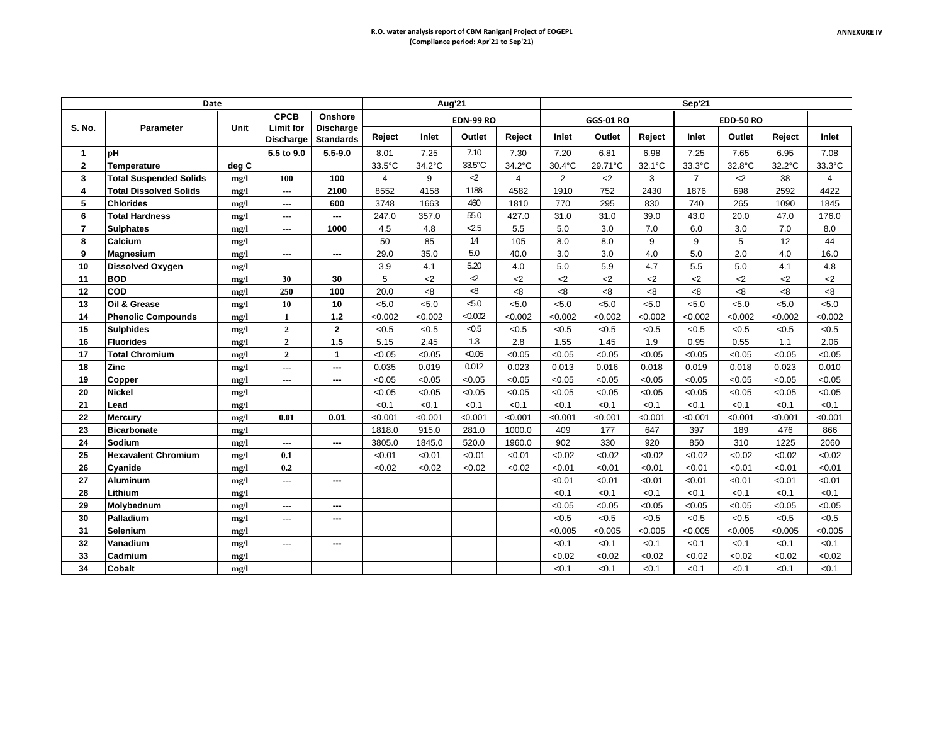|                | Date                          |       |                                      |                                      |         |         | Aug'21              |         |                |                  |         | Sep'21         |                  |         |                |
|----------------|-------------------------------|-------|--------------------------------------|--------------------------------------|---------|---------|---------------------|---------|----------------|------------------|---------|----------------|------------------|---------|----------------|
|                |                               |       | <b>CPCB</b>                          | Onshore                              |         |         | <b>EDN-99 RO</b>    |         |                | <b>GGS-01 RO</b> |         |                | <b>EDD-50 RO</b> |         |                |
| S. No.         | Parameter                     | Unit  | <b>Limit for</b><br><b>Discharge</b> | <b>Discharge</b><br><b>Standards</b> | Reject  | Inlet   | Outlet              | Reject  | Inlet          | Outlet           | Reject  | Inlet          | Outlet           | Reject  | Inlet          |
| $\mathbf{1}$   | рH                            |       | 5.5 to 9.0                           | $5.5 - 9.0$                          | 8.01    | 7.25    | 7.10                | 7.30    | 7.20           | 6.81             | 6.98    | 7.25           | 7.65             | 6.95    | 7.08           |
| $\overline{2}$ | <b>Temperature</b>            | deg C |                                      |                                      | 33.5°C  | 34.2°C  | 33.5°C              | 34.2°C  | 30.4°C         | 29.71°C          | 32.1°C  | 33.3°C         | 32.8°C           | 32.2°C  | 33.3°C         |
| 3              | <b>Total Suspended Solids</b> | me/l  | 100                                  | 100                                  | 4       | 9       | $\mathcal{L}$       | 4       | $\overline{2}$ | $2$              | 3       | $\overline{7}$ | $2$              | 38      | $\overline{4}$ |
| 4              | <b>Total Dissolved Solids</b> | mg/l  | $\ldots$                             | 2100                                 | 8552    | 4158    | 1188                | 4582    | 1910           | 752              | 2430    | 1876           | 698              | 2592    | 4422           |
| 5              | <b>Chlorides</b>              | mg/l  | $---$                                | 600                                  | 3748    | 1663    | 460                 | 1810    | 770            | 295              | 830     | 740            | 265              | 1090    | 1845           |
| 6              | <b>Total Hardness</b>         | me/l  | $---$                                | ---                                  | 247.0   | 357.0   | 55.0                | 427.0   | 31.0           | 31.0             | 39.0    | 43.0           | 20.0             | 47.0    | 176.0          |
| $\overline{7}$ | <b>Sulphates</b>              | mg/l  | ---                                  | 1000                                 | 4.5     | 4.8     | $-2.5$              | 5.5     | 5.0            | 3.0              | 7.0     | 6.0            | 3.0              | 7.0     | 8.0            |
| 8              | Calcium                       | mg/l  |                                      |                                      | 50      | 85      | 14                  | 105     | 8.0            | 8.0              | 9       | 9              | 5                | 12      | 44             |
| 9              | <b>Magnesium</b>              | mg/l  | $\overline{\phantom{a}}$             | $\sim$                               | 29.0    | 35.0    | 5.0                 | 40.0    | 3.0            | 3.0              | 4.0     | 5.0            | 2.0              | 4.0     | 16.0           |
| 10             | <b>Dissolved Oxygen</b>       | mg/l  |                                      |                                      | 3.9     | 4.1     | 5.20                | 4.0     | 5.0            | 5.9              | 4.7     | 5.5            | 5.0              | 4.1     | 4.8            |
| 11             | <b>BOD</b>                    | mg/l  | 30                                   | 30                                   | 5       | $2$     | $\mathcal{L}$       | $2$     | $2$            | $<$ 2            | $<$ 2   | $<$ 2          | $<$ 2            | $<$ 2   | $<$ 2          |
| 12             | <b>COD</b>                    | mg/l  | 250                                  | 100                                  | 20.0    | < 8     | -8                  | 8<      | < 8            | <8               | < 8     | <8             | <8               | 8<      | 8<             |
| 13             | Oil & Grease                  | mg/l  | 10                                   | 10                                   | < 5.0   | < 5.0   | $\leq 5.0$          | < 5.0   | < 5.0          | < 5.0            | < 5.0   | < 5.0          | < 5.0            | < 5.0   | < 5.0          |
| 14             | <b>Phenolic Compounds</b>     | mg/l  | $\mathbf{1}$                         | $1.2$                                | < 0.002 | < 0.002 | < 0.002             | < 0.002 | < 0.002        | < 0.002          | < 0.002 | < 0.002        | < 0.002          | < 0.002 | < 0.002        |
| 15             | Sulphides                     | mg/l  | $\overline{2}$                       | $\overline{2}$                       | < 0.5   | < 0.5   | $\triangleleft$ 0.5 | < 0.5   | < 0.5          | < 0.5            | < 0.5   | < 0.5          | < 0.5            | < 0.5   | < 0.5          |
| 16             | <b>Fluorides</b>              | mg/l  | $\overline{2}$                       | 1.5                                  | 5.15    | 2.45    | 1.3                 | 2.8     | 1.55           | 1.45             | 1.9     | 0.95           | 0.55             | 1.1     | 2.06           |
| 17             | <b>Total Chromium</b>         | mg/l  | $\overline{2}$                       | $\mathbf{1}$                         | < 0.05  | < 0.05  | < 0.05              | < 0.05  | < 0.05         | < 0.05           | < 0.05  | < 0.05         | < 0.05           | < 0.05  | < 0.05         |
| 18             | Zinc                          | mg/l  | $\overline{\phantom{a}}$             | $\cdots$                             | 0.035   | 0.019   | 0.012               | 0.023   | 0.013          | 0.016            | 0.018   | 0.019          | 0.018            | 0.023   | 0.010          |
| 19             | Copper                        | mg/l  | ---                                  | $\cdots$                             | < 0.05  | < 0.05  | < 0.05              | < 0.05  | < 0.05         | < 0.05           | < 0.05  | < 0.05         | < 0.05           | < 0.05  | < 0.05         |
| 20             | <b>Nickel</b>                 | mg/l  |                                      |                                      | < 0.05  | < 0.05  | < 0.05              | < 0.05  | < 0.05         | < 0.05           | < 0.05  | < 0.05         | < 0.05           | < 0.05  | < 0.05         |
| 21             | Lead                          | mg/l  |                                      |                                      | < 0.1   | < 0.1   | < 0.1               | < 0.1   | < 0.1          | < 0.1            | < 0.1   | < 0.1          | < 0.1            | < 0.1   | < 0.1          |
| 22             | <b>Mercury</b>                | mg/l  | 0.01                                 | 0.01                                 | < 0.001 | < 0.001 | < 0.001             | < 0.001 | < 0.001        | < 0.001          | < 0.001 | < 0.001        | < 0.001          | < 0.001 | < 0.001        |
| 23             | <b>Bicarbonate</b>            | mg/l  |                                      |                                      | 1818.0  | 915.0   | 281.0               | 1000.0  | 409            | 177              | 647     | 397            | 189              | 476     | 866            |
| 24             | Sodium                        | mg/l  | $---$                                | $\cdots$                             | 3805.0  | 1845.0  | 520.0               | 1960.0  | 902            | 330              | 920     | 850            | 310              | 1225    | 2060           |
| 25             | <b>Hexavalent Chromium</b>    | mg/l  | 0.1                                  |                                      | < 0.01  | < 0.01  | < 0.01              | < 0.01  | < 0.02         | < 0.02           | <0.02   | < 0.02         | < 0.02           | < 0.02  | < 0.02         |
| 26             | Cyanide                       | mg/l  | 0.2                                  |                                      | < 0.02  | < 0.02  | < 0.02              | < 0.02  | < 0.01         | < 0.01           | < 0.01  | < 0.01         | < 0.01           | < 0.01  | < 0.01         |
| 27             | <b>Aluminum</b>               | mg/l  | ---                                  | $\overline{\phantom{a}}$             |         |         |                     |         | < 0.01         | < 0.01           | < 0.01  | < 0.01         | < 0.01           | < 0.01  | < 0.01         |
| 28             | Lithium                       | mg/l  |                                      |                                      |         |         |                     |         | < 0.1          | < 0.1            | < 0.1   | < 0.1          | < 0.1            | < 0.1   | < 0.1          |
| 29             | Molybednum                    | mg/l  | $---$                                | $\sim$                               |         |         |                     |         | < 0.05         | < 0.05           | < 0.05  | < 0.05         | < 0.05           | < 0.05  | < 0.05         |
| 30             | Palladium                     | mg/l  | $\overline{\phantom{a}}$             | $\overline{a}$                       |         |         |                     |         | < 0.5          | < 0.5            | < 0.5   | < 0.5          | < 0.5            | < 0.5   | < 0.5          |
| 31             | Selenium                      | mg/l  |                                      |                                      |         |         |                     |         | < 0.005        | < 0.005          | < 0.005 | < 0.005        | < 0.005          | < 0.005 | < 0.005        |
| 32             | Vanadium                      | mg/l  | $\overline{a}$                       | ---                                  |         |         |                     |         | < 0.1          | < 0.1            | < 0.1   | < 0.1          | < 0.1            | < 0.1   | < 0.1          |
| 33             | Cadmium                       | mg/l  |                                      |                                      |         |         |                     |         | < 0.02         | < 0.02           | < 0.02  | < 0.02         | < 0.02           | < 0.02  | < 0.02         |
| 34             | <b>Cobalt</b>                 | mg/l  |                                      |                                      |         |         |                     |         | < 0.1          | < 0.1            | < 0.1   | < 0.1          | < 0.1            | < 0.1   | < 0.1          |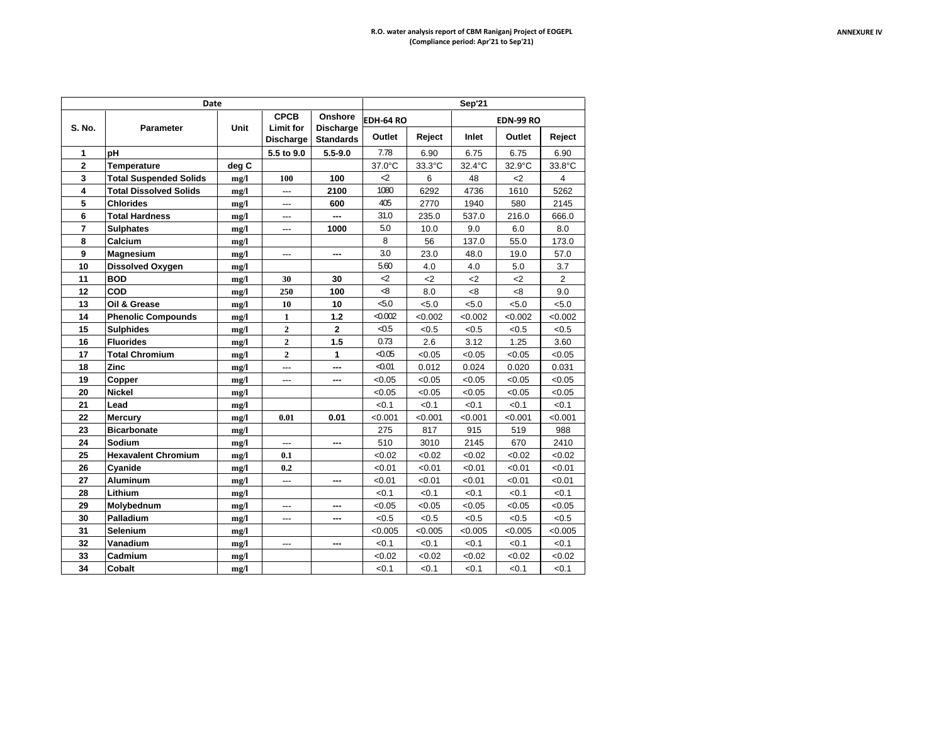|                | Date                          |       |                                 |                             |                     |         | <b>Sep'21</b> |                  |                |
|----------------|-------------------------------|-------|---------------------------------|-----------------------------|---------------------|---------|---------------|------------------|----------------|
| <b>S. No.</b>  | <b>Parameter</b>              | Unit  | <b>CPCB</b><br><b>Limit for</b> | Onshore<br><b>Discharge</b> | EDH-64 RO           |         |               | <b>EDN-99 RO</b> |                |
|                |                               |       | <b>Discharge</b>                | <b>Standards</b>            | Outlet              | Reject  | Inlet         | Outlet           | Reject         |
| 1              | pН                            |       | 5.5 to 9.0                      | $5.5 - 9.0$                 | 7.78                | 6.90    | 6.75          | 6.75             | 6.90           |
| $\mathbf{2}$   | Temperature                   | deg C |                                 |                             | 37.0°C              | 33.3°C  | 32.4°C        | 32.9°C           | 33.8°C         |
| 3              | <b>Total Suspended Solids</b> | mg/l  | 100                             | 100                         | -2                  | 6       | 48            | <2               | $\overline{4}$ |
| 4              | <b>Total Dissolved Solids</b> | mg/l  | $\overline{a}$                  | 2100                        | 1080                | 6292    | 4736          | 1610             | 5262           |
| 5              | <b>Chlorides</b>              | mg/l  | $\overline{a}$                  | 600                         | 405                 | 2770    | 1940          | 580              | 2145           |
| 6              | <b>Total Hardness</b>         | mg/l  | ---                             | ---                         | 31.0                | 235.0   | 537.0         | 216.0            | 666.0          |
| $\overline{7}$ | <b>Sulphates</b>              | mg/l  | ---                             | 1000                        | 5.0                 | 10.0    | 9.0           | 6.0              | 8.0            |
| 8              | Calcium                       | mg/l  |                                 |                             | 8                   | 56      | 137.0         | 55.0             | 173.0          |
| 9              | <b>Magnesium</b>              | mg/l  | $\overline{\phantom{a}}$        | ---                         | 3.0                 | 23.0    | 48.0          | 19.0             | 57.0           |
| 10             | <b>Dissolved Oxygen</b>       | mg/l  |                                 |                             | 5.60                | 4.0     | 4.0           | 5.0              | 3.7            |
| 11             | <b>BOD</b>                    | mg/l  | 30                              | 30                          | -2                  | $<$ 2   | $<$ 2         | $<$ 2            | $\overline{2}$ |
| 12             | COD                           | mg/l  | 250                             | 100                         | ⊲8                  | 8.0     | < 8           | $8-$             | 9.0            |
| 13             | Oil & Grease                  | mg/l  | 10                              | 10                          | $\leq 0$            | < 5.0   | < 5.0         | < 5.0            | < 5.0          |
| 14             | <b>Phenolic Compounds</b>     | mg/l  | $\mathbf{1}$                    | 1.2                         | < 0.002             | < 0.002 | < 0.002       | < 0.002          | < 0.002        |
| 15             | <b>Sulphides</b>              | mg/l  | $\overline{2}$                  | $\mathbf{2}$                | $\triangleleft$ 0.5 | < 0.5   | < 0.5         | < 0.5            | < 0.5          |
| 16             | <b>Fluorides</b>              | mg/l  | $\overline{2}$                  | 1.5                         | 0.73                | 2.6     | 3.12          | 1.25             | 3.60           |
| 17             | <b>Total Chromium</b>         | mg/l  | $\overline{2}$                  | $\mathbf{1}$                | < 0.05              | < 0.05  | < 0.05        | < 0.05           | < 0.05         |
| 18             | Zinc                          | mg/l  | ---                             | ---                         | < 0.01              | 0.012   | 0.024         | 0.020            | 0.031          |
| 19             | Copper                        | mg/l  | ---                             | ---                         | < 0.05              | < 0.05  | < 0.05        | < 0.05           | < 0.05         |
| 20             | <b>Nickel</b>                 | mg/l  |                                 |                             | < 0.05              | < 0.05  | < 0.05        | < 0.05           | < 0.05         |
| 21             | Lead                          | mg/l  |                                 |                             | <0.1                | < 0.1   | < 0.1         | < 0.1            | < 0.1          |
| 22             | <b>Mercury</b>                | mg/l  | 0.01                            | 0.01                        | < 0.001             | < 0.001 | < 0.001       | < 0.001          | < 0.001        |
| 23             | <b>Bicarbonate</b>            | mg/l  |                                 |                             | 275                 | 817     | 915           | 519              | 988            |
| 24             | Sodium                        | mg/l  | ---                             | ---                         | 510                 | 3010    | 2145          | 670              | 2410           |
| 25             | <b>Hexavalent Chromium</b>    | mg/l  | 0.1                             |                             | < 0.02              | <0.02   | < 0.02        | <0.02            | < 0.02         |
| 26             | Cyanide                       | mg/l  | 0.2                             |                             | < 0.01              | < 0.01  | < 0.01        | < 0.01           | < 0.01         |
| 27             | <b>Aluminum</b>               | mg/l  | ---                             | ---                         | < 0.01              | < 0.01  | < 0.01        | < 0.01           | < 0.01         |
| 28             | Lithium                       | mg/l  |                                 |                             | < 0.1               | < 0.1   | < 0.1         | < 0.1            | < 0.1          |
| 29             | Molybednum                    | mg/l  | ---                             |                             | < 0.05              | < 0.05  | < 0.05        | < 0.05           | < 0.05         |
| 30             | Palladium                     | mg/l  | ---                             | ---                         | < 0.5               | < 0.5   | < 0.5         | < 0.5            | < 0.5          |
| 31             | Selenium                      | mg/l  |                                 |                             | < 0.005             | < 0.005 | < 0.005       | < 0.005          | < 0.005        |
| 32             | Vanadium                      | mg/l  | ---                             | ---                         | < 0.1               | < 0.1   | < 0.1         | < 0.1            | < 0.1          |
| 33             | Cadmium                       | mg/l  |                                 |                             | <0.02               | <0.02   | < 0.02        | <0.02            | <0.02          |
| 34             | Cobalt                        | mg/l  |                                 |                             | < 0.1               | < 0.1   | < 0.1         | < 0.1            | < 0.1          |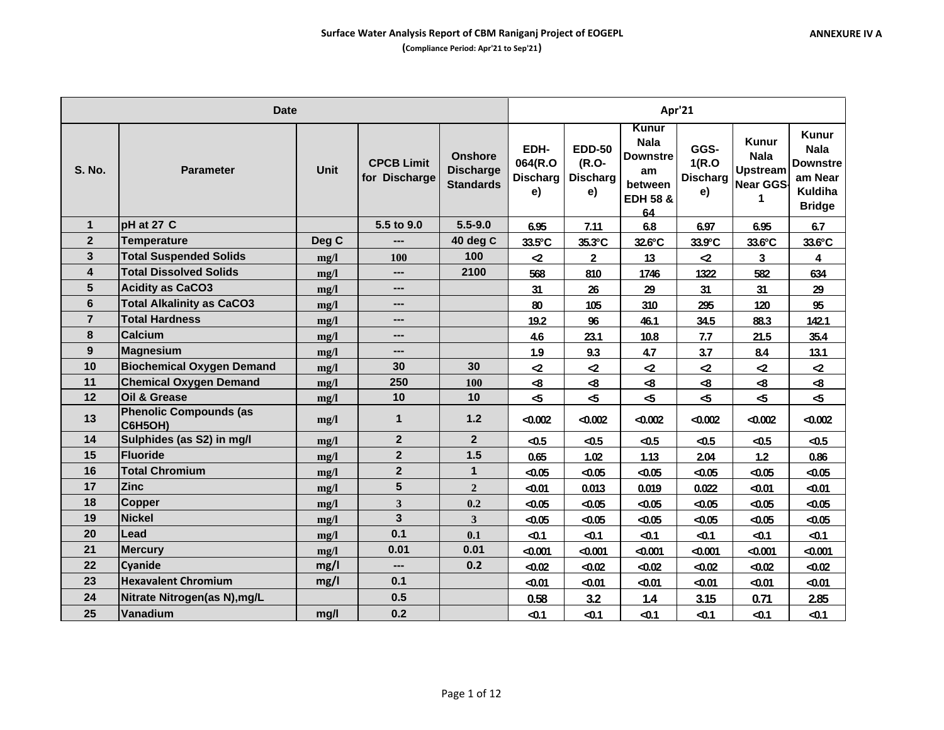|                | <b>Date</b>                                     |             |                                    |                                                        |                                          | Apr'21                                          |                                                                                       |                                         |                                                                 |                                                                                       |  |
|----------------|-------------------------------------------------|-------------|------------------------------------|--------------------------------------------------------|------------------------------------------|-------------------------------------------------|---------------------------------------------------------------------------------------|-----------------------------------------|-----------------------------------------------------------------|---------------------------------------------------------------------------------------|--|
| <b>S. No.</b>  | <b>Parameter</b>                                | <b>Unit</b> | <b>CPCB Limit</b><br>for Discharge | <b>Onshore</b><br><b>Discharge</b><br><b>Standards</b> | EDH-<br>064(R.O<br><b>Discharg</b><br>e) | <b>EDD-50</b><br>(R.O-<br><b>Discharg</b><br>e) | Kunur<br><b>Nala</b><br><b>Downstre</b><br>am<br>between<br><b>EDH 58 &amp;</b><br>64 | GGS-<br>1(R.O)<br><b>Discharg</b><br>e) | <b>Kunur</b><br><b>Nala</b><br><b>Upstream</b><br>Near GGS<br>1 | Kunur<br><b>Nala</b><br><b>Downstre</b><br>am Near<br><b>Kuldiha</b><br><b>Bridge</b> |  |
| $\mathbf{1}$   | pH at 27 C                                      |             | 5.5 to 9.0                         | $5.5 - 9.0$                                            | 6.95                                     | 7.11                                            | 6.8                                                                                   | 6.97                                    | 6.95                                                            | 6.7                                                                                   |  |
| $\overline{2}$ | <b>Temperature</b>                              | Deg C       | ---                                | 40 deg C                                               | 33.5°C                                   | 35.3°C                                          | 32.6°C                                                                                | 33.9°C                                  | 33.6°C                                                          | 33.6°C                                                                                |  |
| $\mathbf{3}$   | <b>Total Suspended Solids</b>                   | mg/l        | 100                                | 100                                                    | $\mathbf{Z}$                             | $\overline{2}$                                  | 13                                                                                    | $\mathbf{z}$                            | 3                                                               | 4                                                                                     |  |
| 4              | <b>Total Dissolved Solids</b>                   | mg/l        | ---                                | 2100                                                   | 568                                      | 810                                             | 1746                                                                                  | 1322                                    | 582                                                             | 634                                                                                   |  |
| $5\phantom{1}$ | <b>Acidity as CaCO3</b>                         | mg/l        | ---                                |                                                        | 31                                       | 26                                              | 29                                                                                    | 31                                      | 31                                                              | 29                                                                                    |  |
| 6              | <b>Total Alkalinity as CaCO3</b>                | mg/l        | ---                                |                                                        | 80                                       | 105                                             | 310                                                                                   | 295                                     | 120                                                             | 95                                                                                    |  |
| $\overline{7}$ | <b>Total Hardness</b>                           | mg/l        | ---                                |                                                        | 19.2                                     | 96                                              | 46.1                                                                                  | 34.5                                    | 88.3                                                            | 142.1                                                                                 |  |
| 8              | <b>Calcium</b>                                  | mg/l        | $\overline{a}$                     |                                                        | 4.6                                      | 23.1                                            | 10.8                                                                                  | 7.7                                     | 21.5                                                            | 35.4                                                                                  |  |
| 9              | <b>Magnesium</b>                                | mg/l        | ---                                |                                                        | 1.9                                      | 9.3                                             | 4.7                                                                                   | 3.7                                     | 8.4                                                             | 13.1                                                                                  |  |
| 10             | <b>Biochemical Oxygen Demand</b>                | mg/l        | 30                                 | 30                                                     | ⊲2                                       | $\mathbf{z}$                                    | $\mathbf{z}$                                                                          | $\mathbf{z}$                            | $\mathbf{z}$                                                    | $\mathbf{Z}$                                                                          |  |
| 11             | <b>Chemical Oxygen Demand</b>                   | mg/l        | 250                                | 100                                                    | -8                                       | $\mathbf{R}$                                    | $\pmb{\mathcal{S}}$                                                                   | $\clubsuit$                             | $\bf{8}$                                                        | $\mathbf{R}$                                                                          |  |
| 12             | <b>Oil &amp; Grease</b>                         | mg/l        | 10                                 | 10                                                     | 45                                       | $\overline{5}$                                  | $\overline{5}$                                                                        | 45                                      | 45                                                              | $\mathbf{r}$                                                                          |  |
| 13             | <b>Phenolic Compounds (as</b><br><b>C6H5OH)</b> | mg/l        | $\mathbf 1$                        | $1.2$                                                  | < 0.002                                  | $-0.002$                                        | $-0.002$                                                                              | < 0.002                                 | $-0.002$                                                        | $-0.002$                                                                              |  |
| 14             | Sulphides (as S2) in mg/l                       | mg/l        | $\overline{2}$                     | $\overline{2}$                                         | $-0.5$                                   | $-0.5$                                          | $-0.5$                                                                                | $-0.5$                                  | $-0.5$                                                          | $-0.5$                                                                                |  |
| 15             | <b>Fluoride</b>                                 | mg/l        | $\overline{2}$                     | 1.5                                                    | 0.65                                     | 1.02                                            | 1.13                                                                                  | 2.04                                    | 1.2                                                             | 0.86                                                                                  |  |
| 16             | <b>Total Chromium</b>                           | mg/l        | $\mathbf{2}$                       | $\mathbf{1}$                                           | $-0.05$                                  | $-0.05$                                         | < 0.05                                                                                | < 0.05                                  | $-0.05$                                                         | $-0.05$                                                                               |  |
| 17             | <b>Zinc</b>                                     | mg/l        | 5                                  | $\overline{2}$                                         | $-0.01$                                  | 0.013                                           | 0.019                                                                                 | 0.022                                   | $-0.01$                                                         | $-0.01$                                                                               |  |
| 18             | <b>Copper</b>                                   | mg/l        | 3                                  | 0.2                                                    | $-0.05$                                  | $-0.05$                                         | $-0.05$                                                                               | $-0.05$                                 | $-0.05$                                                         | $-0.05$                                                                               |  |
| 19             | <b>Nickel</b>                                   | mg/l        | $\overline{\mathbf{3}}$            | $\overline{\mathbf{3}}$                                | $-0.05$                                  | $-0.05$                                         | < 0.05                                                                                | < 0.05                                  | $-0.05$                                                         | $-0.05$                                                                               |  |
| 20             | Lead                                            | mg/l        | 0.1                                | 0.1                                                    | $-0.1$                                   | $-0.1$                                          | $-0.1$                                                                                | $-0.1$                                  | $-0.1$                                                          | $-0.1$                                                                                |  |
| 21             | <b>Mercury</b>                                  | mg/l        | 0.01                               | 0.01                                                   | < 0.001                                  | $-0.001$                                        | $-0.001$                                                                              | $-0.001$                                | $-0.001$                                                        | $-0.001$                                                                              |  |
| 22             | Cyanide                                         | mg/l        | ---                                | 0.2                                                    | $-0.02$                                  | $-0.02$                                         | $-0.02$                                                                               | < 0.02                                  | $-0.02$                                                         | $-0.02$                                                                               |  |
| 23             | <b>Hexavalent Chromium</b>                      | mg/l        | 0.1                                |                                                        | $-0.01$                                  | $-0.01$                                         | $-0.01$                                                                               | $-0.01$                                 | $-0.01$                                                         | $-0.01$                                                                               |  |
| 24             | Nitrate Nitrogen(as N), mg/L                    |             | 0.5                                |                                                        | 0.58                                     | 3.2                                             | 1.4                                                                                   | 3.15                                    | 0.71                                                            | 2.85                                                                                  |  |
| 25             | Vanadium                                        | mg/l        | 0.2                                |                                                        | $-0.1$                                   | $-0.1$                                          | $-0.1$                                                                                | $-0.1$                                  | $-0.1$                                                          | $-0.1$                                                                                |  |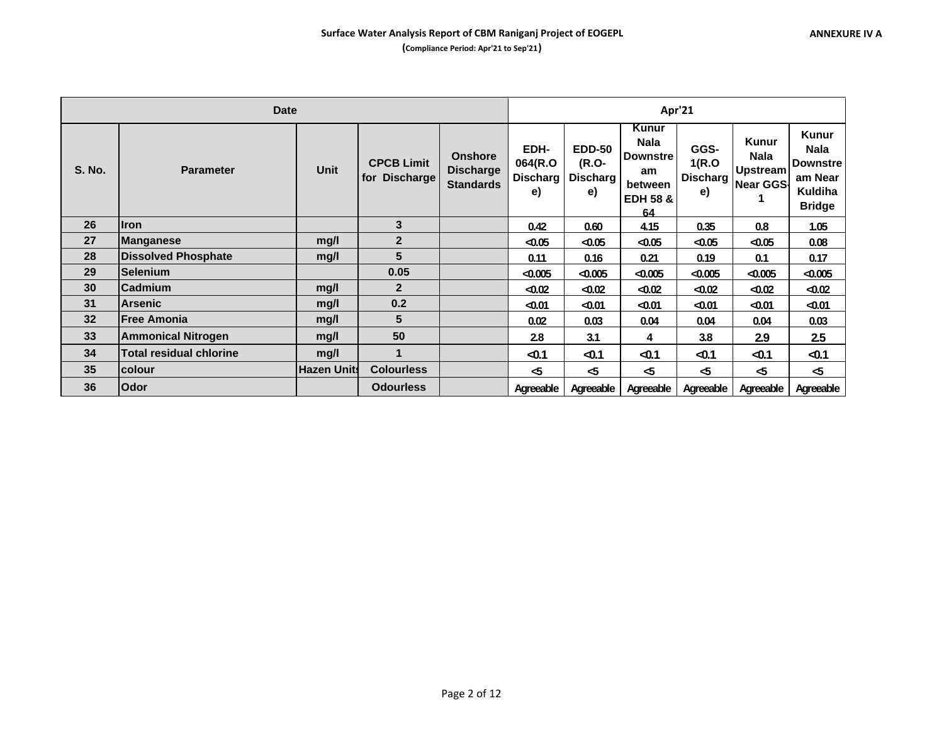|               | <b>Date</b>                    |                    |                                    |                                                        |                                          | Apr'21                                   |                                                                                       |                                  |                                                                    |                                                                                       |  |  |
|---------------|--------------------------------|--------------------|------------------------------------|--------------------------------------------------------|------------------------------------------|------------------------------------------|---------------------------------------------------------------------------------------|----------------------------------|--------------------------------------------------------------------|---------------------------------------------------------------------------------------|--|--|
| <b>S. No.</b> | <b>Parameter</b>               | Unit               | <b>CPCB Limit</b><br>for Discharge | <b>Onshore</b><br><b>Discharge</b><br><b>Standards</b> | EDH-<br>064(R.O<br><b>Discharg</b><br>e) | <b>EDD-50</b><br>(R.O-<br>Discharg<br>e) | Kunur<br><b>Nala</b><br><b>Downstre</b><br>am<br>between<br><b>EDH 58 &amp;</b><br>64 | GGS-<br>1(R.O)<br>Discharg<br>e) | <b>Kunur</b><br><b>Nala</b><br><b>Upstream</b><br><b>Near GGS-</b> | <b>Kunur</b><br><b>Nala</b><br><b>Downstre</b><br>am Near<br>Kuldiha<br><b>Bridge</b> |  |  |
| 26            | <b>Iron</b>                    |                    | 3                                  |                                                        | 0.42                                     | 0.60                                     | 4.15                                                                                  | 0.35                             | 0.8                                                                | 1.05                                                                                  |  |  |
| 27            | <b>Manganese</b>               | mg/l               | $\mathbf{2}$                       |                                                        | $-0.05$                                  | $-0.05$                                  | $-0.05$                                                                               | < 0.05                           | $-0.05$                                                            | 0.08                                                                                  |  |  |
| 28            | <b>Dissolved Phosphate</b>     | mg/l               | 5                                  |                                                        | 0.11                                     | 0.16                                     | 0.21                                                                                  | 0.19                             | 0.1                                                                | 0.17                                                                                  |  |  |
| 29            | <b>Selenium</b>                |                    | 0.05                               |                                                        | < 0.005                                  | $-0.005$                                 | $-0.005$                                                                              | < 0.005                          | $-0.005$                                                           | $-0.005$                                                                              |  |  |
| 30            | Cadmium                        | mg/l               | $\overline{2}$                     |                                                        | $-0.02$                                  | $-0.02$                                  | < 0.02                                                                                | < 0.02                           | $-0.02$                                                            | $-0.02$                                                                               |  |  |
| 31            | <b>Arsenic</b>                 | mg/l               | 0.2                                |                                                        | $-0.01$                                  | $-0.01$                                  | $0.01$                                                                                | $-0.01$                          | $-0.01$                                                            | $-0.01$                                                                               |  |  |
| 32            | <b>Free Amonia</b>             | mq/l               | 5                                  |                                                        | 0.02                                     | 0.03                                     | 0.04                                                                                  | 0.04                             | 0.04                                                               | 0.03                                                                                  |  |  |
| 33            | <b>Ammonical Nitrogen</b>      | mg/l               | 50                                 |                                                        | 2.8                                      | 3.1                                      | 4                                                                                     | 3.8                              | 2.9                                                                | 2.5                                                                                   |  |  |
| 34            | <b>Total residual chlorine</b> | mg/l               | 1                                  |                                                        | $-0.1$                                   | $-0.1$                                   | $-0.1$                                                                                | $-0.1$                           | $-0.1$                                                             | $-0.1$                                                                                |  |  |
| 35            | colour                         | <b>Hazen Units</b> | <b>Colourless</b>                  |                                                        | -5                                       | -5                                       | -5                                                                                    | $\mathbf{r}$                     | - ර                                                                | -5                                                                                    |  |  |
| 36            | Odor                           |                    | <b>Odourless</b>                   |                                                        | Agreeable                                | Agreeable                                | Agreeable                                                                             | Agreeable                        | Agreeable                                                          | Agreeable                                                                             |  |  |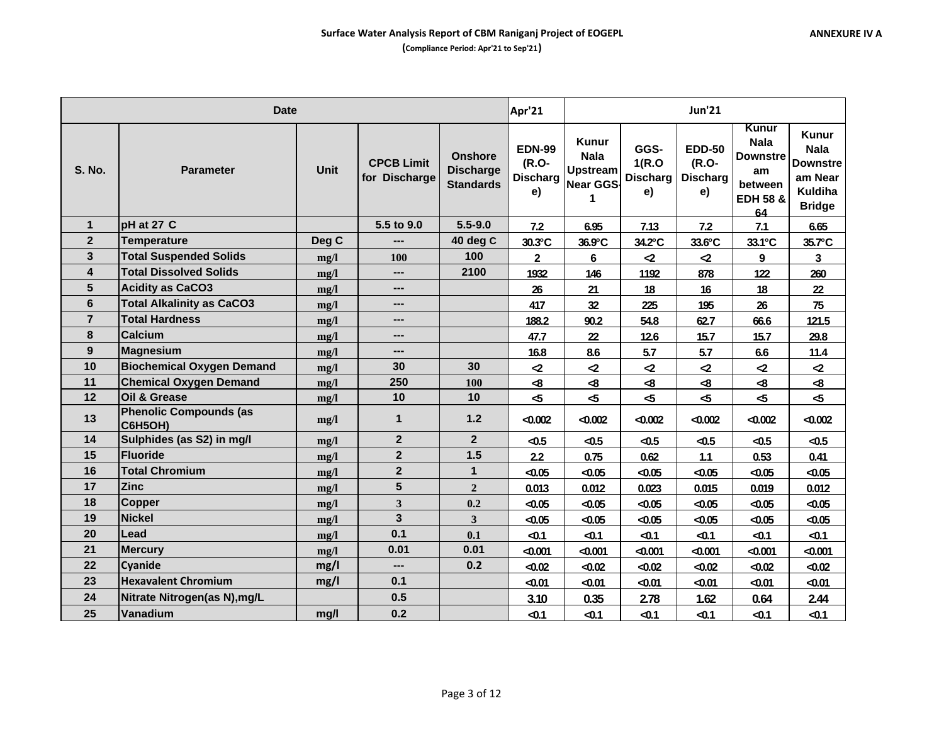|                         | <b>Date</b>                              |             | Apr'21                             | <b>Jun'21</b>                                          |                                                 |                                                                         |                                         |                                                 |                                                                                       |                                                                                       |
|-------------------------|------------------------------------------|-------------|------------------------------------|--------------------------------------------------------|-------------------------------------------------|-------------------------------------------------------------------------|-----------------------------------------|-------------------------------------------------|---------------------------------------------------------------------------------------|---------------------------------------------------------------------------------------|
| <b>S. No.</b>           | <b>Parameter</b>                         | <b>Unit</b> | <b>CPCB Limit</b><br>for Discharge | <b>Onshore</b><br><b>Discharge</b><br><b>Standards</b> | <b>EDN-99</b><br>(R.O-<br><b>Discharg</b><br>e) | <b>Kunur</b><br><b>Nala</b><br><b>Upstream</b><br><b>Near GGS-</b><br>1 | GGS-<br>1(R.O)<br><b>Discharg</b><br>e) | <b>EDD-50</b><br>(R.O-<br><b>Discharg</b><br>e) | Kunur<br><b>Nala</b><br><b>Downstre</b><br>am<br>between<br><b>EDH 58 &amp;</b><br>64 | Kunur<br><b>Nala</b><br><b>Downstre</b><br>am Near<br><b>Kuldiha</b><br><b>Bridge</b> |
| $\mathbf{1}$            | pH at 27 C                               |             | 5.5 to 9.0                         | $5.5 - 9.0$                                            | 7.2                                             | 6.95                                                                    | 7.13                                    | 7.2                                             | 7.1                                                                                   | 6.65                                                                                  |
| $\overline{2}$          | <b>Temperature</b>                       | Deg C       | $---$                              | 40 deg C                                               | 30.3°C                                          | 36.9°C                                                                  | 34.2°C                                  | 33.6°C                                          | 33.1°C                                                                                | 35.7°C                                                                                |
| 3                       | <b>Total Suspended Solids</b>            | mg/l        | <b>100</b>                         | 100                                                    | $\overline{\mathbf{2}}$                         | 6                                                                       | $\mathbf{r}$                            | $\mathbf{Z}$                                    | 9                                                                                     | 3                                                                                     |
| $\overline{\mathbf{4}}$ | <b>Total Dissolved Solids</b>            | mg/l        | ---                                | 2100                                                   | 1932                                            | 146                                                                     | 1192                                    | 878                                             | 122                                                                                   | 260                                                                                   |
| 5                       | <b>Acidity as CaCO3</b>                  | mg/l        | $---$                              |                                                        | 26                                              | 21                                                                      | 18                                      | 16                                              | 18                                                                                    | 22                                                                                    |
| 6                       | <b>Total Alkalinity as CaCO3</b>         | mg/l        | $\overline{\phantom{a}}$           |                                                        | 417                                             | 32                                                                      | 225                                     | 195                                             | 26                                                                                    | 75                                                                                    |
| $\overline{7}$          | <b>Total Hardness</b>                    | mg/l        | ---                                |                                                        | 188.2                                           | 90.2                                                                    | 54.8                                    | 62.7                                            | 66.6                                                                                  | 121.5                                                                                 |
| 8                       | <b>Calcium</b>                           | mg/l        | $\overline{a}$                     |                                                        | 47.7                                            | 22                                                                      | 12.6                                    | 15.7                                            | 15.7                                                                                  | 29.8                                                                                  |
| 9                       | <b>Magnesium</b>                         | mg/l        | ---                                |                                                        | 16.8                                            | 8.6                                                                     | 5.7                                     | 5.7                                             | 6.6                                                                                   | 11.4                                                                                  |
| 10                      | <b>Biochemical Oxygen Demand</b>         | mg/l        | 30                                 | 30                                                     | $\mathbf{Z}$                                    | $\mathbf{Z}$                                                            | $\mathbf{Z}$                            | $\mathbf{Z}$                                    | $\mathbf{r}$                                                                          | $\mathbf{Z}$                                                                          |
| 11                      | <b>Chemical Oxygen Demand</b>            | mg/l        | 250                                | 100                                                    | $\clubsuit$                                     | $\clubsuit$                                                             | $\clubsuit$                             | $\bf{8}$                                        | $\bf{8}$                                                                              | $\clubsuit$                                                                           |
| 12                      | Oil & Grease                             | mg/l        | 10                                 | 10                                                     | $\sim$                                          | $\sim$                                                                  | $\sim$                                  | - ත                                             | $\mathbf{r}$                                                                          | $\sim$                                                                                |
| 13                      | <b>Phenolic Compounds (as</b><br>C6H5OH) | mg/l        | 1                                  | 1.2                                                    | $-0.002$                                        | $-0.002$                                                                | $-0.002$                                | $-0.002$                                        | $-0.002$                                                                              | $-0.002$                                                                              |
| 14                      | Sulphides (as S2) in mg/l                | mg/l        | $\overline{2}$                     | $\overline{2}$                                         | $-0.5$                                          | $-0.5$                                                                  | $-0.5$                                  | $-0.5$                                          | $\triangleleft$ 0.5                                                                   | $-0.5$                                                                                |
| 15                      | <b>Fluoride</b>                          | mg/l        | $\overline{2}$                     | 1.5                                                    | 2.2                                             | 0.75                                                                    | 0.62                                    | $1.1$                                           | 0.53                                                                                  | 0.41                                                                                  |
| 16                      | <b>Total Chromium</b>                    | mg/l        | $\mathbf{2}$                       | $\mathbf{1}$                                           | $-0.05$                                         | $-0.05$                                                                 | < 0.05                                  | < 0.05                                          | $-0.05$                                                                               | $-0.05$                                                                               |
| 17                      | <b>Zinc</b>                              | mg/l        | 5                                  | $\overline{2}$                                         | 0.013                                           | 0.012                                                                   | 0.023                                   | 0.015                                           | 0.019                                                                                 | 0.012                                                                                 |
| 18                      | <b>Copper</b>                            | mg/l        | 3                                  | 0.2                                                    | $-0.05$                                         | $-0.05$                                                                 | 40.05                                   | < 0.05                                          | $-0.05$                                                                               | $-0.05$                                                                               |
| 19                      | <b>Nickel</b>                            | mg/l        | $\overline{\mathbf{3}}$            | $\overline{\mathbf{3}}$                                | $-0.05$                                         | $-0.05$                                                                 | < 0.05                                  | < 0.05                                          | $-0.05$                                                                               | $-0.05$                                                                               |
| 20                      | Lead                                     | mg/l        | 0.1                                | 0.1                                                    | $-0.1$                                          | $-0.1$                                                                  | $-0.1$                                  | $-0.1$                                          | $-0.1$                                                                                | $-0.1$                                                                                |
| 21                      | <b>Mercury</b>                           | mg/l        | 0.01                               | 0.01                                                   | < 0.001                                         | $-0.001$                                                                | $-0.001$                                | < 0.001                                         | < 0.001                                                                               | $-0.001$                                                                              |
| 22                      | <b>Cyanide</b>                           | mg/l        | ---                                | 0.2                                                    | $-0.02$                                         | $-0.02$                                                                 | $-0.02$                                 | < 0.02                                          | $-0.02$                                                                               | $-0.02$                                                                               |
| 23                      | <b>Hexavalent Chromium</b>               | mg/l        | 0.1                                |                                                        | $-0.01$                                         | $-0.01$                                                                 | $-0.01$                                 | $-0.01$                                         | $-0.01$                                                                               | $-0.01$                                                                               |
| 24                      | Nitrate Nitrogen(as N), mg/L             |             | 0.5                                |                                                        | 3.10                                            | 0.35                                                                    | 2.78                                    | 1.62                                            | 0.64                                                                                  | 2.44                                                                                  |
| 25                      | Vanadium                                 | mg/l        | 0.2                                |                                                        | $-0.1$                                          | $-0.1$                                                                  | $-0.1$                                  | $-0.1$                                          | $-0.1$                                                                                | $-0.1$                                                                                |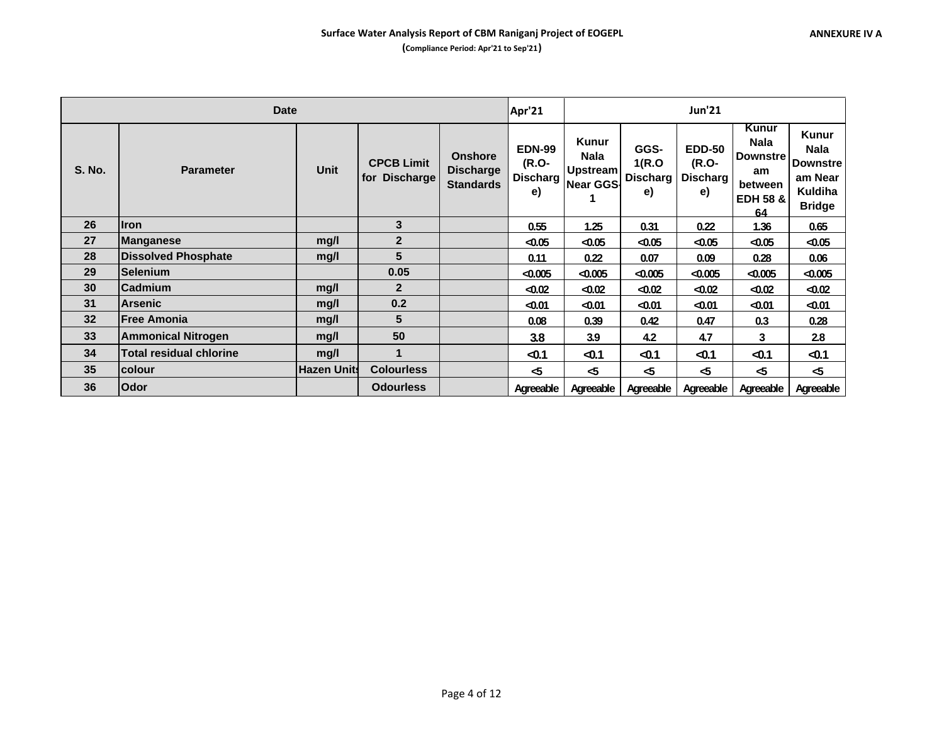|               | <b>Date</b>                    |                    |                                    |                                                        | Apr'21                                          |                                                                    |                                  | <b>Jun'21</b>                              |                                                                                       |                                                                                       |
|---------------|--------------------------------|--------------------|------------------------------------|--------------------------------------------------------|-------------------------------------------------|--------------------------------------------------------------------|----------------------------------|--------------------------------------------|---------------------------------------------------------------------------------------|---------------------------------------------------------------------------------------|
| <b>S. No.</b> | <b>Parameter</b>               | <b>Unit</b>        | <b>CPCB Limit</b><br>for Discharge | <b>Onshore</b><br><b>Discharge</b><br><b>Standards</b> | <b>EDN-99</b><br>(R.O-<br><b>Discharg</b><br>e) | <b>Kunur</b><br><b>Nala</b><br><b>Upstream</b><br><b>Near GGS-</b> | GGS-<br>1(R.O)<br>Discharg<br>e) | <b>EDD-50</b><br>(R.O-<br>Discharg I<br>e) | Kunur<br><b>Nala</b><br><b>Downstre</b><br>am<br>between<br><b>EDH 58 &amp;</b><br>64 | <b>Kunur</b><br><b>Nala</b><br><b>Downstre</b><br>am Near<br>Kuldiha<br><b>Bridge</b> |
| 26            | <b>I</b> ron                   |                    | 3                                  |                                                        | 0.55                                            | 1.25                                                               | 0.31                             | 0.22                                       | 1.36                                                                                  | 0.65                                                                                  |
| 27            | Manganese                      | mg/l               | $\overline{2}$                     |                                                        | $-0.05$                                         | $-0.05$                                                            | < 0.05                           | < 0.05                                     | $-0.05$                                                                               | $-0.05$                                                                               |
| 28            | <b>Dissolved Phosphate</b>     | mq/l               | $5\phantom{1}$                     |                                                        | 0.11                                            | 0.22                                                               | 0.07                             | 0.09                                       | 0.28                                                                                  | 0.06                                                                                  |
| 29            | <b>Selenium</b>                |                    | 0.05                               |                                                        | < 0.005                                         | $-0.005$                                                           | $-0.005$                         | < 0.005                                    | $-0.005$                                                                              | $-0.005$                                                                              |
| 30            | <b>Cadmium</b>                 | mg/l               | $\mathbf{2}$                       |                                                        | $-0.02$                                         | $-0.02$                                                            | < 0.02                           | < 0.02                                     | $-0.02$                                                                               | $-0.02$                                                                               |
| 31            | <b>Arsenic</b>                 | mq/l               | 0.2                                |                                                        | $-0.01$                                         | $-0.01$                                                            | $0.01$                           | < 0.01                                     | $-0.01$                                                                               | $-0.01$                                                                               |
| 32            | <b>Free Amonia</b>             | mq/l               | 5                                  |                                                        | 0.08                                            | 0.39                                                               | 0.42                             | 0.47                                       | 0.3                                                                                   | 0.28                                                                                  |
| 33            | <b>Ammonical Nitrogen</b>      | mq/l               | 50                                 |                                                        | 3.8                                             | 3.9                                                                | 4.2                              | 4.7                                        | 3                                                                                     | 2.8                                                                                   |
| 34            | <b>Total residual chlorine</b> | mg/l               | 1                                  |                                                        | $-0.1$                                          | $-0.1$                                                             | $-0.1$                           | $-0.1$                                     | $-0.1$                                                                                | $-0.1$                                                                                |
| 35            | <b>colour</b>                  | <b>Hazen Units</b> | <b>Colourless</b>                  |                                                        | $\sim$                                          | -5                                                                 | $\sim$                           | -5                                         | -5                                                                                    | $\sim$                                                                                |
| 36            | Odor                           |                    | <b>Odourless</b>                   |                                                        | Agreeable                                       | Agreeable                                                          | Agreeable                        | Agreeable                                  | Agreeable                                                                             | Agreeable                                                                             |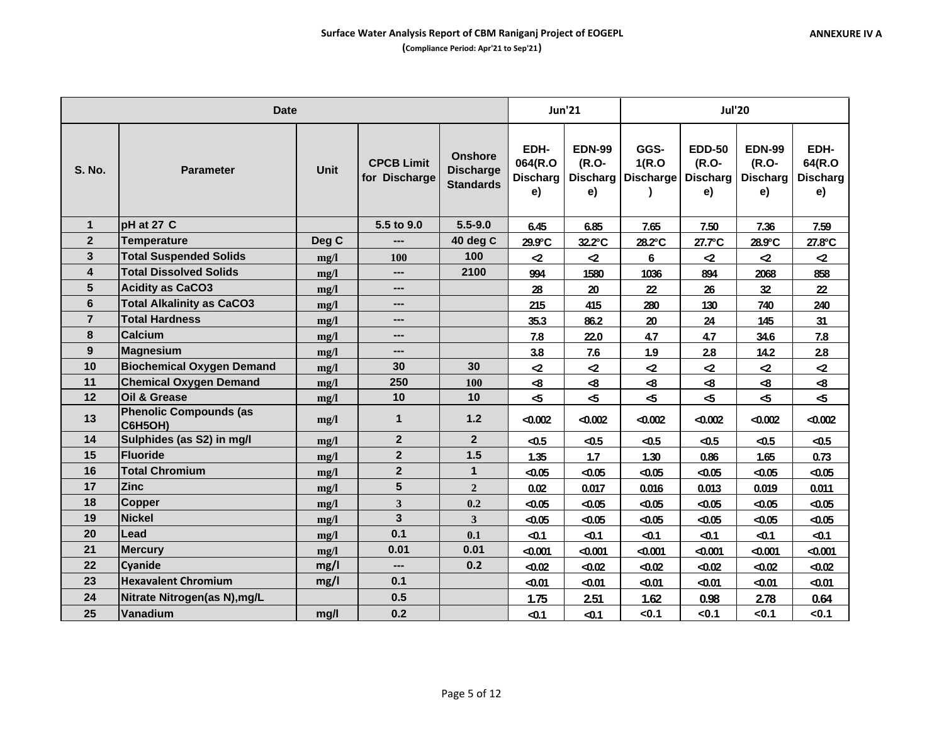|                | <b>Date</b>                                     |             | <b>Jun'21</b>                      |                                                        | <b>Jul'20</b>                            |                              |                                        |                                                 |                                                 |                                         |
|----------------|-------------------------------------------------|-------------|------------------------------------|--------------------------------------------------------|------------------------------------------|------------------------------|----------------------------------------|-------------------------------------------------|-------------------------------------------------|-----------------------------------------|
| <b>S. No.</b>  | <b>Parameter</b>                                | <b>Unit</b> | <b>CPCB Limit</b><br>for Discharge | <b>Onshore</b><br><b>Discharge</b><br><b>Standards</b> | EDH-<br>064(R.O<br><b>Discharg</b><br>e) | <b>EDN-99</b><br>(R.O-<br>e) | GGS-<br>1(R.O)<br>Discharg   Discharge | <b>EDD-50</b><br>(R.O-<br><b>Discharg</b><br>e) | <b>EDN-99</b><br>(R.O-<br><b>Discharg</b><br>e) | EDH-<br>64(R.O<br><b>Discharg</b><br>e) |
| $\mathbf{1}$   | pH at 27 C                                      |             | 5.5 to 9.0                         | $5.5 - 9.0$                                            | 6.45                                     | 6.85                         | 7.65                                   | 7.50                                            | 7.36                                            | 7.59                                    |
| $\mathbf{2}$   | <b>Temperature</b>                              | Deg C       | ---                                | 40 deg C                                               | 29.9°C                                   | 32.2°C                       | 28.2°C                                 | 27.7°C                                          | 28.9°C                                          | 27.8°C                                  |
| 3              | <b>Total Suspended Solids</b>                   | mg/l        | <b>100</b>                         | 100                                                    | $\mathbf{r}$                             | $\mathbf{r}$                 | 6                                      | $\mathbf{Z}$                                    | $\mathbf{r}$                                    | $\mathbf{r}$                            |
| 4              | <b>Total Dissolved Solids</b>                   | mg/l        | ---                                | 2100                                                   | 994                                      | 1580                         | 1036                                   | 894                                             | 2068                                            | 858                                     |
| 5              | <b>Acidity as CaCO3</b>                         | mg/l        | ---                                |                                                        | 28                                       | 20                           | 22                                     | 26                                              | 32                                              | 22                                      |
| 6              | <b>Total Alkalinity as CaCO3</b>                | mg/l        | $\qquad \qquad \cdots$             |                                                        | 215                                      | 415                          | 280                                    | 130                                             | 740                                             | 240                                     |
| $\overline{7}$ | <b>Total Hardness</b>                           | mg/l        | ---                                |                                                        | 35.3                                     | 86.2                         | 20                                     | 24                                              | 145                                             | 31                                      |
| 8              | Calcium                                         | mg/l        | ---                                |                                                        | 7.8                                      | 22.0                         | 4.7                                    | 4.7                                             | 34.6                                            | 7.8                                     |
| 9              | <b>Magnesium</b>                                | mg/l        | ---                                |                                                        | 3.8                                      | 7.6                          | 1.9                                    | 2.8                                             | 14.2                                            | 2.8                                     |
| 10             | <b>Biochemical Oxygen Demand</b>                | mg/l        | 30                                 | 30                                                     | $\mathbf{r}$                             | $\mathbf{Z}$                 | $\mathbf{Z}$                           | $\mathbf{z}$                                    | $\mathbf{Z}$                                    | $\mathbf{Z}$                            |
| 11             | <b>Chemical Oxygen Demand</b>                   | mg/l        | 250                                | 100                                                    | $\mathbf{R}$                             | $\mathbf{R}$                 | $\clubsuit$                            | $\clubsuit$                                     | $\clubsuit$                                     | -8                                      |
| $12$           | Oil & Grease                                    | mg/l        | 10                                 | 10                                                     | ය                                        | $\sim$                       | $\mathbf{r}$                           | - ර                                             | $\mathbf{r}$                                    | - ර                                     |
| 13             | <b>Phenolic Compounds (as</b><br><b>C6H5OH)</b> | mg/l        | $\mathbf{1}$                       | $1.2$                                                  | < 0.002                                  | $-0.002$                     | $-0.002$                               | $-0.002$                                        | $-0.002$                                        | $-0.002$                                |
| 14             | Sulphides (as S2) in mg/l                       | mg/l        | $\overline{2}$                     | 2 <sup>2</sup>                                         | $-0.5$                                   | $-0.5$                       | $-0.5$                                 | $-0.5$                                          | $-0.5$                                          | $-0.5$                                  |
| 15             | <b>Fluoride</b>                                 | mg/l        | $\mathbf{2}$                       | 1.5                                                    | 1.35                                     | 1.7                          | 1.30                                   | 0.86                                            | 1.65                                            | 0.73                                    |
| 16             | <b>Total Chromium</b>                           | mg/l        | $\mathbf{2}$                       | $\mathbf{1}$                                           | $-0.05$                                  | $-0.05$                      | $-0.05$                                | $-0.05$                                         | $-0.05$                                         | $-0.05$                                 |
| 17             | <b>Zinc</b>                                     | mg/l        | 5                                  | $\overline{2}$                                         | 0.02                                     | 0.017                        | 0.016                                  | 0.013                                           | 0.019                                           | 0.011                                   |
| 18             | <b>Copper</b>                                   | mg/l        | $\mathbf{3}$                       | 0.2                                                    | $-0.05$                                  | $-0.05$                      | $-0.05$                                | $-0.05$                                         | $-0.05$                                         | $-0.05$                                 |
| 19             | <b>Nickel</b>                                   | mg/l        | 3                                  | 3                                                      | $-0.05$                                  | $-0.05$                      | $-0.05$                                | < 0.05                                          | $-0.05$                                         | $-0.05$                                 |
| 20             | Lead                                            | mg/l        | 0.1                                | 0.1                                                    | $-0.1$                                   | $-0.1$                       | $-0.1$                                 | $-0.1$                                          | $-0.1$                                          | $-0.1$                                  |
| 21             | <b>Mercury</b>                                  | mg/l        | 0.01                               | 0.01                                                   | < 0.001                                  | $-0.001$                     | $-0.001$                               | $-0.001$                                        | < 0.001                                         | $-0.001$                                |
| 22             | Cyanide                                         | mg/l        | ---                                | 0.2                                                    | $-0.02$                                  | $-0.02$                      | $-0.02$                                | $-0.02$                                         | $-0.02$                                         | $-0.02$                                 |
| 23             | <b>Hexavalent Chromium</b>                      | mg/l        | 0.1                                |                                                        | $-0.01$                                  | $-0.01$                      | $-0.01$                                | $-0.01$                                         | $-0.01$                                         | $-0.01$                                 |
| 24             | Nitrate Nitrogen(as N), mg/L                    |             | 0.5                                |                                                        | 1.75                                     | 2.51                         | 1.62                                   | 0.98                                            | 2.78                                            | 0.64                                    |
| 25             | Vanadium                                        | mg/l        | 0.2                                |                                                        | $-0.1$                                   | $-0.1$                       | < 0.1                                  | < 0.1                                           | < 0.1                                           | <0.1                                    |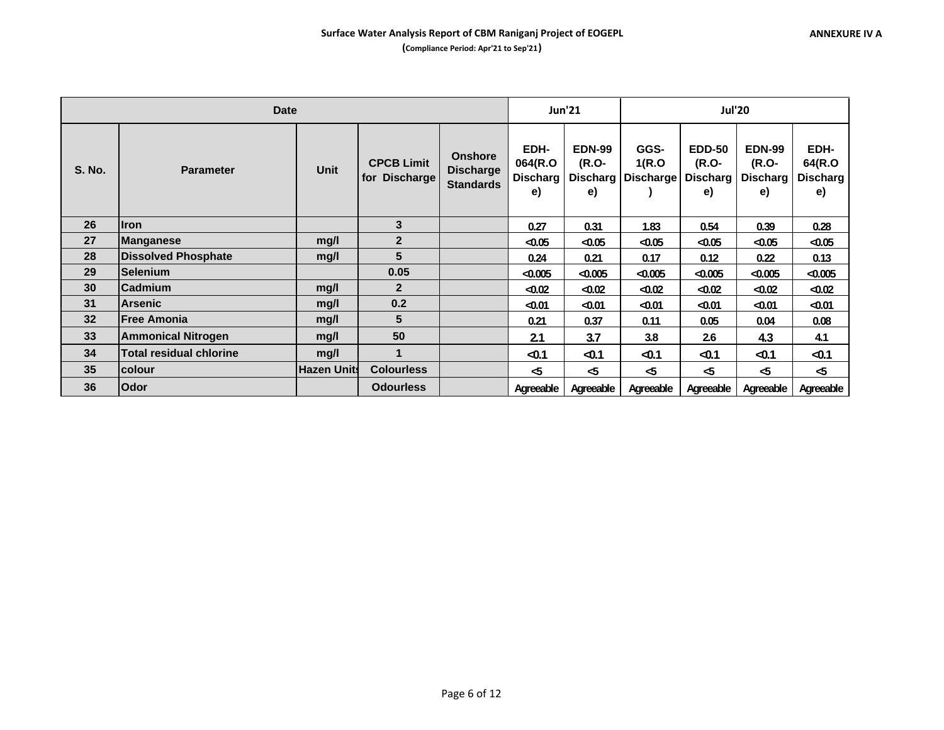|                 | <b>Date</b>                    |                    |                                                     | <b>Jun'21</b>                                          | <b>Jul'20</b>                            |                              |                                        |                                                 |                                                 |                                         |
|-----------------|--------------------------------|--------------------|-----------------------------------------------------|--------------------------------------------------------|------------------------------------------|------------------------------|----------------------------------------|-------------------------------------------------|-------------------------------------------------|-----------------------------------------|
| <b>S. No.</b>   | <b>Parameter</b>               | <b>Unit</b>        | <b>CPCB Limit</b><br><b>Discharge</b><br><b>for</b> | <b>Onshore</b><br><b>Discharge</b><br><b>Standards</b> | EDH-<br>064(R.O<br><b>Discharg</b><br>e) | <b>EDN-99</b><br>(R.O-<br>e) | GGS-<br>1(R.O)<br>Discharg   Discharge | <b>EDD-50</b><br>(R.O-<br><b>Discharg</b><br>e) | <b>EDN-99</b><br>(R.O-<br><b>Discharg</b><br>e) | EDH-<br>64(R.O<br><b>Discharg</b><br>e) |
| 26              | <b>Iron</b>                    |                    | 3                                                   |                                                        | 0.27                                     | 0.31                         | 1.83                                   | 0.54                                            | 0.39                                            | 0.28                                    |
| 27              | Manganese                      | mg/l               | $\overline{2}$                                      |                                                        | $-0.05$                                  | $-0.05$                      | $-0.05$                                | < 0.05                                          | $-0.05$                                         | $-0.05$                                 |
| 28              | <b>Dissolved Phosphate</b>     | mg/l               | 5                                                   |                                                        | 0.24                                     | 0.21                         | 0.17                                   | 0.12                                            | 0.22                                            | 0.13                                    |
| 29              | <b>Selenium</b>                |                    | 0.05                                                |                                                        | < 0.005                                  | $-0.005$                     | < 0.005                                | < 0.005                                         | $-0.005$                                        | ⊲0.005                                  |
| 30 <sup>°</sup> | <b>Cadmium</b>                 | mg/l               | $\overline{2}$                                      |                                                        | $-0.02$                                  | $-0.02$                      | $-0.02$                                | < 0.02                                          | $-0.02$                                         | $-0.02$                                 |
| 31              | <b>Arsenic</b>                 | mq/l               | 0.2                                                 |                                                        | $-0.01$                                  | $-0.01$                      | $-0.01$                                | $-0.01$                                         | ⊲0.01                                           | $-0.01$                                 |
| 32              | <b>Free Amonia</b>             | mg/l               | 5                                                   |                                                        | 0.21                                     | 0.37                         | 0.11                                   | 0.05                                            | 0.04                                            | 0.08                                    |
| 33              | <b>Ammonical Nitrogen</b>      | mg/l               | 50                                                  |                                                        | 2.1                                      | 3.7                          | 3.8                                    | 2.6                                             | 4.3                                             | 4.1                                     |
| 34              | <b>Total residual chlorine</b> | mg/l               | 1                                                   |                                                        | $-0.1$                                   | $-0.1$                       | $-0.1$                                 | $-0.1$                                          | $-0.1$                                          | $-0.1$                                  |
| 35              | <b>colour</b>                  | <b>Hazen Units</b> | <b>Colourless</b>                                   |                                                        | -5                                       | $\sim$                       | -5                                     | -5                                              | $\sim$                                          | -5                                      |
| 36              | Odor                           |                    | <b>Odourless</b>                                    |                                                        | Agreeable                                | Agreeable                    | Agreeable                              | Agreeable                                       | Agreeable                                       | Agreeable                               |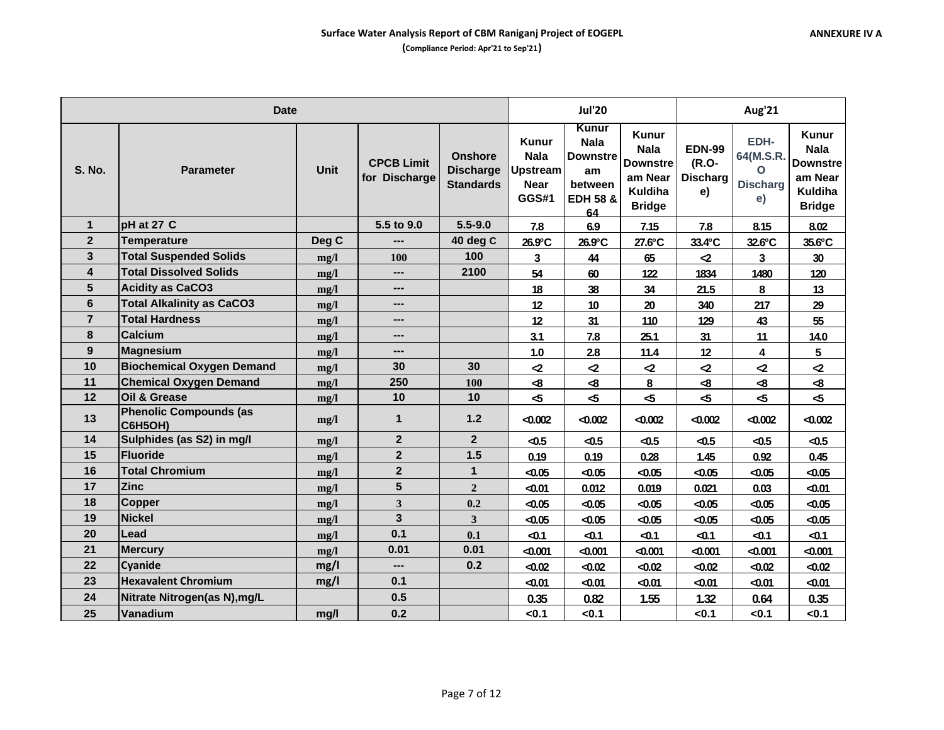|                         | <b>Date</b>                              |             |                                    | <b>Jul'20</b>                                          |                                                                               | Aug'21                                                                                |                                                                                       |                                                 |                                                 |                                                                                       |
|-------------------------|------------------------------------------|-------------|------------------------------------|--------------------------------------------------------|-------------------------------------------------------------------------------|---------------------------------------------------------------------------------------|---------------------------------------------------------------------------------------|-------------------------------------------------|-------------------------------------------------|---------------------------------------------------------------------------------------|
| <b>S. No.</b>           | <b>Parameter</b>                         | <b>Unit</b> | <b>CPCB Limit</b><br>for Discharge | <b>Onshore</b><br><b>Discharge</b><br><b>Standards</b> | <b>Kunur</b><br><b>Nala</b><br><b>Upstream</b><br><b>Near</b><br><b>GGS#1</b> | Kunur<br><b>Nala</b><br><b>Downstre</b><br>am<br>between<br><b>EDH 58 &amp;</b><br>64 | Kunur<br><b>Nala</b><br><b>Downstre</b><br>am Near<br><b>Kuldiha</b><br><b>Bridge</b> | <b>EDN-99</b><br>(R.O-<br><b>Discharg</b><br>e) | EDH-<br>64(M.S.R.<br>O<br><b>Discharg</b><br>e) | Kunur<br><b>Nala</b><br><b>Downstre</b><br>am Near<br><b>Kuldiha</b><br><b>Bridge</b> |
| $\mathbf{1}$            | pH at 27 C                               |             | 5.5 to 9.0                         | $5.5 - 9.0$                                            | 7.8                                                                           | 6.9                                                                                   | 7.15                                                                                  | 7.8                                             | 8.15                                            | 8.02                                                                                  |
| $\overline{2}$          | <b>Temperature</b>                       | Deg C       | ---                                | 40 deg C                                               | 26.9°C                                                                        | 26.9°C                                                                                | 27.6°C                                                                                | 33.4°C                                          | 32.6°C                                          | 35.6°C                                                                                |
| $\mathbf{3}$            | <b>Total Suspended Solids</b>            | mg/l        | <b>100</b>                         | 100                                                    | $\mathbf{3}$                                                                  | 44                                                                                    | 65                                                                                    | $\mathbf{r}$                                    | 3                                               | 30 <sup>°</sup>                                                                       |
| $\overline{\mathbf{4}}$ | <b>Total Dissolved Solids</b>            | mg/l        | ---                                | 2100                                                   | 54                                                                            | 60                                                                                    | 122                                                                                   | 1834                                            | 1480                                            | 120                                                                                   |
| 5                       | <b>Acidity as CaCO3</b>                  | mg/l        | ---                                |                                                        | 18                                                                            | 38                                                                                    | 34                                                                                    | 21.5                                            | 8                                               | 13                                                                                    |
| 6                       | <b>Total Alkalinity as CaCO3</b>         | mg/l        | ---                                |                                                        | 12                                                                            | 10                                                                                    | 20                                                                                    | 340                                             | 217                                             | 29                                                                                    |
| $\overline{7}$          | <b>Total Hardness</b>                    | mg/l        | ---                                |                                                        | 12                                                                            | 31                                                                                    | 110                                                                                   | 129                                             | 43                                              | 55                                                                                    |
| 8                       | <b>Calcium</b>                           | mg/l        | ---                                |                                                        | 3.1                                                                           | 7.8                                                                                   | 25.1                                                                                  | 31                                              | 11                                              | 14.0                                                                                  |
| 9                       | Magnesium                                | mg/l        | ---                                |                                                        | 1.0                                                                           | 2.8                                                                                   | 11.4                                                                                  | 12                                              | 4                                               | 5                                                                                     |
| 10                      | <b>Biochemical Oxygen Demand</b>         | mg/l        | 30                                 | 30                                                     | $\mathbf{z}$                                                                  | $\mathbf{Z}$                                                                          | $\mathbf{Z}$                                                                          | $\mathbf{z}$                                    | $\mathbf{Z}$                                    | $\mathbf{r}$                                                                          |
| 11                      | <b>Chemical Oxygen Demand</b>            | mg/l        | 250                                | 100                                                    | -8                                                                            | ⊲8                                                                                    | 8                                                                                     | -8                                              | -8                                              | ⊲8                                                                                    |
| 12                      | Oil & Grease                             | mg/l        | 10                                 | 10                                                     | 45                                                                            | 45                                                                                    | $\sim$                                                                                | $\mathbf{r}$                                    | 45                                              | $\sim$                                                                                |
| 13                      | <b>Phenolic Compounds (as</b><br>C6H5OH) | mg/l        | $\mathbf 1$                        | 1.2                                                    | < 0.002                                                                       | $-0.002$                                                                              | $-0.002$                                                                              | < 0.002                                         | $-0.002$                                        | $-0.002$                                                                              |
| 14                      | Sulphides (as S2) in mg/l                | mg/l        | $\mathbf{2}$                       | $\overline{2}$                                         | $-0.5$                                                                        | $-0.5$                                                                                | $-0.5$                                                                                | $-0.5$                                          | $-0.5$                                          | $-0.5$                                                                                |
| 15                      | Fluoride                                 | mg/l        | $\mathbf{2}$                       | 1.5                                                    | 0.19                                                                          | 0.19                                                                                  | 0.28                                                                                  | 1.45                                            | 0.92                                            | 0.45                                                                                  |
| 16                      | <b>Total Chromium</b>                    | mg/l        | $\mathbf{2}$                       | $\mathbf{1}$                                           | $-0.05$                                                                       | $-0.05$                                                                               | < 0.05                                                                                | < 0.05                                          | $-0.05$                                         | $-0.05$                                                                               |
| 17                      | <b>Zinc</b>                              | mg/l        | 5                                  | $\overline{2}$                                         | $-0.01$                                                                       | 0.012                                                                                 | 0.019                                                                                 | 0.021                                           | 0.03                                            | $-0.01$                                                                               |
| 18                      | <b>Copper</b>                            | mg/l        | $\mathbf{3}$                       | 0.2                                                    | $-0.05$                                                                       | $-0.05$                                                                               | < 0.05                                                                                | < 0.05                                          | $-0.05$                                         | $-0.05$                                                                               |
| 19                      | <b>Nickel</b>                            | mg/l        | 3                                  | $\overline{3}$                                         | $-0.05$                                                                       | $-0.05$                                                                               | < 0.05                                                                                | < 0.05                                          | $-0.05$                                         | $-0.05$                                                                               |
| 20                      | Lead                                     | mg/l        | 0.1                                | 0.1                                                    | $-0.1$                                                                        | $-0.1$                                                                                | $-0.1$                                                                                | $-0.1$                                          | $-0.1$                                          | $-0.1$                                                                                |
| 21                      | <b>Mercury</b>                           | mg/l        | 0.01                               | 0.01                                                   | $-0.001$                                                                      | $-0.001$                                                                              | $-0.001$                                                                              | $-0.001$                                        | $-0.001$                                        | $-0.001$                                                                              |
| 22                      | <b>Cyanide</b>                           | mg/l        | ---                                | 0.2                                                    | $-0.02$                                                                       | $-0.02$                                                                               | $-0.02$                                                                               | < 0.02                                          | $-0.02$                                         | $-0.02$                                                                               |
| 23                      | <b>Hexavalent Chromium</b>               | mg/l        | 0.1                                |                                                        | $-0.01$                                                                       | $-0.01$                                                                               | $-0.01$                                                                               | < 0.01                                          | $-0.01$                                         | $-0.01$                                                                               |
| 24                      | Nitrate Nitrogen(as N), mg/L             |             | 0.5                                |                                                        | 0.35                                                                          | 0.82                                                                                  | 1.55                                                                                  | 1.32                                            | 0.64                                            | 0.35                                                                                  |
| 25                      | Vanadium                                 | mg/l        | 0.2                                |                                                        | < 0.1                                                                         | <0.1                                                                                  |                                                                                       | < 0.1                                           | <0.1                                            | < 0.1                                                                                 |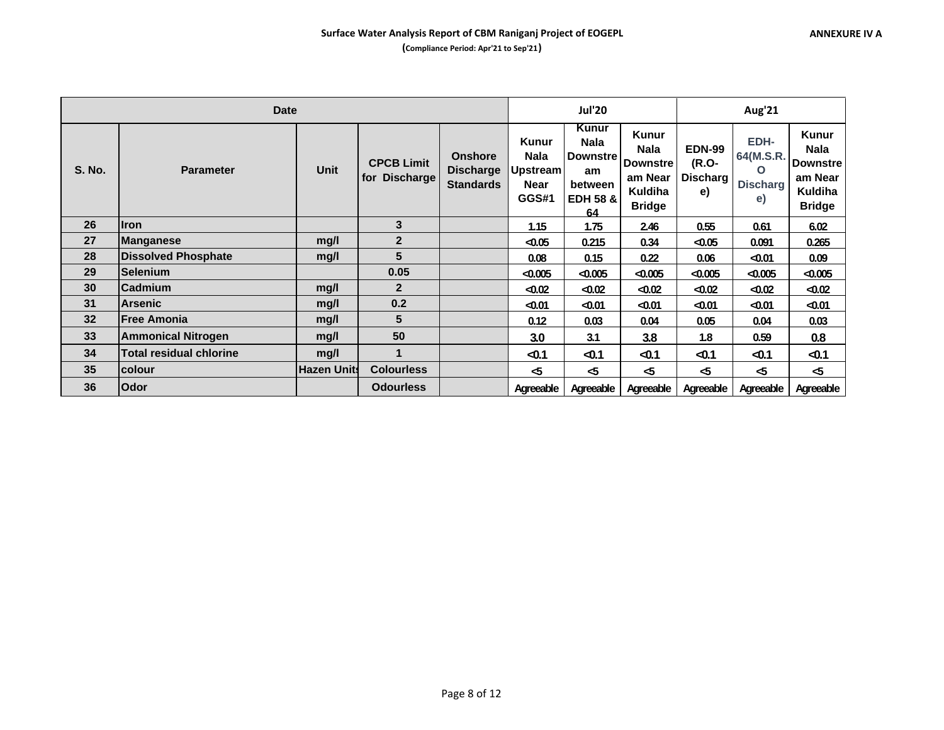|               | <b>Date</b>                    |                    |                                    |                                                        |                                                                 | <b>Jul'20</b>                                                                         |                                                                                              | Aug'21                                     |                                                   |                                                                                       |  |
|---------------|--------------------------------|--------------------|------------------------------------|--------------------------------------------------------|-----------------------------------------------------------------|---------------------------------------------------------------------------------------|----------------------------------------------------------------------------------------------|--------------------------------------------|---------------------------------------------------|---------------------------------------------------------------------------------------|--|
| <b>S. No.</b> | <b>Parameter</b>               | <b>Unit</b>        | <b>CPCB Limit</b><br>for Discharge | <b>Onshore</b><br><b>Discharge</b><br><b>Standards</b> | <b>Kunur</b><br><b>Nala</b><br><b>Upstream</b><br>Near<br>GGS#1 | Kunur<br><b>Nala</b><br><b>Downstre</b><br>am<br>between<br><b>EDH 58 &amp;</b><br>64 | <b>Kunur</b><br><b>Nala</b><br><b>Downstre</b><br>am Near<br><b>Kuldiha</b><br><b>Bridge</b> | <b>EDN-99</b><br>(R.O-<br>Discharg  <br>e) | EDH-<br>64(M.S.R.<br>$\Omega$<br>Discharg I<br>e) | <b>Kunur</b><br>Nala<br><b>Downstre</b><br>am Near<br><b>Kuldiha</b><br><b>Bridge</b> |  |
| 26            | <b>Iron</b>                    |                    | 3                                  |                                                        | 1.15                                                            | 1.75                                                                                  | 2.46                                                                                         | 0.55                                       | 0.61                                              | 6.02                                                                                  |  |
| 27            | <b>Manganese</b>               | mg/l               | $\overline{2}$                     |                                                        | $-0.05$                                                         | 0.215                                                                                 | 0.34                                                                                         | < 0.05                                     | 0.091                                             | 0.265                                                                                 |  |
| 28            | <b>Dissolved Phosphate</b>     | mq/l               | 5                                  |                                                        | 0.08                                                            | 0.15                                                                                  | 0.22                                                                                         | 0.06                                       | $-0.01$                                           | 0.09                                                                                  |  |
| 29            | <b>Selenium</b>                |                    | 0.05                               |                                                        | < 0.005                                                         | $-0.005$                                                                              | $-0.005$                                                                                     | < 0.005                                    | $-0.005$                                          | $-0.005$                                                                              |  |
| 30            | <b>Cadmium</b>                 | mg/l               | $\mathbf{2}$                       |                                                        | $-0.02$                                                         | $-0.02$                                                                               | < 0.02                                                                                       | < 0.02                                     | $-0.02$                                           | $-0.02$                                                                               |  |
| 31            | Arsenic                        | mq/l               | 0.2                                |                                                        | $-0.01$                                                         | $-0.01$                                                                               | $0.01$                                                                                       | $-0.01$                                    | $-0.01$                                           | $-0.01$                                                                               |  |
| 32            | <b>Free Amonia</b>             | mq/l               | 5                                  |                                                        | 0.12                                                            | 0.03                                                                                  | 0.04                                                                                         | 0.05                                       | 0.04                                              | 0.03                                                                                  |  |
| 33            | <b>Ammonical Nitrogen</b>      | mq/l               | 50                                 |                                                        | 3.0                                                             | 3.1                                                                                   | 3.8                                                                                          | 1.8                                        | 0.59                                              | 0.8                                                                                   |  |
| 34            | <b>Total residual chlorine</b> | mg/l               | $\blacktriangleleft$               |                                                        | $-0.1$                                                          | $-0.1$                                                                                | $-0.1$                                                                                       | $-0.1$                                     | $-0.1$                                            | $-0.1$                                                                                |  |
| 35            | colour                         | <b>Hazen Units</b> | <b>Colourless</b>                  |                                                        | $\sim$                                                          | $\sim$                                                                                | -5                                                                                           | -5                                         | -5                                                | $\sim$                                                                                |  |
| 36            | Odor                           |                    | <b>Odourless</b>                   |                                                        | Agreeable                                                       | Agreeable                                                                             | Agreeable                                                                                    | Agreeable                                  | Agreeable                                         | Agreeable                                                                             |  |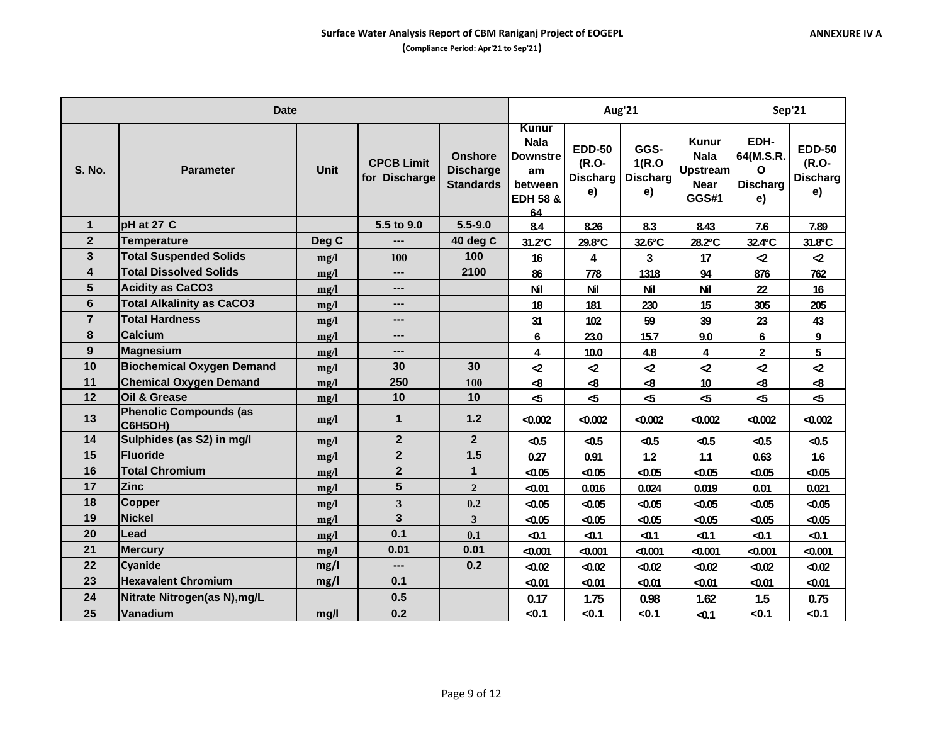|                | <b>Date</b>                              |             |                                    |                                                        |                                                                                       | Aug'21                                          |                                         | Sep'21                                                                        |                                                 |                                                 |
|----------------|------------------------------------------|-------------|------------------------------------|--------------------------------------------------------|---------------------------------------------------------------------------------------|-------------------------------------------------|-----------------------------------------|-------------------------------------------------------------------------------|-------------------------------------------------|-------------------------------------------------|
| <b>S. No.</b>  | <b>Parameter</b>                         | <b>Unit</b> | <b>CPCB Limit</b><br>for Discharge | <b>Onshore</b><br><b>Discharge</b><br><b>Standards</b> | Kunur<br><b>Nala</b><br><b>Downstre</b><br>am<br>between<br><b>EDH 58 &amp;</b><br>64 | <b>EDD-50</b><br>(R.O-<br><b>Discharg</b><br>e) | GGS-<br>1(R.O)<br><b>Discharg</b><br>e) | <b>Kunur</b><br><b>Nala</b><br><b>Upstream</b><br><b>Near</b><br><b>GGS#1</b> | EDH-<br>64(M.S.R.<br>Ο<br><b>Discharg</b><br>e) | <b>EDD-50</b><br>(R.O-<br><b>Discharg</b><br>e) |
| $\mathbf{1}$   | pH at 27 C                               |             | 5.5 to 9.0                         | $5.5 - 9.0$                                            | 8.4                                                                                   | 8.26                                            | 8.3                                     | 8.43                                                                          | 7.6                                             | 7.89                                            |
| $\overline{2}$ | <b>Temperature</b>                       | Deg C       | ---                                | 40 deg C                                               | 31.2°C                                                                                | 29.8°C                                          | 32.6°C                                  | 28.2°C                                                                        | 32.4°C                                          | 31.8°C                                          |
| 3              | <b>Total Suspended Solids</b>            | mg/l        | 100                                | 100                                                    | 16                                                                                    | 4                                               | 3                                       | 17                                                                            | $\mathbf{Z}$                                    | $\mathbf{r}$                                    |
| 4              | <b>Total Dissolved Solids</b>            | mg/l        | ---                                | 2100                                                   | 86                                                                                    | 778                                             | 1318                                    | 94                                                                            | 876                                             | 762                                             |
| 5              | <b>Acidity as CaCO3</b>                  | mg/l        | ---                                |                                                        | <b>Nil</b>                                                                            | <b>Nil</b>                                      | <b>Nil</b>                              | <b>Nil</b>                                                                    | 22                                              | 16                                              |
| 6              | <b>Total Alkalinity as CaCO3</b>         | mg/l        | $\qquad \qquad \cdots$             |                                                        | 18                                                                                    | 181                                             | 230                                     | 15                                                                            | 305                                             | 205                                             |
| $\overline{7}$ | <b>Total Hardness</b>                    | mg/l        | ---                                |                                                        | 31                                                                                    | 102                                             | 59                                      | 39                                                                            | 23                                              | 43                                              |
| 8              | Calcium                                  | mg/l        | ---                                |                                                        | $6\phantom{1}$                                                                        | 23.0                                            | 15.7                                    | 9.0                                                                           | $6\phantom{a}$                                  | 9                                               |
| 9              | <b>Magnesium</b>                         | mg/l        | ---                                |                                                        | 4                                                                                     | 10.0                                            | 4.8                                     | 4                                                                             | $\mathbf 2$                                     | 5                                               |
| 10             | <b>Biochemical Oxygen Demand</b>         | mg/l        | 30                                 | 30                                                     | $\mathbf{Z}$                                                                          | $\mathbf{Z}$                                    | $\mathbf{z}$                            | $\mathbf{r}$                                                                  | $\mathbf{r}$                                    | $\mathbf{r}$                                    |
| 11             | <b>Chemical Oxygen Demand</b>            | mg/l        | 250                                | 100                                                    | -8                                                                                    | $\mathbf{8}$                                    | $\clubsuit$                             | 10                                                                            | $\bf{8}$                                        | $\clubsuit$                                     |
| 12             | <b>Oil &amp; Grease</b>                  | mg/l        | 10                                 | 10                                                     | $\mathbf{r}$                                                                          | -5                                              | $\sim$                                  | 45                                                                            | $\mathbf{r}$                                    | $\sim$                                          |
| 13             | <b>Phenolic Compounds (as</b><br>C6H5OH) | mg/l        | $\mathbf 1$                        | $1.2$                                                  | $-0.002$                                                                              | $-0.002$                                        | $-0.002$                                | < 0.002                                                                       | $-0.002$                                        | $-0.002$                                        |
| 14             | Sulphides (as S2) in mg/l                | mg/l        | $\overline{2}$                     | 2 <sup>2</sup>                                         | $-0.5$                                                                                | $-0.5$                                          | $-0.5$                                  | $-0.5$                                                                        | $-0.5$                                          | $-0.5$                                          |
| 15             | <b>Fluoride</b>                          | mg/l        | $\boldsymbol{2}$                   | 1.5                                                    | 0.27                                                                                  | 0.91                                            | 1.2                                     | $1.1$                                                                         | 0.63                                            | 1.6                                             |
| 16             | <b>Total Chromium</b>                    | mg/l        | $\mathbf{2}$                       | $\mathbf{1}$                                           | $-0.05$                                                                               | $-0.05$                                         | $-0.05$                                 | < 0.05                                                                        | $-0.05$                                         | $-0.05$                                         |
| 17             | <b>Zinc</b>                              | mg/l        | $5\phantom{1}$                     | $\overline{2}$                                         | $-0.01$                                                                               | 0.016                                           | 0.024                                   | 0.019                                                                         | 0.01                                            | 0.021                                           |
| 18             | <b>Copper</b>                            | mg/l        | 3                                  | 0.2                                                    | $-0.05$                                                                               | $-0.05$                                         | $-0.05$                                 | < 0.05                                                                        | $-0.05$                                         | $-0.05$                                         |
| 19             | <b>Nickel</b>                            | mg/l        | $\overline{\mathbf{3}}$            | $\overline{\mathbf{3}}$                                | $-0.05$                                                                               | $-0.05$                                         | < 0.05                                  | < 0.05                                                                        | $-0.05$                                         | $-0.05$                                         |
| 20             | Lead                                     | mg/l        | 0.1                                | 0.1                                                    | $-0.1$                                                                                | $-0.1$                                          | $-0.1$                                  | $-0.1$                                                                        | $-0.1$                                          | $-0.1$                                          |
| 21             | <b>Mercury</b>                           | mg/l        | 0.01                               | 0.01                                                   | < 0.001                                                                               | $-0.001$                                        | $-0.001$                                | < 0.001                                                                       | $-0.001$                                        | $-0.001$                                        |
| 22             | Cyanide                                  | mg/l        | ---                                | 0.2                                                    | $-0.02$                                                                               | $-0.02$                                         | $-0.02$                                 | < 0.02                                                                        | $-0.02$                                         | $-0.02$                                         |
| 23             | <b>Hexavalent Chromium</b>               | mg/l        | 0.1                                |                                                        | $-0.01$                                                                               | $-0.01$                                         | $-0.01$                                 | $-0.01$                                                                       | $-0.01$                                         | $-0.01$                                         |
| 24             | Nitrate Nitrogen(as N), mg/L             |             | 0.5                                |                                                        | 0.17                                                                                  | 1.75                                            | 0.98                                    | 1.62                                                                          | 1.5                                             | 0.75                                            |
| 25             | Vanadium                                 | mg/l        | 0.2                                |                                                        | < 0.1                                                                                 | <0.1                                            | < 0.1                                   | $-0.1$                                                                        | <0.1                                            | < 0.1                                           |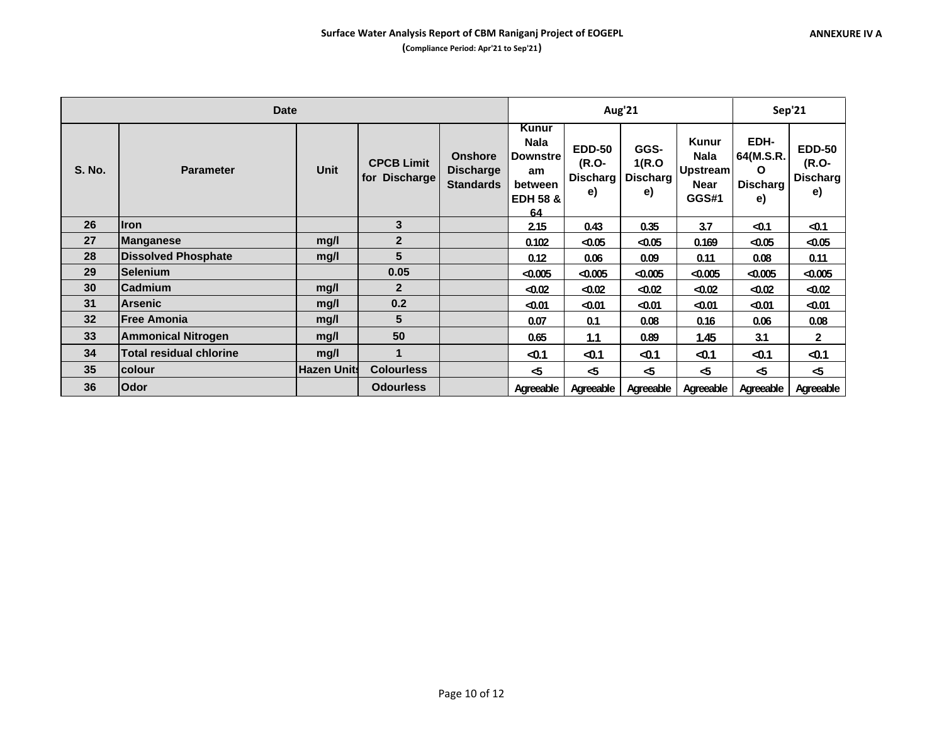|               | <b>Date</b>                |                    |                                    | Aug'21                                                 |                                                                                | Sep'21                                          |                                         |                                                                        |                                          |                                                 |
|---------------|----------------------------|--------------------|------------------------------------|--------------------------------------------------------|--------------------------------------------------------------------------------|-------------------------------------------------|-----------------------------------------|------------------------------------------------------------------------|------------------------------------------|-------------------------------------------------|
| <b>S. No.</b> | <b>Parameter</b>           | Unit               | <b>CPCB Limit</b><br>for Discharge | <b>Onshore</b><br><b>Discharge</b><br><b>Standards</b> | Kunur<br>Nala<br><b>Downstre</b><br>am<br>between<br><b>EDH 58 &amp;</b><br>64 | <b>EDD-50</b><br>(R.O-<br><b>Discharg</b><br>e) | GGS-<br>1(R.O)<br><b>Discharg</b><br>e) | <b>Kunur</b><br><b>Nala</b><br><b>Upstream</b><br>Near<br><b>GGS#1</b> | EDH-<br>64(M.S.R.<br>O<br>Discharg<br>e) | <b>EDD-50</b><br>(R.O-<br><b>Discharg</b><br>e) |
| 26            | <b>Iron</b>                |                    | 3                                  |                                                        | 2.15                                                                           | 0.43                                            | 0.35                                    | 3.7                                                                    | $-0.1$                                   | $-0.1$                                          |
| 27            | <b>Manganese</b>           | mg/l               | $\overline{2}$                     |                                                        | 0.102                                                                          | $-0.05$                                         | $-0.05$                                 | 0.169                                                                  | $-0.05$                                  | $-0.05$                                         |
| 28            | <b>Dissolved Phosphate</b> | mg/l               | 5                                  |                                                        | 0.12                                                                           | 0.06                                            | 0.09                                    | 0.11                                                                   | 0.08                                     | 0.11                                            |
| 29            | <b>Selenium</b>            |                    | 0.05                               |                                                        | < 0.005                                                                        | $-0.005$                                        | $-0.005$                                | < 0.005                                                                | $-0.005$                                 | $-0.005$                                        |
| 30            | <b>Cadmium</b>             | mg/l               | $\mathbf{2}$                       |                                                        | $-0.02$                                                                        | $-0.02$                                         | < 0.02                                  | < 0.02                                                                 | $-0.02$                                  | $-0.02$                                         |
| 31            | <b>Arsenic</b>             | mg/l               | 0.2                                |                                                        | $-0.01$                                                                        | $-0.01$                                         | < 0.01                                  | < 0.01                                                                 | $-0.01$                                  | $-0.01$                                         |
| 32            | <b>Free Amonia</b>         | mg/l               | 5                                  |                                                        | 0.07                                                                           | 0.1                                             | 0.08                                    | 0.16                                                                   | 0.06                                     | 0.08                                            |
| 33            | <b>Ammonical Nitrogen</b>  | mg/l               | 50                                 |                                                        | 0.65                                                                           | 1.1                                             | 0.89                                    | 1.45                                                                   | 3.1                                      | $\mathbf{2}$                                    |
| 34            | Total residual chlorine    | mg/l               | 1                                  |                                                        | $-0.1$                                                                         | $-0.1$                                          | $-0.1$                                  | $-0.1$                                                                 | $-0.1$                                   | $-0.1$                                          |
| 35            | colour                     | <b>Hazen Units</b> | <b>Colourless</b>                  |                                                        | -5                                                                             | -5                                              | $\mathbf{r}$                            | -5                                                                     | $\sim$                                   | $\sim$                                          |
| 36            | <b>Odor</b>                |                    | <b>Odourless</b>                   |                                                        | Agreeable                                                                      | Agreeable                                       | Agreeable                               | Agreeable                                                              | Agreeable                                | Agreeable                                       |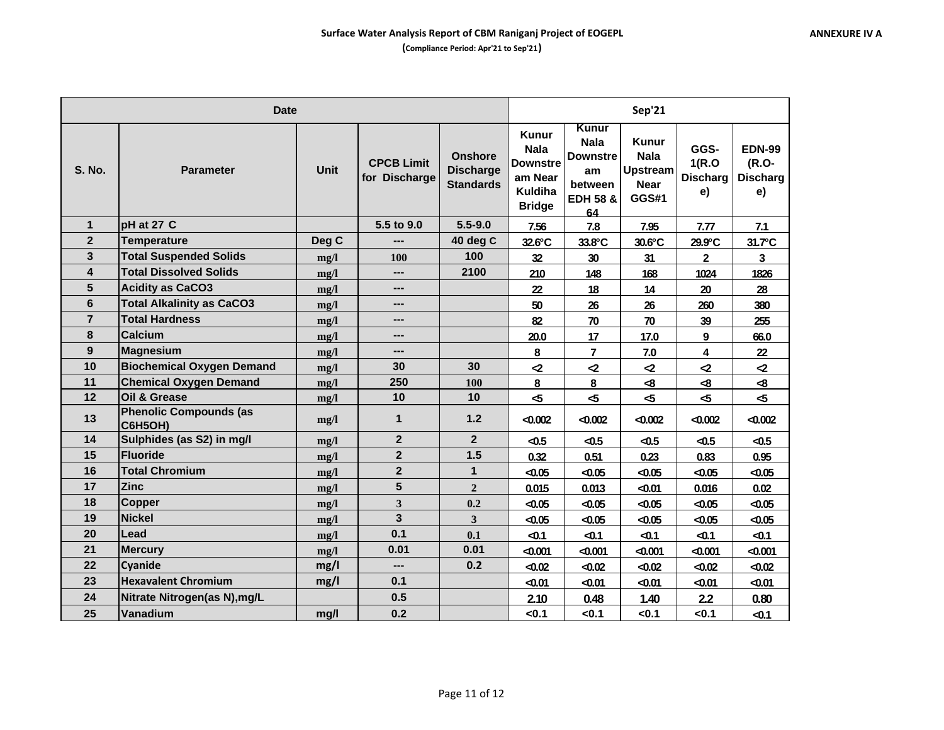|                | <b>Date</b>                              |       |                                    | Sep'21                                                 |                                                                                              |                                                                                              |                                                                               |                                         |                                                 |
|----------------|------------------------------------------|-------|------------------------------------|--------------------------------------------------------|----------------------------------------------------------------------------------------------|----------------------------------------------------------------------------------------------|-------------------------------------------------------------------------------|-----------------------------------------|-------------------------------------------------|
| <b>S. No.</b>  | <b>Parameter</b>                         | Unit  | <b>CPCB Limit</b><br>for Discharge | <b>Onshore</b><br><b>Discharge</b><br><b>Standards</b> | <b>Kunur</b><br><b>Nala</b><br><b>Downstre</b><br>am Near<br><b>Kuldiha</b><br><b>Bridge</b> | <b>Kunur</b><br><b>Nala</b><br><b>Downstre</b><br>am<br>between<br><b>EDH 58 &amp;</b><br>64 | <b>Kunur</b><br><b>Nala</b><br><b>Upstream</b><br><b>Near</b><br><b>GGS#1</b> | GGS-<br>1(R.O)<br><b>Discharg</b><br>e) | <b>EDN-99</b><br>(R.O-<br><b>Discharg</b><br>e) |
| $\mathbf{1}$   | pH at 27 C                               |       | 5.5 to 9.0                         | $5.5 - 9.0$                                            | 7.56                                                                                         | 7.8                                                                                          | 7.95                                                                          | 7.77                                    | 7.1                                             |
| $\mathbf{2}$   | <b>Temperature</b>                       | Deg C |                                    | 40 deg C                                               | 32.6°C                                                                                       | 33.8°C                                                                                       | $30.6^{\circ}$ C                                                              | 29.9°C                                  | 31.7°C                                          |
| 3              | <b>Total Suspended Solids</b>            | mg/l  | <b>100</b>                         | 100                                                    | 32                                                                                           | 30                                                                                           | 31                                                                            | $\mathbf{2}$                            | 3                                               |
| 4              | <b>Total Dissolved Solids</b>            | mg/l  | ---                                | 2100                                                   | 210                                                                                          | 148                                                                                          | 168                                                                           | 1024                                    | 1826                                            |
| 5              | <b>Acidity as CaCO3</b>                  | mg/l  | ---                                |                                                        | 22                                                                                           | 18                                                                                           | 14                                                                            | 20                                      | 28                                              |
| 6              | <b>Total Alkalinity as CaCO3</b>         | mg/l  | ---                                |                                                        | 50                                                                                           | 26                                                                                           | 26                                                                            | 260                                     | 380                                             |
| $\overline{7}$ | <b>Total Hardness</b>                    | mg/l  | ---                                |                                                        | 82                                                                                           | 70                                                                                           | 70                                                                            | 39                                      | 255                                             |
| 8              | <b>Calcium</b>                           | mg/l  | ---                                |                                                        | 20.0                                                                                         | 17                                                                                           | 17.0                                                                          | 9                                       | 66.0                                            |
| 9              | <b>Magnesium</b>                         | mg/l  | ---                                |                                                        | 8                                                                                            | $\overline{7}$                                                                               | 7.0                                                                           | 4                                       | 22                                              |
| 10             | <b>Biochemical Oxygen Demand</b>         | mg/l  | 30                                 | 30                                                     | $\mathbf{z}$                                                                                 | $\mathbf{Z}$                                                                                 | $\mathbf{z}$                                                                  | $\mathbf{Z}$                            | $\mathbf{z}$                                    |
| 11             | <b>Chemical Oxygen Demand</b>            | mg/l  | 250                                | 100                                                    | 8                                                                                            | 8                                                                                            | $\clubsuit$                                                                   | $\pmb{\mathcal{S}}$                     | -8                                              |
| 12             | Oil & Grease                             | mg/l  | 10                                 | 10                                                     | 45                                                                                           | $\sim$                                                                                       | $\overline{a}$                                                                | $\mathbf{r}$                            | $\mathbf{r}$                                    |
| 13             | <b>Phenolic Compounds (as</b><br>C6H5OH) | mg/l  | $\mathbf{1}$                       | 1.2                                                    | < 0.002                                                                                      | $-0.002$                                                                                     | $-0.002$                                                                      | < 0.002                                 | $-0.002$                                        |
| 14             | Sulphides (as S2) in mg/l                | mg/l  | $\overline{2}$                     | $\overline{2}$                                         | $-0.5$                                                                                       | $-0.5$                                                                                       | $-0.5$                                                                        | $-0.5$                                  | $-0.5$                                          |
| 15             | Fluoride                                 | mg/l  | $\mathbf{2}$                       | 1.5                                                    | 0.32                                                                                         | 0.51                                                                                         | 0.23                                                                          | 0.83                                    | 0.95                                            |
| 16             | <b>Total Chromium</b>                    | mg/l  | $\mathbf{2}$                       | $\mathbf 1$                                            | $-0.05$                                                                                      | $-0.05$                                                                                      | $-0.05$                                                                       | $-0.05$                                 | $-0.05$                                         |
| 17             | <b>Zinc</b>                              | mg/l  | 5                                  | $\overline{2}$                                         | 0.015                                                                                        | 0.013                                                                                        | < 0.01                                                                        | 0.016                                   | 0.02                                            |
| 18             | Copper                                   | mg/l  | 3                                  | 0.2                                                    | $-0.05$                                                                                      | $-0.05$                                                                                      | $-0.05$                                                                       | < 0.05                                  | $-0.05$                                         |
| 19             | <b>Nickel</b>                            | mg/l  | $\overline{\mathbf{3}}$            | 3                                                      | $-0.05$                                                                                      | $-0.05$                                                                                      | $-0.05$                                                                       | $-0.05$                                 | $-0.05$                                         |
| 20             | Lead                                     | mg/l  | 0.1                                | 0.1                                                    | $-0.1$                                                                                       | $-0.1$                                                                                       | $-0.1$                                                                        | $-0.1$                                  | $-0.1$                                          |
| 21             | <b>Mercury</b>                           | mg/l  | 0.01                               | 0.01                                                   | $-0.001$                                                                                     | $-0.001$                                                                                     | $-0.001$                                                                      | $-0.001$                                | < 0.001                                         |
| 22             | <b>Cyanide</b>                           | mg/l  | ---                                | 0.2                                                    | $-0.02$                                                                                      | $-0.02$                                                                                      | $-0.02$                                                                       | < 0.02                                  | $-0.02$                                         |
| 23             | <b>Hexavalent Chromium</b>               | mg/l  | 0.1                                |                                                        | $-0.01$                                                                                      | $-0.01$                                                                                      | < 0.01                                                                        | $-0.01$                                 | $-0.01$                                         |
| 24             | Nitrate Nitrogen(as N), mg/L             |       | 0.5                                |                                                        | 2.10                                                                                         | 0.48                                                                                         | 1.40                                                                          | 2.2                                     | 0.80                                            |
| 25             | Vanadium                                 | mg/l  | 0.2                                |                                                        | < 0.1                                                                                        | <0.1                                                                                         | < 0.1                                                                         | < 0.1                                   | $-0.1$                                          |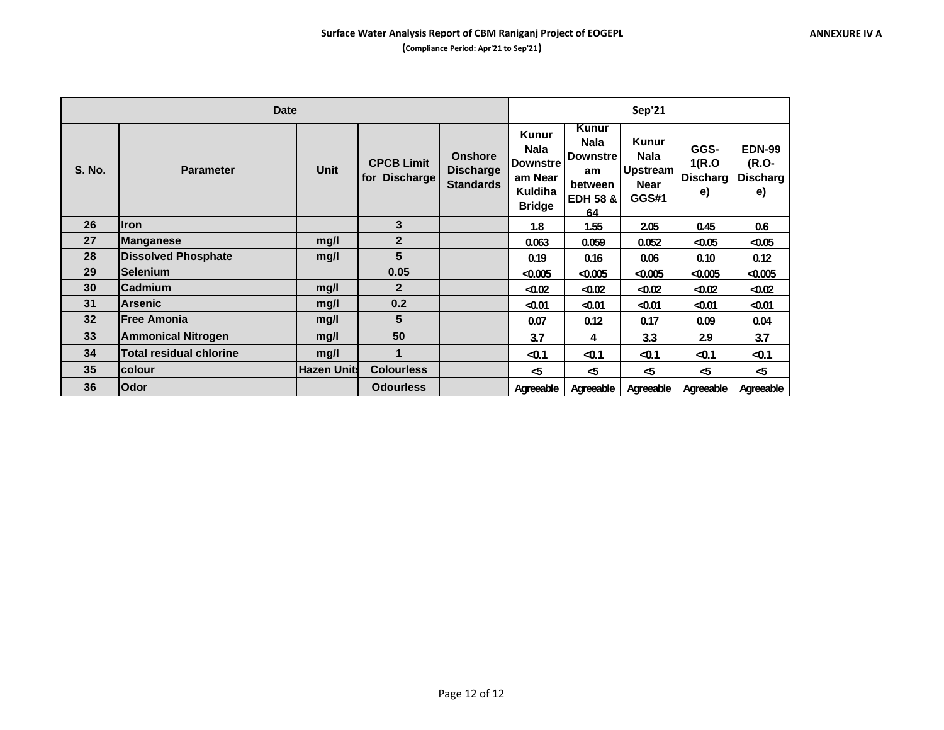| <b>Date</b>   |                                |                    |                                    |                                                        |                                                                                       | Sep'21                                                                                       |                                                                 |                                         |                                                 |  |  |
|---------------|--------------------------------|--------------------|------------------------------------|--------------------------------------------------------|---------------------------------------------------------------------------------------|----------------------------------------------------------------------------------------------|-----------------------------------------------------------------|-----------------------------------------|-------------------------------------------------|--|--|
| <b>S. No.</b> | <b>Parameter</b>               | <b>Unit</b>        | <b>CPCB Limit</b><br>for Discharge | <b>Onshore</b><br><b>Discharge</b><br><b>Standards</b> | <b>Kunur</b><br><b>Nala</b><br><b>Downstre</b><br>am Near<br>Kuldiha<br><b>Bridge</b> | <b>Kunur</b><br><b>Nala</b><br><b>Downstre</b><br>am<br>between<br><b>EDH 58 &amp;</b><br>64 | <b>Kunur</b><br><b>Nala</b><br>Upstream<br><b>Near</b><br>GGS#1 | GGS-<br>1(R.O)<br><b>Discharg</b><br>e) | <b>EDN-99</b><br>(R.O-<br><b>Discharg</b><br>e) |  |  |
| 26            | <b>Iron</b>                    |                    | 3                                  |                                                        | 1.8                                                                                   | 1.55                                                                                         | 2.05                                                            | 0.45                                    | 0.6                                             |  |  |
| 27            | Manganese                      | mg/l               | $\overline{2}$                     |                                                        | 0.063                                                                                 | 0.059                                                                                        | 0.052                                                           | < 0.05                                  | $-0.05$                                         |  |  |
| 28            | <b>Dissolved Phosphate</b>     | mg/l               | 5                                  |                                                        | 0.19                                                                                  | 0.16                                                                                         | 0.06                                                            | 0.10                                    | 0.12                                            |  |  |
| 29            | <b>Selenium</b>                |                    | 0.05                               |                                                        | < 0.005                                                                               | $-0.005$                                                                                     | $-0.005$                                                        | < 0.005                                 | $-0.005$                                        |  |  |
| 30            | <b>Cadmium</b>                 | mg/l               | $\overline{2}$                     |                                                        | $-0.02$                                                                               | $-0.02$                                                                                      | < 0.02                                                          | < 0.02                                  | $-0.02$                                         |  |  |
| 31            | <b>Arsenic</b>                 | mg/l               | 0.2                                |                                                        | $-0.01$                                                                               | $-0.01$                                                                                      | $-0.01$                                                         | $-0.01$                                 | $-0.01$                                         |  |  |
| 32            | <b> Free Amonia</b>            | mg/l               | 5                                  |                                                        | 0.07                                                                                  | 0.12                                                                                         | 0.17                                                            | 0.09                                    | 0.04                                            |  |  |
| 33            | <b>Ammonical Nitrogen</b>      | mq/l               | 50                                 |                                                        | 3.7                                                                                   | 4                                                                                            | 3.3                                                             | 2.9                                     | 3.7                                             |  |  |
| 34            | <b>Total residual chlorine</b> | mg/l               | $\mathbf 1$                        |                                                        | $-0.1$                                                                                | $-0.1$                                                                                       | $-0.1$                                                          | $-0.1$                                  | $-0.1$                                          |  |  |
| 35            | <b>colour</b>                  | <b>Hazen Units</b> | <b>Colourless</b>                  |                                                        | -5                                                                                    | $\sim$                                                                                       | -5                                                              | -5                                      | -5                                              |  |  |
| 36            | Odor                           |                    | <b>Odourless</b>                   |                                                        | Agreeable                                                                             | Agreeable                                                                                    | Agreeable                                                       | Agreeable                               | Agreeable                                       |  |  |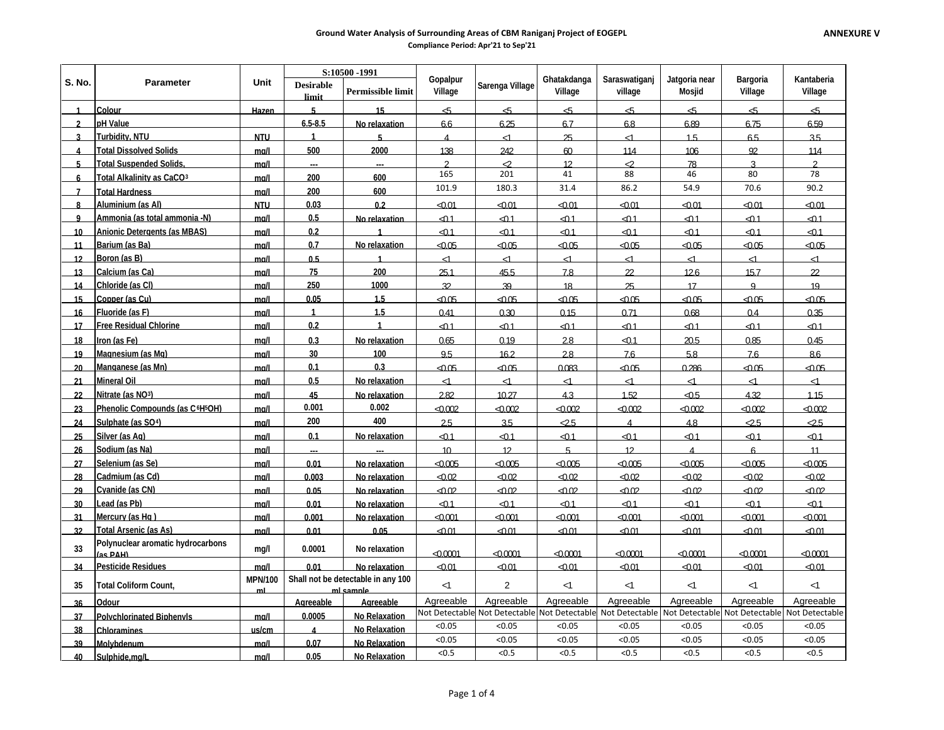### **Ground Water Analysis of Surrounding Areas of CBM Raniganj Project of EOGEPL**

**Compliance Period: Apr'21 to Sep'21**

| Kantaberia<br><b>Parameter</b><br><b>Desirable</b><br>Sarenga Village<br>Permissible limit<br>Village<br>Village<br>village<br><b>Mosjid</b><br>Village<br>Village<br>limit<br><b>Colour</b><br>5<br>15<br>45<br>ද්5<br>$\epsilon$ 5<br>45<br>45<br>Hazen<br>-ත<br>45<br>pH Value<br>6.5-8.5<br>6.25<br>6.89<br>6.59<br>$\mathbf{r}$<br>No relaxation<br>66<br>6.7<br>6.8<br>6.75<br><b>Turbidity, NTU</b><br><b>NTU</b><br>$\blacktriangleleft$<br>5<br>25<br>1.5<br>6.5<br>3.5<br>2<br>$\overline{4}$<br>$\leq$ 1<br>ے۔<br>500<br>2000<br><b>Total Dissolved Solids</b><br>mal<br>138<br>242<br>ഩ<br>114<br>106<br>92<br>114<br>Δ<br><b>Total Suspended Solids</b><br>$\mathcal{D}$<br>╱<br>⊘<br>$\mathcal{L}$<br>5<br>mal<br>12 <sup>12</sup><br>78<br>ঽ<br>165<br>201<br>41<br>88<br>46<br>80<br>78<br><b>Total Alkalinity as CaCO3</b><br>200<br>600<br>mall<br>6<br>86.2<br>70.6<br>90.2<br>101.9<br>180.3<br>31.4<br>54.9<br>200<br>600<br><b>Total Hardness</b><br>mall<br>$\overline{7}$<br>Aluminium (as Al)<br>0.03<br><b>NTU</b><br>02<br>$-0.01$<br>$-0.01$<br>$-0.01$<br>$-0.01$<br>$-0.01$<br>< 0.01<br>$-0.01$<br>8<br>Ammonia (as total ammonia -N)<br>0.5<br>$-0.1$<br>⊲0.1<br>⊲0.1<br>⊲0.1<br>⊲0.1<br>⊲0.1<br>mall<br>No relaxation<br>$0.1$<br>9<br>0.2<br>Anionic Detergents (as MBAS)<br>$-0.1$<br>$-0.1$<br>$-0.1$<br>40.1<br>$-0.1$<br>$-0.1$<br>$\triangle$ 1<br>mall<br>10 <sup>10</sup><br>Barium (as Ba)<br>0.7<br>No relaxation<br>⊲0.05<br>$-0.05$<br>⊲0.05<br>⊲റ.∩5<br>$-0.05$<br>$-0.05$<br>⊲0.05<br>mal<br>11<br>Boron (as B)<br>0.5<br>12<br><u>ma/l</u><br>$\blacktriangleleft$<br>$\leq$ 1<br>$\leq$ 1<br>$\leq$ 1<br>$\leq$<br>$\leq$<br>$\leq$<br>⊲<br>Calcium (as Ca)<br>75<br>200<br>22<br>251<br>45.5<br>78<br>$\mathfrak{D}$<br>126<br>15.7<br>mal<br>13<br>Chloride (as CI)<br>250<br>1000<br>mal<br>32<br>39<br>18<br>25<br>17<br>$\mathsf{Q}$<br>19<br>14<br>0.05<br>1.5<br>Copper (as Cu)<br>⊲0.05<br>⊲0.05<br>⊲0.05<br>15<br>mal<br>$-0.05$<br>$-0.05$<br>$-0.05$<br>⊲0.05<br>1.5<br>Fluoride (as F)<br>$\blacktriangleleft$<br>0.4<br>0.41<br>0.30<br>0.15<br>0.71<br>0.68<br>0.35<br>mall<br>16<br><b>Free Residual Chlorine</b><br>0.2<br><b>ے</b><br><b>ے</b><br>$-0.1$<br>−<br>1 1<br>∩1<br>mall<br>$\mathbf{1}$<br>⊲0.1<br>$-0.1$<br>17<br>0.3<br>0.65<br>0.19<br>2.8<br>$\triangle$ 1<br>20.5<br>0.85<br>0.45<br>Iron (as Fe)<br>mal<br>No relaxation<br>18<br>Magnesium (as Mg)<br>30<br>100<br>95<br>162<br>28<br>76<br>76<br>86<br>mall<br>58<br>19<br>0.1<br>0.3<br>Manganese (as Mn)<br>$-0.05$<br>0.083<br>0.286<br>40.05<br>$-0.05$<br>moll<br>40.05<br>$-0.05$<br>20<br>Mineral Oil<br>0.5<br>No relaxation<br>$\leq$<br>$\leq$<br>$\leq$<br>$\leq$<br>mal<br>$\leq$<br>$\leq$<br>$\leq$<br>21<br>Nitrate (as NO3)<br>45<br>2.82<br>10.27<br>1.52<br>4.32<br>1.15<br>43<br><u>රා5</u><br>22<br>mal<br>No relaxation<br>0.001<br>0.002<br>Phenolic Compounds (as C <sup>6</sup> H <sup>5</sup> OH)<br>$-0.002$<br>$-0.002$<br>$-0.002$<br><0.002<br>$-0.002$<br>$-0.002$<br>$-0.002$<br>mal<br>23<br>400<br>200<br>Sulphate (as SO <sup>4</sup> )<br>2.5<br>3.5<br>$\overline{25}$<br>$\overline{25}$<br>$\overline{25}$<br>mal<br>4.8<br>$\overline{\mathbf{A}}$<br>24<br>Silver (as Ag)<br>0.1<br>$\triangle$ 1<br>No relaxation<br>$\triangle$ 1<br>$-0.1$<br>$\triangle$ 1<br>$\triangle$ 1<br>$\triangle$ 1<br>⊲0.1<br>mal<br>25<br>Sodium (as Na)<br>10 <sup>10</sup><br>12 <sup>°</sup><br>mall<br>5.<br>12<br>6<br>11<br>26<br>$\boldsymbol{\Delta}$<br>Selenium (as Se)<br>0.01<br>$-0.005$<br>$-0.005$<br><0.005<br><0.005<br>mall<br>$-0.005$<br>< 0.005<br><0.005<br>No relaxation<br>27<br>Cadmium (as Cd)<br>0.003<br>ഹന<br>ഹന<br>ഹന2<br>ഹന<br>ഹന<br>ഹന<br>ഹന<br>28<br>mal<br>No relaxation<br>Cyanide (as CN)<br>0.05<br>$-0.02$<br>⊲0.02<br>⊲0.02<br>4002<br>$-0.02$<br>$-0.02$<br>ഹനം<br>29<br>mal<br>No relaxation<br>Lead (as Pb)<br>0.01<br>$-0.1$<br>$-0.1$<br>$-0.1$<br>40.1<br>∩1<br>mal<br>$-01$<br>< 0.1<br>30<br>No relaxation<br>Mercury (as Hg)<br>0.001<br>ഹന1<br>mal<br>⊲റന1<br>ഹസ1<br>⊲∩∩∩1<br>ഹന1<br>ഹ ന1<br>⊲റന1<br>No relaxation<br>31<br><b>Total Arsenic (as As)</b><br>32<br>0.01<br>0.05<br>$-0.01$<br>$-0.01$<br>$-0.01$<br>$-0.01$<br>ഹഷ<br>$-0.01$<br>ഹ ന<br>mal<br>Polynuclear aromatic hydrocarbons<br>33<br>0.0001<br>mg/l<br>No relaxation<br>ഹന്ന1<br>$-0.0001$<br>ഹനന1<br>$\sim$ 0001<br>ഹനന1<br>< 0.0001<br>$-0.0001$<br>(as PAH)<br>Pesticide Residues<br>$-0.01$<br>$-0.01$<br>$-0.01$<br>$-0.01$<br>$-0.01$<br>$-0.01$<br>0.01<br>No relaxation<br>$-0.01$<br>34<br>mall<br>Shall not be detectable in any 100<br><b>MPN/100</b><br>$\overline{2}$<br>35<br><1<br><b>Total Coliform Count.</b><br><1<br><1<br><1<br>$\leq$<br>⊲<br>mi sample<br>ml<br>Agreeable<br>Agreeable<br>Agreeable<br>Agreeable<br>Agreeable<br>Agreeable<br>Agreeable<br>Odour<br>Agreeable<br>Agreeable<br>36<br>Not Detectable Not Detectable Not Detectable<br>Not Detectable<br>Not Detectable Not Detectable<br>Not Detectable<br>0.0005<br>No Relaxation<br><b>Polychlorinated Binhenvis</b><br>37<br>mal<br>< 0.05<br>< 0.05<br>< 0.05<br>< 0.05<br>< 0.05<br>< 0.05<br>< 0.05<br><b>Chloramines</b><br>No Relaxation<br>38<br>us/cm<br>$\boldsymbol{\Lambda}$<br>< 0.05<br>< 0.05<br>< 0.05<br>< 0.05<br>< 0.05<br>< 0.05<br>< 0.05<br>0.07<br>No Relaxation<br><b>Molybdenum</b><br>mal<br>39<br>< 0.5<br><0.5<br>< 0.5<br>< 0.5<br>< 0.5<br>< 0.5<br>< 0.5<br>0.05<br>No Relaxation<br>40 |        |               |      | S:10500-1991 |  |          |             |               |               |          |  |
|---------------------------------------------------------------------------------------------------------------------------------------------------------------------------------------------------------------------------------------------------------------------------------------------------------------------------------------------------------------------------------------------------------------------------------------------------------------------------------------------------------------------------------------------------------------------------------------------------------------------------------------------------------------------------------------------------------------------------------------------------------------------------------------------------------------------------------------------------------------------------------------------------------------------------------------------------------------------------------------------------------------------------------------------------------------------------------------------------------------------------------------------------------------------------------------------------------------------------------------------------------------------------------------------------------------------------------------------------------------------------------------------------------------------------------------------------------------------------------------------------------------------------------------------------------------------------------------------------------------------------------------------------------------------------------------------------------------------------------------------------------------------------------------------------------------------------------------------------------------------------------------------------------------------------------------------------------------------------------------------------------------------------------------------------------------------------------------------------------------------------------------------------------------------------------------------------------------------------------------------------------------------------------------------------------------------------------------------------------------------------------------------------------------------------------------------------------------------------------------------------------------------------------------------------------------------------------------------------------------------------------------------------------------------------------------------------------------------------------------------------------------------------------------------------------------------------------------------------------------------------------------------------------------------------------------------------------------------------------------------------------------------------------------------------------------------------------------------------------------------------------------------------------------------------------------------------------------------------------------------------------------------------------------------------------------------------------------------------------------------------------------------------------------------------------------------------------------------------------------------------------------------------------------------------------------------------------------------------------------------------------------------------------------------------------------------------------------------------------------------------------------------------------------------------------------------------------------------------------------------------------------------------------------------------------------------------------------------------------------------------------------------------------------------------------------------------------------------------------------------------------------------------------------------------------------------------------------------------------------------------------------------------------------------------------------------------------------------------------------------------------------------------------------------------------------------------------------------------------------------------------------------------------------------------------------------------------------------------------------------------------------------------------------------------------------------------------------------------------------------------------------------------------------------------------------------------------------------------------------------------------------------------------------------------------------------------------------------------------------------------------------------------------------------------------------------------------------------------------------------------------------------------------------------------------------------------------------------------------------------------------------------------------------------------------------------------------------------------------------------------------------------------------------------------------------------------------------------------------------------|--------|---------------|------|--------------|--|----------|-------------|---------------|---------------|----------|--|
|                                                                                                                                                                                                                                                                                                                                                                                                                                                                                                                                                                                                                                                                                                                                                                                                                                                                                                                                                                                                                                                                                                                                                                                                                                                                                                                                                                                                                                                                                                                                                                                                                                                                                                                                                                                                                                                                                                                                                                                                                                                                                                                                                                                                                                                                                                                                                                                                                                                                                                                                                                                                                                                                                                                                                                                                                                                                                                                                                                                                                                                                                                                                                                                                                                                                                                                                                                                                                                                                                                                                                                                                                                                                                                                                                                                                                                                                                                                                                                                                                                                                                                                                                                                                                                                                                                                                                                                                                                                                                                                                                                                                                                                                                                                                                                                                                                                                                                                                                                                                                                                                                                                                                                                                                                                                                                                                                                                                                                                                                             | S. No. |               | Unit |              |  | Gopalpur | Ghatakdanga | Saraswatiganj | Jatgoria near | Bargoria |  |
|                                                                                                                                                                                                                                                                                                                                                                                                                                                                                                                                                                                                                                                                                                                                                                                                                                                                                                                                                                                                                                                                                                                                                                                                                                                                                                                                                                                                                                                                                                                                                                                                                                                                                                                                                                                                                                                                                                                                                                                                                                                                                                                                                                                                                                                                                                                                                                                                                                                                                                                                                                                                                                                                                                                                                                                                                                                                                                                                                                                                                                                                                                                                                                                                                                                                                                                                                                                                                                                                                                                                                                                                                                                                                                                                                                                                                                                                                                                                                                                                                                                                                                                                                                                                                                                                                                                                                                                                                                                                                                                                                                                                                                                                                                                                                                                                                                                                                                                                                                                                                                                                                                                                                                                                                                                                                                                                                                                                                                                                                             |        |               |      |              |  |          |             |               |               |          |  |
|                                                                                                                                                                                                                                                                                                                                                                                                                                                                                                                                                                                                                                                                                                                                                                                                                                                                                                                                                                                                                                                                                                                                                                                                                                                                                                                                                                                                                                                                                                                                                                                                                                                                                                                                                                                                                                                                                                                                                                                                                                                                                                                                                                                                                                                                                                                                                                                                                                                                                                                                                                                                                                                                                                                                                                                                                                                                                                                                                                                                                                                                                                                                                                                                                                                                                                                                                                                                                                                                                                                                                                                                                                                                                                                                                                                                                                                                                                                                                                                                                                                                                                                                                                                                                                                                                                                                                                                                                                                                                                                                                                                                                                                                                                                                                                                                                                                                                                                                                                                                                                                                                                                                                                                                                                                                                                                                                                                                                                                                                             |        |               |      |              |  |          |             |               |               |          |  |
|                                                                                                                                                                                                                                                                                                                                                                                                                                                                                                                                                                                                                                                                                                                                                                                                                                                                                                                                                                                                                                                                                                                                                                                                                                                                                                                                                                                                                                                                                                                                                                                                                                                                                                                                                                                                                                                                                                                                                                                                                                                                                                                                                                                                                                                                                                                                                                                                                                                                                                                                                                                                                                                                                                                                                                                                                                                                                                                                                                                                                                                                                                                                                                                                                                                                                                                                                                                                                                                                                                                                                                                                                                                                                                                                                                                                                                                                                                                                                                                                                                                                                                                                                                                                                                                                                                                                                                                                                                                                                                                                                                                                                                                                                                                                                                                                                                                                                                                                                                                                                                                                                                                                                                                                                                                                                                                                                                                                                                                                                             |        |               |      |              |  |          |             |               |               |          |  |
|                                                                                                                                                                                                                                                                                                                                                                                                                                                                                                                                                                                                                                                                                                                                                                                                                                                                                                                                                                                                                                                                                                                                                                                                                                                                                                                                                                                                                                                                                                                                                                                                                                                                                                                                                                                                                                                                                                                                                                                                                                                                                                                                                                                                                                                                                                                                                                                                                                                                                                                                                                                                                                                                                                                                                                                                                                                                                                                                                                                                                                                                                                                                                                                                                                                                                                                                                                                                                                                                                                                                                                                                                                                                                                                                                                                                                                                                                                                                                                                                                                                                                                                                                                                                                                                                                                                                                                                                                                                                                                                                                                                                                                                                                                                                                                                                                                                                                                                                                                                                                                                                                                                                                                                                                                                                                                                                                                                                                                                                                             |        |               |      |              |  |          |             |               |               |          |  |
|                                                                                                                                                                                                                                                                                                                                                                                                                                                                                                                                                                                                                                                                                                                                                                                                                                                                                                                                                                                                                                                                                                                                                                                                                                                                                                                                                                                                                                                                                                                                                                                                                                                                                                                                                                                                                                                                                                                                                                                                                                                                                                                                                                                                                                                                                                                                                                                                                                                                                                                                                                                                                                                                                                                                                                                                                                                                                                                                                                                                                                                                                                                                                                                                                                                                                                                                                                                                                                                                                                                                                                                                                                                                                                                                                                                                                                                                                                                                                                                                                                                                                                                                                                                                                                                                                                                                                                                                                                                                                                                                                                                                                                                                                                                                                                                                                                                                                                                                                                                                                                                                                                                                                                                                                                                                                                                                                                                                                                                                                             |        |               |      |              |  |          |             |               |               |          |  |
|                                                                                                                                                                                                                                                                                                                                                                                                                                                                                                                                                                                                                                                                                                                                                                                                                                                                                                                                                                                                                                                                                                                                                                                                                                                                                                                                                                                                                                                                                                                                                                                                                                                                                                                                                                                                                                                                                                                                                                                                                                                                                                                                                                                                                                                                                                                                                                                                                                                                                                                                                                                                                                                                                                                                                                                                                                                                                                                                                                                                                                                                                                                                                                                                                                                                                                                                                                                                                                                                                                                                                                                                                                                                                                                                                                                                                                                                                                                                                                                                                                                                                                                                                                                                                                                                                                                                                                                                                                                                                                                                                                                                                                                                                                                                                                                                                                                                                                                                                                                                                                                                                                                                                                                                                                                                                                                                                                                                                                                                                             |        |               |      |              |  |          |             |               |               |          |  |
|                                                                                                                                                                                                                                                                                                                                                                                                                                                                                                                                                                                                                                                                                                                                                                                                                                                                                                                                                                                                                                                                                                                                                                                                                                                                                                                                                                                                                                                                                                                                                                                                                                                                                                                                                                                                                                                                                                                                                                                                                                                                                                                                                                                                                                                                                                                                                                                                                                                                                                                                                                                                                                                                                                                                                                                                                                                                                                                                                                                                                                                                                                                                                                                                                                                                                                                                                                                                                                                                                                                                                                                                                                                                                                                                                                                                                                                                                                                                                                                                                                                                                                                                                                                                                                                                                                                                                                                                                                                                                                                                                                                                                                                                                                                                                                                                                                                                                                                                                                                                                                                                                                                                                                                                                                                                                                                                                                                                                                                                                             |        |               |      |              |  |          |             |               |               |          |  |
|                                                                                                                                                                                                                                                                                                                                                                                                                                                                                                                                                                                                                                                                                                                                                                                                                                                                                                                                                                                                                                                                                                                                                                                                                                                                                                                                                                                                                                                                                                                                                                                                                                                                                                                                                                                                                                                                                                                                                                                                                                                                                                                                                                                                                                                                                                                                                                                                                                                                                                                                                                                                                                                                                                                                                                                                                                                                                                                                                                                                                                                                                                                                                                                                                                                                                                                                                                                                                                                                                                                                                                                                                                                                                                                                                                                                                                                                                                                                                                                                                                                                                                                                                                                                                                                                                                                                                                                                                                                                                                                                                                                                                                                                                                                                                                                                                                                                                                                                                                                                                                                                                                                                                                                                                                                                                                                                                                                                                                                                                             |        |               |      |              |  |          |             |               |               |          |  |
|                                                                                                                                                                                                                                                                                                                                                                                                                                                                                                                                                                                                                                                                                                                                                                                                                                                                                                                                                                                                                                                                                                                                                                                                                                                                                                                                                                                                                                                                                                                                                                                                                                                                                                                                                                                                                                                                                                                                                                                                                                                                                                                                                                                                                                                                                                                                                                                                                                                                                                                                                                                                                                                                                                                                                                                                                                                                                                                                                                                                                                                                                                                                                                                                                                                                                                                                                                                                                                                                                                                                                                                                                                                                                                                                                                                                                                                                                                                                                                                                                                                                                                                                                                                                                                                                                                                                                                                                                                                                                                                                                                                                                                                                                                                                                                                                                                                                                                                                                                                                                                                                                                                                                                                                                                                                                                                                                                                                                                                                                             |        |               |      |              |  |          |             |               |               |          |  |
|                                                                                                                                                                                                                                                                                                                                                                                                                                                                                                                                                                                                                                                                                                                                                                                                                                                                                                                                                                                                                                                                                                                                                                                                                                                                                                                                                                                                                                                                                                                                                                                                                                                                                                                                                                                                                                                                                                                                                                                                                                                                                                                                                                                                                                                                                                                                                                                                                                                                                                                                                                                                                                                                                                                                                                                                                                                                                                                                                                                                                                                                                                                                                                                                                                                                                                                                                                                                                                                                                                                                                                                                                                                                                                                                                                                                                                                                                                                                                                                                                                                                                                                                                                                                                                                                                                                                                                                                                                                                                                                                                                                                                                                                                                                                                                                                                                                                                                                                                                                                                                                                                                                                                                                                                                                                                                                                                                                                                                                                                             |        |               |      |              |  |          |             |               |               |          |  |
|                                                                                                                                                                                                                                                                                                                                                                                                                                                                                                                                                                                                                                                                                                                                                                                                                                                                                                                                                                                                                                                                                                                                                                                                                                                                                                                                                                                                                                                                                                                                                                                                                                                                                                                                                                                                                                                                                                                                                                                                                                                                                                                                                                                                                                                                                                                                                                                                                                                                                                                                                                                                                                                                                                                                                                                                                                                                                                                                                                                                                                                                                                                                                                                                                                                                                                                                                                                                                                                                                                                                                                                                                                                                                                                                                                                                                                                                                                                                                                                                                                                                                                                                                                                                                                                                                                                                                                                                                                                                                                                                                                                                                                                                                                                                                                                                                                                                                                                                                                                                                                                                                                                                                                                                                                                                                                                                                                                                                                                                                             |        |               |      |              |  |          |             |               |               |          |  |
|                                                                                                                                                                                                                                                                                                                                                                                                                                                                                                                                                                                                                                                                                                                                                                                                                                                                                                                                                                                                                                                                                                                                                                                                                                                                                                                                                                                                                                                                                                                                                                                                                                                                                                                                                                                                                                                                                                                                                                                                                                                                                                                                                                                                                                                                                                                                                                                                                                                                                                                                                                                                                                                                                                                                                                                                                                                                                                                                                                                                                                                                                                                                                                                                                                                                                                                                                                                                                                                                                                                                                                                                                                                                                                                                                                                                                                                                                                                                                                                                                                                                                                                                                                                                                                                                                                                                                                                                                                                                                                                                                                                                                                                                                                                                                                                                                                                                                                                                                                                                                                                                                                                                                                                                                                                                                                                                                                                                                                                                                             |        |               |      |              |  |          |             |               |               |          |  |
|                                                                                                                                                                                                                                                                                                                                                                                                                                                                                                                                                                                                                                                                                                                                                                                                                                                                                                                                                                                                                                                                                                                                                                                                                                                                                                                                                                                                                                                                                                                                                                                                                                                                                                                                                                                                                                                                                                                                                                                                                                                                                                                                                                                                                                                                                                                                                                                                                                                                                                                                                                                                                                                                                                                                                                                                                                                                                                                                                                                                                                                                                                                                                                                                                                                                                                                                                                                                                                                                                                                                                                                                                                                                                                                                                                                                                                                                                                                                                                                                                                                                                                                                                                                                                                                                                                                                                                                                                                                                                                                                                                                                                                                                                                                                                                                                                                                                                                                                                                                                                                                                                                                                                                                                                                                                                                                                                                                                                                                                                             |        |               |      |              |  |          |             |               |               |          |  |
|                                                                                                                                                                                                                                                                                                                                                                                                                                                                                                                                                                                                                                                                                                                                                                                                                                                                                                                                                                                                                                                                                                                                                                                                                                                                                                                                                                                                                                                                                                                                                                                                                                                                                                                                                                                                                                                                                                                                                                                                                                                                                                                                                                                                                                                                                                                                                                                                                                                                                                                                                                                                                                                                                                                                                                                                                                                                                                                                                                                                                                                                                                                                                                                                                                                                                                                                                                                                                                                                                                                                                                                                                                                                                                                                                                                                                                                                                                                                                                                                                                                                                                                                                                                                                                                                                                                                                                                                                                                                                                                                                                                                                                                                                                                                                                                                                                                                                                                                                                                                                                                                                                                                                                                                                                                                                                                                                                                                                                                                                             |        |               |      |              |  |          |             |               |               |          |  |
|                                                                                                                                                                                                                                                                                                                                                                                                                                                                                                                                                                                                                                                                                                                                                                                                                                                                                                                                                                                                                                                                                                                                                                                                                                                                                                                                                                                                                                                                                                                                                                                                                                                                                                                                                                                                                                                                                                                                                                                                                                                                                                                                                                                                                                                                                                                                                                                                                                                                                                                                                                                                                                                                                                                                                                                                                                                                                                                                                                                                                                                                                                                                                                                                                                                                                                                                                                                                                                                                                                                                                                                                                                                                                                                                                                                                                                                                                                                                                                                                                                                                                                                                                                                                                                                                                                                                                                                                                                                                                                                                                                                                                                                                                                                                                                                                                                                                                                                                                                                                                                                                                                                                                                                                                                                                                                                                                                                                                                                                                             |        |               |      |              |  |          |             |               |               |          |  |
|                                                                                                                                                                                                                                                                                                                                                                                                                                                                                                                                                                                                                                                                                                                                                                                                                                                                                                                                                                                                                                                                                                                                                                                                                                                                                                                                                                                                                                                                                                                                                                                                                                                                                                                                                                                                                                                                                                                                                                                                                                                                                                                                                                                                                                                                                                                                                                                                                                                                                                                                                                                                                                                                                                                                                                                                                                                                                                                                                                                                                                                                                                                                                                                                                                                                                                                                                                                                                                                                                                                                                                                                                                                                                                                                                                                                                                                                                                                                                                                                                                                                                                                                                                                                                                                                                                                                                                                                                                                                                                                                                                                                                                                                                                                                                                                                                                                                                                                                                                                                                                                                                                                                                                                                                                                                                                                                                                                                                                                                                             |        |               |      |              |  |          |             |               |               |          |  |
|                                                                                                                                                                                                                                                                                                                                                                                                                                                                                                                                                                                                                                                                                                                                                                                                                                                                                                                                                                                                                                                                                                                                                                                                                                                                                                                                                                                                                                                                                                                                                                                                                                                                                                                                                                                                                                                                                                                                                                                                                                                                                                                                                                                                                                                                                                                                                                                                                                                                                                                                                                                                                                                                                                                                                                                                                                                                                                                                                                                                                                                                                                                                                                                                                                                                                                                                                                                                                                                                                                                                                                                                                                                                                                                                                                                                                                                                                                                                                                                                                                                                                                                                                                                                                                                                                                                                                                                                                                                                                                                                                                                                                                                                                                                                                                                                                                                                                                                                                                                                                                                                                                                                                                                                                                                                                                                                                                                                                                                                                             |        |               |      |              |  |          |             |               |               |          |  |
|                                                                                                                                                                                                                                                                                                                                                                                                                                                                                                                                                                                                                                                                                                                                                                                                                                                                                                                                                                                                                                                                                                                                                                                                                                                                                                                                                                                                                                                                                                                                                                                                                                                                                                                                                                                                                                                                                                                                                                                                                                                                                                                                                                                                                                                                                                                                                                                                                                                                                                                                                                                                                                                                                                                                                                                                                                                                                                                                                                                                                                                                                                                                                                                                                                                                                                                                                                                                                                                                                                                                                                                                                                                                                                                                                                                                                                                                                                                                                                                                                                                                                                                                                                                                                                                                                                                                                                                                                                                                                                                                                                                                                                                                                                                                                                                                                                                                                                                                                                                                                                                                                                                                                                                                                                                                                                                                                                                                                                                                                             |        |               |      |              |  |          |             |               |               |          |  |
|                                                                                                                                                                                                                                                                                                                                                                                                                                                                                                                                                                                                                                                                                                                                                                                                                                                                                                                                                                                                                                                                                                                                                                                                                                                                                                                                                                                                                                                                                                                                                                                                                                                                                                                                                                                                                                                                                                                                                                                                                                                                                                                                                                                                                                                                                                                                                                                                                                                                                                                                                                                                                                                                                                                                                                                                                                                                                                                                                                                                                                                                                                                                                                                                                                                                                                                                                                                                                                                                                                                                                                                                                                                                                                                                                                                                                                                                                                                                                                                                                                                                                                                                                                                                                                                                                                                                                                                                                                                                                                                                                                                                                                                                                                                                                                                                                                                                                                                                                                                                                                                                                                                                                                                                                                                                                                                                                                                                                                                                                             |        |               |      |              |  |          |             |               |               |          |  |
|                                                                                                                                                                                                                                                                                                                                                                                                                                                                                                                                                                                                                                                                                                                                                                                                                                                                                                                                                                                                                                                                                                                                                                                                                                                                                                                                                                                                                                                                                                                                                                                                                                                                                                                                                                                                                                                                                                                                                                                                                                                                                                                                                                                                                                                                                                                                                                                                                                                                                                                                                                                                                                                                                                                                                                                                                                                                                                                                                                                                                                                                                                                                                                                                                                                                                                                                                                                                                                                                                                                                                                                                                                                                                                                                                                                                                                                                                                                                                                                                                                                                                                                                                                                                                                                                                                                                                                                                                                                                                                                                                                                                                                                                                                                                                                                                                                                                                                                                                                                                                                                                                                                                                                                                                                                                                                                                                                                                                                                                                             |        |               |      |              |  |          |             |               |               |          |  |
|                                                                                                                                                                                                                                                                                                                                                                                                                                                                                                                                                                                                                                                                                                                                                                                                                                                                                                                                                                                                                                                                                                                                                                                                                                                                                                                                                                                                                                                                                                                                                                                                                                                                                                                                                                                                                                                                                                                                                                                                                                                                                                                                                                                                                                                                                                                                                                                                                                                                                                                                                                                                                                                                                                                                                                                                                                                                                                                                                                                                                                                                                                                                                                                                                                                                                                                                                                                                                                                                                                                                                                                                                                                                                                                                                                                                                                                                                                                                                                                                                                                                                                                                                                                                                                                                                                                                                                                                                                                                                                                                                                                                                                                                                                                                                                                                                                                                                                                                                                                                                                                                                                                                                                                                                                                                                                                                                                                                                                                                                             |        |               |      |              |  |          |             |               |               |          |  |
|                                                                                                                                                                                                                                                                                                                                                                                                                                                                                                                                                                                                                                                                                                                                                                                                                                                                                                                                                                                                                                                                                                                                                                                                                                                                                                                                                                                                                                                                                                                                                                                                                                                                                                                                                                                                                                                                                                                                                                                                                                                                                                                                                                                                                                                                                                                                                                                                                                                                                                                                                                                                                                                                                                                                                                                                                                                                                                                                                                                                                                                                                                                                                                                                                                                                                                                                                                                                                                                                                                                                                                                                                                                                                                                                                                                                                                                                                                                                                                                                                                                                                                                                                                                                                                                                                                                                                                                                                                                                                                                                                                                                                                                                                                                                                                                                                                                                                                                                                                                                                                                                                                                                                                                                                                                                                                                                                                                                                                                                                             |        |               |      |              |  |          |             |               |               |          |  |
|                                                                                                                                                                                                                                                                                                                                                                                                                                                                                                                                                                                                                                                                                                                                                                                                                                                                                                                                                                                                                                                                                                                                                                                                                                                                                                                                                                                                                                                                                                                                                                                                                                                                                                                                                                                                                                                                                                                                                                                                                                                                                                                                                                                                                                                                                                                                                                                                                                                                                                                                                                                                                                                                                                                                                                                                                                                                                                                                                                                                                                                                                                                                                                                                                                                                                                                                                                                                                                                                                                                                                                                                                                                                                                                                                                                                                                                                                                                                                                                                                                                                                                                                                                                                                                                                                                                                                                                                                                                                                                                                                                                                                                                                                                                                                                                                                                                                                                                                                                                                                                                                                                                                                                                                                                                                                                                                                                                                                                                                                             |        |               |      |              |  |          |             |               |               |          |  |
|                                                                                                                                                                                                                                                                                                                                                                                                                                                                                                                                                                                                                                                                                                                                                                                                                                                                                                                                                                                                                                                                                                                                                                                                                                                                                                                                                                                                                                                                                                                                                                                                                                                                                                                                                                                                                                                                                                                                                                                                                                                                                                                                                                                                                                                                                                                                                                                                                                                                                                                                                                                                                                                                                                                                                                                                                                                                                                                                                                                                                                                                                                                                                                                                                                                                                                                                                                                                                                                                                                                                                                                                                                                                                                                                                                                                                                                                                                                                                                                                                                                                                                                                                                                                                                                                                                                                                                                                                                                                                                                                                                                                                                                                                                                                                                                                                                                                                                                                                                                                                                                                                                                                                                                                                                                                                                                                                                                                                                                                                             |        |               |      |              |  |          |             |               |               |          |  |
|                                                                                                                                                                                                                                                                                                                                                                                                                                                                                                                                                                                                                                                                                                                                                                                                                                                                                                                                                                                                                                                                                                                                                                                                                                                                                                                                                                                                                                                                                                                                                                                                                                                                                                                                                                                                                                                                                                                                                                                                                                                                                                                                                                                                                                                                                                                                                                                                                                                                                                                                                                                                                                                                                                                                                                                                                                                                                                                                                                                                                                                                                                                                                                                                                                                                                                                                                                                                                                                                                                                                                                                                                                                                                                                                                                                                                                                                                                                                                                                                                                                                                                                                                                                                                                                                                                                                                                                                                                                                                                                                                                                                                                                                                                                                                                                                                                                                                                                                                                                                                                                                                                                                                                                                                                                                                                                                                                                                                                                                                             |        |               |      |              |  |          |             |               |               |          |  |
|                                                                                                                                                                                                                                                                                                                                                                                                                                                                                                                                                                                                                                                                                                                                                                                                                                                                                                                                                                                                                                                                                                                                                                                                                                                                                                                                                                                                                                                                                                                                                                                                                                                                                                                                                                                                                                                                                                                                                                                                                                                                                                                                                                                                                                                                                                                                                                                                                                                                                                                                                                                                                                                                                                                                                                                                                                                                                                                                                                                                                                                                                                                                                                                                                                                                                                                                                                                                                                                                                                                                                                                                                                                                                                                                                                                                                                                                                                                                                                                                                                                                                                                                                                                                                                                                                                                                                                                                                                                                                                                                                                                                                                                                                                                                                                                                                                                                                                                                                                                                                                                                                                                                                                                                                                                                                                                                                                                                                                                                                             |        |               |      |              |  |          |             |               |               |          |  |
|                                                                                                                                                                                                                                                                                                                                                                                                                                                                                                                                                                                                                                                                                                                                                                                                                                                                                                                                                                                                                                                                                                                                                                                                                                                                                                                                                                                                                                                                                                                                                                                                                                                                                                                                                                                                                                                                                                                                                                                                                                                                                                                                                                                                                                                                                                                                                                                                                                                                                                                                                                                                                                                                                                                                                                                                                                                                                                                                                                                                                                                                                                                                                                                                                                                                                                                                                                                                                                                                                                                                                                                                                                                                                                                                                                                                                                                                                                                                                                                                                                                                                                                                                                                                                                                                                                                                                                                                                                                                                                                                                                                                                                                                                                                                                                                                                                                                                                                                                                                                                                                                                                                                                                                                                                                                                                                                                                                                                                                                                             |        |               |      |              |  |          |             |               |               |          |  |
|                                                                                                                                                                                                                                                                                                                                                                                                                                                                                                                                                                                                                                                                                                                                                                                                                                                                                                                                                                                                                                                                                                                                                                                                                                                                                                                                                                                                                                                                                                                                                                                                                                                                                                                                                                                                                                                                                                                                                                                                                                                                                                                                                                                                                                                                                                                                                                                                                                                                                                                                                                                                                                                                                                                                                                                                                                                                                                                                                                                                                                                                                                                                                                                                                                                                                                                                                                                                                                                                                                                                                                                                                                                                                                                                                                                                                                                                                                                                                                                                                                                                                                                                                                                                                                                                                                                                                                                                                                                                                                                                                                                                                                                                                                                                                                                                                                                                                                                                                                                                                                                                                                                                                                                                                                                                                                                                                                                                                                                                                             |        |               |      |              |  |          |             |               |               |          |  |
|                                                                                                                                                                                                                                                                                                                                                                                                                                                                                                                                                                                                                                                                                                                                                                                                                                                                                                                                                                                                                                                                                                                                                                                                                                                                                                                                                                                                                                                                                                                                                                                                                                                                                                                                                                                                                                                                                                                                                                                                                                                                                                                                                                                                                                                                                                                                                                                                                                                                                                                                                                                                                                                                                                                                                                                                                                                                                                                                                                                                                                                                                                                                                                                                                                                                                                                                                                                                                                                                                                                                                                                                                                                                                                                                                                                                                                                                                                                                                                                                                                                                                                                                                                                                                                                                                                                                                                                                                                                                                                                                                                                                                                                                                                                                                                                                                                                                                                                                                                                                                                                                                                                                                                                                                                                                                                                                                                                                                                                                                             |        |               |      |              |  |          |             |               |               |          |  |
|                                                                                                                                                                                                                                                                                                                                                                                                                                                                                                                                                                                                                                                                                                                                                                                                                                                                                                                                                                                                                                                                                                                                                                                                                                                                                                                                                                                                                                                                                                                                                                                                                                                                                                                                                                                                                                                                                                                                                                                                                                                                                                                                                                                                                                                                                                                                                                                                                                                                                                                                                                                                                                                                                                                                                                                                                                                                                                                                                                                                                                                                                                                                                                                                                                                                                                                                                                                                                                                                                                                                                                                                                                                                                                                                                                                                                                                                                                                                                                                                                                                                                                                                                                                                                                                                                                                                                                                                                                                                                                                                                                                                                                                                                                                                                                                                                                                                                                                                                                                                                                                                                                                                                                                                                                                                                                                                                                                                                                                                                             |        |               |      |              |  |          |             |               |               |          |  |
|                                                                                                                                                                                                                                                                                                                                                                                                                                                                                                                                                                                                                                                                                                                                                                                                                                                                                                                                                                                                                                                                                                                                                                                                                                                                                                                                                                                                                                                                                                                                                                                                                                                                                                                                                                                                                                                                                                                                                                                                                                                                                                                                                                                                                                                                                                                                                                                                                                                                                                                                                                                                                                                                                                                                                                                                                                                                                                                                                                                                                                                                                                                                                                                                                                                                                                                                                                                                                                                                                                                                                                                                                                                                                                                                                                                                                                                                                                                                                                                                                                                                                                                                                                                                                                                                                                                                                                                                                                                                                                                                                                                                                                                                                                                                                                                                                                                                                                                                                                                                                                                                                                                                                                                                                                                                                                                                                                                                                                                                                             |        |               |      |              |  |          |             |               |               |          |  |
|                                                                                                                                                                                                                                                                                                                                                                                                                                                                                                                                                                                                                                                                                                                                                                                                                                                                                                                                                                                                                                                                                                                                                                                                                                                                                                                                                                                                                                                                                                                                                                                                                                                                                                                                                                                                                                                                                                                                                                                                                                                                                                                                                                                                                                                                                                                                                                                                                                                                                                                                                                                                                                                                                                                                                                                                                                                                                                                                                                                                                                                                                                                                                                                                                                                                                                                                                                                                                                                                                                                                                                                                                                                                                                                                                                                                                                                                                                                                                                                                                                                                                                                                                                                                                                                                                                                                                                                                                                                                                                                                                                                                                                                                                                                                                                                                                                                                                                                                                                                                                                                                                                                                                                                                                                                                                                                                                                                                                                                                                             |        |               |      |              |  |          |             |               |               |          |  |
|                                                                                                                                                                                                                                                                                                                                                                                                                                                                                                                                                                                                                                                                                                                                                                                                                                                                                                                                                                                                                                                                                                                                                                                                                                                                                                                                                                                                                                                                                                                                                                                                                                                                                                                                                                                                                                                                                                                                                                                                                                                                                                                                                                                                                                                                                                                                                                                                                                                                                                                                                                                                                                                                                                                                                                                                                                                                                                                                                                                                                                                                                                                                                                                                                                                                                                                                                                                                                                                                                                                                                                                                                                                                                                                                                                                                                                                                                                                                                                                                                                                                                                                                                                                                                                                                                                                                                                                                                                                                                                                                                                                                                                                                                                                                                                                                                                                                                                                                                                                                                                                                                                                                                                                                                                                                                                                                                                                                                                                                                             |        |               |      |              |  |          |             |               |               |          |  |
|                                                                                                                                                                                                                                                                                                                                                                                                                                                                                                                                                                                                                                                                                                                                                                                                                                                                                                                                                                                                                                                                                                                                                                                                                                                                                                                                                                                                                                                                                                                                                                                                                                                                                                                                                                                                                                                                                                                                                                                                                                                                                                                                                                                                                                                                                                                                                                                                                                                                                                                                                                                                                                                                                                                                                                                                                                                                                                                                                                                                                                                                                                                                                                                                                                                                                                                                                                                                                                                                                                                                                                                                                                                                                                                                                                                                                                                                                                                                                                                                                                                                                                                                                                                                                                                                                                                                                                                                                                                                                                                                                                                                                                                                                                                                                                                                                                                                                                                                                                                                                                                                                                                                                                                                                                                                                                                                                                                                                                                                                             |        |               |      |              |  |          |             |               |               |          |  |
|                                                                                                                                                                                                                                                                                                                                                                                                                                                                                                                                                                                                                                                                                                                                                                                                                                                                                                                                                                                                                                                                                                                                                                                                                                                                                                                                                                                                                                                                                                                                                                                                                                                                                                                                                                                                                                                                                                                                                                                                                                                                                                                                                                                                                                                                                                                                                                                                                                                                                                                                                                                                                                                                                                                                                                                                                                                                                                                                                                                                                                                                                                                                                                                                                                                                                                                                                                                                                                                                                                                                                                                                                                                                                                                                                                                                                                                                                                                                                                                                                                                                                                                                                                                                                                                                                                                                                                                                                                                                                                                                                                                                                                                                                                                                                                                                                                                                                                                                                                                                                                                                                                                                                                                                                                                                                                                                                                                                                                                                                             |        |               |      |              |  |          |             |               |               |          |  |
|                                                                                                                                                                                                                                                                                                                                                                                                                                                                                                                                                                                                                                                                                                                                                                                                                                                                                                                                                                                                                                                                                                                                                                                                                                                                                                                                                                                                                                                                                                                                                                                                                                                                                                                                                                                                                                                                                                                                                                                                                                                                                                                                                                                                                                                                                                                                                                                                                                                                                                                                                                                                                                                                                                                                                                                                                                                                                                                                                                                                                                                                                                                                                                                                                                                                                                                                                                                                                                                                                                                                                                                                                                                                                                                                                                                                                                                                                                                                                                                                                                                                                                                                                                                                                                                                                                                                                                                                                                                                                                                                                                                                                                                                                                                                                                                                                                                                                                                                                                                                                                                                                                                                                                                                                                                                                                                                                                                                                                                                                             |        |               |      |              |  |          |             |               |               |          |  |
|                                                                                                                                                                                                                                                                                                                                                                                                                                                                                                                                                                                                                                                                                                                                                                                                                                                                                                                                                                                                                                                                                                                                                                                                                                                                                                                                                                                                                                                                                                                                                                                                                                                                                                                                                                                                                                                                                                                                                                                                                                                                                                                                                                                                                                                                                                                                                                                                                                                                                                                                                                                                                                                                                                                                                                                                                                                                                                                                                                                                                                                                                                                                                                                                                                                                                                                                                                                                                                                                                                                                                                                                                                                                                                                                                                                                                                                                                                                                                                                                                                                                                                                                                                                                                                                                                                                                                                                                                                                                                                                                                                                                                                                                                                                                                                                                                                                                                                                                                                                                                                                                                                                                                                                                                                                                                                                                                                                                                                                                                             |        |               |      |              |  |          |             |               |               |          |  |
|                                                                                                                                                                                                                                                                                                                                                                                                                                                                                                                                                                                                                                                                                                                                                                                                                                                                                                                                                                                                                                                                                                                                                                                                                                                                                                                                                                                                                                                                                                                                                                                                                                                                                                                                                                                                                                                                                                                                                                                                                                                                                                                                                                                                                                                                                                                                                                                                                                                                                                                                                                                                                                                                                                                                                                                                                                                                                                                                                                                                                                                                                                                                                                                                                                                                                                                                                                                                                                                                                                                                                                                                                                                                                                                                                                                                                                                                                                                                                                                                                                                                                                                                                                                                                                                                                                                                                                                                                                                                                                                                                                                                                                                                                                                                                                                                                                                                                                                                                                                                                                                                                                                                                                                                                                                                                                                                                                                                                                                                                             |        |               |      |              |  |          |             |               |               |          |  |
|                                                                                                                                                                                                                                                                                                                                                                                                                                                                                                                                                                                                                                                                                                                                                                                                                                                                                                                                                                                                                                                                                                                                                                                                                                                                                                                                                                                                                                                                                                                                                                                                                                                                                                                                                                                                                                                                                                                                                                                                                                                                                                                                                                                                                                                                                                                                                                                                                                                                                                                                                                                                                                                                                                                                                                                                                                                                                                                                                                                                                                                                                                                                                                                                                                                                                                                                                                                                                                                                                                                                                                                                                                                                                                                                                                                                                                                                                                                                                                                                                                                                                                                                                                                                                                                                                                                                                                                                                                                                                                                                                                                                                                                                                                                                                                                                                                                                                                                                                                                                                                                                                                                                                                                                                                                                                                                                                                                                                                                                                             |        |               |      |              |  |          |             |               |               |          |  |
|                                                                                                                                                                                                                                                                                                                                                                                                                                                                                                                                                                                                                                                                                                                                                                                                                                                                                                                                                                                                                                                                                                                                                                                                                                                                                                                                                                                                                                                                                                                                                                                                                                                                                                                                                                                                                                                                                                                                                                                                                                                                                                                                                                                                                                                                                                                                                                                                                                                                                                                                                                                                                                                                                                                                                                                                                                                                                                                                                                                                                                                                                                                                                                                                                                                                                                                                                                                                                                                                                                                                                                                                                                                                                                                                                                                                                                                                                                                                                                                                                                                                                                                                                                                                                                                                                                                                                                                                                                                                                                                                                                                                                                                                                                                                                                                                                                                                                                                                                                                                                                                                                                                                                                                                                                                                                                                                                                                                                                                                                             |        | Sulphide.ma/L | mall |              |  |          |             |               |               |          |  |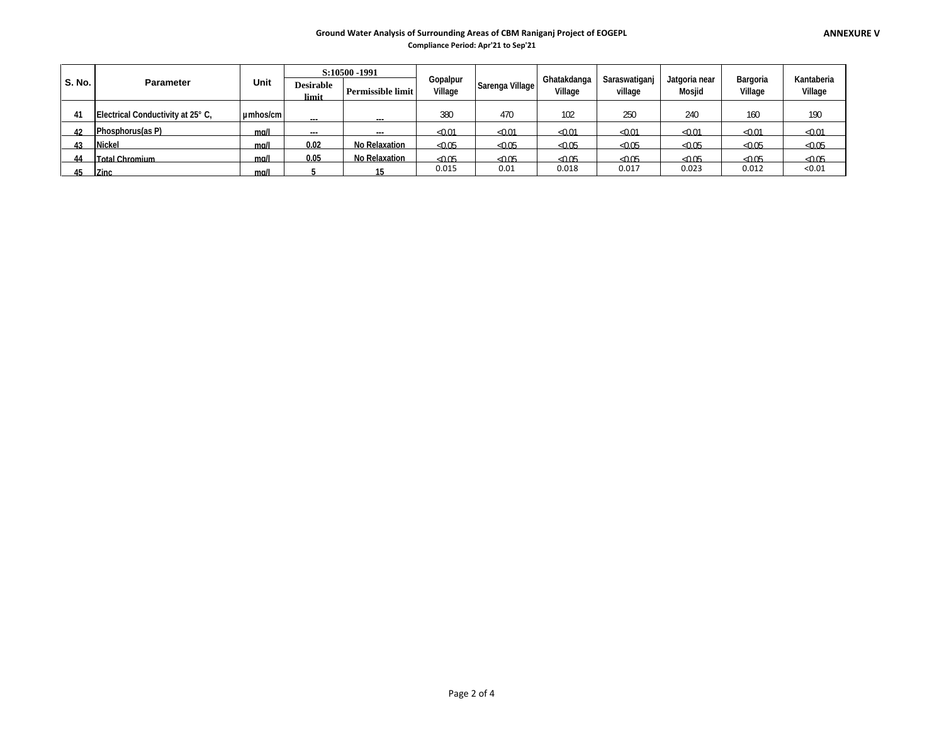#### **Ground Water Analysis of Surrounding Areas of CBM Raniganj Project of EOGEPL**

**Compliance Period: Apr'21 to Sep'21**

|               |                                   |          |                           | S:10500 - 1991           |                     |                 |                        |                          |                                |                     |                       |
|---------------|-----------------------------------|----------|---------------------------|--------------------------|---------------------|-----------------|------------------------|--------------------------|--------------------------------|---------------------|-----------------------|
| <b>S. No.</b> | <b>Parameter</b>                  | Unit     | <b>Desirable</b><br>limit | <b>Permissible limit</b> | Gopalpur<br>Village | Sarenga Village | Ghatakdanga<br>Village | Saraswatiganj<br>village | Jatgoria near<br><b>Mosjid</b> | Bargoria<br>Village | Kantaberia<br>Village |
|               |                                   |          |                           |                          |                     |                 |                        |                          |                                |                     |                       |
| 41            | Electrical Conductivity at 25° C. | umhos/cm |                           |                          | 380                 | 470             | 102                    | 250                      | 240                            | 160                 | 190                   |
| 42            | Phosphorus(as P)                  | mall     | $\overline{\phantom{a}}$  |                          | $-0.01$             | $-0.01$         | $-0.01$                | $-0.01$                  | $-0.01$                        | $-0.01$             | $-0.01$               |
| 43            | <b>Nickel</b>                     | mall     | 0.02                      | No Relaxation            | <0.05               | $-0.05$         | $-0.05$                | $-0.05$                  | $-0.05$                        | $-0.05$             | $-0.05$               |
| 44            | <b>Total Chromium</b>             | mall     | 0.05                      | No Relaxation            | $-0.05$             | $-0.05$         | $-0.05$                | $-0.05$                  | $-0.05$                        | $-0.05$             | $-0.05$               |
| 45            | <b>Zinc</b>                       | mall     |                           |                          | 0.015               | 0.01            | 0.018                  | 0.017                    | 0.023                          | 0.012               | < 0.01                |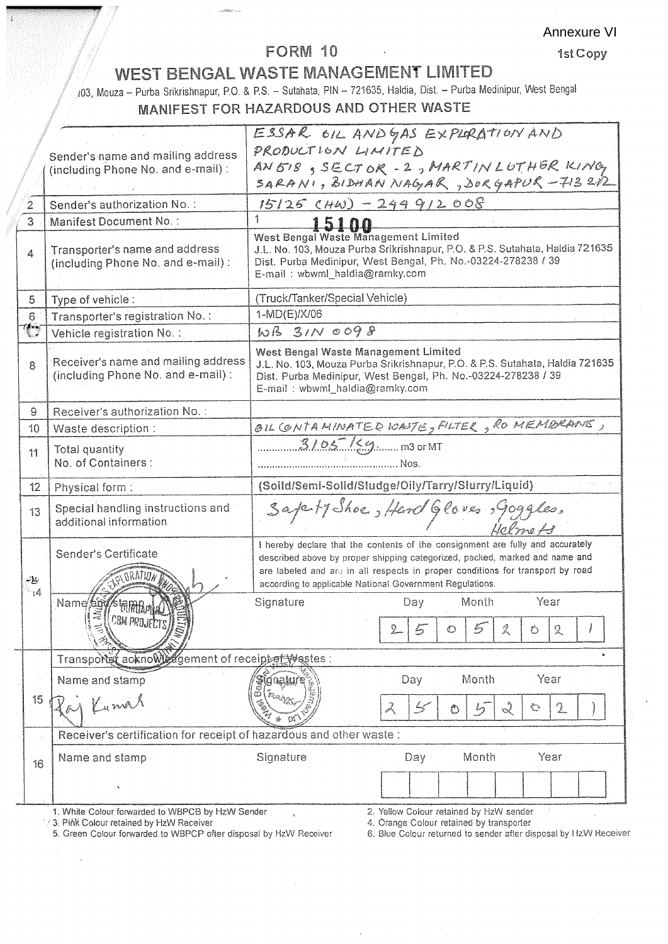### FORM 10

## WEST BENGAL WASTE MANAGEMENT LIMITED

103, Mouza – Purba Srikrishnapur, P.O. & P.S. – Sutahata, PIN – 721635, Haldia, Dist. – Purba Medinipur, West Bengal MANIFEST FOR HAZARDOUS AND OTHER WASTE

|                                     |                                                                     |                                                                                                                                               | ESSAR OIL ANDGAS EXPLORATION AND                                                                                                              |      |  |  |  |  |  |  |
|-------------------------------------|---------------------------------------------------------------------|-----------------------------------------------------------------------------------------------------------------------------------------------|-----------------------------------------------------------------------------------------------------------------------------------------------|------|--|--|--|--|--|--|
|                                     | Sender's name and mailing address                                   | PRODUCTION LIMITED                                                                                                                            |                                                                                                                                               |      |  |  |  |  |  |  |
|                                     | (including Phone No. and e-mail):                                   |                                                                                                                                               | AN 518, SECTOR - 2, MARTIN LUTHER KING                                                                                                        |      |  |  |  |  |  |  |
|                                     |                                                                     |                                                                                                                                               | SARANI, BIDHAN NAGAR, SURGAPUR - 713212                                                                                                       |      |  |  |  |  |  |  |
| $\overline{2}$                      | Sender's authorization No.:                                         | $15125$ (HW) - 244 912 008                                                                                                                    |                                                                                                                                               |      |  |  |  |  |  |  |
| $\overline{3}$                      | Manifest Document No.:                                              | 1                                                                                                                                             |                                                                                                                                               |      |  |  |  |  |  |  |
|                                     |                                                                     | West Bengal Waste Management Limited                                                                                                          |                                                                                                                                               |      |  |  |  |  |  |  |
| 4                                   | Transporter's name and address                                      |                                                                                                                                               | J.L. No. 103, Mouza Purba Srikrishnapur, P.O. & P.S. Sutahata, Haldia 721635<br>Dist. Purba Medinipur, West Bengal, Ph. No.-03224-278238 / 39 |      |  |  |  |  |  |  |
|                                     | (including Phone No. and e-mail):                                   | E-mail: wbwml_haldia@ramky.com                                                                                                                |                                                                                                                                               |      |  |  |  |  |  |  |
|                                     |                                                                     |                                                                                                                                               |                                                                                                                                               |      |  |  |  |  |  |  |
| 5.                                  | Type of vehicle:                                                    | (Truck/Tanker/Special Vehicle)                                                                                                                |                                                                                                                                               |      |  |  |  |  |  |  |
| $6^{\circ}$                         | Transporter's registration No.:                                     | 1-MD(E)/X/06                                                                                                                                  |                                                                                                                                               |      |  |  |  |  |  |  |
| ′∕.,                                | Vehicle registration No. .                                          | WB 31N 0098                                                                                                                                   |                                                                                                                                               |      |  |  |  |  |  |  |
|                                     | Receiver's name and mailing address                                 | West Bengal Waste Management Limited                                                                                                          |                                                                                                                                               |      |  |  |  |  |  |  |
| 8                                   | (including Phone No. and e-mail):                                   | J.L. No. 103, Mouza Purba Srikrishnapur, P.O. & P.S. Sutahata, Haldia 721635<br>Dist. Purba Medinipur, West Bengal, Ph. No.-03224-278238 / 39 |                                                                                                                                               |      |  |  |  |  |  |  |
|                                     |                                                                     | E-mail: wbwml_haldia@ramky.com                                                                                                                |                                                                                                                                               |      |  |  |  |  |  |  |
| Receiver's authorization No.:<br>9  |                                                                     |                                                                                                                                               |                                                                                                                                               |      |  |  |  |  |  |  |
| 10 <sup>10</sup>                    | OIL CONTAMINATED WASTE, FILTER, RO MEMBRANE,<br>Waste description : |                                                                                                                                               |                                                                                                                                               |      |  |  |  |  |  |  |
|                                     |                                                                     | $3105$ / $\leq$ $\frac{9}{2}$ m3 or MT                                                                                                        |                                                                                                                                               |      |  |  |  |  |  |  |
| 11                                  | Total quantity<br>No. of Containers :                               | Nos.                                                                                                                                          |                                                                                                                                               |      |  |  |  |  |  |  |
|                                     |                                                                     |                                                                                                                                               |                                                                                                                                               |      |  |  |  |  |  |  |
| 12 <sup>2</sup>                     | Physical form:                                                      |                                                                                                                                               | (Soild/Semi-Solid/Sludge/Oily/Tarry/Slurry/Liquid)                                                                                            |      |  |  |  |  |  |  |
| 13                                  | Special handling instructions and                                   |                                                                                                                                               | SapartyShoe, Hand Gloves, goggles,                                                                                                            |      |  |  |  |  |  |  |
|                                     | additional information                                              |                                                                                                                                               |                                                                                                                                               |      |  |  |  |  |  |  |
|                                     |                                                                     | I hereby declare that the contents of the consignment are fully and accurately                                                                |                                                                                                                                               |      |  |  |  |  |  |  |
|                                     | Sender's Certificate                                                |                                                                                                                                               | described above by proper shipping categorized, packed, marked and name and                                                                   |      |  |  |  |  |  |  |
| $\mathcal{L}_{\mathbf{S}^{\prime}}$ |                                                                     |                                                                                                                                               | are labeled and are in all respects in proper conditions for transport by road                                                                |      |  |  |  |  |  |  |
| $\neg A$                            |                                                                     |                                                                                                                                               | according to applicable National Government Regulations.                                                                                      | Year |  |  |  |  |  |  |
|                                     | Name and                                                            | Signature                                                                                                                                     | Month<br>Day                                                                                                                                  |      |  |  |  |  |  |  |
|                                     | <b><i>UBM PROJECTS)</i></b>                                         |                                                                                                                                               | $\mathbb{Z}$<br>$\mathcal{Z}$<br>Ô                                                                                                            | Q    |  |  |  |  |  |  |
|                                     |                                                                     |                                                                                                                                               |                                                                                                                                               |      |  |  |  |  |  |  |
|                                     | Transporter acknowledgement of receiptof Wastes:                    |                                                                                                                                               |                                                                                                                                               |      |  |  |  |  |  |  |
|                                     | Name and stamp                                                      | dnature                                                                                                                                       | Month<br>Day                                                                                                                                  | Year |  |  |  |  |  |  |
| 15                                  |                                                                     |                                                                                                                                               |                                                                                                                                               |      |  |  |  |  |  |  |
|                                     | i Kama                                                              |                                                                                                                                               | ð.<br>$\sim$<br>$\sum_{i=1}^n$<br>سيمك<br>Ô                                                                                                   | 2    |  |  |  |  |  |  |
|                                     | Receiver's certification for receipt of hazardous and other waste:  |                                                                                                                                               |                                                                                                                                               |      |  |  |  |  |  |  |
|                                     | Name and stamp                                                      | Signature                                                                                                                                     | Day<br>Month                                                                                                                                  | Year |  |  |  |  |  |  |
| 16                                  |                                                                     |                                                                                                                                               |                                                                                                                                               |      |  |  |  |  |  |  |
|                                     |                                                                     |                                                                                                                                               |                                                                                                                                               |      |  |  |  |  |  |  |
|                                     |                                                                     |                                                                                                                                               |                                                                                                                                               |      |  |  |  |  |  |  |

13. Phil Colour retained by HzW Receiver<br>5. Green Colour forwarded to WBPCP ofter disposal by HzW Receiver

4. Orange Colour retained by transporter<br>6. Blue Colour retained by transporter<br>6. Blue Colour returned to sender after disposal by HzW Receiver

Annexure VI

1st Copy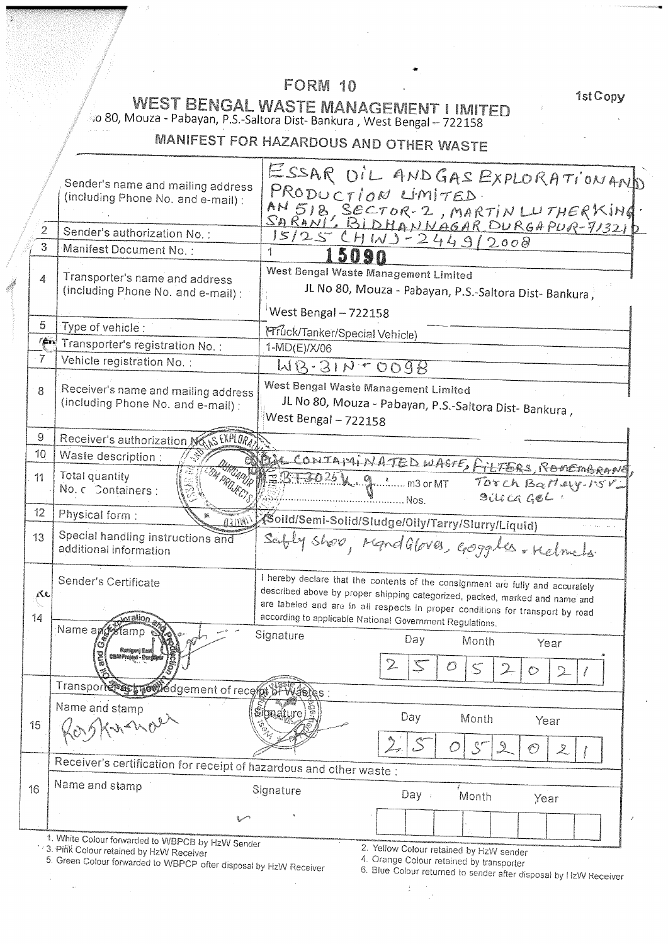# FORM 10

1st Copy

WEST BENGAL WASTE MANAGEMENT I IMITED<br>10 80, Mouza - Pabayan, P.S.-Saltora Dist-Bankura , West Bengal – 722158

# MANIFEST FOR HAZARDOUS AND OTHER WASTE

|                  | Sender's name and mailing address                                        | ESSAR OIL AND GAS EXPLORATION AND                                                                                                          |
|------------------|--------------------------------------------------------------------------|--------------------------------------------------------------------------------------------------------------------------------------------|
|                  | (including Phone No. and e-mail):                                        | PRODUCTION LIMITED                                                                                                                         |
|                  |                                                                          | AN 518, SECTOR-2, MARTIN LUTHERKING                                                                                                        |
| 2                | Sender's authorization No.:                                              | $15/25CHWJ-2449/2008$                                                                                                                      |
| 3                | Manifest Document No.:                                                   | 1                                                                                                                                          |
|                  |                                                                          | West Bengal Waste Management Limited                                                                                                       |
| 4                | Transporter's name and address<br>(including Phone No. and e-mail):      | JL No 80, Mouza - Pabayan, P.S.-Saltora Dist-Bankura,                                                                                      |
|                  |                                                                          | West Bengal - 722158                                                                                                                       |
| 5                | Type of vehicle :                                                        |                                                                                                                                            |
| fén!             | Transporter's registration No.                                           | <b>Pruck/Tanker/Special Vehicle)</b><br>1-MD(E)/X/06                                                                                       |
| $\mathcal{I}$    | Vehicle registration No. :                                               | $MB-31N+0098$                                                                                                                              |
|                  |                                                                          |                                                                                                                                            |
| 8                | Receiver's name and mailing address<br>(including Phone No. and e-mail): | West Bengal Waste Management Limited                                                                                                       |
|                  |                                                                          | JL No 80, Mouza - Pabayan, P.S.-Saltora Dist- Bankura,<br>West Bengal - 722158                                                             |
| 9.               | Receiver's authorization No. IS EXPLORA                                  |                                                                                                                                            |
| 10               | Waste description :                                                      |                                                                                                                                            |
| 11               | <b><i>GARITO</i></b><br>Total quantity                                   | BU CONTAININATED WASTE, FILTERS, ROMEMBRAN                                                                                                 |
|                  | No. c Containers:                                                        | $3025$ k $9$ $3$ m3 or MT<br>Torch Barley-15V                                                                                              |
| 12 <sup>°</sup>  |                                                                          | $9i$ lica GeL<br>.Nos.                                                                                                                     |
|                  | Physical form:<br>TIMLI                                                  | <u>⁄⁄</u> Koild/Semi-Solid/Sludge/Oily/Tarry/Slurry/Liquid)                                                                                |
| 13 <sup>13</sup> | Special handling instructions and<br>additional information              | Saitly shoo, MandGloves, Goggels. Kelmets.                                                                                                 |
|                  |                                                                          |                                                                                                                                            |
|                  | Sender's Certificate                                                     | I hereby declare that the contents of the consignment are fully and accurately                                                             |
| ٨c               |                                                                          | described above by proper shipping categorized, packed, marked and name and                                                                |
| 14               |                                                                          | are labeled and are in all respects in proper conditions for transport by road<br>according to applicable National Government Regulations. |
|                  | Name and Kamp                                                            | Signature<br>Day                                                                                                                           |
|                  |                                                                          | Month<br>Year                                                                                                                              |
|                  | 1Ŝ<br>IJ<br>کت                                                           | ∠<br>$\zeta$<br>$\circ$                                                                                                                    |
|                  | Transport to the product of recession was as :                           |                                                                                                                                            |
|                  | Name and stamp                                                           | Staature                                                                                                                                   |
| 15               | in and                                                                   | Day<br>Month<br>Year                                                                                                                       |
|                  |                                                                          | $\mathcal{S}^r$<br>O<br>Ŀ                                                                                                                  |
|                  | Receiver's certification for receipt of hazardous and other waste :      |                                                                                                                                            |
|                  | Name and stamp                                                           |                                                                                                                                            |
| 16               |                                                                          | Signature<br>Day /<br>Month<br>Year                                                                                                        |
|                  | مسرده                                                                    | $\hat{r}$                                                                                                                                  |
|                  | 1. White Colour forwarded to WBPCB by HzW Sender                         |                                                                                                                                            |
|                  | 3. PIAK Colour retained by HzW Receiver                                  | 2. Yellow Colour retained by HzW sender                                                                                                    |

 $\mathcal{L}$ 

5. This Colour Telemon by The Crooter.<br>5. Green Colour forwarded to WBPCP ofter disposal by HzW Receiver

 $\frac{1}{2}$ 

4. Orange Colour retained by transporter<br>6. Blue Colour returned to sender after disposal by HzW Receiver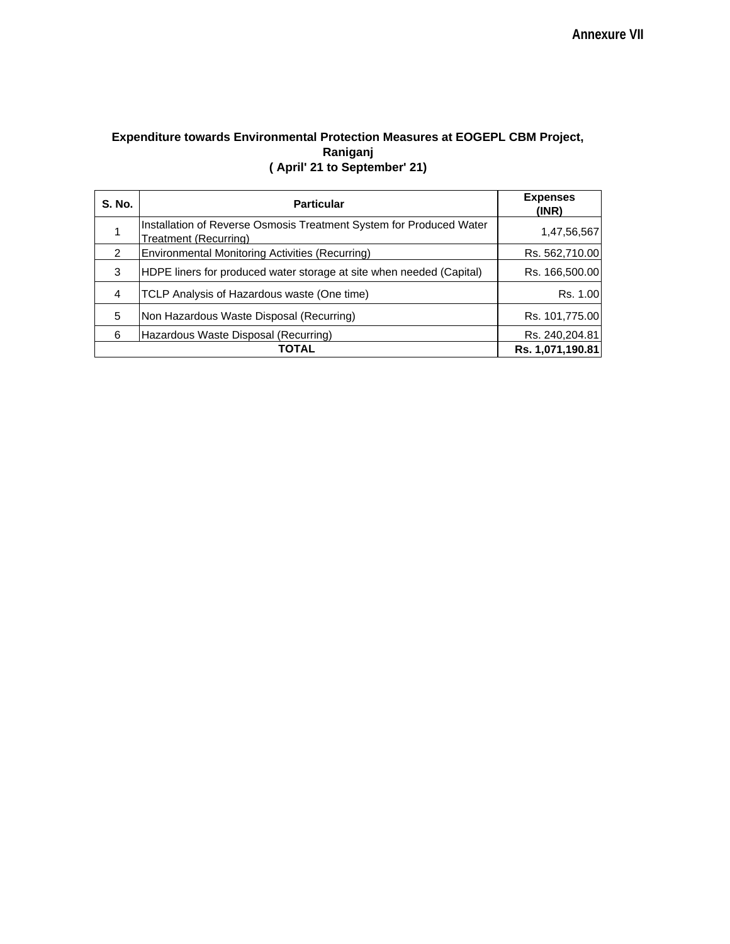### **Expenditure towards Environmental Protection Measures at EOGEPL CBM Project, Raniganj ( April' 21 to September' 21)**

| <b>S. No.</b> | <b>Particular</b>                                                                            | <b>Expenses</b><br>(INR) |
|---------------|----------------------------------------------------------------------------------------------|--------------------------|
|               | Installation of Reverse Osmosis Treatment System for Produced Water<br>Treatment (Recurring) | 1,47,56,567              |
| $\mathcal{P}$ | Environmental Monitoring Activities (Recurring)                                              | Rs. 562,710.00           |
| 3             | HDPE liners for produced water storage at site when needed (Capital)                         | Rs. 166,500.00           |
| 4             | TCLP Analysis of Hazardous waste (One time)                                                  | Rs. 1.00                 |
| 5             | Non Hazardous Waste Disposal (Recurring)                                                     | Rs. 101,775.00           |
| 6             | Hazardous Waste Disposal (Recurring)                                                         | Rs. 240,204.81           |
|               | TOTAL                                                                                        | Rs. 1,071,190.81         |